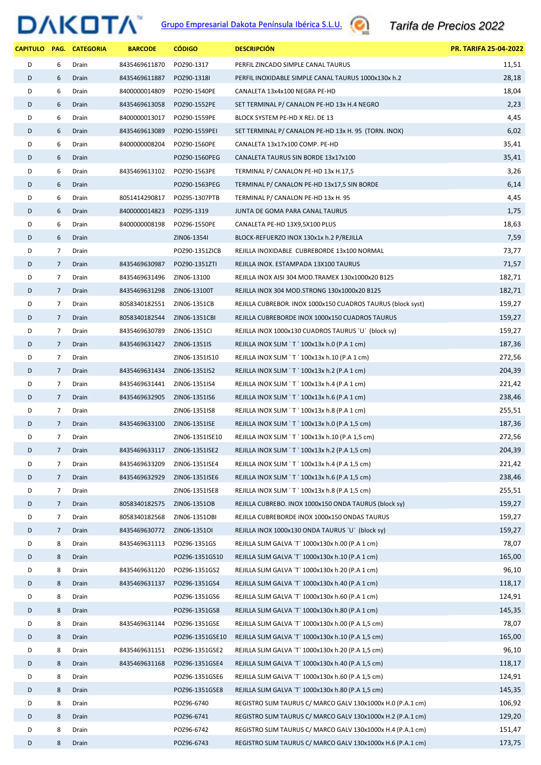## **Grupo Empresarial Dakota Península Ibérica S.L.U. Comparient de Precios 2022**

|   |                | CAPITULO PAG. CATEGORIA | <b>BARCODE</b>              | <b>CÓDIGO</b>                | <b>DESCRIPCION</b>                                          | <b>PR. TARIFA 25-04-2022</b> |
|---|----------------|-------------------------|-----------------------------|------------------------------|-------------------------------------------------------------|------------------------------|
| D | 6              | Drain                   | 8435469611870               | POZ90-1317                   | PERFIL ZINCADO SIMPLE CANAL TAURUS                          | 11,51                        |
| D | 6              | Drain                   | 8435469611887               | POZ90-1318I                  | PERFIL INOXIDABLE SIMPLE CANAL TAURUS 1000x130x h.2         | 28,18                        |
| D | 6              | Drain                   | 8400000014809               | POZ90-1540PE                 | CANALETA 13x4x100 NEGRA PE-HD                               | 18,04                        |
| D | 6              | Drain                   | 8435469613058               | POZ90-1552PE                 | SET TERMINAL P/ CANALON PE-HD 13x H.4 NEGRO                 | 2,23                         |
| D | 6              | Drain                   | 8400000013017               | POZ90-1559PE                 | BLOCK SYSTEM PE-HD X REJ. DE 13                             | 4,45                         |
| D | 6              | Drain                   | 8435469613089               | POZ90-1559PEI                | SET TERMINAL P/ CANALON PE-HD 13x H. 95 (TORN. INOX)        | 6,02                         |
| D | 6              | Drain                   | 8400000008204               | POZ90-1560PE                 | CANALETA 13x17x100 COMP. PE-HD                              | 35,41                        |
| D | 6              | Drain                   |                             | POZ90-1560PEG                | CANALETA TAURUS SIN BORDE 13x17x100                         | 35,41                        |
| D | 6              | Drain                   | 8435469613102               | POZ90-1563PE                 | TERMINAL P/ CANALON PE-HD 13x H.17,5                        | 3,26                         |
| D | 6              | Drain                   |                             | POZ90-1563PEG                | TERMINAL P/ CANALON PE-HD 13x17,5 SIN BORDE                 | 6,14                         |
| D | 6              | Drain                   | 8051414290817               | POZ95-1307PTB                | TERMINAL P/ CANALON PE-HD 13x H. 95                         | 4,45                         |
| D | 6              | Drain                   | 8400000014823               | POZ95-1319                   | JUNTA DE GOMA PARA CANAL TAURUS                             | 1,75                         |
| D | 6              | Drain                   | 8400000008198               | POZ96-1550PE                 | CANALETA PE-HD 13X9,5X100 PLUS                              | 18,63                        |
| D | 6              | Drain                   |                             | ZIN06-1354I                  | BLOCK-REFUERZO INOX 130x1x h.2 P/REJILLA                    | 7,59                         |
| D | 7              | Drain                   |                             | POZ90-1351ZICB               | REJILLA INOXIDABLE CUBREBORDE 13x100 NORMAL                 | 73,77                        |
| D | $7^{\circ}$    | Drain                   | 8435469630987               | POZ90-1351ZTI                | REJILLA INOX. ESTAMPADA 13X100 TAURUS                       | 71,57                        |
| D | $\overline{7}$ | Drain                   | 8435469631496               | ZIN06-13100                  | REJILLA INOX AISI 304 MOD.TRAMEX 130x1000x20 B125           | 182,71                       |
| D | $\overline{7}$ | Drain                   | 8435469631298               | ZIN06-13100T                 | REJILLA INOX 304 MOD.STRONG 130x1000x20 B125                | 182,71                       |
| D | 7              | Drain                   | 8058340182551               | ZIN06-1351CB                 | REJILLA CUBREBOR. INOX 1000x150 CUADROS TAURUS (block syst) | 159,27                       |
| D | $7^{\circ}$    | Drain                   | 8058340182544               | ZIN06-1351CBI                | REJILLA CUBREBORDE INOX 1000x150 CUADROS TAURUS             | 159,27                       |
| D | 7              | Drain                   | 8435469630789               | ZIN06-1351CI                 | REJILLA INOX 1000x130 CUADROS TAURUS `U` (block sy)         | 159,27                       |
| D | $7^{\circ}$    | Drain                   | 8435469631427               | ZIN06-1351IS                 | REJILLA INOX SLIM `T ` 100x13x h.0 (P.A 1 cm)               | 187,36                       |
| D | 7              | Drain                   |                             | ZIN06-1351IS10               | REJILLA INOX SLIM `T `100x13x h.10 (P.A 1 cm)               | 272,56                       |
| D | $7^{\circ}$    | Drain                   | 8435469631434 ZIN06-1351IS2 |                              | REJILLA INOX SLIM `T ` 100x13x h.2 (P.A 1 cm)               | 204,39                       |
| D | $\overline{7}$ | Drain                   | 8435469631441               | ZIN06-1351IS4                | REJILLA INOX SLIM `T ` 100x13x h.4 (P.A 1 cm)               | 221,42                       |
| D | $7^{\circ}$    | Drain                   | 8435469632905               | ZIN06-1351IS6                | REJILLA INOX SLIM `T ` 100x13x h.6 (P.A 1 cm)               | 238,46                       |
| D | 7              | Drain                   |                             | ZIN06-1351IS8                | REJILLA INOX SLIM `T ` 100x13x h.8 (P.A 1 cm)               | 255,51                       |
| D | $\overline{7}$ | Drain                   | 8435469633100               | ZIN06-1351ISE                | REJILLA INOX SLIM `T ` 100x13x h.0 (P.A 1,5 cm)             | 187,36                       |
| D | 7              | Drain                   |                             | ZIN06-1351ISE10              | REJILLA INOX SLIM `T `100x13x h.10 (P.A 1,5 cm)             | 272,56                       |
| D | 7              | Drain                   |                             | 8435469633117 ZIN06-1351ISE2 | REJILLA INOX SLIM `T `100x13x h.2 (P.A 1,5 cm)              | 204,39                       |
| D | 7              | Drain                   | 8435469633209               | ZIN06-1351ISE4               | REJILLA INOX SLIM `T ` 100x13x h.4 (P.A 1,5 cm)             | 221,42                       |
| D | $\overline{7}$ | Drain                   | 8435469632929               | ZIN06-1351ISE6               | REJILLA INOX SLIM `T ` 100x13x h.6 (P.A 1,5 cm)             | 238,46                       |
| D | 7              | Drain                   |                             | ZIN06-1351ISE8               | REJILLA INOX SLIM `T ` 100x13x h.8 (P.A 1,5 cm)             | 255,51                       |
| D | $\overline{7}$ | Drain                   | 8058340182575               | ZIN06-1351OB                 | REJILLA CUBREBO. INOX 1000x150 ONDA TAURUS (block sy)       | 159,27                       |
| D | 7              | Drain                   | 8058340182568               | ZIN06-1351OBI                | REJILLA CUBREBORDE INOX 1000x150 ONDAS TAURUS               | 159,27                       |
| D | $\overline{7}$ | Drain                   | 8435469630772               | ZIN06-13510I                 | REJILLA INOX 1000x130 ONDA TAURUS `U` (block sy)            | 159,27                       |
| D | 8              | Drain                   | 8435469631113               | POZ96-1351GS                 | REJILLA SLIM GALVA `T` 1000x130x h.00 (P.A 1 cm)            | 78,07                        |
| D | 8              | Drain                   |                             | POZ96-1351GS10               | REJILLA SLIM GALVA `T` 1000x130x h.10 (P.A 1 cm)            | 165,00                       |
| D | 8              | Drain                   | 8435469631120               | POZ96-1351GS2                | REJILLA SLIM GALVA `T` 1000x130x h.20 (P.A 1 cm)            | 96,10                        |
| D | 8              | Drain                   | 8435469631137               | POZ96-1351GS4                | REJILLA SLIM GALVA `T` 1000x130x h.40 (P.A 1 cm)            | 118,17                       |
| D | 8              | Drain                   |                             | POZ96-1351GS6                | REJILLA SLIM GALVA `T` 1000x130x h.60 (P.A 1 cm)            | 124,91                       |
| D | 8              | Drain                   |                             | POZ96-1351GS8                | REJILLA SLIM GALVA `T` 1000x130x h.80 (P.A 1 cm)            | 145,35                       |
| D | 8              | Drain                   | 8435469631144               | POZ96-1351GSE                | REJILLA SLIM GALVA `T` 1000x130x h.00 (P.A 1,5 cm)          | 78,07                        |
| D | 8              | Drain                   |                             | POZ96-1351GSE10              | REJILLA SLIM GALVA `T` 1000x130x h.10 (P.A 1,5 cm)          | 165,00                       |
| D | 8              | Drain                   | 8435469631151               | POZ96-1351GSE2               | REJILLA SLIM GALVA `T` 1000x130x h.20 (P.A 1,5 cm)          | 96,10                        |
| D | 8              | Drain                   | 8435469631168               | POZ96-1351GSE4               | REJILLA SLIM GALVA `T` 1000x130x h.40 (P.A 1,5 cm)          | 118,17                       |
| D | 8              | Drain                   |                             | POZ96-1351GSE6               | REJILLA SLIM GALVA 'T' 1000x130x h.60 (P.A 1,5 cm)          | 124,91                       |
| D | 8              | Drain                   |                             | POZ96-1351GSE8               | REJILLA SLIM GALVA `T` 1000x130x h.80 (P.A 1,5 cm)          | 145,35                       |
| D | 8              | Drain                   |                             | POZ96-6740                   | REGISTRO SLIM TAURUS C/ MARCO GALV 130x1000x H.0 (P.A.1 cm) | 106,92                       |
| D | 8              | Drain                   |                             | POZ96-6741                   | REGISTRO SLIM TAURUS C/ MARCO GALV 130x1000x H.2 (P.A.1 cm) | 129,20                       |
| D | 8              | Drain                   |                             | POZ96-6742                   | REGISTRO SLIM TAURUS C/ MARCO GALV 130x1000x H.4 (P.A.1 cm) | 151,47                       |
| D | 8              | Drain                   |                             | POZ96-6743                   | REGISTRO SLIM TAURUS C/ MARCO GALV 130x1000x H.6 (P.A.1 cm) | 173,75                       |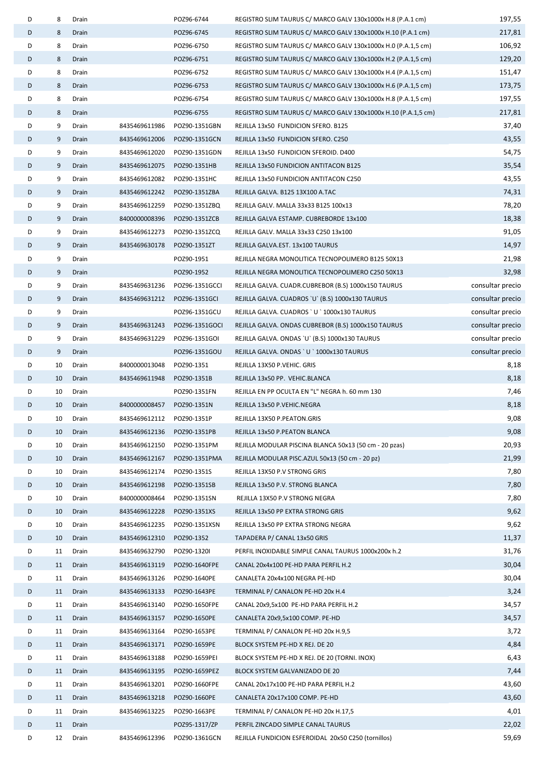| D | 8        | Drain |               | POZ96-6744     | REGISTRO SLIM TAURUS C/ MARCO GALV 130x1000x H.8 (P.A.1 cm)    | 197,55           |
|---|----------|-------|---------------|----------------|----------------------------------------------------------------|------------------|
| D | 8        | Drain |               | POZ96-6745     | REGISTRO SLIM TAURUS C/ MARCO GALV 130x1000x H.10 (P.A.1 cm)   | 217,81           |
| D | 8        | Drain |               | POZ96-6750     | REGISTRO SLIM TAURUS C/ MARCO GALV 130x1000x H.0 (P.A.1,5 cm)  | 106,92           |
| D | 8        | Drain |               | POZ96-6751     | REGISTRO SLIM TAURUS C/ MARCO GALV 130x1000x H.2 (P.A.1,5 cm)  | 129,20           |
| D | 8        | Drain |               | POZ96-6752     | REGISTRO SLIM TAURUS C/ MARCO GALV 130x1000x H.4 (P.A.1,5 cm)  | 151,47           |
| D | 8        | Drain |               | POZ96-6753     | REGISTRO SLIM TAURUS C/ MARCO GALV 130x1000x H.6 (P.A.1,5 cm)  | 173,75           |
| D | 8        | Drain |               | POZ96-6754     | REGISTRO SLIM TAURUS C/ MARCO GALV 130x1000x H.8 (P.A.1,5 cm)  | 197,55           |
| D | 8        | Drain |               | POZ96-6755     | REGISTRO SLIM TAURUS C/ MARCO GALV 130x1000x H.10 (P.A.1,5 cm) | 217,81           |
| D | 9        | Drain | 8435469611986 | POZ90-1351GBN  | REJILLA 13x50 FUNDICION SFERO. B125                            | 37,40            |
| D | 9        | Drain | 8435469612006 | POZ90-1351GCN  | REJILLA 13x50 FUNDICION SFERO. C250                            | 43,55            |
| D | 9        | Drain | 8435469612020 | POZ90-1351GDN  | REJILLA 13x50 FUNDICION SFEROID. D400                          | 54,75            |
| D | 9        | Drain | 8435469612075 | POZ90-1351HB   | REJILLA 13x50 FUNDICION ANTITACON B125                         | 35,54            |
| D | 9        | Drain | 8435469612082 | POZ90-1351HC   | REJILLA 13x50 FUNDICION ANTITACON C250                         | 43,55            |
| D | 9        | Drain | 8435469612242 | POZ90-1351ZBA  | REJILLA GALVA. B125 13X100 A.TAC                               | 74,31            |
| D | 9        | Drain | 8435469612259 | POZ90-1351ZBQ  | REJILLA GALV. MALLA 33x33 B125 100x13                          | 78,20            |
| D | 9        | Drain | 8400000008396 | POZ90-1351ZCB  | REJILLA GALVA ESTAMP. CUBREBORDE 13x100                        | 18,38            |
| D | 9        | Drain | 8435469612273 | POZ90-1351ZCQ  | REJILLA GALV. MALLA 33x33 C250 13x100                          | 91,05            |
| D | 9        | Drain | 8435469630178 | POZ90-1351ZT   | REJILLA GALVA.EST. 13x100 TAURUS                               | 14,97            |
| D | 9        | Drain |               | POZ90-1951     | REJILLA NEGRA MONOLITICA TECNOPOLIMERO B125 50X13              | 21,98            |
| D | 9        | Drain |               | POZ90-1952     | REJILLA NEGRA MONOLITICA TECNOPOLIMERO C250 50X13              | 32,98            |
| D | 9        | Drain | 8435469631236 | POZ96-1351GCCI | REJILLA GALVA. CUADR.CUBREBOR (B.S) 1000x150 TAURUS            | consultar precio |
| D | 9        | Drain | 8435469631212 | POZ96-1351GCI  | REJILLA GALVA. CUADROS 'U' (B.S) 1000x130 TAURUS               | consultar precio |
| D | 9        | Drain |               | POZ96-1351GCU  | REJILLA GALVA. CUADROS ' U '1000x130 TAURUS                    | consultar precio |
| D | 9        | Drain | 8435469631243 | POZ96-1351GOCI | REJILLA GALVA. ONDAS CUBREBOR (B.S) 1000x150 TAURUS            | consultar precio |
| D | 9        | Drain | 8435469631229 | POZ96-1351GOI  | REJILLA GALVA. ONDAS 'U' (B.S) 1000x130 TAURUS                 | consultar precio |
| D | 9        | Drain |               | POZ96-1351GOU  | REJILLA GALVA. ONDAS `U `1000x130 TAURUS                       | consultar precio |
| D | 10       | Drain | 8400000013048 | POZ90-1351     | REJILLA 13X50 P.VEHIC. GRIS                                    | 8,18             |
| D | 10       | Drain | 8435469611948 | POZ90-1351B    | REJILLA 13x50 PP. VEHIC.BLANCA                                 | 8,18             |
| D | 10       | Drain |               | POZ90-1351FN   | REJILLA EN PP OCULTA EN "L" NEGRA h. 60 mm 130                 | 7,46             |
| D | 10       | Drain | 8400000008457 | POZ90-1351N    | REJILLA 13x50 P.VEHIC.NEGRA                                    | 8,18             |
| D | 10       | Drain | 8435469612112 | POZ90-1351P    | REJILLA 13X50 P.PEATON.GRIS                                    | 9,08             |
| D | 10       | Drain | 8435469612136 | POZ90-1351PB   | REJILLA 13x50 P.PEATON BLANCA                                  | 9,08             |
| D | 10       | Drain | 8435469612150 | POZ90-1351PM   | REJILLA MODULAR PISCINA BLANCA 50x13 (50 cm - 20 pzas)         | 20,93            |
| D | 10       | Drain | 8435469612167 | POZ90-1351PMA  | REJILLA MODULAR PISC.AZUL 50x13 (50 cm - 20 pz)                | 21,99            |
| D | 10       | Drain | 8435469612174 | POZ90-1351S    | REJILLA 13X50 P.V STRONG GRIS                                  | 7,80             |
| D | 10       | Drain | 8435469612198 | POZ90-1351SB   | REJILLA 13x50 P.V. STRONG BLANCA                               | 7,80             |
| D | 10       | Drain | 8400000008464 | POZ90-1351SN   | REJILLA 13X50 P.V STRONG NEGRA                                 | 7,80             |
| D | 10       | Drain | 8435469612228 | POZ90-1351XS   | REJILLA 13x50 PP EXTRA STRONG GRIS                             | 9,62             |
| D | 10       | Drain | 8435469612235 | POZ90-1351XSN  | REJILLA 13x50 PP EXTRA STRONG NEGRA                            | 9,62             |
| D | 10       | Drain | 8435469612310 | POZ90-1352     | TAPADERA P/ CANAL 13x50 GRIS                                   | 11,37            |
| D | 11       | Drain | 8435469632790 | POZ90-1320I    | PERFIL INOXIDABLE SIMPLE CANAL TAURUS 1000x200x h.2            | 31,76            |
| D | 11       | Drain | 8435469613119 | POZ90-1640FPE  | CANAL 20x4x100 PE-HD PARA PERFIL H.2                           | 30,04            |
| D | 11       | Drain | 8435469613126 | POZ90-1640PE   | CANALETA 20x4x100 NEGRA PE-HD                                  | 30,04            |
| D | 11       | Drain | 8435469613133 |                | TERMINAL P/ CANALON PE-HD 20x H.4                              | 3,24             |
| D |          |       |               | POZ90-1643PE   |                                                                | 34,57            |
| D | 11<br>11 | Drain | 8435469613140 | POZ90-1650FPE  | CANAL 20x9,5x100 PE-HD PARA PERFIL H.2                         | 34,57            |
| D | 11       | Drain | 8435469613157 | POZ90-1650PE   | CANALETA 20x9,5x100 COMP. PE-HD                                | 3,72             |
|   |          | Drain | 8435469613164 | POZ90-1653PE   | TERMINAL P/ CANALON PE-HD 20x H.9,5                            |                  |
| D | 11       | Drain | 8435469613171 | POZ90-1659PE   | BLOCK SYSTEM PE-HD X REJ. DE 20                                | 4,84             |
| D | 11       | Drain | 8435469613188 | POZ90-1659PEI  | BLOCK SYSTEM PE-HD X REJ. DE 20 (TORNI. INOX)                  | 6,43             |
| D | 11       | Drain | 8435469613195 | POZ90-1659PEZ  | BLOCK SYSTEM GALVANIZADO DE 20                                 | 7,44             |
| D | 11       | Drain | 8435469613201 | POZ90-1660FPE  | CANAL 20x17x100 PE-HD PARA PERFIL H.2                          | 43,60            |
| D | 11       | Drain | 8435469613218 | POZ90-1660PE   | CANALETA 20x17x100 COMP. PE-HD                                 | 43,60            |
| D | 11       | Drain | 8435469613225 | POZ90-1663PE   | TERMINAL P/ CANALON PE-HD 20x H.17,5                           | 4,01             |
| D | 11       | Drain |               | POZ95-1317/ZP  | PERFIL ZINCADO SIMPLE CANAL TAURUS                             | 22,02            |
| D | 12       | Drain | 8435469612396 | POZ90-1361GCN  | REJILLA FUNDICION ESFEROIDAL 20x50 C250 (tornillos)            | 59,69            |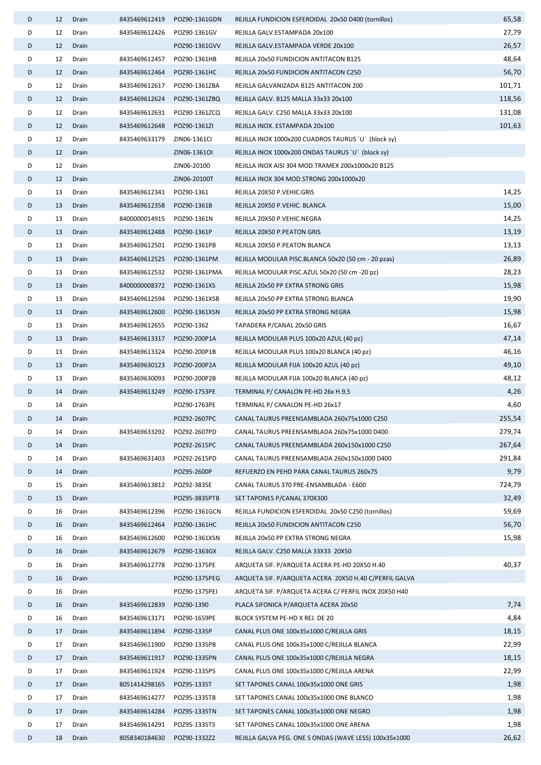| D      | 12       | Drain          | 8435469612419                  | POZ90-1361GDN                 | REJILLA FUNDICION ESFEROIDAL 20x50 D400 (tornillos)                         | 65,58  |
|--------|----------|----------------|--------------------------------|-------------------------------|-----------------------------------------------------------------------------|--------|
| D      | 12       | Drain          | 8435469612426                  | POZ90-1361GV                  | REJILLA GALV.ESTAMPADA 20x100                                               | 27,79  |
| D      | 12       | Drain          |                                | POZ90-1361GVV                 | REJILLA GALV.ESTAMPADA VERDE 20x100                                         | 26,57  |
| D      | 12       | Drain          | 8435469612457                  | POZ90-1361HB                  | REJILLA 20x50 FUNDICION ANTITACON B125                                      | 48,64  |
| D      | 12       | Drain          | 8435469612464                  | POZ90-1361HC                  | REJILLA 20x50 FUNDICION ANTITACON C250                                      | 56,70  |
| D      | 12       | Drain          | 8435469612617                  | POZ90-1361ZBA                 | REJILLA GALVANIZADA B125 ANTITACON 200                                      | 101,71 |
| D      | 12       | Drain          | 8435469612624                  | POZ90-1361ZBQ                 | REJILLA GALV. B125 MALLA 33x33 20x100                                       | 118,56 |
| D      | 12       | Drain          | 8435469612631                  | POZ90-1361ZCQ                 | REJILLA GALV. C250 MALLA 33x33 20x100                                       | 131,08 |
| D      | 12       | Drain          | 8435469612648                  | POZ90-1361ZI                  | REJILLA INOX. ESTAMPADA 20x100                                              | 101,63 |
| D      | 12       | Drain          | 8435469633179                  | ZIN06-1361CI                  | REJILLA INOX 1000x200 CUADROS TAURUS `U` (block sy)                         |        |
| D      | 12       | Drain          |                                | ZIN06-13610I                  | REJILLA INOX 1000x200 ONDAS TAURUS `U` (block sy)                           |        |
| D      | 12       | Drain          |                                | ZIN06-20100                   | REJILLA INOX AISI 304 MOD.TRAMEX 200x1000x20 B125                           |        |
| D      | 12       | Drain          |                                | ZIN06-20100T                  | REJILLA INOX 304 MOD.STRONG 200x1000x20                                     |        |
| D      | 13       | Drain          | 8435469612341                  | POZ90-1361                    | REJILLA 20X50 P.VEHIC.GRIS                                                  | 14,25  |
| D      | 13       | Drain          | 8435469612358                  | POZ90-1361B                   | REJILLA 20X50 P.VEHIC. BLANCA                                               | 15,00  |
| D      | 13       | Drain          | 8400000014915                  | POZ90-1361N                   | REJILLA 20X50 P.VEHIC.NEGRA                                                 | 14,25  |
| D      | 13       | Drain          | 8435469612488                  | POZ90-1361P                   | REJILLA 20X50 P.PEATON GRIS                                                 | 13,19  |
| D      | 13       | Drain          | 8435469612501                  | POZ90-1361PB                  | REJILLA 20X50 P.PEATON BLANCA                                               | 13,13  |
| D      | 13       | Drain          | 8435469612525                  | POZ90-1361PM                  | REJILLA MODULAR PISC.BLANCA 50x20 (50 cm - 20 pzas)                         | 26,89  |
| D      | 13       | Drain          | 8435469612532                  | POZ90-1361PMA                 | REJILLA MODULAR PISC.AZUL 50x20 (50 cm -20 pz)                              | 28,23  |
| D      | 13       | Drain          | 8400000008372                  | POZ90-1361XS                  | REJILLA 20x50 PP EXTRA STRONG GRIS                                          | 15,98  |
| D      | 13       | Drain          | 8435469612594                  | POZ90-1361XSB                 | REJILLA 20x50 PP EXTRA STRONG BLANCA                                        | 19,90  |
| D      | 13       | Drain          | 8435469612600                  | POZ90-1361XSN                 | REJILLA 20x50 PP EXTRA STRONG NEGRA                                         | 15,98  |
| D      | 13       | Drain          | 8435469612655                  | POZ90-1362                    | TAPADERA P/CANAL 20x50 GRIS                                                 | 16,67  |
| D      | 13       | Drain          | 8435469613317                  | POZ90-200P1A                  | REJILLA MODULAR PLUS 100x20 AZUL (40 pz)                                    | 47,14  |
| D      | 13       | Drain          | 8435469613324                  | POZ90-200P1B                  | REJILLA MODULAR PLUS 100x20 BLANCA (40 pz)                                  | 46,16  |
| D      | 13       | Drain          | 8435469630123                  | POZ90-200P2A                  | REJILLA MODULAR FIJA 100x20 AZUL (40 pz)                                    | 49,10  |
| D      | 13       | Drain          | 8435469630093                  | POZ90-200P2B                  | REJILLA MODULAR FIJA 100x20 BLANCA (40 pz)                                  | 48,12  |
| D      | 14       | Drain          | 8435469613249                  | POZ90-1753PE                  | TERMINAL P/ CANALON PE-HD 26x H.9,5                                         | 4,26   |
| D      | 14       | Drain          |                                | POZ90-1763PE                  | TERMINAL P/ CANALON PE-HD 26x17                                             | 4,60   |
| D      | 14       | Drain          |                                | POZ92-2607PC                  | CANAL TAURUS PREENSAMBLADA 260x75x1000 C250                                 | 255,54 |
| D      | 14       | Drain          | 8435469633292                  | POZ92-2607PD                  | CANAL TAURUS PREENSAMBLADA 260x75x1000 D400                                 | 279,74 |
| D      | 14       | Drain          |                                | POZ92-2615PC                  | CANAL TAURUS PREENSAMBLADA 260x150x1000 C250                                | 267,64 |
| D      | 14       | Drain          | 8435469631403                  | POZ92-2615PD                  | CANAL TAURUS PREENSAMBLADA 260x150x1000 D400                                | 291,84 |
| D      | 14       | Drain          |                                | POZ95-2600P                   | REFUERZO EN PEHD PARA CANAL TAURUS 260x75                                   | 9,79   |
| D      | 15       | Drain          | 8435469613812                  | POZ92-3835E                   | CANAL TAURUS 370 PRE-ENSAMBLADA - E600                                      | 724,79 |
| D      | 15       | Drain          |                                | POZ95-3835PTB                 | SET TAPONES P/CANAL 370X300                                                 | 32,49  |
| D      | 16       | Drain          | 8435469612396                  | POZ90-1361GCN                 | REJILLA FUNDICION ESFEROIDAL 20x50 C250 (tornillos)                         | 59,69  |
| D      | 16       | Drain          | 8435469612464                  | POZ90-1361HC                  | REJILLA 20x50 FUNDICION ANTITACON C250                                      | 56,70  |
| D<br>D | 16<br>16 | Drain<br>Drain | 8435469612600<br>8435469612679 | POZ90-1361XSN<br>POZ90-1363GX | REJILLA 20x50 PP EXTRA STRONG NEGRA<br>REJILLA GALV. C250 MALLA 33X33 20X50 | 15,98  |
| D      | 16       | Drain          | 8435469612778                  | POZ90-1375PE                  | ARQUETA SIF. P/ARQUETA ACERA PE-HD 20X50 H.40                               | 40,37  |
| D      | 16       | Drain          |                                | POZ90-1375PEG                 | ARQUETA SIF. P/ARQUETA ACERA 20X50 H.40 C/PERFIL GALVA                      |        |
| D      | 16       | Drain          |                                | POZ90-1375PEI                 | ARQUETA SIF. P/ARQUETA ACERA C/ PERFIL INOX 20X50 H40                       |        |
| D      | 16       | Drain          | 8435469612839                  | POZ90-1390                    | PLACA SIFONICA P/ARQUETA ACERA 20x50                                        | 7,74   |
| D      | 16       | Drain          | 8435469613171                  | POZ90-1659PE                  | BLOCK SYSTEM PE-HD X REJ. DE 20                                             | 4,84   |
| D      | 17       | Drain          | 8435469611894                  | POZ90-1335P                   | CANAL PLUS ONE 100x35x1000 C/REJILLA GRIS                                   | 18,15  |
| D      | 17       | Drain          | 8435469611900                  | POZ90-1335PB                  | CANAL PLUS ONE 100x35x1000 C/REJILLA BLANCA                                 | 22,99  |
| D      | 17       | Drain          | 8435469611917                  | POZ90-1335PN                  | CANAL PLUS ONE 100x35x1000 C/REJILLA NEGRA                                  | 18,15  |
| D      | 17       | Drain          | 8435469611924                  | POZ90-1335PS                  | CANAL PLUS ONE 100x35x1000 C/REJILLA ARENA                                  | 22,99  |
| D      | 17       | Drain          | 8051414298165                  | POZ95-1335T                   | SET TAPONES CANAL 100x35x1000 ONE GRIS                                      | 1,98   |
| D      | 17       | Drain          | 8435469614277                  | POZ95-1335TB                  | SET TAPONES CANAL 100x35x1000 ONE BLANCO                                    | 1,98   |
| D      | 17       | Drain          | 8435469614284                  | POZ95-1335TN                  | SET TAPONES CANAL 100x35x1000 ONE NEGRO                                     | 1,98   |
| D      | 17       | Drain          | 8435469614291                  | POZ95-1335TS                  | SET TAPONES CANAL 100x35x1000 ONE ARENA                                     | 1,98   |
| D      | 18       | Drain          | 8058340184630                  | POZ90-1332Z2                  | REJILLA GALVA PEG. ONE S ONDAS (WAVE LESS) 100x35x1000                      | 26,62  |
|        |          |                |                                |                               |                                                                             |        |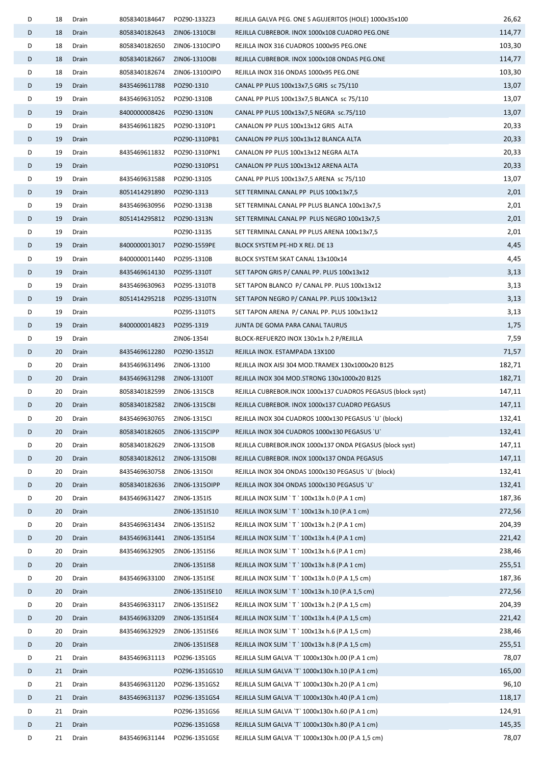| D | 18       | Drain          | 8058340184647                  | POZ90-1332Z3    | REJILLA GALVA PEG. ONE S AGUJERITOS (HOLE) 1000x35x100                                         | 26,62  |
|---|----------|----------------|--------------------------------|-----------------|------------------------------------------------------------------------------------------------|--------|
| D | 18       | Drain          | 8058340182643                  | ZIN06-1310CBI   | REJILLA CUBREBOR. INOX 1000x108 CUADRO PEG.ONE                                                 | 114,77 |
| D | 18       | Drain          | 8058340182650                  | ZIN06-1310CIPO  | REJILLA INOX 316 CUADROS 1000x95 PEG.ONE                                                       | 103,30 |
| D | 18       | Drain          | 8058340182667                  | ZIN06-1310OBI   | REJILLA CUBREBOR. INOX 1000x108 ONDAS PEG.ONE                                                  | 114,77 |
| D | 18       | Drain          | 8058340182674                  | ZIN06-1310OIPO  | REJILLA INOX 316 ONDAS 1000x95 PEG.ONE                                                         | 103,30 |
| D | 19       | Drain          | 8435469611788                  | POZ90-1310      | CANAL PP PLUS 100x13x7,5 GRIS sc 75/110                                                        | 13,07  |
| D | 19       | Drain          | 8435469631052                  | POZ90-1310B     | CANAL PP PLUS 100x13x7,5 BLANCA sc 75/110                                                      | 13,07  |
| D | 19       | Drain          | 8400000008426                  | POZ90-1310N     | CANAL PP PLUS 100x13x7,5 NEGRA sc.75/110                                                       | 13,07  |
| D | 19       | Drain          | 8435469611825                  | POZ90-1310P1    | CANALON PP PLUS 100x13x12 GRIS ALTA                                                            | 20,33  |
| D | 19       | Drain          |                                | POZ90-1310PB1   | CANALON PP PLUS 100x13x12 BLANCA ALTA                                                          | 20,33  |
| D | 19       | Drain          | 8435469611832                  | POZ90-1310PN1   | CANALON PP PLUS 100x13x12 NEGRA ALTA                                                           | 20,33  |
| D | 19       | Drain          |                                | POZ90-1310PS1   | CANALON PP PLUS 100x13x12 ARENA ALTA                                                           | 20,33  |
| D | 19       | Drain          | 8435469631588                  | POZ90-1310S     | CANAL PP PLUS 100x13x7,5 ARENA sc 75/110                                                       | 13,07  |
| D | 19       | Drain          | 8051414291890                  | POZ90-1313      | SET TERMINAL CANAL PP PLUS 100x13x7,5                                                          | 2,01   |
| D | 19       | Drain          | 8435469630956                  | POZ90-1313B     | SET TERMINAL CANAL PP PLUS BLANCA 100x13x7,5                                                   | 2,01   |
| D | 19       | Drain          | 8051414295812                  | POZ90-1313N     | SET TERMINAL CANAL PP PLUS NEGRO 100x13x7,5                                                    | 2,01   |
| D | 19       | Drain          |                                | POZ90-1313S     | SET TERMINAL CANAL PP PLUS ARENA 100x13x7,5                                                    | 2,01   |
| D | 19       | Drain          | 8400000013017                  | POZ90-1559PE    | BLOCK SYSTEM PE-HD X REJ. DE 13                                                                | 4,45   |
| D | 19       | Drain          | 8400000011440                  | POZ95-1310B     | BLOCK SYSTEM SKAT CANAL 13x100x14                                                              | 4,45   |
| D | 19       | Drain          | 8435469614130                  | POZ95-1310T     | SET TAPON GRIS P/ CANAL PP. PLUS 100x13x12                                                     | 3,13   |
| D | 19       | Drain          | 8435469630963                  | POZ95-1310TB    | SET TAPON BLANCO P/ CANAL PP. PLUS 100x13x12                                                   | 3,13   |
| D | 19       | Drain          | 8051414295218                  | POZ95-1310TN    | SET TAPON NEGRO P/ CANAL PP. PLUS 100x13x12                                                    | 3,13   |
| D | 19       | Drain          |                                | POZ95-1310TS    | SET TAPON ARENA P/ CANAL PP. PLUS 100x13x12                                                    | 3,13   |
| D | 19       | Drain          | 8400000014823                  | POZ95-1319      | JUNTA DE GOMA PARA CANAL TAURUS                                                                | 1,75   |
| D | 19       | Drain          |                                | ZIN06-1354I     | BLOCK-REFUERZO INOX 130x1x h.2 P/REJILLA                                                       | 7,59   |
| D | 20       | Drain          | 8435469612280                  | POZ90-1351ZI    | REJILLA INOX. ESTAMPADA 13X100                                                                 | 71,57  |
| D | 20       | Drain          | 8435469631496                  | ZIN06-13100     | REJILLA INOX AISI 304 MOD.TRAMEX 130x1000x20 B125                                              | 182,71 |
| D | 20       | Drain          | 8435469631298 ZIN06-13100T     |                 | REJILLA INOX 304 MOD.STRONG 130x1000x20 B125                                                   | 182,71 |
| D | 20       | Drain          | 8058340182599                  | ZIN06-1315CB    | REJILLA CUBREBOR.INOX 1000x137 CUADROS PEGASUS (block syst)                                    | 147,11 |
| D | 20       | Drain          | 8058340182582                  | ZIN06-1315CBI   | REJILLA CUBREBOR. INOX 1000x137 CUADRO PEGASUS                                                 | 147,11 |
| D | 20       | Drain          | 8435469630765 ZIN06-1315CI     |                 | REJILLA INOX 304 CUADROS 1000x130 PEGASUS `U` (block)                                          | 132,41 |
| D | 20       | Drain          | 8058340182605                  | ZIN06-1315CIPP  | REJILLA INOX 304 CUADROS 1000x130 PEGASUS `U`                                                  | 132,41 |
| D | 20       | Drain          | 8058340182629                  | ZIN06-1315OB    | REJILLA CUBREBOR.INOX 1000x137 ONDA PEGASUS (block syst)                                       | 147,11 |
| D | 20       | Drain          | 8058340182612                  | ZIN06-1315OBI   | REJILLA CUBREBOR. INOX 1000x137 ONDA PEGASUS                                                   | 147,11 |
| D | 20       | Drain          | 8435469630758                  | ZIN06-1315OI    | REJILLA INOX 304 ONDAS 1000x130 PEGASUS `U` (block)                                            | 132,41 |
| D | 20       | Drain          | 8058340182636                  | ZIN06-1315OIPP  | REJILLA INOX 304 ONDAS 1000x130 PEGASUS `U`                                                    | 132,41 |
| D | 20       | Drain          | 8435469631427                  | ZIN06-1351IS    | REJILLA INOX SLIM `T ` 100x13x h.0 (P.A 1 cm)                                                  | 187,36 |
| D | 20       | Drain          |                                | ZIN06-1351IS10  | REJILLA INOX SLIM `T `100x13x h.10 (P.A 1 cm)                                                  | 272,56 |
| D | 20       | Drain          | 8435469631434                  | ZIN06-1351IS2   |                                                                                                | 204,39 |
| D | 20       |                |                                |                 | REJILLA INOX SLIM `T ` 100x13x h.2 (P.A 1 cm)                                                  | 221,42 |
| D |          | Drain<br>Drain | 8435469631441<br>8435469632905 | ZIN06-1351IS4   | REJILLA INOX SLIM `T ` 100x13x h.4 (P.A 1 cm)<br>REJILLA INOX SLIM `T ` 100x13x h.6 (P.A 1 cm) | 238,46 |
| D | 20<br>20 | Drain          |                                | ZIN06-1351IS6   | REJILLA INOX SLIM `T `100x13x h.8 (P.A 1 cm)                                                   | 255,51 |
| D | 20       |                | 8435469633100                  | ZIN06-1351IS8   |                                                                                                | 187,36 |
| D | 20       | Drain          |                                | ZIN06-1351ISE   | REJILLA INOX SLIM `T ` 100x13x h.0 (P.A 1,5 cm)                                                | 272,56 |
| D |          | Drain          |                                | ZIN06-1351ISE10 | REJILLA INOX SLIM `T `100x13x h.10 (P.A 1,5 cm)                                                | 204,39 |
|   | 20       | Drain          | 8435469633117                  | ZIN06-1351ISE2  | REJILLA INOX SLIM `T ` 100x13x h.2 (P.A 1,5 cm)                                                |        |
| D | 20       | Drain          | 8435469633209                  | ZIN06-1351ISE4  | REJILLA INOX SLIM `T ` 100x13x h.4 (P.A 1,5 cm)                                                | 221,42 |
| D | 20       | Drain          | 8435469632929                  | ZIN06-1351ISE6  | REJILLA INOX SLIM `T ` 100x13x h.6 (P.A 1,5 cm)                                                | 238,46 |
| D | 20       | Drain          |                                | ZIN06-1351ISE8  | REJILLA INOX SLIM `T ` 100x13x h.8 (P.A 1,5 cm)                                                | 255,51 |
| D | 21       | Drain          | 8435469631113                  | POZ96-1351GS    | REJILLA SLIM GALVA 'T' 1000x130x h.00 (P.A 1 cm)                                               | 78,07  |
| D | 21       | Drain          |                                | POZ96-1351GS10  | REJILLA SLIM GALVA `T` 1000x130x h.10 (P.A 1 cm)                                               | 165,00 |
| D | 21       | Drain          | 8435469631120                  | POZ96-1351GS2   | REJILLA SLIM GALVA `T` 1000x130x h.20 (P.A 1 cm)                                               | 96,10  |
| D | 21       | Drain          | 8435469631137                  | POZ96-1351GS4   | REJILLA SLIM GALVA `T` 1000x130x h.40 (P.A 1 cm)                                               | 118,17 |
| D | 21       | Drain          |                                | POZ96-1351GS6   | REJILLA SLIM GALVA `T` 1000x130x h.60 (P.A 1 cm)                                               | 124,91 |
| D | 21       | Drain          |                                | POZ96-1351GS8   | REJILLA SLIM GALVA `T` 1000x130x h.80 (P.A 1 cm)                                               | 145,35 |
| D | 21       | Drain          | 8435469631144                  | POZ96-1351GSE   | REJILLA SLIM GALVA `T` 1000x130x h.00 (P.A 1,5 cm)                                             | 78,07  |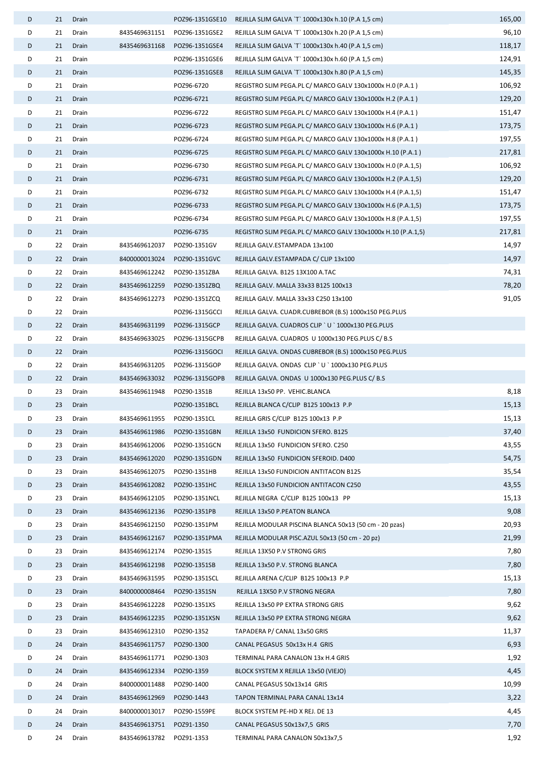| D | 21 | Drain |               | POZ96-1351GSE10 | REJILLA SLIM GALVA `T` 1000x130x h.10 (P.A 1,5 cm)           | 165,00 |
|---|----|-------|---------------|-----------------|--------------------------------------------------------------|--------|
| D | 21 | Drain | 8435469631151 | POZ96-1351GSE2  | REJILLA SLIM GALVA `T` 1000x130x h.20 (P.A 1,5 cm)           | 96,10  |
| D | 21 | Drain | 8435469631168 | POZ96-1351GSE4  | REJILLA SLIM GALVA `T` 1000x130x h.40 (P.A 1,5 cm)           | 118,17 |
| D | 21 | Drain |               | POZ96-1351GSE6  | REJILLA SLIM GALVA `T` 1000x130x h.60 (P.A 1,5 cm)           | 124,91 |
| D | 21 | Drain |               | POZ96-1351GSE8  | REJILLA SLIM GALVA `T` 1000x130x h.80 (P.A 1,5 cm)           | 145,35 |
| D | 21 | Drain |               | POZ96-6720      | REGISTRO SLIM PEGA.PL C/ MARCO GALV 130x1000x H.0 (P.A.1)    | 106,92 |
| D | 21 | Drain |               | POZ96-6721      | REGISTRO SLIM PEGA.PL C/ MARCO GALV 130x1000x H.2 (P.A.1)    | 129,20 |
| D | 21 | Drain |               | POZ96-6722      | REGISTRO SLIM PEGA.PL C/ MARCO GALV 130x1000x H.4 (P.A.1)    | 151,47 |
| D | 21 | Drain |               | POZ96-6723      | REGISTRO SLIM PEGA.PL C/ MARCO GALV 130x1000x H.6 (P.A.1)    | 173,75 |
| D | 21 | Drain |               | POZ96-6724      | REGISTRO SLIM PEGA.PL C/ MARCO GALV 130x1000x H.8 (P.A.1)    | 197,55 |
| D | 21 | Drain |               | POZ96-6725      | REGISTRO SLIM PEGA.PL C/ MARCO GALV 130x1000x H.10 (P.A.1)   | 217,81 |
| D | 21 | Drain |               | POZ96-6730      | REGISTRO SLIM PEGA.PL C/ MARCO GALV 130x1000x H.0 (P.A.1,5)  | 106,92 |
| D | 21 | Drain |               | POZ96-6731      | REGISTRO SLIM PEGA.PL C/ MARCO GALV 130x1000x H.2 (P.A.1,5)  | 129,20 |
| D | 21 | Drain |               | POZ96-6732      | REGISTRO SLIM PEGA.PL C/ MARCO GALV 130x1000x H.4 (P.A.1,5)  | 151,47 |
| D | 21 | Drain |               | POZ96-6733      | REGISTRO SLIM PEGA.PL C/ MARCO GALV 130x1000x H.6 (P.A.1,5)  | 173,75 |
| D | 21 | Drain |               | POZ96-6734      | REGISTRO SLIM PEGA.PL C/ MARCO GALV 130x1000x H.8 (P.A.1,5)  | 197,55 |
| D | 21 | Drain |               | POZ96-6735      | REGISTRO SLIM PEGA.PL C/ MARCO GALV 130x1000x H.10 (P.A.1,5) | 217,81 |
| D | 22 | Drain | 8435469612037 | POZ90-1351GV    | REJILLA GALV.ESTAMPADA 13x100                                | 14,97  |
| D | 22 | Drain | 8400000013024 | POZ90-1351GVC   | REJILLA GALV.ESTAMPADA C/ CLIP 13x100                        | 14,97  |
| D | 22 | Drain | 8435469612242 | POZ90-1351ZBA   | REJILLA GALVA. B125 13X100 A.TAC                             | 74,31  |
| D | 22 | Drain | 8435469612259 | POZ90-1351ZBQ   | REJILLA GALV. MALLA 33x33 B125 100x13                        | 78,20  |
| D | 22 | Drain | 8435469612273 | POZ90-1351ZCQ   | REJILLA GALV. MALLA 33x33 C250 13x100                        | 91,05  |
| D | 22 | Drain |               | POZ96-1315GCCI  | REJILLA GALVA. CUADR.CUBREBOR (B.S) 1000x150 PEG.PLUS        |        |
| D | 22 | Drain | 8435469631199 | POZ96-1315GCP   | REJILLA GALVA. CUADROS CLIP `U `1000x130 PEG.PLUS            |        |
| D | 22 | Drain | 8435469633025 | POZ96-1315GCPB  | REJILLA GALVA. CUADROS U 1000x130 PEG.PLUS C/ B.S            |        |
| D | 22 | Drain |               | POZ96-1315GOCI  | REJILLA GALVA. ONDAS CUBREBOR (B.S) 1000x150 PEG.PLUS        |        |
| D | 22 | Drain | 8435469631205 | POZ96-1315GOP   | REJILLA GALVA. ONDAS CLIP `U `1000x130 PEG.PLUS              |        |
| D | 22 | Drain | 8435469633032 | POZ96-1315GOPB  | REJILLA GALVA. ONDAS U 1000x130 PEG.PLUS C/ B.S              |        |
| D | 23 | Drain | 8435469611948 | POZ90-1351B     | REJILLA 13x50 PP. VEHIC.BLANCA                               | 8,18   |
| D | 23 | Drain |               | POZ90-1351BCL   | REJILLA BLANCA C/CLIP B125 100x13 P.P                        | 15,13  |
| D | 23 | Drain | 8435469611955 | POZ90-1351CL    | REJILLA GRIS C/CLIP B125 100x13 P.P                          | 15,13  |
| D | 23 | Drain | 8435469611986 | POZ90-1351GBN   | REJILLA 13x50 FUNDICION SFERO. B125                          | 37,40  |
| D | 23 | Drain | 8435469612006 | POZ90-1351GCN   | REJILLA 13x50 FUNDICION SFERO. C250                          | 43,55  |
| D | 23 | Drain | 8435469612020 | POZ90-1351GDN   | REJILLA 13x50 FUNDICION SFEROID. D400                        | 54,75  |
| D | 23 | Drain | 8435469612075 | POZ90-1351HB    | REJILLA 13x50 FUNDICION ANTITACON B125                       | 35,54  |
| D | 23 | Drain | 8435469612082 | POZ90-1351HC    | REJILLA 13x50 FUNDICION ANTITACON C250                       | 43,55  |
| D | 23 | Drain | 8435469612105 | POZ90-1351NCL   | REJILLA NEGRA C/CLIP B125 100x13 PP                          | 15,13  |
| D | 23 | Drain | 8435469612136 | POZ90-1351PB    | REJILLA 13x50 P.PEATON BLANCA                                | 9,08   |
| D | 23 | Drain | 8435469612150 | POZ90-1351PM    | REJILLA MODULAR PISCINA BLANCA 50x13 (50 cm - 20 pzas)       | 20,93  |
| D | 23 | Drain | 8435469612167 | POZ90-1351PMA   | REJILLA MODULAR PISC.AZUL 50x13 (50 cm - 20 pz)              | 21,99  |
| D | 23 | Drain | 8435469612174 | POZ90-1351S     | REJILLA 13X50 P.V STRONG GRIS                                | 7,80   |
| D | 23 | Drain | 8435469612198 | POZ90-1351SB    | REJILLA 13x50 P.V. STRONG BLANCA                             | 7,80   |
| D | 23 | Drain | 8435469631595 | POZ90-1351SCL   | REJILLA ARENA C/CLIP B125 100x13 P.P                         | 15,13  |
| D | 23 | Drain | 8400000008464 | POZ90-1351SN    | REJILLA 13X50 P.V STRONG NEGRA                               | 7,80   |
| D | 23 | Drain | 8435469612228 | POZ90-1351XS    | REJILLA 13x50 PP EXTRA STRONG GRIS                           | 9,62   |
| D | 23 | Drain | 8435469612235 | POZ90-1351XSN   | REJILLA 13x50 PP EXTRA STRONG NEGRA                          | 9,62   |
| D | 23 | Drain | 8435469612310 | POZ90-1352      | TAPADERA P/ CANAL 13x50 GRIS                                 | 11,37  |
| D | 24 | Drain | 8435469611757 | POZ90-1300      | CANAL PEGASUS 50x13x H.4 GRIS                                | 6,93   |
| D | 24 | Drain | 8435469611771 | POZ90-1303      | TERMINAL PARA CANALON 13x H.4 GRIS                           | 1,92   |
| D | 24 | Drain | 8435469612334 | POZ90-1359      | BLOCK SYSTEM X REJILLA 13x50 (VIEJO)                         | 4,45   |
| D | 24 | Drain | 8400000011488 | POZ90-1400      | CANAL PEGASUS 50x13x14 GRIS                                  | 10,99  |
| D | 24 | Drain | 8435469612969 | POZ90-1443      | TAPON TERMINAL PARA CANAL 13x14                              | 3,22   |
| D | 24 | Drain | 8400000013017 | POZ90-1559PE    | BLOCK SYSTEM PE-HD X REJ. DE 13                              | 4,45   |
| D | 24 | Drain | 8435469613751 | POZ91-1350      | CANAL PEGASUS 50x13x7,5 GRIS                                 | 7,70   |
| D | 24 | Drain | 8435469613782 | POZ91-1353      | TERMINAL PARA CANALON 50x13x7,5                              | 1,92   |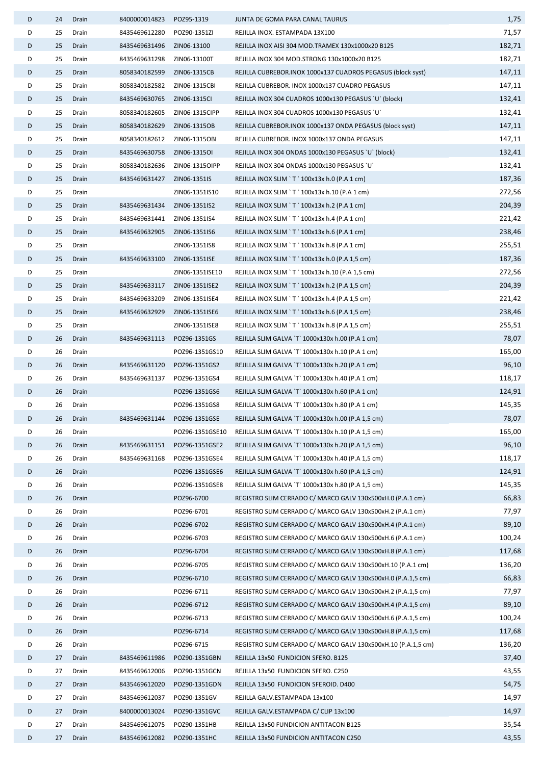| D      | 24       | Drain          | 8400000014823              | POZ95-1319                     | JUNTA DE GOMA PARA CANAL TAURUS                                                                        | 1,75             |
|--------|----------|----------------|----------------------------|--------------------------------|--------------------------------------------------------------------------------------------------------|------------------|
| D      | 25       | Drain          | 8435469612280              | POZ90-1351ZI                   | REJILLA INOX. ESTAMPADA 13X100                                                                         | 71,57            |
| D      | 25       | Drain          | 8435469631496              | ZIN06-13100                    | REJILLA INOX AISI 304 MOD.TRAMEX 130x1000x20 B125                                                      | 182,71           |
| D      | 25       | Drain          | 8435469631298              | ZIN06-13100T                   | REJILLA INOX 304 MOD.STRONG 130x1000x20 B125                                                           | 182,71           |
| D      | 25       | Drain          | 8058340182599              | ZIN06-1315CB                   | REJILLA CUBREBOR.INOX 1000x137 CUADROS PEGASUS (block syst)                                            | 147,11           |
| D      | 25       | Drain          | 8058340182582              | ZIN06-1315CBI                  | REJILLA CUBREBOR. INOX 1000x137 CUADRO PEGASUS                                                         | 147,11           |
| D      | 25       | Drain          | 8435469630765              | ZIN06-1315CI                   | REJILLA INOX 304 CUADROS 1000x130 PEGASUS `U` (block)                                                  | 132,41           |
| D      | 25       | Drain          | 8058340182605              | ZIN06-1315CIPP                 | REJILLA INOX 304 CUADROS 1000x130 PEGASUS `U`                                                          | 132,41           |
| D      | 25       | Drain          | 8058340182629 ZIN06-1315OB |                                | REJILLA CUBREBOR.INOX 1000x137 ONDA PEGASUS (block syst)                                               | 147,11           |
| D      | 25       | Drain          | 8058340182612              | ZIN06-1315OBI                  | REJILLA CUBREBOR. INOX 1000x137 ONDA PEGASUS                                                           | 147,11           |
| D      | 25       | Drain          | 8435469630758 ZIN06-13150I |                                | REJILLA INOX 304 ONDAS 1000x130 PEGASUS `U` (block)                                                    | 132,41           |
| D      | 25       | Drain          | 8058340182636              | ZIN06-1315OIPP                 | REJILLA INOX 304 ONDAS 1000x130 PEGASUS `U`                                                            | 132,41           |
| D      | 25       | Drain          | 8435469631427              | ZIN06-1351IS                   | REJILLA INOX SLIM `T ` 100x13x h.0 (P.A 1 cm)                                                          | 187,36           |
| D      | 25       | Drain          |                            | ZIN06-1351IS10                 | REJILLA INOX SLIM `T ` 100x13x h.10 (P.A 1 cm)                                                         | 272,56           |
| D      | 25       | Drain          | 8435469631434              | ZIN06-1351IS2                  | REJILLA INOX SLIM `T ` $100x13x$ h.2 (P.A 1 cm)                                                        | 204,39           |
| D      | 25       | Drain          | 8435469631441              | ZIN06-1351IS4                  | REJILLA INOX SLIM `T ` 100x13x h.4 (P.A 1 cm)                                                          | 221,42           |
| D      | 25       | Drain          | 8435469632905              | ZIN06-1351IS6                  | REJILLA INOX SLIM `T ` 100x13x h.6 (P.A 1 cm)                                                          | 238,46           |
| D      | 25       | Drain          |                            | ZIN06-1351IS8                  | REJILLA INOX SLIM `T ` 100x13x h.8 (P.A 1 cm)                                                          | 255,51           |
| D      | 25       | Drain          | 8435469633100              | ZIN06-1351ISE                  | REJILLA INOX SLIM ` T ` 100x13x h.0 (P.A 1,5 cm)                                                       | 187,36           |
| D      | 25       | Drain          |                            | ZIN06-1351ISE10                | REJILLA INOX SLIM `T ` 100x13x h.10 (P.A 1,5 cm)                                                       | 272,56           |
| D      | 25       | Drain          | 8435469633117              | ZIN06-1351ISE2                 | REJILLA INOX SLIM `T ` 100x13x h.2 (P.A 1,5 cm)                                                        | 204,39           |
| D      | 25       | Drain          | 8435469633209              | ZIN06-1351ISE4                 | REJILLA INOX SLIM `T ` 100x13x h.4 (P.A 1,5 cm)                                                        | 221,42           |
| D      | 25       | Drain          | 8435469632929              | ZIN06-1351ISE6                 | REJILLA INOX SLIM `T ` 100x13x h.6 (P.A 1,5 cm)                                                        | 238,46           |
| D      | 25       | Drain          |                            | ZIN06-1351ISE8                 | REJILLA INOX SLIM `T ` 100x13x h.8 (P.A 1,5 cm)                                                        | 255,51           |
| D      | 26       | Drain          | 8435469631113              | POZ96-1351GS                   | REJILLA SLIM GALVA `T` 1000x130x h.00 (P.A 1 cm)                                                       | 78,07            |
| D      | 26       | Drain          |                            | POZ96-1351GS10                 | REJILLA SLIM GALVA `T` 1000x130x h.10 (P.A 1 cm)                                                       | 165,00           |
| D      | 26       | Drain          | 8435469631120              | POZ96-1351GS2                  | REJILLA SLIM GALVA `T` 1000x130x h.20 (P.A 1 cm)                                                       | 96,10            |
| D      | 26       | Drain          | 8435469631137              | POZ96-1351GS4                  | REJILLA SLIM GALVA `T` 1000x130x h.40 (P.A 1 cm)                                                       | 118,17           |
| D<br>D | 26<br>26 | Drain<br>Drain |                            | POZ96-1351GS6<br>POZ96-1351GS8 | REJILLA SLIM GALVA `T` 1000x130x h.60 (P.A 1 cm)                                                       | 124,91<br>145,35 |
| D      | 26       | Drain          |                            |                                | REJILLA SLIM GALVA `T` 1000x130x h.80 (P.A 1 cm)<br>REJILLA SLIM GALVA `T` 1000x130x h.00 (P.A 1,5 cm) | 78,07            |
| D      | 26       | Drain          |                            | POZ96-1351GSE10                | REJILLA SLIM GALVA `T` 1000x130x h.10 (P.A 1,5 cm)                                                     | 165,00           |
| D      | 26       | Drain          | 8435469631151              | POZ96-1351GSE2                 | REJILLA SLIM GALVA `T` 1000x130x h.20 (P.A 1,5 cm)                                                     | 96,10            |
| D      | 26       | Drain          | 8435469631168              | POZ96-1351GSE4                 | REJILLA SLIM GALVA `T` 1000x130x h.40 (P.A 1,5 cm)                                                     | 118,17           |
| D      | 26       | Drain          |                            | POZ96-1351GSE6                 | REJILLA SLIM GALVA `T` 1000x130x h.60 (P.A 1,5 cm)                                                     | 124,91           |
| D      | 26       | Drain          |                            | POZ96-1351GSE8                 | REJILLA SLIM GALVA 'T' 1000x130x h.80 (P.A 1,5 cm)                                                     | 145,35           |
| D      | 26       | Drain          |                            | POZ96-6700                     | REGISTRO SLIM CERRADO C/ MARCO GALV 130x500xH.0 (P.A.1 cm)                                             | 66,83            |
| D      | 26       | Drain          |                            | POZ96-6701                     | REGISTRO SLIM CERRADO C/ MARCO GALV 130x500xH.2 (P.A.1 cm)                                             | 77,97            |
| D      | 26       | Drain          |                            | POZ96-6702                     | REGISTRO SLIM CERRADO C/ MARCO GALV 130x500xH.4 (P.A.1 cm)                                             | 89,10            |
| D      | 26       | Drain          |                            | POZ96-6703                     | REGISTRO SLIM CERRADO C/ MARCO GALV 130x500xH.6 (P.A.1 cm)                                             | 100,24           |
| D      | 26       | Drain          |                            | POZ96-6704                     | REGISTRO SLIM CERRADO C/ MARCO GALV 130x500xH.8 (P.A.1 cm)                                             | 117,68           |
| D      | 26       | Drain          |                            | POZ96-6705                     | REGISTRO SLIM CERRADO C/ MARCO GALV 130x500xH.10 (P.A.1 cm)                                            | 136,20           |
| D      | 26       | Drain          |                            | POZ96-6710                     | REGISTRO SLIM CERRADO C/ MARCO GALV 130x500xH.0 (P.A.1,5 cm)                                           | 66,83            |
| D      | 26       | Drain          |                            | POZ96-6711                     | REGISTRO SLIM CERRADO C/ MARCO GALV 130x500xH.2 (P.A.1,5 cm)                                           | 77,97            |
| D      | 26       | Drain          |                            | POZ96-6712                     | REGISTRO SLIM CERRADO C/ MARCO GALV 130x500xH.4 (P.A.1,5 cm)                                           | 89,10            |
| D      | 26       | Drain          |                            | POZ96-6713                     | REGISTRO SLIM CERRADO C/ MARCO GALV 130x500xH.6 (P.A.1,5 cm)                                           | 100,24           |
| D      | 26       | Drain          |                            | POZ96-6714                     | REGISTRO SLIM CERRADO C/ MARCO GALV 130x500xH.8 (P.A.1,5 cm)                                           | 117,68           |
| D      | 26       | Drain          |                            | POZ96-6715                     | REGISTRO SLIM CERRADO C/ MARCO GALV 130x500xH.10 (P.A.1,5 cm)                                          | 136,20           |
| D      | 27       | Drain          | 8435469611986              | POZ90-1351GBN                  | REJILLA 13x50 FUNDICION SFERO. B125                                                                    | 37,40            |
| D      | 27       | Drain          | 8435469612006              | POZ90-1351GCN                  | REJILLA 13x50 FUNDICION SFERO. C250                                                                    | 43,55            |
| D      | 27       | Drain          | 8435469612020              | POZ90-1351GDN                  | REJILLA 13x50 FUNDICION SFEROID. D400                                                                  | 54,75            |
| D      | 27       | Drain          | 8435469612037              | POZ90-1351GV                   | REJILLA GALV.ESTAMPADA 13x100                                                                          | 14,97            |
| D      | 27       | Drain          | 8400000013024              | POZ90-1351GVC                  | REJILLA GALV.ESTAMPADA C/ CLIP 13x100                                                                  | 14,97            |
| D      | 27       | Drain          | 8435469612075              | POZ90-1351HB                   | REJILLA 13x50 FUNDICION ANTITACON B125                                                                 | 35,54            |
| D      | 27       | Drain          | 8435469612082              | POZ90-1351HC                   | REJILLA 13x50 FUNDICION ANTITACON C250                                                                 | 43,55            |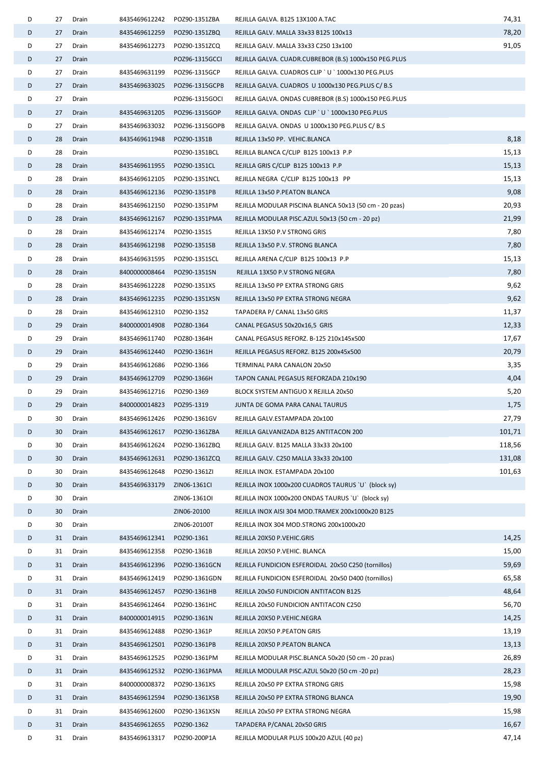| D | 27 | Drain | 8435469612242 | POZ90-1351ZBA  | REJILLA GALVA. B125 13X100 A.TAC                       | 74,31  |
|---|----|-------|---------------|----------------|--------------------------------------------------------|--------|
| D | 27 | Drain | 8435469612259 | POZ90-1351ZBQ  | REJILLA GALV. MALLA 33x33 B125 100x13                  | 78,20  |
| D | 27 | Drain | 8435469612273 | POZ90-1351ZCQ  | REJILLA GALV. MALLA 33x33 C250 13x100                  | 91,05  |
| D | 27 | Drain |               | POZ96-1315GCCI | REJILLA GALVA. CUADR.CUBREBOR (B.S) 1000x150 PEG.PLUS  |        |
| D | 27 | Drain | 8435469631199 | POZ96-1315GCP  | REJILLA GALVA. CUADROS CLIP ' U ' 1000x130 PEG.PLUS    |        |
| D | 27 | Drain | 8435469633025 | POZ96-1315GCPB | REJILLA GALVA. CUADROS U 1000x130 PEG.PLUS C/ B.S      |        |
| D | 27 | Drain |               | POZ96-1315GOCI | REJILLA GALVA. ONDAS CUBREBOR (B.S) 1000x150 PEG.PLUS  |        |
| D | 27 | Drain | 8435469631205 | POZ96-1315GOP  | REJILLA GALVA. ONDAS CLIP ' U ' 1000x130 PEG.PLUS      |        |
| D | 27 | Drain | 8435469633032 | POZ96-1315GOPB | REJILLA GALVA. ONDAS U 1000x130 PEG.PLUS C/ B.S        |        |
| D | 28 | Drain | 8435469611948 | POZ90-1351B    | REJILLA 13x50 PP. VEHIC.BLANCA                         | 8,18   |
| D | 28 | Drain |               | POZ90-1351BCL  | REJILLA BLANCA C/CLIP B125 100x13 P.P                  | 15,13  |
| D | 28 | Drain | 8435469611955 | POZ90-1351CL   | REJILLA GRIS C/CLIP B125 100x13 P.P                    | 15,13  |
| D | 28 | Drain | 8435469612105 | POZ90-1351NCL  | REJILLA NEGRA C/CLIP B125 100x13 PP                    | 15,13  |
| D | 28 | Drain | 8435469612136 | POZ90-1351PB   | REJILLA 13x50 P.PEATON BLANCA                          | 9,08   |
| D | 28 | Drain | 8435469612150 | POZ90-1351PM   | REJILLA MODULAR PISCINA BLANCA 50x13 (50 cm - 20 pzas) | 20,93  |
| D | 28 | Drain | 8435469612167 | POZ90-1351PMA  | REJILLA MODULAR PISC.AZUL 50x13 (50 cm - 20 pz)        | 21,99  |
| D | 28 | Drain | 8435469612174 | POZ90-1351S    | REJILLA 13X50 P.V STRONG GRIS                          | 7,80   |
| D | 28 | Drain | 8435469612198 | POZ90-1351SB   | REJILLA 13x50 P.V. STRONG BLANCA                       | 7,80   |
| D | 28 | Drain | 8435469631595 | POZ90-1351SCL  | REJILLA ARENA C/CLIP B125 100x13 P.P                   | 15,13  |
| D | 28 | Drain | 8400000008464 | POZ90-1351SN   | REJILLA 13X50 P.V STRONG NEGRA                         | 7,80   |
| D | 28 | Drain | 8435469612228 | POZ90-1351XS   | REJILLA 13x50 PP EXTRA STRONG GRIS                     | 9,62   |
| D | 28 | Drain | 8435469612235 | POZ90-1351XSN  | REJILLA 13x50 PP EXTRA STRONG NEGRA                    | 9,62   |
| D | 28 | Drain | 8435469612310 | POZ90-1352     | TAPADERA P/ CANAL 13x50 GRIS                           | 11,37  |
| D | 29 | Drain | 8400000014908 | POZ80-1364     | CANAL PEGASUS 50x20x16,5 GRIS                          | 12,33  |
| D | 29 | Drain | 8435469611740 | POZ80-1364H    | CANAL PEGASUS REFORZ. B-125 210x145x500                | 17,67  |
| D | 29 | Drain | 8435469612440 | POZ90-1361H    | REJILLA PEGASUS REFORZ. B125 200x45x500                | 20,79  |
| D | 29 | Drain | 8435469612686 | POZ90-1366     | TERMINAL PARA CANALON 20x50                            | 3,35   |
| D | 29 | Drain | 8435469612709 | POZ90-1366H    | TAPON CANAL PEGASUS REFORZADA 210x190                  | 4,04   |
| D | 29 | Drain | 8435469612716 | POZ90-1369     | BLOCK SYSTEM ANTIGUO X REJILLA 20x50                   | 5,20   |
| D | 29 | Drain | 8400000014823 | POZ95-1319     | JUNTA DE GOMA PARA CANAL TAURUS                        | 1,75   |
| D | 30 | Drain | 8435469612426 | POZ90-1361GV   | REJILLA GALV.ESTAMPADA 20x100                          | 27,79  |
| D | 30 | Drain | 8435469612617 | POZ90-1361ZBA  | REJILLA GALVANIZADA B125 ANTITACON 200                 | 101,71 |
| D | 30 | Drain | 8435469612624 | POZ90-1361ZBQ  | REJILLA GALV. B125 MALLA 33x33 20x100                  | 118,56 |
| D | 30 | Drain | 8435469612631 | POZ90-1361ZCQ  | REJILLA GALV. C250 MALLA 33x33 20x100                  | 131,08 |
| D | 30 | Drain | 8435469612648 | POZ90-1361ZI   | REJILLA INOX. ESTAMPADA 20x100                         | 101,63 |
| D | 30 | Drain | 8435469633179 | ZIN06-1361CI   | REJILLA INOX 1000x200 CUADROS TAURUS `U` (block sy)    |        |
| D | 30 | Drain |               | ZIN06-13610I   | REJILLA INOX 1000x200 ONDAS TAURUS `U` (block sy)      |        |
| D | 30 | Drain |               | ZIN06-20100    | REJILLA INOX AISI 304 MOD.TRAMEX 200x1000x20 B125      |        |
| D | 30 | Drain |               | ZIN06-20100T   | REJILLA INOX 304 MOD.STRONG 200x1000x20                |        |
| D | 31 | Drain | 8435469612341 | POZ90-1361     | REJILLA 20X50 P.VEHIC.GRIS                             | 14,25  |
| D | 31 | Drain | 8435469612358 | POZ90-1361B    | REJILLA 20X50 P.VEHIC. BLANCA                          | 15,00  |
| D | 31 | Drain | 8435469612396 | POZ90-1361GCN  | REJILLA FUNDICION ESFEROIDAL 20x50 C250 (tornillos)    | 59,69  |
| D | 31 | Drain | 8435469612419 | POZ90-1361GDN  | REJILLA FUNDICION ESFEROIDAL 20x50 D400 (tornillos)    | 65,58  |
| D | 31 | Drain | 8435469612457 | POZ90-1361HB   | REJILLA 20x50 FUNDICION ANTITACON B125                 | 48,64  |
| D | 31 | Drain | 8435469612464 | POZ90-1361HC   | REJILLA 20x50 FUNDICION ANTITACON C250                 | 56,70  |
| D | 31 | Drain | 8400000014915 | POZ90-1361N    | REJILLA 20X50 P.VEHIC.NEGRA                            | 14,25  |
| D | 31 | Drain | 8435469612488 | POZ90-1361P    | REJILLA 20X50 P.PEATON GRIS                            | 13,19  |
| D | 31 | Drain | 8435469612501 | POZ90-1361PB   | REJILLA 20X50 P.PEATON BLANCA                          | 13,13  |
| D | 31 | Drain | 8435469612525 | POZ90-1361PM   | REJILLA MODULAR PISC.BLANCA 50x20 (50 cm - 20 pzas)    | 26,89  |
| D | 31 | Drain | 8435469612532 | POZ90-1361PMA  | REJILLA MODULAR PISC.AZUL 50x20 (50 cm -20 pz)         | 28,23  |
| D | 31 | Drain | 8400000008372 | POZ90-1361XS   | REJILLA 20x50 PP EXTRA STRONG GRIS                     | 15,98  |
| D | 31 | Drain | 8435469612594 | POZ90-1361XSB  | REJILLA 20x50 PP EXTRA STRONG BLANCA                   | 19,90  |
| D | 31 | Drain | 8435469612600 | POZ90-1361XSN  | REJILLA 20x50 PP EXTRA STRONG NEGRA                    | 15,98  |
| D | 31 | Drain | 8435469612655 | POZ90-1362     | TAPADERA P/CANAL 20x50 GRIS                            | 16,67  |
| D | 31 | Drain | 8435469613317 | POZ90-200P1A   | REJILLA MODULAR PLUS 100x20 AZUL (40 pz)               | 47,14  |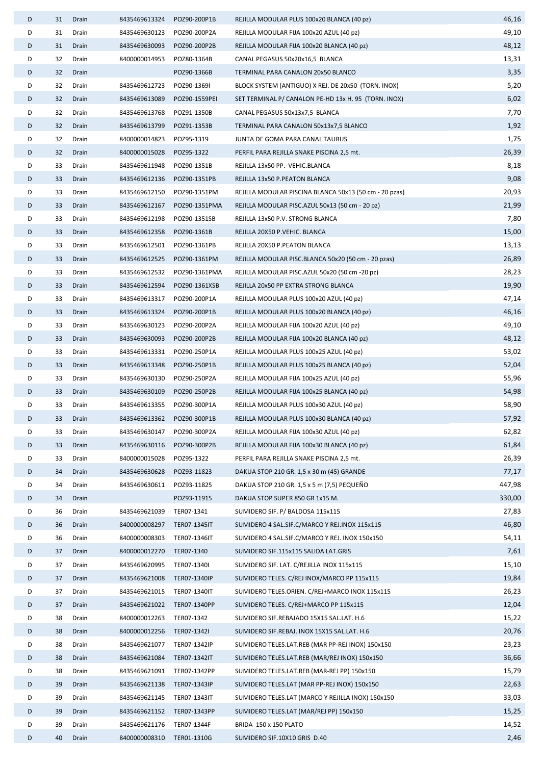| D | 31 | Drain | 8435469613324              | POZ90-200P1B  | REJILLA MODULAR PLUS 100x20 BLANCA (40 pz)             | 46,16  |
|---|----|-------|----------------------------|---------------|--------------------------------------------------------|--------|
| D | 31 | Drain | 8435469630123              | POZ90-200P2A  | REJILLA MODULAR FIJA 100x20 AZUL (40 pz)               | 49,10  |
| D | 31 | Drain | 8435469630093              | POZ90-200P2B  | REJILLA MODULAR FIJA 100x20 BLANCA (40 pz)             | 48,12  |
| D | 32 | Drain | 8400000014953              | POZ80-1364B   | CANAL PEGASUS 50x20x16,5 BLANCA                        | 13,31  |
| D | 32 | Drain |                            | POZ90-1366B   | TERMINAL PARA CANALON 20x50 BLANCO                     | 3,35   |
| D | 32 | Drain | 8435469612723              | POZ90-1369I   | BLOCK SYSTEM (ANTIGUO) X REJ. DE 20x50 (TORN. INOX)    | 5,20   |
| D | 32 | Drain | 8435469613089              | POZ90-1559PEI | SET TERMINAL P/ CANALON PE-HD 13x H. 95 (TORN. INOX)   | 6,02   |
| D | 32 | Drain | 8435469613768              | POZ91-1350B   | CANAL PEGASUS 50x13x7,5 BLANCA                         | 7,70   |
| D | 32 | Drain | 8435469613799              | POZ91-1353B   | TERMINAL PARA CANALON 50x13x7,5 BLANCO                 | 1,92   |
| D | 32 | Drain | 8400000014823              | POZ95-1319    | JUNTA DE GOMA PARA CANAL TAURUS                        | 1,75   |
| D | 32 | Drain | 8400000015028              | POZ95-1322    | PERFIL PARA REJILLA SNAKE PISCINA 2,5 mt.              | 26,39  |
| D | 33 | Drain | 8435469611948              | POZ90-1351B   | REJILLA 13x50 PP. VEHIC.BLANCA                         | 8,18   |
| D | 33 | Drain | 8435469612136              | POZ90-1351PB  | REJILLA 13x50 P.PEATON BLANCA                          | 9,08   |
| D | 33 | Drain | 8435469612150              | POZ90-1351PM  | REJILLA MODULAR PISCINA BLANCA 50x13 (50 cm - 20 pzas) | 20,93  |
| D | 33 | Drain | 8435469612167              | POZ90-1351PMA | REJILLA MODULAR PISC.AZUL 50x13 (50 cm - 20 pz)        | 21,99  |
| D | 33 | Drain | 8435469612198              | POZ90-1351SB  | REJILLA 13x50 P.V. STRONG BLANCA                       | 7,80   |
| D | 33 | Drain | 8435469612358              | POZ90-1361B   | REJILLA 20X50 P.VEHIC. BLANCA                          | 15,00  |
| D | 33 | Drain | 8435469612501              | POZ90-1361PB  | REJILLA 20X50 P.PEATON BLANCA                          | 13,13  |
| D | 33 | Drain | 8435469612525              | POZ90-1361PM  | REJILLA MODULAR PISC.BLANCA 50x20 (50 cm - 20 pzas)    | 26,89  |
| D | 33 | Drain | 8435469612532              | POZ90-1361PMA | REJILLA MODULAR PISC.AZUL 50x20 (50 cm -20 pz)         | 28,23  |
| D | 33 | Drain | 8435469612594              | POZ90-1361XSB | REJILLA 20x50 PP EXTRA STRONG BLANCA                   | 19,90  |
| D | 33 | Drain | 8435469613317              | POZ90-200P1A  | REJILLA MODULAR PLUS 100x20 AZUL (40 pz)               | 47,14  |
| D | 33 | Drain | 8435469613324              | POZ90-200P1B  | REJILLA MODULAR PLUS 100x20 BLANCA (40 pz)             | 46,16  |
| D | 33 | Drain | 8435469630123              | POZ90-200P2A  | REJILLA MODULAR FIJA 100x20 AZUL (40 pz)               | 49,10  |
| D | 33 | Drain | 8435469630093              | POZ90-200P2B  | REJILLA MODULAR FIJA 100x20 BLANCA (40 pz)             | 48,12  |
| D | 33 | Drain | 8435469613331              | POZ90-250P1A  | REJILLA MODULAR PLUS 100x25 AZUL (40 pz)               | 53,02  |
| D | 33 | Drain | 8435469613348              | POZ90-250P1B  | REJILLA MODULAR PLUS 100x25 BLANCA (40 pz)             | 52,04  |
| D | 33 | Drain | 8435469630130              | POZ90-250P2A  | REJILLA MODULAR FIJA 100x25 AZUL (40 pz)               | 55,96  |
| D | 33 | Drain | 8435469630109              | POZ90-250P2B  | REJILLA MODULAR FIJA 100x25 BLANCA (40 pz)             | 54,98  |
| D | 33 | Drain | 8435469613355              | POZ90-300P1A  | REJILLA MODULAR PLUS 100x30 AZUL (40 pz)               | 58,90  |
| D | 33 | Drain | 8435469613362              | POZ90-300P1B  | REJILLA MODULAR PLUS 100x30 BLANCA (40 pz)             | 57,92  |
| D | 33 | Drain | 8435469630147              | POZ90-300P2A  | REJILLA MODULAR FIJA 100x30 AZUL (40 pz)               | 62,82  |
| D | 33 | Drain | 8435469630116              | POZ90-300P2B  | REJILLA MODULAR FIJA 100x30 BLANCA (40 pz)             | 61,84  |
| D | 33 | Drain | 8400000015028              | POZ95-1322    | PERFIL PARA REJILLA SNAKE PISCINA 2,5 mt.              | 26,39  |
| D | 34 | Drain | 8435469630628              | POZ93-11823   | DAKUA STOP 210 GR. 1,5 x 30 m (45) GRANDE              | 77,17  |
| D | 34 | Drain | 8435469630611              | POZ93-11825   | DAKUA STOP 210 GR. 1,5 x 5 m (7,5) PEQUEÑO             | 447,98 |
| D | 34 | Drain |                            | POZ93-11915   | DAKUA STOP SUPER 850 GR 1x15 M.                        | 330,00 |
| D | 36 | Drain | 8435469621039              | TER07-1341    | SUMIDERO SIF. P/ BALDOSA 115x115                       | 27,83  |
| D | 36 | Drain | 8400000008297              | TER07-1345IT  | SUMIDERO 4 SAL.SIF.C/MARCO Y REJ.INOX 115x115          | 46,80  |
| D | 36 | Drain | 8400000008303              | TER07-1346IT  | SUMIDERO 4 SAL.SIF.C/MARCO Y REJ. INOX 150x150         | 54,11  |
| D | 37 | Drain | 8400000012270 TER07-1340   |               | SUMIDERO SIF.115x115 SALIDA LAT.GRIS                   | 7,61   |
| D | 37 | Drain | 8435469620995              | TER07-1340I   | SUMIDERO SIF. LAT. C/REJILLA INOX 115x115              | 15,10  |
| D | 37 | Drain | 8435469621008 TER07-1340IP |               | SUMIDERO TELES. C/REJ INOX/MARCO PP 115x115            | 19,84  |
| D | 37 | Drain | 8435469621015              | TER07-1340IT  | SUMIDERO TELES.ORIEN. C/REJ+MARCO INOX 115x115         | 26,23  |
| D | 37 | Drain | 8435469621022              | TER07-1340PP  | SUMIDERO TELES. C/REJ+MARCO PP 115x115                 | 12,04  |
| D | 38 | Drain | 8400000012263              | TER07-1342    | SUMIDERO SIF.REBAJADO 15X15 SAL.LAT. H.6               | 15,22  |
| D | 38 | Drain | 8400000012256              | TER07-1342I   | SUMIDERO SIF.REBAJ. INOX 15X15 SAL.LAT. H.6            | 20,76  |
| D | 38 | Drain | 8435469621077              | TER07-1342IP  | SUMIDERO TELES.LAT.REB (MAR PP-REJ INOX) 150x150       | 23,23  |
| D | 38 | Drain | 8435469621084              | TER07-1342IT  | SUMIDERO TELES.LAT.REB (MAR/REJ INOX) 150x150          | 36,66  |
| D | 38 | Drain | 8435469621091              | TER07-1342PP  | SUMIDERO TELES.LAT.REB (MAR-REJ PP) 150x150            | 15,79  |
| D | 39 | Drain | 8435469621138 TER07-1343IP |               | SUMIDERO TELES.LAT (MAR PP-REJ INOX) 150x150           | 22,63  |
| D | 39 | Drain | 8435469621145              | TER07-1343IT  | SUMIDERO TELES.LAT (MARCO Y REJILLA INOX) 150x150      | 33,03  |
| D | 39 | Drain | 8435469621152              | TER07-1343PP  | SUMIDERO TELES.LAT (MAR/REJ PP) 150x150                | 15,25  |
| D | 39 | Drain | 8435469621176              | TER07-1344F   | BRIDA 150 x 150 PLATO                                  | 14,52  |
| D | 40 | Drain | 8400000008310              | TER01-1310G   | SUMIDERO SIF.10X10 GRIS D.40                           | 2,46   |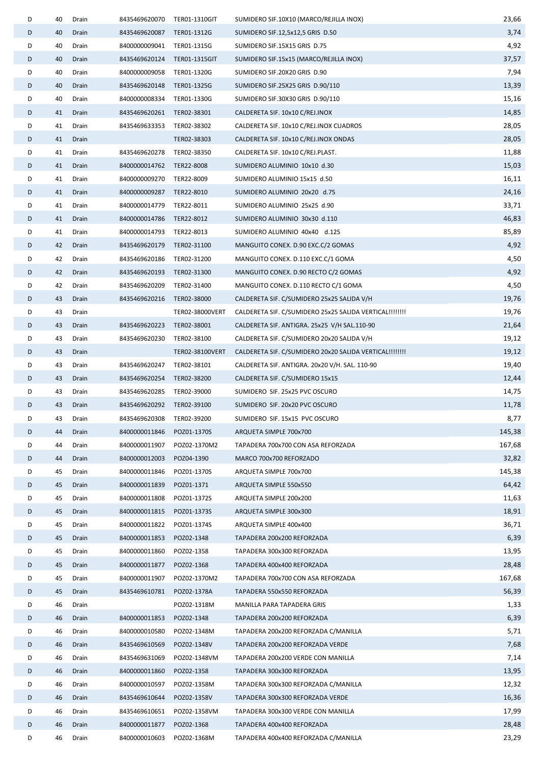| D | 40 | Drain | 8435469620070 TER01-1310GIT |                 | SUMIDERO SIF.10X10 (MARCO/REJILLA INOX)                   | 23,66  |
|---|----|-------|-----------------------------|-----------------|-----------------------------------------------------------|--------|
| D | 40 | Drain | 8435469620087 TER01-1312G   |                 | SUMIDERO SIF.12,5x12,5 GRIS D.50                          | 3,74   |
| D | 40 | Drain | 8400000009041 TER01-1315G   |                 | SUMIDERO SIF.15X15 GRIS D.75                              | 4,92   |
| D | 40 | Drain | 8435469620124               | TER01-1315GIT   | SUMIDERO SIF.15x15 (MARCO/REJILLA INOX)                   | 37,57  |
| D | 40 | Drain | 8400000009058               | TER01-1320G     | SUMIDERO SIF.20X20 GRIS D.90                              | 7,94   |
| D | 40 | Drain | 8435469620148               | TER01-1325G     | SUMIDERO SIF.25X25 GRIS D.90/110                          | 13,39  |
| D | 40 | Drain | 8400000008334               | TER01-1330G     | SUMIDERO SIF.30X30 GRIS D.90/110                          | 15,16  |
| D | 41 | Drain | 8435469620261 TER02-38301   |                 | CALDERETA SIF. 10x10 C/REJ.INOX                           | 14,85  |
| D | 41 | Drain | 8435469633353 TER02-38302   |                 | CALDERETA SIF. 10x10 C/REJ.INOX CUADROS                   | 28,05  |
| D | 41 | Drain |                             | TER02-38303     | CALDERETA SIF. 10x10 C/REJ.INOX ONDAS                     | 28,05  |
| D | 41 | Drain | 8435469620278               | TER02-38350     | CALDERETA SIF. 10x10 C/REJ.PLAST.                         | 11,88  |
| D | 41 | Drain | 8400000014762 TER22-8008    |                 | SUMIDERO ALUMINIO 10x10 d.30                              | 15,03  |
| D | 41 | Drain | 8400000009270 TER22-8009    |                 | SUMIDERO ALUMINIO 15x15 d.50                              | 16,11  |
| D | 41 | Drain | 8400000009287               | TER22-8010      | SUMIDERO ALUMINIO 20x20 d.75                              | 24,16  |
| D | 41 | Drain | 8400000014779 TER22-8011    |                 | SUMIDERO ALUMINIO 25x25 d.90                              | 33,71  |
| D | 41 | Drain | 8400000014786 TER22-8012    |                 | SUMIDERO ALUMINIO 30x30 d.110                             | 46,83  |
| D | 41 | Drain | 8400000014793 TER22-8013    |                 | SUMIDERO ALUMINIO 40x40 d.125                             | 85,89  |
| D | 42 | Drain | 8435469620179 TER02-31100   |                 | MANGUITO CONEX. D.90 EXC.C/2 GOMAS                        | 4,92   |
| D | 42 | Drain | 8435469620186 TER02-31200   |                 | MANGUITO CONEX. D.110 EXC.C/1 GOMA                        | 4,50   |
| D | 42 | Drain | 8435469620193 TER02-31300   |                 | MANGUITO CONEX. D.90 RECTO C/2 GOMAS                      | 4,92   |
| D | 42 | Drain | 8435469620209               | TER02-31400     | MANGUITO CONEX. D.110 RECTO C/1 GOMA                      | 4,50   |
| D | 43 | Drain | 8435469620216               | TER02-38000     | CALDERETA SIF. C/SUMIDERO 25x25 SALIDA V/H                | 19,76  |
| D | 43 | Drain |                             | TER02-38000VERT | CALDERETA SIF. C/SUMIDERO 25x25 SALIDA VERTICAL !!!!!!!!! | 19,76  |
| D | 43 | Drain | 8435469620223               | TER02-38001     | CALDERETA SIF. ANTIGRA. 25x25 V/H SAL.110-90              | 21,64  |
| D | 43 | Drain | 8435469620230               | TER02-38100     | CALDERETA SIF. C/SUMIDERO 20x20 SALIDA V/H                | 19,12  |
| D | 43 | Drain |                             | TER02-38100VERT | CALDERETA SIF. C/SUMIDERO 20x20 SALIDA VERTICAL !!!!!!!!! | 19,12  |
| D | 43 | Drain | 8435469620247               | TER02-38101     | CALDERETA SIF. ANTIGRA. 20x20 V/H. SAL. 110-90            | 19,40  |
| D | 43 | Drain | 8435469620254 TER02-38200   |                 | CALDERETA SIF. C/SUMIDERO 15x15                           | 12,44  |
| D | 43 | Drain | 8435469620285               | TER02-39000     | SUMIDERO SIF. 25x25 PVC OSCURO                            | 14,75  |
| D | 43 | Drain | 8435469620292 TER02-39100   |                 | SUMIDERO SIF. 20x20 PVC OSCURO                            | 11,78  |
| D | 43 | Drain | 8435469620308 TER02-39200   |                 | SUMIDERO SIF. 15x15 PVC OSCURO                            | 8,77   |
| D | 44 | Drain | 8400000011846               | POZ01-1370S     | ARQUETA SIMPLE 700x700                                    | 145,38 |
| D | 44 | Drain | 8400000011907               | POZ02-1370M2    | TAPADERA 700x700 CON ASA REFORZADA                        | 167,68 |
| D | 44 | Drain | 8400000012003               | POZ04-1390      | MARCO 700x700 REFORZADO                                   | 32,82  |
| D | 45 | Drain | 8400000011846               | POZ01-1370S     | ARQUETA SIMPLE 700x700                                    | 145,38 |
| D | 45 | Drain | 8400000011839               | POZ01-1371      | ARQUETA SIMPLE 550x550                                    | 64,42  |
| D | 45 | Drain | 8400000011808               | POZ01-1372S     | ARQUETA SIMPLE 200x200                                    | 11,63  |
| D | 45 | Drain | 8400000011815               | POZ01-1373S     | ARQUETA SIMPLE 300x300                                    | 18,91  |
| D | 45 | Drain | 8400000011822               | POZ01-1374S     | ARQUETA SIMPLE 400x400                                    | 36,71  |
| D | 45 | Drain | 8400000011853               | POZ02-1348      | TAPADERA 200x200 REFORZADA                                | 6,39   |
| D | 45 | Drain | 8400000011860               | POZ02-1358      | TAPADERA 300x300 REFORZADA                                | 13,95  |
| D | 45 | Drain | 8400000011877               | POZ02-1368      | TAPADERA 400x400 REFORZADA                                | 28,48  |
| D | 45 | Drain | 8400000011907               | POZ02-1370M2    | TAPADERA 700x700 CON ASA REFORZADA                        | 167,68 |
| D | 45 | Drain | 8435469610781               | POZ02-1378A     | TAPADERA 550x550 REFORZADA                                | 56,39  |
| D | 46 | Drain |                             | POZ02-1318M     | MANILLA PARA TAPADERA GRIS                                | 1,33   |
| D | 46 | Drain | 8400000011853               | POZ02-1348      | TAPADERA 200x200 REFORZADA                                | 6,39   |
| D | 46 | Drain | 8400000010580               | POZ02-1348M     | TAPADERA 200x200 REFORZADA C/MANILLA                      | 5,71   |
| D | 46 | Drain | 8435469610569               | POZ02-1348V     | TAPADERA 200x200 REFORZADA VERDE                          | 7,68   |
| D | 46 | Drain | 8435469631069               | POZ02-1348VM    | TAPADERA 200x200 VERDE CON MANILLA                        | 7,14   |
| D | 46 | Drain | 8400000011860               | POZ02-1358      | TAPADERA 300x300 REFORZADA                                | 13,95  |
| D | 46 | Drain | 8400000010597               | POZ02-1358M     | TAPADERA 300x300 REFORZADA C/MANILLA                      | 12,32  |
| D | 46 | Drain | 8435469610644               | POZ02-1358V     | TAPADERA 300x300 REFORZADA VERDE                          | 16,36  |
| D | 46 | Drain | 8435469610651               | POZ02-1358VM    | TAPADERA 300x300 VERDE CON MANILLA                        | 17,99  |
| D | 46 | Drain | 8400000011877               | POZ02-1368      | TAPADERA 400x400 REFORZADA                                | 28,48  |
| D | 46 | Drain | 8400000010603               | POZ02-1368M     | TAPADERA 400x400 REFORZADA C/MANILLA                      | 23,29  |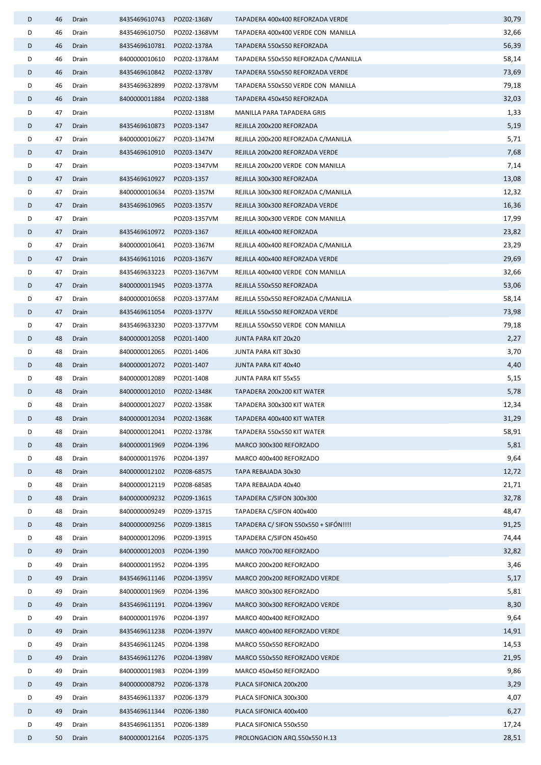| 30,79<br>8435469610743<br>POZ02-1368V<br>TAPADERA 400x400 REFORZADA VERDE                                                 |
|---------------------------------------------------------------------------------------------------------------------------|
| 32,66<br>8435469610750<br>POZ02-1368VM<br>TAPADERA 400x400 VERDE CON MANILLA                                              |
| 56,39<br>8435469610781<br>POZ02-1378A<br>TAPADERA 550x550 REFORZADA                                                       |
| 8400000010610<br>TAPADERA 550x550 REFORZADA C/MANILLA<br>58,14<br>POZ02-1378AM                                            |
| 8435469610842<br>73,69<br>POZ02-1378V<br>TAPADERA 550x550 REFORZADA VERDE                                                 |
| 79,18<br>8435469632899<br>POZ02-1378VM<br>TAPADERA 550x550 VERDE CON MANILLA                                              |
| 32,03<br>8400000011884<br>POZ02-1388<br>TAPADERA 450x450 REFORZADA                                                        |
| 1,33<br>POZ02-1318M<br>MANILLA PARA TAPADERA GRIS                                                                         |
| 5,19<br>8435469610873<br>POZ03-1347<br>REJILLA 200x200 REFORZADA                                                          |
| 5,71<br>8400000010627<br>REJILLA 200x200 REFORZADA C/MANILLA<br>POZ03-1347M                                               |
| 7,68<br>8435469610910<br>POZ03-1347V<br>REJILLA 200x200 REFORZADA VERDE                                                   |
| 7,14<br>POZ03-1347VM<br>REJILLA 200x200 VERDE CON MANILLA                                                                 |
| 13,08<br>8435469610927<br>POZ03-1357<br>REJILLA 300x300 REFORZADA                                                         |
| 12,32<br>8400000010634<br>POZ03-1357M<br>REJILLA 300x300 REFORZADA C/MANILLA                                              |
| 16,36<br>8435469610965<br>POZ03-1357V<br>REJILLA 300x300 REFORZADA VERDE                                                  |
| 17,99<br>POZ03-1357VM<br>REJILLA 300x300 VERDE CON MANILLA                                                                |
| 23,82<br>8435469610972<br>POZ03-1367<br>REJILLA 400x400 REFORZADA                                                         |
| 23,29<br>8400000010641<br>POZ03-1367M<br>REJILLA 400x400 REFORZADA C/MANILLA                                              |
| 29,69<br>8435469611016<br>POZ03-1367V<br>REJILLA 400x400 REFORZADA VERDE                                                  |
| 32,66<br>8435469633223<br>POZ03-1367VM<br>REJILLA 400x400 VERDE CON MANILLA                                               |
| 8400000011945<br>53,06<br>POZ03-1377A<br>REJILLA 550x550 REFORZADA                                                        |
| 58,14<br>8400000010658<br>POZ03-1377AM<br>REJILLA 550x550 REFORZADA C/MANILLA                                             |
| 73,98<br>8435469611054<br>POZ03-1377V<br>REJILLA 550x550 REFORZADA VERDE                                                  |
| 79,18<br>8435469633230<br>POZ03-1377VM<br>REJILLA 550x550 VERDE CON MANILLA                                               |
| 2,27<br>8400000012058<br>POZ01-1400<br>JUNTA PARA KIT 20x20                                                               |
| 3,70<br>8400000012065<br>POZ01-1406<br>JUNTA PARA KIT 30x30                                                               |
| 4,40<br>8400000012072<br>POZ01-1407<br>JUNTA PARA KIT 40x40                                                               |
| 5,15<br>8400000012089<br>POZ01-1408<br>JUNTA PARA KIT 55x55                                                               |
| 5,78<br>8400000012010<br>POZ02-1348K<br>TAPADERA 200x200 KIT WATER                                                        |
| 12,34<br>8400000012027<br>POZ02-1358K<br>TAPADERA 300x300 KIT WATER                                                       |
| 31,29<br>8400000012034 POZ02-1368K<br>TAPADERA 400x400 KIT WATER                                                          |
| 58,91<br>8400000012041<br>POZ02-1378K<br>TAPADERA 550x550 KIT WATER                                                       |
| 5,81<br>8400000011969<br>POZ04-1396<br>MARCO 300x300 REFORZADO                                                            |
| 9,64<br>8400000011976<br>POZ04-1397<br>MARCO 400x400 REFORZADO                                                            |
| 12,72<br>8400000012102<br>POZ08-6857S<br>TAPA REBAJADA 30x30                                                              |
| 21,71<br>8400000012119<br>POZ08-6858S<br>TAPA REBAJADA 40x40                                                              |
| 32,78<br>8400000009232<br>POZ09-1361S<br>TAPADERA C/SIFON 300x300                                                         |
| 48,47<br>8400000009249<br>POZ09-1371S<br>TAPADERA C/SIFON 400x400                                                         |
| 91,25<br>TAPADERA C/ SIFON 550x550 + SIFÓN!!!!<br>8400000009256<br>POZ09-1381S                                            |
| 74,44<br>8400000012096<br>TAPADERA C/SIFON 450x450<br>POZ09-1391S                                                         |
| 32,82<br>8400000012003<br>POZ04-1390<br>MARCO 700x700 REFORZADO                                                           |
| 3,46<br>8400000011952<br>POZ04-1395<br>MARCO 200x200 REFORZADO                                                            |
| 5,17<br>8435469611146<br>POZ04-1395V<br>MARCO 200x200 REFORZADO VERDE<br>5,81<br>8400000011969<br>MARCO 300x300 REFORZADO |
| POZ04-1396<br>8,30<br>8435469611191<br>POZ04-1396V<br>MARCO 300x300 REFORZADO VERDE                                       |
| 9,64<br>8400000011976<br>POZ04-1397<br>MARCO 400x400 REFORZADO                                                            |
| 14,91<br>8435469611238<br>POZ04-1397V<br>MARCO 400x400 REFORZADO VERDE                                                    |
| 14,53<br>8435469611245<br>POZ04-1398<br>MARCO 550x550 REFORZADO                                                           |
| 21,95<br>8435469611276<br>POZ04-1398V<br>MARCO 550x550 REFORZADO VERDE                                                    |
| 9,86<br>8400000011983<br>POZ04-1399<br>MARCO 450x450 REFORZADO                                                            |
| 3,29<br>8400000008792<br>POZ06-1378<br>PLACA SIFONICA 200x200                                                             |
| 4,07<br>8435469611337<br>POZ06-1379<br>PLACA SIFONICA 300x300                                                             |
| 6,27<br>8435469611344<br>POZ06-1380<br>PLACA SIFONICA 400x400                                                             |
| 17,24<br>PLACA SIFONICA 550x550<br>8435469611351<br>POZ06-1389                                                            |
| 8400000012164<br>28,51<br>POZ05-1375<br>PROLONGACION ARQ.550x550 H.13                                                     |
|                                                                                                                           |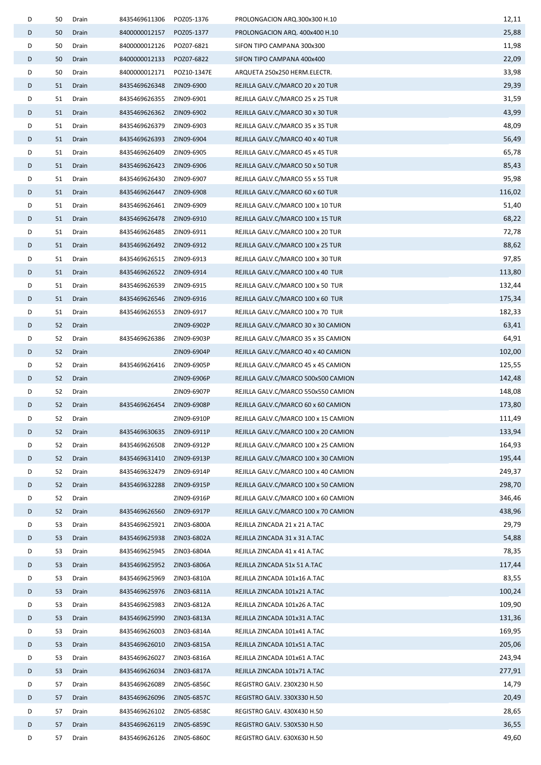| D | 50 | Drain | 8435469611306 | POZ05-1376  | PROLONGACION ARQ.300x300 H.10        | 12,11  |
|---|----|-------|---------------|-------------|--------------------------------------|--------|
| D | 50 | Drain | 8400000012157 | POZ05-1377  | PROLONGACION ARQ. 400x400 H.10       | 25,88  |
| D | 50 | Drain | 8400000012126 | POZ07-6821  | SIFON TIPO CAMPANA 300x300           | 11,98  |
| D | 50 | Drain | 8400000012133 | POZ07-6822  | SIFON TIPO CAMPANA 400x400           | 22,09  |
| D | 50 | Drain | 8400000012171 | POZ10-1347E | ARQUETA 250x250 HERM.ELECTR.         | 33,98  |
| D | 51 | Drain | 8435469626348 | ZIN09-6900  | REJILLA GALV.C/MARCO 20 x 20 TUR     | 29,39  |
| D | 51 | Drain | 8435469626355 | ZIN09-6901  | REJILLA GALV.C/MARCO 25 x 25 TUR     | 31,59  |
| D | 51 | Drain | 8435469626362 | ZIN09-6902  | REJILLA GALV.C/MARCO 30 x 30 TUR     | 43,99  |
| D | 51 | Drain | 8435469626379 | ZIN09-6903  | REJILLA GALV.C/MARCO 35 x 35 TUR     | 48,09  |
| D | 51 | Drain | 8435469626393 | ZIN09-6904  | REJILLA GALV.C/MARCO 40 x 40 TUR     | 56,49  |
| D | 51 | Drain | 8435469626409 | ZIN09-6905  | REJILLA GALV.C/MARCO 45 x 45 TUR     | 65,78  |
| D | 51 | Drain | 8435469626423 | ZIN09-6906  | REJILLA GALV.C/MARCO 50 x 50 TUR     | 85,43  |
| D | 51 | Drain | 8435469626430 | ZIN09-6907  | REJILLA GALV.C/MARCO 55 x 55 TUR     | 95,98  |
| D | 51 | Drain | 8435469626447 | ZIN09-6908  | REJILLA GALV.C/MARCO 60 x 60 TUR     | 116,02 |
| D | 51 | Drain | 8435469626461 | ZIN09-6909  | REJILLA GALV.C/MARCO 100 x 10 TUR    | 51,40  |
| D | 51 | Drain | 8435469626478 | ZIN09-6910  | REJILLA GALV.C/MARCO 100 x 15 TUR    | 68,22  |
| D | 51 | Drain | 8435469626485 | ZIN09-6911  | REJILLA GALV.C/MARCO 100 x 20 TUR    | 72,78  |
| D | 51 | Drain | 8435469626492 | ZIN09-6912  | REJILLA GALV.C/MARCO 100 x 25 TUR    | 88,62  |
| D | 51 | Drain | 8435469626515 | ZIN09-6913  | REJILLA GALV.C/MARCO 100 x 30 TUR    | 97,85  |
| D | 51 | Drain | 8435469626522 | ZIN09-6914  | REJILLA GALV.C/MARCO 100 x 40 TUR    | 113,80 |
| D | 51 | Drain | 8435469626539 | ZIN09-6915  | REJILLA GALV.C/MARCO 100 x 50 TUR    | 132,44 |
| D | 51 | Drain | 8435469626546 | ZIN09-6916  | REJILLA GALV.C/MARCO 100 x 60 TUR    | 175,34 |
| D | 51 | Drain | 8435469626553 | ZIN09-6917  | REJILLA GALV.C/MARCO 100 x 70 TUR    | 182,33 |
| D | 52 | Drain |               | ZIN09-6902P | REJILLA GALV.C/MARCO 30 x 30 CAMION  | 63,41  |
| D | 52 | Drain | 8435469626386 | ZIN09-6903P | REJILLA GALV.C/MARCO 35 x 35 CAMION  | 64,91  |
| D | 52 | Drain |               | ZIN09-6904P | REJILLA GALV.C/MARCO 40 x 40 CAMION  | 102,00 |
| D | 52 | Drain | 8435469626416 | ZIN09-6905P | REJILLA GALV.C/MARCO 45 x 45 CAMION  | 125,55 |
| D | 52 | Drain |               | ZIN09-6906P | REJILLA GALV.C/MARCO 500x500 CAMION  | 142,48 |
| D | 52 | Drain |               | ZIN09-6907P | REJILLA GALV.C/MARCO 550x550 CAMION  | 148,08 |
| D | 52 | Drain | 8435469626454 | ZIN09-6908P | REJILLA GALV.C/MARCO 60 x 60 CAMION  | 173,80 |
| D | 52 | Drain |               | ZIN09-6910P | REJILLA GALV.C/MARCO 100 x 15 CAMION | 111,49 |
| D | 52 | Drain | 8435469630635 | ZIN09-6911P | REJILLA GALV.C/MARCO 100 x 20 CAMION | 133,94 |
| D | 52 | Drain | 8435469626508 | ZIN09-6912P | REJILLA GALV.C/MARCO 100 x 25 CAMION | 164,93 |
| D | 52 | Drain | 8435469631410 | ZIN09-6913P | REJILLA GALV.C/MARCO 100 x 30 CAMION | 195,44 |
| D | 52 | Drain | 8435469632479 | ZIN09-6914P | REJILLA GALV.C/MARCO 100 x 40 CAMION | 249,37 |
| D | 52 | Drain | 8435469632288 | ZIN09-6915P | REJILLA GALV.C/MARCO 100 x 50 CAMION | 298,70 |
| D | 52 | Drain |               | ZIN09-6916P | REJILLA GALV.C/MARCO 100 x 60 CAMION | 346,46 |
| D | 52 | Drain | 8435469626560 | ZIN09-6917P | REJILLA GALV.C/MARCO 100 x 70 CAMION | 438,96 |
| D | 53 | Drain | 8435469625921 | ZIN03-6800A | REJILLA ZINCADA 21 x 21 A.TAC        | 29,79  |
| D | 53 | Drain | 8435469625938 | ZIN03-6802A | REJILLA ZINCADA 31 x 31 A.TAC        | 54,88  |
| D | 53 | Drain | 8435469625945 | ZIN03-6804A | REJILLA ZINCADA 41 x 41 A.TAC        | 78,35  |
| D | 53 | Drain | 8435469625952 | ZIN03-6806A | REJILLA ZINCADA 51x 51 A.TAC         | 117,44 |
| D | 53 | Drain | 8435469625969 | ZIN03-6810A | REJILLA ZINCADA 101x16 A.TAC         | 83,55  |
| D | 53 | Drain | 8435469625976 | ZIN03-6811A | REJILLA ZINCADA 101x21 A.TAC         | 100,24 |
| D | 53 | Drain | 8435469625983 | ZIN03-6812A | REJILLA ZINCADA 101x26 A.TAC         | 109,90 |
| D | 53 | Drain | 8435469625990 | ZIN03-6813A | REJILLA ZINCADA 101x31 A.TAC         | 131,36 |
| D | 53 | Drain | 8435469626003 | ZIN03-6814A | REJILLA ZINCADA 101x41 A.TAC         | 169,95 |
| D | 53 | Drain | 8435469626010 | ZIN03-6815A | REJILLA ZINCADA 101x51 A.TAC         | 205,06 |
| D | 53 | Drain | 8435469626027 | ZIN03-6816A | REJILLA ZINCADA 101x61 A.TAC         | 243,94 |
| D | 53 | Drain | 8435469626034 | ZIN03-6817A | REJILLA ZINCADA 101x71 A.TAC         | 277,91 |
| D | 57 | Drain | 8435469626089 | ZIN05-6856C | REGISTRO GALV. 230X230 H.50          | 14,79  |
| D | 57 | Drain | 8435469626096 | ZIN05-6857C | REGISTRO GALV. 330X330 H.50          | 20,49  |
| D | 57 | Drain | 8435469626102 | ZIN05-6858C | REGISTRO GALV. 430X430 H.50          | 28,65  |
| D | 57 | Drain | 8435469626119 | ZIN05-6859C | REGISTRO GALV. 530X530 H.50          | 36,55  |
| D | 57 | Drain | 8435469626126 | ZIN05-6860C | REGISTRO GALV. 630X630 H.50          | 49,60  |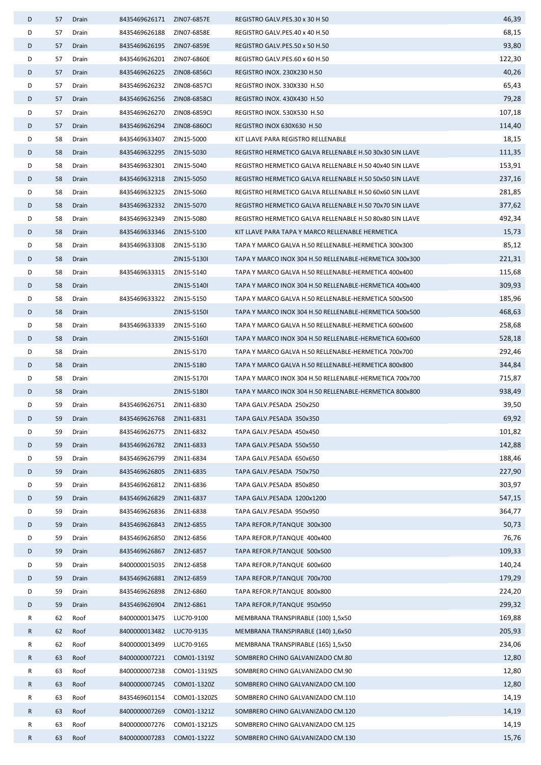| D | 57 | Drain | 8435469626171              | ZIN07-6857E  | REGISTRO GALV.PES.30 x 30 H 50                           | 46,39  |
|---|----|-------|----------------------------|--------------|----------------------------------------------------------|--------|
| D | 57 | Drain | 8435469626188              | ZIN07-6858E  | REGISTRO GALV.PES.40 x 40 H.50                           | 68,15  |
| D | 57 | Drain | 8435469626195 ZIN07-6859E  |              | REGISTRO GALV.PES.50 x 50 H.50                           | 93,80  |
| D | 57 | Drain | 8435469626201              | ZIN07-6860E  | REGISTRO GALV.PES.60 x 60 H.50                           | 122,30 |
| D | 57 | Drain | 8435469626225 ZIN08-6856CI |              | <b>REGISTRO INOX. 230X230 H.50</b>                       | 40,26  |
| D | 57 | Drain | 8435469626232              | ZIN08-6857CI | REGISTRO INOX. 330X330 H.50                              | 65,43  |
| D | 57 | Drain | 8435469626256 ZIN08-6858CI |              | <b>REGISTRO INOX. 430X430 H.50</b>                       | 79,28  |
| D | 57 | Drain | 8435469626270              | ZIN08-6859CI | REGISTRO INOX. 530X530 H.50                              | 107,18 |
| D | 57 | Drain | 8435469626294              | ZIN08-6860CI | REGISTRO INOX 630X630 H.50                               | 114,40 |
| D | 58 | Drain | 8435469633407              | ZIN15-5000   | KIT LLAVE PARA REGISTRO RELLENABLE                       | 18,15  |
| D | 58 | Drain | 8435469632295              | ZIN15-5030   | REGISTRO HERMETICO GALVA RELLENABLE H.50 30x30 SIN LLAVE | 111,35 |
| D | 58 | Drain | 8435469632301              | ZIN15-5040   | REGISTRO HERMETICO GALVA RELLENABLE H.50 40x40 SIN LLAVE | 153,91 |
| D | 58 | Drain | 8435469632318              | ZIN15-5050   | REGISTRO HERMETICO GALVA RELLENABLE H.50 50x50 SIN LLAVE | 237,16 |
| D | 58 | Drain | 8435469632325 ZIN15-5060   |              | REGISTRO HERMETICO GALVA RELLENABLE H.50 60x60 SIN LLAVE | 281,85 |
| D | 58 | Drain | 8435469632332              | ZIN15-5070   | REGISTRO HERMETICO GALVA RELLENABLE H.50 70x70 SIN LLAVE | 377,62 |
| D | 58 | Drain | 8435469632349              | ZIN15-5080   | REGISTRO HERMETICO GALVA RELLENABLE H.50 80x80 SIN LLAVE | 492,34 |
| D | 58 | Drain | 8435469633346              | ZIN15-5100   | KIT LLAVE PARA TAPA Y MARCO RELLENABLE HERMETICA         | 15,73  |
| D | 58 | Drain | 8435469633308              | ZIN15-5130   | TAPA Y MARCO GALVA H.50 RELLENABLE-HERMETICA 300x300     | 85,12  |
| D | 58 | Drain |                            | ZIN15-5130I  | TAPA Y MARCO INOX 304 H.50 RELLENABLE-HERMETICA 300x300  | 221,31 |
| D | 58 | Drain | 8435469633315              | ZIN15-5140   | TAPA Y MARCO GALVA H.50 RELLENABLE-HERMETICA 400x400     | 115,68 |
| D | 58 | Drain |                            | ZIN15-5140I  | TAPA Y MARCO INOX 304 H.50 RELLENABLE-HERMETICA 400x400  | 309,93 |
| D | 58 | Drain | 8435469633322              | ZIN15-5150   | TAPA Y MARCO GALVA H.50 RELLENABLE-HERMETICA 500x500     | 185,96 |
| D | 58 | Drain |                            | ZIN15-5150I  | TAPA Y MARCO INOX 304 H.50 RELLENABLE-HERMETICA 500x500  | 468,63 |
| D | 58 | Drain | 8435469633339              | ZIN15-5160   | TAPA Y MARCO GALVA H.50 RELLENABLE-HERMETICA 600x600     | 258,68 |
| D | 58 | Drain |                            | ZIN15-5160I  | TAPA Y MARCO INOX 304 H.50 RELLENABLE-HERMETICA 600x600  | 528,18 |
| D | 58 | Drain |                            | ZIN15-5170   | TAPA Y MARCO GALVA H.50 RELLENABLE-HERMETICA 700x700     | 292,46 |
| D | 58 | Drain |                            | ZIN15-5180   | TAPA Y MARCO GALVA H.50 RELLENABLE-HERMETICA 800x800     | 344,84 |
| D | 58 | Drain |                            | ZIN15-5170I  | TAPA Y MARCO INOX 304 H.50 RELLENABLE-HERMETICA 700x700  | 715,87 |
| D | 58 | Drain |                            | ZIN15-5180I  | TAPA Y MARCO INOX 304 H.50 RELLENABLE-HERMETICA 800x800  | 938,49 |
| D | 59 | Drain | 8435469626751 ZIN11-6830   |              | TAPA GALV.PESADA 250x250                                 | 39,50  |
| D | 59 | Drain | 8435469626768 ZIN11-6831   |              | TAPA GALV.PESADA 350x350                                 | 69,92  |
| D | 59 | Drain | 8435469626775              | ZIN11-6832   | TAPA GALV.PESADA 450x450                                 | 101,82 |
| D | 59 | Drain | 8435469626782              | ZIN11-6833   | TAPA GALV.PESADA 550x550                                 | 142,88 |
| D | 59 | Drain | 8435469626799              | ZIN11-6834   | TAPA GALV.PESADA 650x650                                 | 188,46 |
| D | 59 | Drain | 8435469626805              | ZIN11-6835   | TAPA GALV.PESADA 750x750                                 | 227,90 |
| D | 59 | Drain | 8435469626812              | ZIN11-6836   | TAPA GALV.PESADA 850x850                                 | 303,97 |
| D | 59 | Drain | 8435469626829              | ZIN11-6837   | TAPA GALV.PESADA 1200x1200                               | 547,15 |
| D | 59 | Drain | 8435469626836              | ZIN11-6838   | TAPA GALV.PESADA 950x950                                 | 364,77 |
| D | 59 | Drain | 8435469626843              | ZIN12-6855   | TAPA REFOR.P/TANQUE 300x300                              | 50,73  |
| D | 59 | Drain | 8435469626850              | ZIN12-6856   | TAPA REFOR.P/TANQUE 400x400                              | 76,76  |
| D | 59 | Drain | 8435469626867              | ZIN12-6857   | TAPA REFOR.P/TANQUE 500x500                              | 109,33 |
| D | 59 | Drain | 8400000015035              | ZIN12-6858   | TAPA REFOR.P/TANQUE 600x600                              | 140,24 |
| D | 59 | Drain | 8435469626881              | ZIN12-6859   | TAPA REFOR.P/TANQUE 700x700                              | 179,29 |
| D | 59 | Drain | 8435469626898              | ZIN12-6860   | TAPA REFOR.P/TANQUE 800x800                              | 224,20 |
| D | 59 | Drain | 8435469626904              | ZIN12-6861   | TAPA REFOR.P/TANQUE 950x950                              | 299,32 |
| R | 62 | Roof  | 8400000013475              | LUC70-9100   | MEMBRANA TRANSPIRABLE (100) 1,5x50                       | 169,88 |
| R | 62 | Roof  | 8400000013482              | LUC70-9135   | MEMBRANA TRANSPIRABLE (140) 1,6x50                       | 205,93 |
| R | 62 | Roof  | 8400000013499              | LUC70-9165   | MEMBRANA TRANSPIRABLE (165) 1,5x50                       | 234,06 |
| R | 63 | Roof  | 8400000007221              | COM01-1319Z  | SOMBRERO CHINO GALVANIZADO CM.80                         | 12,80  |
| R | 63 | Roof  | 8400000007238              | COM01-1319ZS | SOMBRERO CHINO GALVANIZADO CM.90                         | 12,80  |
| R | 63 | Roof  | 8400000007245              | COM01-1320Z  | SOMBRERO CHINO GALVANIZADO CM.100                        | 12,80  |
| R | 63 | Roof  | 8435469601154              | COM01-1320ZS | SOMBRERO CHINO GALVANIZADO CM.110                        | 14,19  |
| R | 63 | Roof  | 8400000007269              | COM01-1321Z  | SOMBRERO CHINO GALVANIZADO CM.120                        | 14,19  |
| R | 63 | Roof  | 8400000007276              | COM01-1321ZS | SOMBRERO CHINO GALVANIZADO CM.125                        | 14,19  |
| R | 63 | Roof  | 8400000007283              | COM01-1322Z  | SOMBRERO CHINO GALVANIZADO CM.130                        | 15,76  |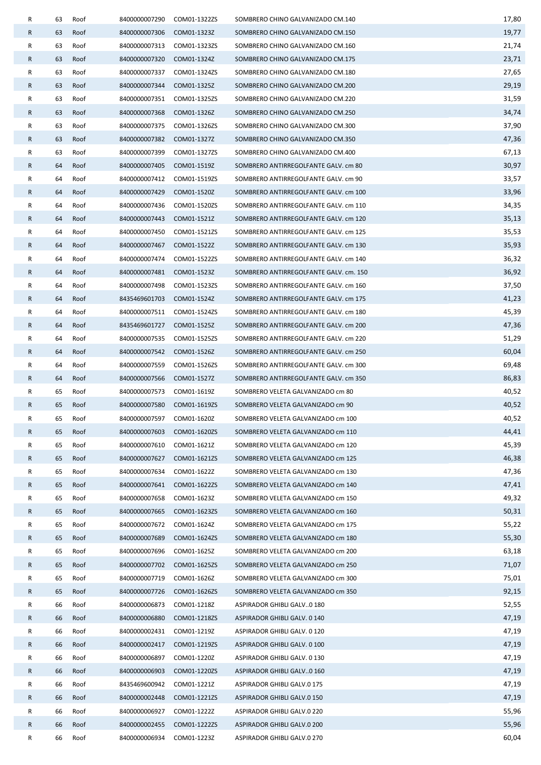| R | 63 | Roof | 8400000007290 | COM01-1322ZS | SOMBRERO CHINO GALVANIZADO CM.140      | 17,80 |
|---|----|------|---------------|--------------|----------------------------------------|-------|
| R | 63 | Roof | 8400000007306 | COM01-1323Z  | SOMBRERO CHINO GALVANIZADO CM.150      | 19,77 |
| R | 63 | Roof | 8400000007313 | COM01-1323ZS | SOMBRERO CHINO GALVANIZADO CM.160      | 21,74 |
| R | 63 | Roof | 8400000007320 | COM01-1324Z  | SOMBRERO CHINO GALVANIZADO CM.175      | 23,71 |
| R | 63 | Roof | 8400000007337 | COM01-1324ZS | SOMBRERO CHINO GALVANIZADO CM.180      | 27,65 |
| R | 63 | Roof | 8400000007344 | COM01-1325Z  | SOMBRERO CHINO GALVANIZADO CM.200      | 29,19 |
| R | 63 | Roof | 8400000007351 | COM01-1325ZS | SOMBRERO CHINO GALVANIZADO CM.220      | 31,59 |
| R | 63 | Roof | 8400000007368 | COM01-1326Z  | SOMBRERO CHINO GALVANIZADO CM.250      | 34,74 |
| R | 63 | Roof | 8400000007375 | COM01-1326ZS | SOMBRERO CHINO GALVANIZADO CM.300      | 37,90 |
| R | 63 | Roof | 8400000007382 | COM01-1327Z  | SOMBRERO CHINO GALVANIZADO CM.350      | 47,36 |
| R | 63 | Roof | 8400000007399 | COM01-1327ZS | SOMBRERO CHINO GALVANIZADO CM.400      | 67,13 |
| R | 64 | Roof | 8400000007405 | COM01-1519Z  | SOMBRERO ANTIRREGOLFANTE GALV. cm 80   | 30,97 |
| R | 64 | Roof | 8400000007412 | COM01-1519ZS | SOMBRERO ANTIRREGOLFANTE GALV. cm 90   | 33,57 |
| R | 64 | Roof | 8400000007429 | COM01-1520Z  | SOMBRERO ANTIRREGOLFANTE GALV. cm 100  | 33,96 |
| R | 64 | Roof | 8400000007436 | COM01-1520ZS | SOMBRERO ANTIRREGOLFANTE GALV. cm 110  | 34,35 |
| R | 64 | Roof | 8400000007443 | COM01-1521Z  | SOMBRERO ANTIRREGOLFANTE GALV. cm 120  | 35,13 |
| R | 64 | Roof | 8400000007450 | COM01-1521ZS | SOMBRERO ANTIRREGOLFANTE GALV. cm 125  | 35,53 |
| R | 64 | Roof | 8400000007467 | COM01-1522Z  | SOMBRERO ANTIRREGOLFANTE GALV. cm 130  | 35,93 |
| R | 64 | Roof | 8400000007474 | COM01-1522ZS | SOMBRERO ANTIRREGOLFANTE GALV. cm 140  | 36,32 |
| R | 64 | Roof | 8400000007481 | COM01-1523Z  | SOMBRERO ANTIRREGOLFANTE GALV. cm. 150 | 36,92 |
| R | 64 | Roof | 8400000007498 | COM01-1523ZS | SOMBRERO ANTIRREGOLFANTE GALV. cm 160  | 37,50 |
| R | 64 | Roof | 8435469601703 | COM01-1524Z  | SOMBRERO ANTIRREGOLFANTE GALV. cm 175  | 41,23 |
| R | 64 | Roof | 8400000007511 | COM01-1524ZS | SOMBRERO ANTIRREGOLFANTE GALV. cm 180  | 45,39 |
| R | 64 | Roof | 8435469601727 | COM01-1525Z  | SOMBRERO ANTIRREGOLFANTE GALV. cm 200  | 47,36 |
| R | 64 | Roof | 8400000007535 | COM01-1525ZS | SOMBRERO ANTIRREGOLFANTE GALV. cm 220  | 51,29 |
| R | 64 | Roof | 8400000007542 | COM01-1526Z  | SOMBRERO ANTIRREGOLFANTE GALV. cm 250  | 60,04 |
| R | 64 | Roof | 8400000007559 | COM01-1526ZS | SOMBRERO ANTIRREGOLFANTE GALV. cm 300  | 69,48 |
| R | 64 | Roof | 8400000007566 | COM01-1527Z  | SOMBRERO ANTIRREGOLFANTE GALV. cm 350  | 86,83 |
| R | 65 | Roof | 8400000007573 | COM01-1619Z  | SOMBRERO VELETA GALVANIZADO cm 80      | 40,52 |
| R | 65 | Roof | 8400000007580 | COM01-1619ZS | SOMBRERO VELETA GALVANIZADO cm 90      | 40,52 |
| R | 65 | Roof | 8400000007597 | COM01-1620Z  | SOMBRERO VELETA GALVANIZADO cm 100     | 40,52 |
| R | 65 | Roof | 8400000007603 | COM01-1620ZS | SOMBRERO VELETA GALVANIZADO cm 110     | 44,41 |
| R | 65 | Roof | 8400000007610 | COM01-1621Z  | SOMBRERO VELETA GALVANIZADO cm 120     | 45,39 |
| R | 65 | Roof | 8400000007627 | COM01-1621ZS | SOMBRERO VELETA GALVANIZADO cm 125     | 46,38 |
| R | 65 | Roof | 8400000007634 | COM01-1622Z  | SOMBRERO VELETA GALVANIZADO cm 130     | 47,36 |
| R | 65 | Roof | 8400000007641 | COM01-1622ZS | SOMBRERO VELETA GALVANIZADO cm 140     | 47,41 |
| R | 65 | Roof | 8400000007658 | COM01-1623Z  | SOMBRERO VELETA GALVANIZADO cm 150     | 49,32 |
| R | 65 | Roof | 8400000007665 | COM01-1623ZS | SOMBRERO VELETA GALVANIZADO cm 160     | 50,31 |
| R | 65 | Roof | 8400000007672 | COM01-1624Z  | SOMBRERO VELETA GALVANIZADO cm 175     | 55,22 |
| R | 65 | Roof | 8400000007689 | COM01-1624ZS | SOMBRERO VELETA GALVANIZADO cm 180     | 55,30 |
| R | 65 | Roof | 8400000007696 | COM01-1625Z  | SOMBRERO VELETA GALVANIZADO cm 200     | 63,18 |
| R | 65 | Roof | 8400000007702 | COM01-1625ZS | SOMBRERO VELETA GALVANIZADO cm 250     | 71,07 |
| R | 65 | Roof | 8400000007719 | COM01-1626Z  | SOMBRERO VELETA GALVANIZADO cm 300     | 75,01 |
| R | 65 | Roof | 8400000007726 | COM01-1626ZS | SOMBRERO VELETA GALVANIZADO cm 350     | 92,15 |
| R | 66 | Roof | 8400000006873 | COM01-1218Z  | ASPIRADOR GHIBLI GALV0 180             | 52,55 |
| R | 66 | Roof | 8400000006880 | COM01-1218ZS | ASPIRADOR GHIBLI GALV. 0 140           | 47,19 |
| R | 66 | Roof | 8400000002431 | COM01-1219Z  | ASPIRADOR GHIBLI GALV. 0 120           | 47,19 |
| R | 66 | Roof | 8400000002417 | COM01-1219ZS | ASPIRADOR GHIBLI GALV. 0 100           | 47,19 |
| R | 66 | Roof | 8400000006897 | COM01-1220Z  | ASPIRADOR GHIBLI GALV. 0 130           | 47,19 |
| R | 66 | Roof | 8400000006903 | COM01-1220ZS | ASPIRADOR GHIBLI GALV0 160             | 47,19 |
| R | 66 | Roof | 8435469600942 | COM01-1221Z  | ASPIRADOR GHIBLI GALV.0 175            | 47,19 |
| R | 66 | Roof | 8400000002448 | COM01-1221ZS | ASPIRADOR GHIBLI GALV.0 150            | 47,19 |
| R | 66 | Roof | 8400000006927 | COM01-1222Z  | ASPIRADOR GHIBLI GALV.0 220            | 55,96 |
| R | 66 | Roof | 8400000002455 | COM01-1222ZS | ASPIRADOR GHIBLI GALV.0 200            | 55,96 |
| R | 66 | Roof | 8400000006934 | COM01-1223Z  | ASPIRADOR GHIBLI GALV.0 270            | 60,04 |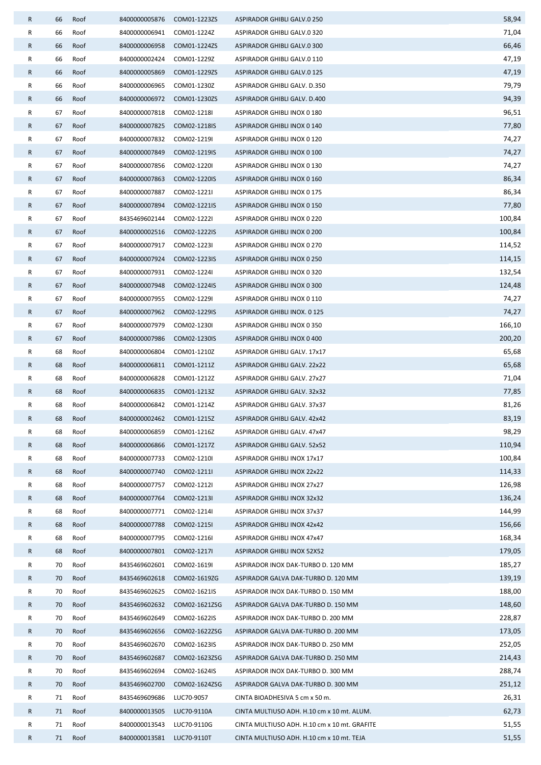| R            | 66       | Roof         | 8400000005876                              | COM01-1223ZS               | ASPIRADOR GHIBLI GALV.0 250                                        | 58,94           |
|--------------|----------|--------------|--------------------------------------------|----------------------------|--------------------------------------------------------------------|-----------------|
| R            | 66       | Roof         | 8400000006941                              | COM01-1224Z                | ASPIRADOR GHIBLI GALV.0 320                                        | 71,04           |
| R            | 66       | Roof         | 8400000006958                              | COM01-1224ZS               | ASPIRADOR GHIBLI GALV.0 300                                        | 66,46           |
| R            | 66       | Roof         | 8400000002424                              | COM01-1229Z                | ASPIRADOR GHIBLI GALV.0 110                                        | 47,19           |
| R            | 66       | Roof         | 8400000005869                              | COM01-1229ZS               | ASPIRADOR GHIBLI GALV.0 125                                        | 47,19           |
| R            | 66       | Roof         | 8400000006965                              | COM01-1230Z                | ASPIRADOR GHIBLI GALV. D.350                                       | 79,79           |
| R            | 66       | Roof         | 8400000006972                              | COM01-1230ZS               | ASPIRADOR GHIBLI GALV. D.400                                       | 94,39           |
| R            | 67       | Roof         | 8400000007818                              | COM02-1218I                | ASPIRADOR GHIBLI INOX 0 180                                        | 96,51           |
| R            | 67       | Roof         | 8400000007825                              | COM02-1218IS               | ASPIRADOR GHIBLI INOX 0 140                                        | 77,80           |
| R            | 67       | Roof         | 8400000007832                              | COM02-1219I                | ASPIRADOR GHIBLI INOX 0 120                                        | 74,27           |
| R            | 67       | Roof         | 8400000007849                              | COM02-1219IS               | ASPIRADOR GHIBLI INOX 0 100                                        | 74,27           |
| R            | 67       | Roof         | 8400000007856                              | COM02-1220I                | ASPIRADOR GHIBLI INOX 0 130                                        | 74,27           |
| R            | 67       | Roof         | 8400000007863                              | COM02-1220IS               | ASPIRADOR GHIBLI INOX 0 160                                        | 86,34           |
| R            | 67       | Roof         | 8400000007887                              | COM02-1221I                | ASPIRADOR GHIBLI INOX 0 175                                        | 86,34           |
| R            | 67       | Roof         | 8400000007894                              | COM02-1221IS               | ASPIRADOR GHIBLI INOX 0 150                                        | 77,80           |
| R            | 67       | Roof         | 8435469602144                              | COM02-1222I                | ASPIRADOR GHIBLI INOX 0 220                                        | 100,84          |
| R            | 67       | Roof         | 8400000002516                              | COM02-1222IS               | ASPIRADOR GHIBLI INOX 0 200                                        | 100,84          |
| R            | 67       | Roof         | 8400000007917                              | COM02-1223I                | ASPIRADOR GHIBLI INOX 0 270                                        | 114,52          |
| R            | 67       | Roof         | 8400000007924                              | COM02-1223IS               | <b>ASPIRADOR GHIBLI INOX 0 250</b>                                 | 114,15          |
| R            | 67       | Roof         | 8400000007931                              | COM02-1224I                | ASPIRADOR GHIBLI INOX 0 320                                        | 132,54          |
| R            | 67       | Roof         | 8400000007948                              | COM02-1224IS               | ASPIRADOR GHIBLI INOX 0 300                                        | 124,48          |
| R            | 67       | Roof         | 8400000007955                              | COM02-1229I                | ASPIRADOR GHIBLI INOX 0 110                                        | 74,27           |
| R            | 67       | Roof         | 8400000007962                              | COM02-1229IS               | ASPIRADOR GHIBLI INOX. 0 125                                       | 74,27           |
| R            | 67       | Roof         | 8400000007979                              | COM02-1230I                | ASPIRADOR GHIBLI INOX 0 350                                        | 166,10          |
| R            | 67       | Roof         | 8400000007986                              | COM02-1230IS               | ASPIRADOR GHIBLI INOX 0 400                                        | 200,20          |
| R            | 68       | Roof         | 8400000006804                              | COM01-1210Z                | ASPIRADOR GHIBLI GALV. 17x17                                       | 65,68           |
| R            | 68       | Roof         | 8400000006811                              | COM01-1211Z                | ASPIRADOR GHIBLI GALV. 22x22                                       | 65,68           |
| R            | 68       | Roof         | 8400000006828                              | COM01-1212Z                | ASPIRADOR GHIBLI GALV. 27x27                                       | 71,04           |
| R            | 68       | Roof         | 8400000006835                              | COM01-1213Z                | ASPIRADOR GHIBLI GALV. 32x32                                       | 77,85           |
| R            | 68<br>68 | Roof         | 8400000006842<br>8400000002462 COM01-1215Z | COM01-1214Z                | ASPIRADOR GHIBLI GALV. 37x37                                       | 81,26           |
| R            | 68       | Roof         |                                            |                            | ASPIRADOR GHIBLI GALV. 42x42                                       | 83,19           |
| R<br>R       | 68       | Roof<br>Roof | 8400000006859                              | COM01-1216Z                | ASPIRADOR GHIBLI GALV. 47x47                                       | 98,29<br>110,94 |
| R            | 68       | Roof         | 8400000006866<br>8400000007733             | COM01-1217Z<br>COM02-1210I | ASPIRADOR GHIBLI GALV. 52x52<br><b>ASPIRADOR GHIBLI INOX 17x17</b> | 100,84          |
| R            | 68       | Roof         | 8400000007740                              | COM02-1211I                | <b>ASPIRADOR GHIBLI INOX 22x22</b>                                 | 114,33          |
| R            | 68       | Roof         | 8400000007757                              | COM02-1212I                | ASPIRADOR GHIBLI INOX 27x27                                        | 126,98          |
| R            | 68       | Roof         | 8400000007764                              | COM02-1213I                | <b>ASPIRADOR GHIBLI INOX 32x32</b>                                 | 136,24          |
| R            | 68       | Roof         | 8400000007771                              | COM02-1214I                | ASPIRADOR GHIBLI INOX 37x37                                        | 144,99          |
| R            | 68       | Roof         | 8400000007788                              | COM02-1215I                | ASPIRADOR GHIBLI INOX 42x42                                        | 156,66          |
| R            | 68       | Roof         | 8400000007795                              | COM02-1216I                | ASPIRADOR GHIBLI INOX 47x47                                        | 168,34          |
| $\mathsf{R}$ | 68       | Roof         | 8400000007801                              | COM02-1217I                | ASPIRADOR GHIBLI INOX 52X52                                        | 179,05          |
| R            | 70       | Roof         | 8435469602601                              | COM02-1619I                | ASPIRADOR INOX DAK-TURBO D. 120 MM                                 | 185,27          |
| R            | 70       | Roof         | 8435469602618                              | COM02-1619ZG               | ASPIRADOR GALVA DAK-TURBO D. 120 MM                                | 139,19          |
| R            | 70       | Roof         | 8435469602625                              | COM02-1621IS               | ASPIRADOR INOX DAK-TURBO D. 150 MM                                 | 188,00          |
| R            | 70       | Roof         | 8435469602632                              | COM02-1621ZSG              | ASPIRADOR GALVA DAK-TURBO D. 150 MM                                | 148,60          |
| R            | 70       | Roof         | 8435469602649                              | COM02-1622IS               | ASPIRADOR INOX DAK-TURBO D. 200 MM                                 | 228,87          |
| R            | 70       | Roof         | 8435469602656                              | COM02-1622ZSG              | ASPIRADOR GALVA DAK-TURBO D. 200 MM                                | 173,05          |
| R            | 70       | Roof         | 8435469602670                              | COM02-1623IS               | ASPIRADOR INOX DAK-TURBO D. 250 MM                                 | 252,05          |
| R            | 70       | Roof         | 8435469602687                              | COM02-1623ZSG              | ASPIRADOR GALVA DAK-TURBO D. 250 MM                                | 214,43          |
| R            | 70       | Roof         | 8435469602694                              | COM02-1624IS               | ASPIRADOR INOX DAK-TURBO D. 300 MM                                 | 288,74          |
| R            | 70       | Roof         | 8435469602700                              | COM02-1624ZSG              | ASPIRADOR GALVA DAK-TURBO D. 300 MM                                | 251,12          |
| R            | 71       | Roof         | 8435469609686                              | LUC70-9057                 | CINTA BIOADHESIVA 5 cm x 50 m.                                     | 26,31           |
| R            | 71       | Roof         | 8400000013505                              | LUC70-9110A                | CINTA MULTIUSO ADH. H.10 cm x 10 mt. ALUM.                         | 62,73           |
| R            | 71       | Roof         | 8400000013543                              | LUC70-9110G                | CINTA MULTIUSO ADH. H.10 cm x 10 mt. GRAFITE                       | 51,55           |
| R            | 71       | Roof         | 8400000013581                              | LUC70-9110T                | CINTA MULTIUSO ADH. H.10 cm x 10 mt. TEJA                          | 51,55           |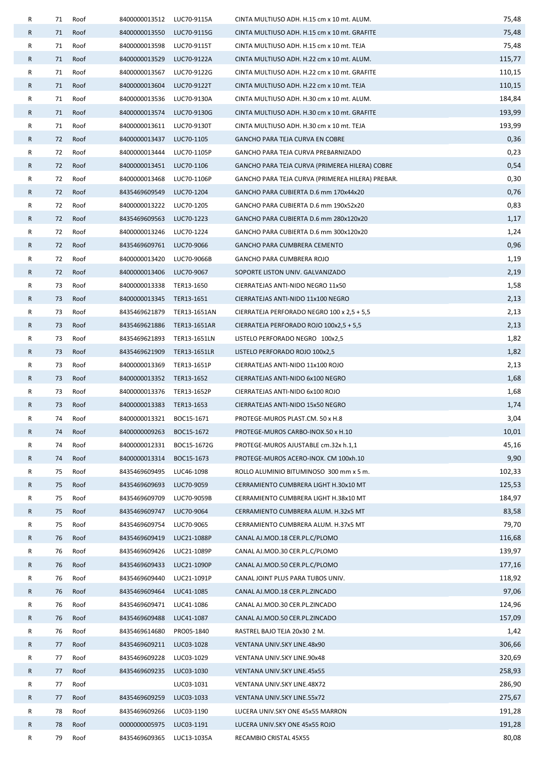| R            | 71 | Roof | 8400000013512              | LUC70-9115A  | CINTA MULTIUSO ADH. H.15 cm x 10 mt. ALUM.       | 75,48  |
|--------------|----|------|----------------------------|--------------|--------------------------------------------------|--------|
| R            | 71 | Roof | 8400000013550              | LUC70-9115G  | CINTA MULTIUSO ADH. H.15 cm x 10 mt. GRAFITE     | 75,48  |
| R            | 71 | Roof | 8400000013598              | LUC70-9115T  | CINTA MULTIUSO ADH. H.15 cm x 10 mt. TEJA        | 75,48  |
| $\mathsf{R}$ | 71 | Roof | 8400000013529              | LUC70-9122A  | CINTA MULTIUSO ADH. H.22 cm x 10 mt. ALUM.       | 115,77 |
| R            | 71 | Roof | 8400000013567              | LUC70-9122G  | CINTA MULTIUSO ADH. H.22 cm x 10 mt. GRAFITE     | 110,15 |
| R            | 71 | Roof | 8400000013604              | LUC70-9122T  | CINTA MULTIUSO ADH. H.22 cm x 10 mt. TEJA        | 110,15 |
| R            | 71 | Roof | 8400000013536              | LUC70-9130A  | CINTA MULTIUSO ADH. H.30 cm x 10 mt. ALUM.       | 184,84 |
| R            | 71 | Roof | 8400000013574              | LUC70-9130G  | CINTA MULTIUSO ADH. H.30 cm x 10 mt. GRAFITE     | 193,99 |
| R            | 71 | Roof | 8400000013611              | LUC70-9130T  | CINTA MULTIUSO ADH. H.30 cm x 10 mt. TEJA        | 193,99 |
| R            | 72 | Roof | 8400000013437              | LUC70-1105   | GANCHO PARA TEJA CURVA EN COBRE                  | 0,36   |
| R            | 72 | Roof | 8400000013444              | LUC70-1105P  | GANCHO PARA TEJA CURVA PREBARNIZADO              | 0,23   |
| R            | 72 | Roof | 8400000013451 LUC70-1106   |              | GANCHO PARA TEJA CURVA (PRIMEREA HILERA) COBRE   | 0,54   |
| R            | 72 | Roof | 8400000013468              | LUC70-1106P  | GANCHO PARA TEJA CURVA (PRIMEREA HILERA) PREBAR. | 0,30   |
| R            | 72 | Roof | 8435469609549              | LUC70-1204   | GANCHO PARA CUBIERTA D.6 mm 170x44x20            | 0,76   |
| R            | 72 | Roof | 8400000013222              | LUC70-1205   | GANCHO PARA CUBIERTA D.6 mm 190x52x20            | 0,83   |
| R            | 72 | Roof | 8435469609563              | LUC70-1223   | GANCHO PARA CUBIERTA D.6 mm 280x120x20           | 1,17   |
| R            | 72 | Roof | 8400000013246              | LUC70-1224   | GANCHO PARA CUBIERTA D.6 mm 300x120x20           | 1,24   |
| R            | 72 | Roof | 8435469609761              | LUC70-9066   | GANCHO PARA CUMBRERA CEMENTO                     | 0,96   |
| R            | 72 | Roof | 8400000013420              | LUC70-9066B  | GANCHO PARA CUMBRERA ROJO                        | 1,19   |
| R            | 72 | Roof | 8400000013406              | LUC70-9067   | SOPORTE LISTON UNIV. GALVANIZADO                 | 2,19   |
| R            | 73 | Roof | 8400000013338 TER13-1650   |              | CIERRATEJAS ANTI-NIDO NEGRO 11x50                | 1,58   |
| R            | 73 | Roof | 8400000013345              | TER13-1651   | CIERRATEJAS ANTI-NIDO 11x100 NEGRO               | 2,13   |
| R            | 73 | Roof | 8435469621879              | TER13-1651AN | CIERRATEJA PERFORADO NEGRO 100 x 2,5 + 5,5       | 2,13   |
| R            | 73 | Roof | 8435469621886 TER13-1651AR |              | CIERRATEJA PERFORADO ROJO 100x2,5 + 5,5          | 2,13   |
| R            | 73 | Roof | 8435469621893 TER13-1651LN |              | LISTELO PERFORADO NEGRO 100x2,5                  | 1,82   |
| R            | 73 | Roof | 8435469621909 TER13-1651LR |              | LISTELO PERFORADO ROJO 100x2,5                   | 1,82   |
| R            | 73 | Roof | 8400000013369              | TER13-1651P  | CIERRATEJAS ANTI-NIDO 11x100 ROJO                | 2,13   |
| R            | 73 | Roof | 8400000013352 TER13-1652   |              | CIERRATEJAS ANTI-NIDO 6x100 NEGRO                | 1,68   |
| R            | 73 | Roof | 8400000013376 TER13-1652P  |              | CIERRATEJAS ANTI-NIDO 6x100 ROJO                 | 1,68   |
| R            | 73 | Roof | 8400000013383 TER13-1653   |              | CIERRATEJAS ANTI-NIDO 15x50 NEGRO                | 1,74   |
| R            | 74 | Roof | 8400000013321              | BOC15-1671   | PROTEGE-MUROS PLAST.CM. 50 x H.8                 | 3,04   |
| R            | 74 | Roof | 8400000009263              | BOC15-1672   | PROTEGE-MUROS CARBO-INOX.50 x H.10               | 10,01  |
| R            | 74 | Roof | 8400000012331              | BOC15-1672G  | PROTEGE-MUROS AJUSTABLE cm.32x h.1,1             | 45,16  |
| R            | 74 | Roof | 8400000013314              | BOC15-1673   | PROTEGE-MUROS ACERO-INOX. CM 100xh.10            | 9,90   |
| R            | 75 | Roof | 8435469609495              | LUC46-1098   | ROLLO ALUMINIO BITUMINOSO 300 mm x 5 m.          | 102,33 |
| R            | 75 | Roof | 8435469609693              | LUC70-9059   | CERRAMIENTO CUMBRERA LIGHT H.30x10 MT            | 125,53 |
| R            | 75 | Roof | 8435469609709              | LUC70-9059B  | CERRAMIENTO CUMBRERA LIGHT H.38x10 MT            | 184,97 |
| $\mathsf{R}$ | 75 | Roof | 8435469609747              | LUC70-9064   | CERRAMIENTO CUMBRERA ALUM. H.32x5 MT             | 83,58  |
| R            | 75 | Roof | 8435469609754              | LUC70-9065   | CERRAMIENTO CUMBRERA ALUM. H.37x5 MT             | 79,70  |
| R            | 76 | Roof | 8435469609419              | LUC21-1088P  | CANAL AJ.MOD.18 CER.PL.C/PLOMO                   | 116,68 |
| R            | 76 | Roof | 8435469609426              | LUC21-1089P  | CANAL AJ.MOD.30 CER.PL.C/PLOMO                   | 139,97 |
| R            | 76 | Roof | 8435469609433              | LUC21-1090P  | CANAL AJ.MOD.50 CER.PL.C/PLOMO                   | 177,16 |
| R            | 76 | Roof | 8435469609440              | LUC21-1091P  | CANAL JOINT PLUS PARA TUBOS UNIV.                | 118,92 |
| R            | 76 | Roof | 8435469609464              | LUC41-1085   | CANAL AJ.MOD.18 CER.PL.ZINCADO                   | 97,06  |
| R            | 76 | Roof | 8435469609471              | LUC41-1086   | CANAL AJ.MOD.30 CER.PL.ZINCADO                   | 124,96 |
| R            | 76 | Roof | 8435469609488              | LUC41-1087   | CANAL AJ.MOD.50 CER.PL.ZINCADO                   | 157,09 |
| R            | 76 | Roof | 8435469614680              | PRO05-1840   | RASTREL BAJO TEJA 20x30 2 M.                     | 1,42   |
| R            | 77 | Roof | 8435469609211              | LUC03-1028   | VENTANA UNIV.SKY LINE.48x90                      | 306,66 |
| R            | 77 | Roof | 8435469609228              | LUC03-1029   | VENTANA UNIV.SKY LINE.90x48                      | 320,69 |
| R            | 77 | Roof | 8435469609235              | LUC03-1030   | VENTANA UNIV.SKY LINE.45x55                      | 258,93 |
| R            | 77 | Roof |                            | LUC03-1031   | VENTANA UNIV.SKY LINE.48X72                      | 286,90 |
| R            | 77 | Roof | 8435469609259              | LUC03-1033   | VENTANA UNIV.SKY LINE.55x72                      | 275,67 |
| R            | 78 | Roof | 8435469609266              | LUC03-1190   | LUCERA UNIV.SKY ONE 45x55 MARRON                 | 191,28 |
| R            | 78 | Roof | 0000000005975              | LUC03-1191   | LUCERA UNIV.SKY ONE 45x55 ROJO                   | 191,28 |
| R            | 79 | Roof | 8435469609365              | LUC13-1035A  | RECAMBIO CRISTAL 45X55                           | 80,08  |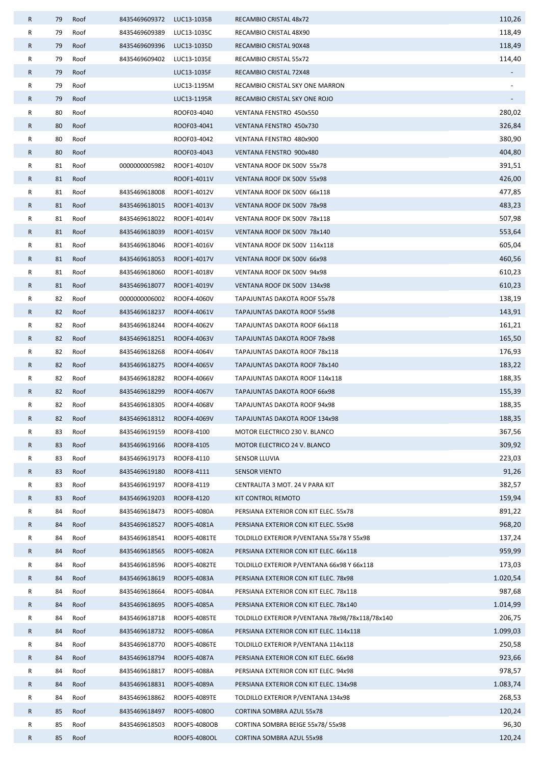| R | 79 | Roof | 8435469609372             | LUC13-1035B  | RECAMBIO CRISTAL 48x72                          | 110,26   |
|---|----|------|---------------------------|--------------|-------------------------------------------------|----------|
| R | 79 | Roof | 8435469609389             | LUC13-1035C  | RECAMBIO CRISTAL 48X90                          | 118,49   |
| R | 79 | Roof | 8435469609396             | LUC13-1035D  | RECAMBIO CRISTAL 90X48                          | 118,49   |
| R | 79 | Roof | 8435469609402             | LUC13-1035E  | RECAMBIO CRISTAL 55x72                          | 114,40   |
| R | 79 | Roof |                           | LUC13-1035F  | RECAMBIO CRISTAL 72X48                          |          |
| R | 79 | Roof |                           | LUC13-1195M  | RECAMBIO CRISTAL SKY ONE MARRON                 |          |
| R | 79 | Roof |                           | LUC13-1195R  | RECAMBIO CRISTAL SKY ONE ROJO                   |          |
| R | 80 | Roof |                           | ROOF03-4040  | VENTANA FENSTRO 450x550                         | 280,02   |
| R | 80 | Roof |                           | ROOF03-4041  | VENTANA FENSTRO 450x730                         | 326,84   |
| R | 80 | Roof |                           | ROOF03-4042  | VENTANA FENSTRO 480x900                         | 380,90   |
| R | 80 | Roof |                           | ROOF03-4043  | VENTANA FENSTRO 900x480                         | 404,80   |
| R | 81 | Roof | 0000000005982             | ROOF1-4010V  | VENTANA ROOF DK 500V 55x78                      | 391,51   |
| R | 81 | Roof |                           | ROOF1-4011V  | VENTANA ROOF DK 500V 55x98                      | 426,00   |
| R | 81 | Roof | 8435469618008             | ROOF1-4012V  | VENTANA ROOF DK 500V 66x118                     | 477,85   |
| R | 81 | Roof | 8435469618015             | ROOF1-4013V  | VENTANA ROOF DK 500V 78x98                      | 483,23   |
| R | 81 | Roof | 8435469618022             | ROOF1-4014V  | VENTANA ROOF DK 500V 78x118                     | 507,98   |
| R | 81 | Roof | 8435469618039             | ROOF1-4015V  | VENTANA ROOF DK 500V 78x140                     | 553,64   |
| R | 81 | Roof | 8435469618046             | ROOF1-4016V  | VENTANA ROOF DK 500V 114x118                    | 605,04   |
| R | 81 | Roof | 8435469618053             | ROOF1-4017V  | VENTANA ROOF DK 500V 66x98                      | 460,56   |
| R | 81 | Roof | 8435469618060             | ROOF1-4018V  | VENTANA ROOF DK 500V 94x98                      | 610,23   |
| R | 81 | Roof | 8435469618077             | ROOF1-4019V  | VENTANA ROOF DK 500V 134x98                     | 610,23   |
| R | 82 | Roof | 0000000006002             | ROOF4-4060V  | TAPAJUNTAS DAKOTA ROOF 55x78                    | 138,19   |
| R | 82 | Roof | 8435469618237             | ROOF4-4061V  | TAPAJUNTAS DAKOTA ROOF 55x98                    | 143,91   |
| R | 82 | Roof | 8435469618244             | ROOF4-4062V  | TAPAJUNTAS DAKOTA ROOF 66x118                   | 161,21   |
| R | 82 | Roof | 8435469618251             | ROOF4-4063V  | TAPAJUNTAS DAKOTA ROOF 78x98                    | 165,50   |
| R | 82 | Roof | 8435469618268             | ROOF4-4064V  | TAPAJUNTAS DAKOTA ROOF 78x118                   | 176,93   |
| R | 82 | Roof | 8435469618275             | ROOF4-4065V  | TAPAJUNTAS DAKOTA ROOF 78x140                   | 183,22   |
| R | 82 | Roof | 8435469618282             | ROOF4-4066V  | TAPAJUNTAS DAKOTA ROOF 114x118                  | 188,35   |
| R | 82 | Roof | 8435469618299             | ROOF4-4067V  | TAPAJUNTAS DAKOTA ROOF 66x98                    | 155,39   |
| R | 82 | Roof | 8435469618305             | ROOF4-4068V  | TAPAJUNTAS DAKOTA ROOF 94x98                    | 188,35   |
| R | 82 | Roof | 8435469618312 ROOF4-4069V |              | TAPAJUNTAS DAKOTA ROOF 134x98                   | 188,35   |
| R | 83 | Roof | 8435469619159             | ROOF8-4100   | MOTOR ELECTRICO 230 V. BLANCO                   | 367,56   |
| R | 83 | Roof | 8435469619166             | ROOF8-4105   | MOTOR ELECTRICO 24 V. BLANCO                    | 309,92   |
| R | 83 | Roof | 8435469619173             | ROOF8-4110   | SENSOR LLUVIA                                   | 223,03   |
| R | 83 | Roof | 8435469619180             | ROOF8-4111   | <b>SENSOR VIENTO</b>                            | 91,26    |
| R | 83 | Roof | 8435469619197             | ROOF8-4119   | CENTRALITA 3 MOT. 24 V PARA KIT                 | 382,57   |
| R | 83 | Roof | 8435469619203             | ROOF8-4120   | KIT CONTROL REMOTO                              | 159,94   |
| R | 84 | Roof | 8435469618473             | ROOF5-4080A  | PERSIANA EXTERIOR CON KIT ELEC. 55x78           | 891,22   |
| R | 84 | Roof | 8435469618527             | ROOF5-4081A  | PERSIANA EXTERIOR CON KIT ELEC. 55x98           | 968,20   |
| R | 84 | Roof | 8435469618541             | ROOF5-4081TE | TOLDILLO EXTERIOR P/VENTANA 55x78 Y 55x98       | 137,24   |
| R | 84 | Roof | 8435469618565             | ROOF5-4082A  | PERSIANA EXTERIOR CON KIT ELEC. 66x118          | 959,99   |
| R | 84 | Roof | 8435469618596             | ROOF5-4082TE | TOLDILLO EXTERIOR P/VENTANA 66x98 Y 66x118      | 173,03   |
| R | 84 | Roof | 8435469618619             | ROOF5-4083A  | PERSIANA EXTERIOR CON KIT ELEC. 78x98           | 1.020,54 |
| R | 84 | Roof | 8435469618664             | ROOF5-4084A  | PERSIANA EXTERIOR CON KIT ELEC. 78x118          | 987,68   |
| R | 84 | Roof | 8435469618695             | ROOF5-4085A  | PERSIANA EXTERIOR CON KIT ELEC. 78x140          | 1.014,99 |
| R | 84 | Roof | 8435469618718             | ROOF5-4085TE | TOLDILLO EXTERIOR P/VENTANA 78x98/78x118/78x140 | 206,75   |
| R | 84 | Roof | 8435469618732             | ROOF5-4086A  | PERSIANA EXTERIOR CON KIT ELEC. 114x118         | 1.099,03 |
| R | 84 | Roof | 8435469618770             | ROOF5-4086TE | TOLDILLO EXTERIOR P/VENTANA 114x118             | 250,58   |
| R | 84 | Roof | 8435469618794             | ROOF5-4087A  | PERSIANA EXTERIOR CON KIT ELEC. 66x98           | 923,66   |
| R | 84 | Roof | 8435469618817             | ROOF5-4088A  | PERSIANA EXTERIOR CON KIT ELEC. 94x98           | 978,57   |
| R | 84 | Roof | 8435469618831             | ROOF5-4089A  | PERSIANA EXTERIOR CON KIT ELEC. 134x98          | 1.083,74 |
| R | 84 | Roof | 8435469618862             | ROOF5-4089TE | TOLDILLO EXTERIOR P/VENTANA 134x98              | 268,53   |
| R | 85 | Roof | 8435469618497             | ROOF5-40800  | CORTINA SOMBRA AZUL 55x78                       | 120,24   |
| R | 85 | Roof | 8435469618503             | ROOF5-4080OB | CORTINA SOMBRA BEIGE 55x78/55x98                | 96,30    |
| R | 85 | Roof |                           | ROOF5-4080OL | CORTINA SOMBRA AZUL 55x98                       | 120,24   |
|   |    |      |                           |              |                                                 |          |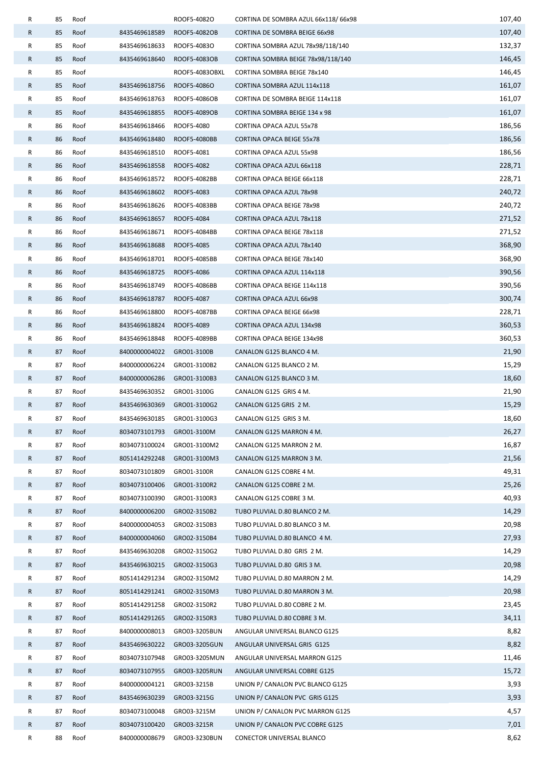| R | 85 | Roof |               | ROOF5-4082O    | CORTINA DE SOMBRA AZUL 66x118/66x98 | 107,40 |
|---|----|------|---------------|----------------|-------------------------------------|--------|
| R | 85 | Roof | 8435469618589 | ROOF5-4082OB   | CORTINA DE SOMBRA BEIGE 66x98       | 107,40 |
| R | 85 | Roof | 8435469618633 | ROOF5-40830    | CORTINA SOMBRA AZUL 78x98/118/140   | 132,37 |
| R | 85 | Roof | 8435469618640 | ROOF5-4083OB   | CORTINA SOMBRA BEIGE 78x98/118/140  | 146,45 |
| R | 85 | Roof |               | ROOF5-4083OBXL | CORTINA SOMBRA BEIGE 78x140         | 146,45 |
| R | 85 | Roof | 8435469618756 | ROOF5-4086O    | CORTINA SOMBRA AZUL 114x118         | 161,07 |
| R | 85 | Roof | 8435469618763 | ROOF5-4086OB   | CORTINA DE SOMBRA BEIGE 114x118     | 161,07 |
| R | 85 | Roof | 8435469618855 | ROOF5-4089OB   | CORTINA SOMBRA BEIGE 134 x 98       | 161,07 |
| R | 86 | Roof | 8435469618466 | ROOF5-4080     | CORTINA OPACA AZUL 55x78            | 186,56 |
| R | 86 | Roof | 8435469618480 | ROOF5-4080BB   | CORTINA OPACA BEIGE 55x78           | 186,56 |
| R | 86 | Roof | 8435469618510 | ROOF5-4081     | CORTINA OPACA AZUL 55x98            | 186,56 |
| R | 86 | Roof | 8435469618558 | ROOF5-4082     | CORTINA OPACA AZUL 66x118           | 228,71 |
| R | 86 | Roof | 8435469618572 | ROOF5-4082BB   | CORTINA OPACA BEIGE 66x118          | 228,71 |
| R | 86 | Roof | 8435469618602 | ROOF5-4083     | CORTINA OPACA AZUL 78x98            | 240,72 |
| R | 86 | Roof | 8435469618626 | ROOF5-4083BB   | CORTINA OPACA BEIGE 78x98           | 240,72 |
| R | 86 | Roof | 8435469618657 | ROOF5-4084     | CORTINA OPACA AZUL 78x118           | 271,52 |
| R | 86 | Roof | 8435469618671 | ROOF5-4084BB   | CORTINA OPACA BEIGE 78x118          | 271,52 |
| R | 86 | Roof | 8435469618688 | ROOF5-4085     | CORTINA OPACA AZUL 78x140           | 368,90 |
| R | 86 | Roof | 8435469618701 | ROOF5-4085BB   | CORTINA OPACA BEIGE 78x140          | 368,90 |
| R | 86 | Roof | 8435469618725 | ROOF5-4086     | CORTINA OPACA AZUL 114x118          | 390,56 |
| R | 86 | Roof | 8435469618749 | ROOF5-4086BB   | CORTINA OPACA BEIGE 114x118         | 390,56 |
| R | 86 | Roof | 8435469618787 | ROOF5-4087     | CORTINA OPACA AZUL 66x98            | 300,74 |
| R | 86 | Roof | 8435469618800 | ROOF5-4087BB   | CORTINA OPACA BEIGE 66x98           | 228,71 |
| R | 86 | Roof | 8435469618824 | ROOF5-4089     | CORTINA OPACA AZUL 134x98           | 360,53 |
| R | 86 | Roof | 8435469618848 | ROOF5-4089BB   | CORTINA OPACA BEIGE 134x98          | 360,53 |
| R | 87 | Roof | 8400000004022 | GRO01-3100B    | CANALON G125 BLANCO 4 M.            | 21,90  |
| R | 87 | Roof | 8400000006224 | GRO01-3100B2   | CANALON G125 BLANCO 2 M.            | 15,29  |
| R | 87 | Roof | 8400000006286 | GRO01-3100B3   | CANALON G125 BLANCO 3 M.            | 18,60  |
| R | 87 | Roof | 8435469630352 | GRO01-3100G    | CANALON G125 GRIS 4 M.              | 21,90  |
| R | 87 | Roof | 8435469630369 | GRO01-3100G2   | CANALON G125 GRIS 2 M.              | 15,29  |
| R | 87 | Roof | 8435469630185 | GRO01-3100G3   | CANALON G125 GRIS 3 M.              | 18,60  |
| R | 87 | Roof | 8034073101793 | GRO01-3100M    | CANALON G125 MARRON 4 M.            | 26,27  |
| R | 87 | Roof | 8034073100024 | GRO01-3100M2   | CANALON G125 MARRON 2 M.            | 16,87  |
| R | 87 | Roof | 8051414292248 | GRO01-3100M3   | CANALON G125 MARRON 3 M.            | 21,56  |
| R | 87 | Roof | 8034073101809 | GRO01-3100R    | CANALON G125 COBRE 4 M.             | 49,31  |
| R | 87 | Roof | 8034073100406 | GRO01-3100R2   | CANALON G125 COBRE 2 M.             | 25,26  |
| R | 87 | Roof | 8034073100390 | GRO01-3100R3   | CANALON G125 COBRE 3 M.             | 40,93  |
| R | 87 | Roof | 8400000006200 | GRO02-3150B2   | TUBO PLUVIAL D.80 BLANCO 2 M.       | 14,29  |
| R | 87 | Roof | 8400000004053 | GRO02-3150B3   | TUBO PLUVIAL D.80 BLANCO 3 M.       | 20,98  |
| R | 87 | Roof | 8400000004060 | GRO02-3150B4   | TUBO PLUVIAL D.80 BLANCO 4 M.       | 27,93  |
| R | 87 | Roof | 8435469630208 | GRO02-3150G2   | TUBO PLUVIAL D.80 GRIS 2 M.         | 14,29  |
| R | 87 | Roof | 8435469630215 | GRO02-3150G3   | TUBO PLUVIAL D.80 GRIS 3 M.         | 20,98  |
| R | 87 | Roof | 8051414291234 | GRO02-3150M2   | TUBO PLUVIAL D.80 MARRON 2 M.       | 14,29  |
| R | 87 | Roof | 8051414291241 | GRO02-3150M3   | TUBO PLUVIAL D.80 MARRON 3 M.       | 20,98  |
| R | 87 | Roof | 8051414291258 | GRO02-3150R2   | TUBO PLUVIAL D.80 COBRE 2 M.        | 23,45  |
| R | 87 | Roof | 8051414291265 | GRO02-3150R3   | TUBO PLUVIAL D.80 COBRE 3 M.        | 34,11  |
| R | 87 | Roof | 8400000008013 | GRO03-3205BUN  | ANGULAR UNIVERSAL BLANCO G125       | 8,82   |
| R | 87 | Roof | 8435469630222 | GRO03-3205GUN  | ANGULAR UNIVERSAL GRIS G125         | 8,82   |
| R | 87 | Roof | 8034073107948 | GRO03-3205MUN  | ANGULAR UNIVERSAL MARRON G125       | 11,46  |
| R | 87 | Roof | 8034073107955 | GRO03-3205RUN  | ANGULAR UNIVERSAL COBRE G125        | 15,72  |
| R | 87 | Roof | 8400000004121 | GRO03-3215B    | UNION P/ CANALON PVC BLANCO G125    | 3,93   |
| R | 87 | Roof | 8435469630239 | GRO03-3215G    | UNION P/ CANALON PVC GRIS G125      | 3,93   |
| R | 87 | Roof | 8034073100048 | GRO03-3215M    | UNION P/ CANALON PVC MARRON G125    | 4,57   |
| R | 87 | Roof | 8034073100420 | GRO03-3215R    | UNION P/ CANALON PVC COBRE G125     | 7,01   |
| R | 88 | Roof | 8400000008679 | GRO03-3230BUN  | CONECTOR UNIVERSAL BLANCO           | 8,62   |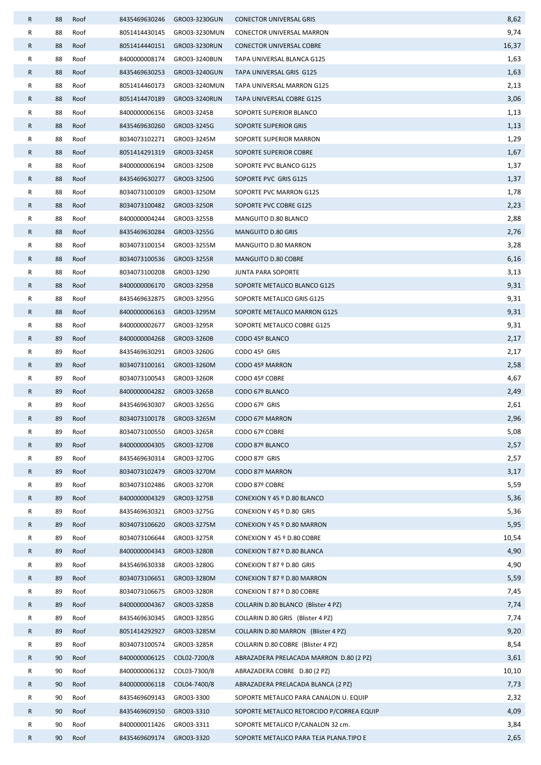| R | 88 | Roof | 8435469630246             | GRO03-3230GUN | <b>CONECTOR UNIVERSAL GRIS</b>            | 8,62  |
|---|----|------|---------------------------|---------------|-------------------------------------------|-------|
| R | 88 | Roof | 8051414430145             | GRO03-3230MUN | CONECTOR UNIVERSAL MARRON                 | 9,74  |
| R | 88 | Roof | 8051414440151             | GRO03-3230RUN | <b>CONECTOR UNIVERSAL COBRE</b>           | 16,37 |
| R | 88 | Roof | 8400000008174             | GRO03-3240BUN | TAPA UNIVERSAL BLANCA G125                | 1,63  |
| R | 88 | Roof | 8435469630253             | GRO03-3240GUN | TAPA UNIVERSAL GRIS G125                  | 1,63  |
| R | 88 | Roof | 8051414460173             | GRO03-3240MUN | TAPA UNIVERSAL MARRON G125                | 2,13  |
| R | 88 | Roof | 8051414470189             | GRO03-3240RUN | TAPA UNIVERSAL COBRE G125                 | 3,06  |
| R | 88 | Roof | 8400000006156             | GRO03-3245B   | SOPORTE SUPERIOR BLANCO                   | 1,13  |
| R | 88 | Roof | 8435469630260             | GRO03-3245G   | SOPORTE SUPERIOR GRIS                     | 1,13  |
| R | 88 | Roof | 8034073102271             | GRO03-3245M   | SOPORTE SUPERIOR MARRON                   | 1,29  |
| R | 88 | Roof | 8051414291319             | GRO03-3245R   | SOPORTE SUPERIOR COBRE                    | 1,67  |
| R | 88 | Roof | 8400000006194             | GRO03-3250B   | SOPORTE PVC BLANCO G125                   | 1,37  |
| R | 88 | Roof | 8435469630277             | GRO03-3250G   | SOPORTE PVC GRIS G125                     | 1,37  |
| R | 88 | Roof | 8034073100109             | GRO03-3250M   | SOPORTE PVC MARRON G125                   | 1,78  |
| R | 88 | Roof | 8034073100482             | GRO03-3250R   | SOPORTE PVC COBRE G125                    | 2,23  |
| R | 88 | Roof | 8400000004244             | GRO03-3255B   | MANGUITO D.80 BLANCO                      | 2,88  |
| R | 88 | Roof | 8435469630284             | GRO03-3255G   | MANGUITO D.80 GRIS                        | 2,76  |
| R | 88 | Roof | 8034073100154             | GRO03-3255M   | MANGUITO D.80 MARRON                      | 3,28  |
| R | 88 | Roof | 8034073100536             | GRO03-3255R   | <b>MANGUITO D.80 COBRE</b>                | 6,16  |
| R | 88 | Roof | 8034073100208             | GRO03-3290    | <b>JUNTA PARA SOPORTE</b>                 | 3,13  |
| R | 88 | Roof | 8400000006170             | GRO03-3295B   | SOPORTE METALICO BLANCO G125              | 9,31  |
| R | 88 | Roof | 8435469632875             | GRO03-3295G   | SOPORTE METALICO GRIS G125                | 9,31  |
| R | 88 | Roof | 8400000006163             | GRO03-3295M   | SOPORTE METALICO MARRON G125              | 9,31  |
| R | 88 | Roof | 8400000002677             | GRO03-3295R   | SOPORTE METALICO COBRE G125               | 9,31  |
| R | 89 | Roof | 8400000004268             | GRO03-3260B   | CODO 45º BLANCO                           | 2,17  |
| R | 89 | Roof | 8435469630291             | GRO03-3260G   | CODO 45º GRIS                             | 2,17  |
| R | 89 | Roof | 8034073100161             | GRO03-3260M   | CODO 45º MARRON                           | 2,58  |
| R | 89 | Roof | 8034073100543             | GRO03-3260R   | CODO 45º COBRE                            | 4,67  |
| R | 89 | Roof | 8400000004282             | GRO03-3265B   | CODO 67º BLANCO                           | 2,49  |
| R | 89 | Roof | 8435469630307             | GRO03-3265G   | CODO 67º GRIS                             | 2,61  |
| R | 89 | Roof | 8034073100178 GRO03-3265M |               | CODO 67º MARRON                           | 2,96  |
| R | 89 | Roof | 8034073100550             | GRO03-3265R   | CODO 67º COBRE                            | 5,08  |
| R | 89 | Roof | 8400000004305             | GRO03-3270B   | CODO 87º BLANCO                           | 2,57  |
| R | 89 | Roof | 8435469630314             | GRO03-3270G   | CODO 87º GRIS                             | 2,57  |
| R | 89 | Roof | 8034073102479             | GRO03-3270M   | CODO 87º MARRON                           | 3,17  |
| R | 89 | Roof | 8034073102486             | GRO03-3270R   | CODO 87º COBRE                            | 5,59  |
| R | 89 | Roof | 8400000004329             | GRO03-3275B   | CONEXION Y 45 º D.80 BLANCO               | 5,36  |
| R | 89 | Roof | 8435469630321             | GRO03-3275G   | CONEXION Y 45 º D.80 GRIS                 | 5,36  |
| R | 89 | Roof | 8034073106620             | GRO03-3275M   | CONEXION Y 45 º D.80 MARRON               | 5,95  |
| R | 89 | Roof | 8034073106644             | GRO03-3275R   | CONEXION Y 45 º D.80 COBRE                | 10,54 |
| R | 89 | Roof | 8400000004343             | GRO03-3280B   | CONEXION T 87 º D.80 BLANCA               | 4,90  |
| R | 89 | Roof | 8435469630338             | GRO03-3280G   | CONEXION T 87 º D.80 GRIS                 | 4,90  |
| R | 89 | Roof | 8034073106651             | GRO03-3280M   | CONEXION T 87 º D.80 MARRON               | 5,59  |
| R | 89 | Roof | 8034073106675             | GRO03-3280R   | CONEXION T 87 º D.80 COBRE                | 7,45  |
| R | 89 | Roof | 8400000004367             | GRO03-3285B   | COLLARIN D.80 BLANCO (Blister 4 PZ)       | 7,74  |
| R | 89 | Roof | 8435469630345             | GRO03-3285G   | COLLARIN D.80 GRIS (Blister 4 PZ)         | 7,74  |
| R | 89 | Roof | 8051414292927             | GRO03-3285M   | COLLARIN D.80 MARRON (Blister 4 PZ)       | 9,20  |
| R | 89 | Roof | 8034073100574             | GRO03-3285R   | COLLARIN D.80 COBRE (Blister 4 PZ)        | 8,54  |
| R | 90 | Roof | 8400000006125             | COL02-7200/8  | ABRAZADERA PRELACADA MARRON D.80 (2 PZ)   | 3,61  |
| R | 90 | Roof | 8400000006132             | COL03-7300/8  | ABRAZADERA COBRE D.80 (2 PZ)              | 10,10 |
| R | 90 | Roof | 8400000006118             | COL04-7400/8  | ABRAZADERA PRELACADA BLANCA (2 PZ)        | 7,73  |
| R | 90 | Roof | 8435469609143             | GRO03-3300    | SOPORTE METALICO PARA CANALON U. EQUIP    | 2,32  |
| R | 90 | Roof | 8435469609150             | GRO03-3310    | SOPORTE METALICO RETORCIDO P/CORREA EQUIP | 4,09  |
| R | 90 | Roof | 8400000011426             | GRO03-3311    | SOPORTE METALICO P/CANALON 32 cm.         | 3,84  |
| R | 90 | Roof | 8435469609174             | GRO03-3320    | SOPORTE METALICO PARA TEJA PLANA.TIPO E   | 2,65  |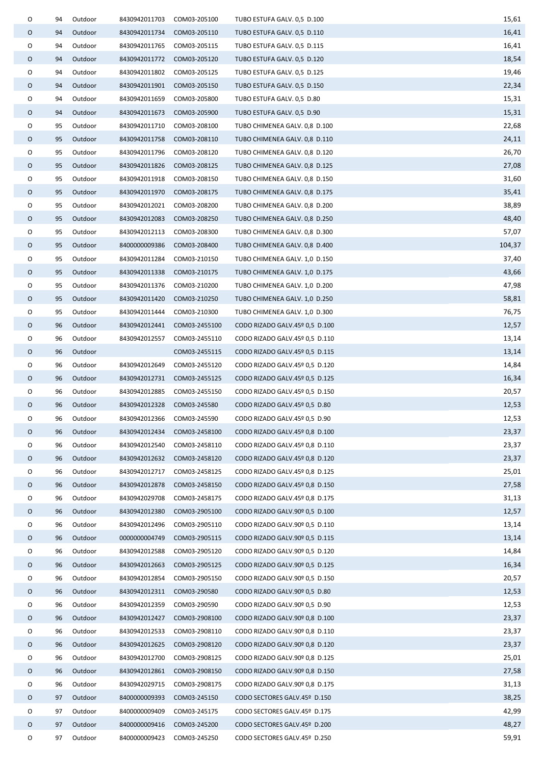| 0 | 94 | Outdoor | 8430942011703              | COM03-205100                | TUBO ESTUFA GALV. 0,5 D.100    | 15,61  |
|---|----|---------|----------------------------|-----------------------------|--------------------------------|--------|
| 0 | 94 | Outdoor | 8430942011734              | COM03-205110                | TUBO ESTUFA GALV. 0,5 D.110    | 16,41  |
| 0 | 94 | Outdoor | 8430942011765              | COM03-205115                | TUBO ESTUFA GALV. 0,5 D.115    | 16,41  |
| 0 | 94 | Outdoor | 8430942011772              | COM03-205120                | TUBO ESTUFA GALV. 0,5 D.120    | 18,54  |
| 0 | 94 | Outdoor | 8430942011802              | COM03-205125                | TUBO ESTUFA GALV. 0,5 D.125    | 19,46  |
| O | 94 | Outdoor | 8430942011901              | COM03-205150                | TUBO ESTUFA GALV. 0,5 D.150    | 22,34  |
| 0 | 94 | Outdoor | 8430942011659              | COM03-205800                | TUBO ESTUFA GALV. 0,5 D.80     | 15,31  |
| 0 | 94 | Outdoor | 8430942011673              | COM03-205900                | TUBO ESTUFA GALV. 0,5 D.90     | 15,31  |
| 0 | 95 | Outdoor | 8430942011710              | COM03-208100                | TUBO CHIMENEA GALV. 0,8 D.100  | 22,68  |
| 0 | 95 | Outdoor | 8430942011758 COM03-208110 |                             | TUBO CHIMENEA GALV. 0,8 D.110  | 24,11  |
| O | 95 | Outdoor | 8430942011796              | COM03-208120                | TUBO CHIMENEA GALV. 0,8 D.120  | 26,70  |
| 0 | 95 | Outdoor | 8430942011826 COM03-208125 |                             | TUBO CHIMENEA GALV. 0,8 D.125  | 27,08  |
| 0 | 95 | Outdoor | 8430942011918              | COM03-208150                | TUBO CHIMENEA GALV. 0,8 D.150  | 31,60  |
| O | 95 | Outdoor | 8430942011970              | COM03-208175                | TUBO CHIMENEA GALV. 0,8 D.175  | 35,41  |
| 0 | 95 | Outdoor | 8430942012021              | COM03-208200                | TUBO CHIMENEA GALV. 0,8 D.200  | 38,89  |
| 0 | 95 | Outdoor | 8430942012083              | COM03-208250                | TUBO CHIMENEA GALV. 0,8 D.250  | 48,40  |
| 0 | 95 | Outdoor | 8430942012113              | COM03-208300                | TUBO CHIMENEA GALV. 0,8 D.300  | 57,07  |
| O | 95 | Outdoor | 8400000009386              | COM03-208400                | TUBO CHIMENEA GALV. 0,8 D.400  | 104,37 |
| 0 | 95 | Outdoor | 8430942011284              | COM03-210150                | TUBO CHIMENEA GALV. 1,0 D.150  | 37,40  |
| 0 | 95 | Outdoor | 8430942011338              | COM03-210175                | TUBO CHIMENEA GALV. 1,0 D.175  | 43,66  |
| 0 | 95 | Outdoor | 8430942011376              | COM03-210200                | TUBO CHIMENEA GALV. 1,0 D.200  | 47,98  |
| O | 95 | Outdoor | 8430942011420              | COM03-210250                | TUBO CHIMENEA GALV. 1,0 D.250  | 58,81  |
| 0 | 95 | Outdoor | 8430942011444              | COM03-210300                | TUBO CHIMENEA GALV. 1,0 D.300  | 76,75  |
| 0 | 96 | Outdoor | 8430942012441              | COM03-2455100               | CODO RIZADO GALV.45º 0,5 D.100 | 12,57  |
| O | 96 | Outdoor | 8430942012557              | COM03-2455110               | CODO RIZADO GALV.45º 0,5 D.110 | 13,14  |
| 0 | 96 | Outdoor |                            | COM03-2455115               | CODO RIZADO GALV.45º 0,5 D.115 | 13,14  |
| 0 | 96 | Outdoor | 8430942012649              | COM03-2455120               | CODO RIZADO GALV.45º 0,5 D.120 | 14,84  |
| 0 | 96 | Outdoor |                            | 8430942012731 COM03-2455125 | CODO RIZADO GALV.45º 0,5 D.125 | 16,34  |
| O | 96 | Outdoor | 8430942012885              | COM03-2455150               | CODO RIZADO GALV.45º 0,5 D.150 | 20,57  |
| O | 96 | Outdoor | 8430942012328              | COM03-245580                | CODO RIZADO GALV.45º 0,5 D.80  | 12,53  |
| O | 96 | Outdoor | 8430942012366              | COM03-245590                | CODO RIZADO GALV.45º 0,5 D.90  | 12,53  |
| O | 96 | Outdoor | 8430942012434              | COM03-2458100               | CODO RIZADO GALV.45º 0,8 D.100 | 23,37  |
| 0 | 96 | Outdoor | 8430942012540              | COM03-2458110               | CODO RIZADO GALV.45º 0,8 D.110 | 23,37  |
| O | 96 | Outdoor | 8430942012632              | COM03-2458120               | CODO RIZADO GALV.45º 0,8 D.120 | 23,37  |
| 0 | 96 | Outdoor | 8430942012717              | COM03-2458125               | CODO RIZADO GALV.45º 0,8 D.125 | 25,01  |
| O | 96 | Outdoor | 8430942012878              | COM03-2458150               | CODO RIZADO GALV.45º 0,8 D.150 | 27,58  |
| 0 | 96 | Outdoor | 8430942029708              | COM03-2458175               | CODO RIZADO GALV.45º 0,8 D.175 | 31,13  |
| O | 96 | Outdoor | 8430942012380              | COM03-2905100               | CODO RIZADO GALV.90º 0,5 D.100 | 12,57  |
| 0 | 96 | Outdoor | 8430942012496              | COM03-2905110               | CODO RIZADO GALV.90º 0,5 D.110 | 13,14  |
| O | 96 | Outdoor | 0000000004749              | COM03-2905115               | CODO RIZADO GALV.90º 0,5 D.115 | 13,14  |
| 0 | 96 | Outdoor | 8430942012588              | COM03-2905120               | CODO RIZADO GALV.90º 0,5 D.120 | 14,84  |
| O | 96 | Outdoor | 8430942012663              | COM03-2905125               | CODO RIZADO GALV.90º 0,5 D.125 | 16,34  |
| 0 | 96 | Outdoor | 8430942012854              | COM03-2905150               | CODO RIZADO GALV.90º 0,5 D.150 | 20,57  |
| 0 | 96 | Outdoor | 8430942012311 COM03-290580 |                             | CODO RIZADO GALV.90º 0,5 D.80  | 12,53  |
| O | 96 | Outdoor | 8430942012359              | COM03-290590                | CODO RIZADO GALV.90º 0,5 D.90  | 12,53  |
| O | 96 | Outdoor | 8430942012427              | COM03-2908100               | CODO RIZADO GALV.90º 0,8 D.100 | 23,37  |
| 0 | 96 | Outdoor | 8430942012533              | COM03-2908110               | CODO RIZADO GALV.90º 0,8 D.110 | 23,37  |
| O | 96 | Outdoor | 8430942012625              | COM03-2908120               | CODO RIZADO GALV.90º 0,8 D.120 | 23,37  |
| 0 | 96 | Outdoor | 8430942012700              | COM03-2908125               | CODO RIZADO GALV.90º 0,8 D.125 | 25,01  |
| O | 96 | Outdoor | 8430942012861              | COM03-2908150               | CODO RIZADO GALV.90º 0,8 D.150 | 27,58  |
| 0 | 96 | Outdoor | 8430942029715              | COM03-2908175               | CODO RIZADO GALV.90º 0,8 D.175 | 31,13  |
| O | 97 | Outdoor | 8400000009393              | COM03-245150                | CODO SECTORES GALV.45º D.150   | 38,25  |
| 0 | 97 | Outdoor | 8400000009409              | COM03-245175                | CODO SECTORES GALV.45º D.175   | 42,99  |
| O | 97 | Outdoor | 8400000009416              | COM03-245200                | CODO SECTORES GALV.45º D.200   | 48,27  |
| O | 97 | Outdoor | 8400000009423              | COM03-245250                | CODO SECTORES GALV.45º D.250   | 59,91  |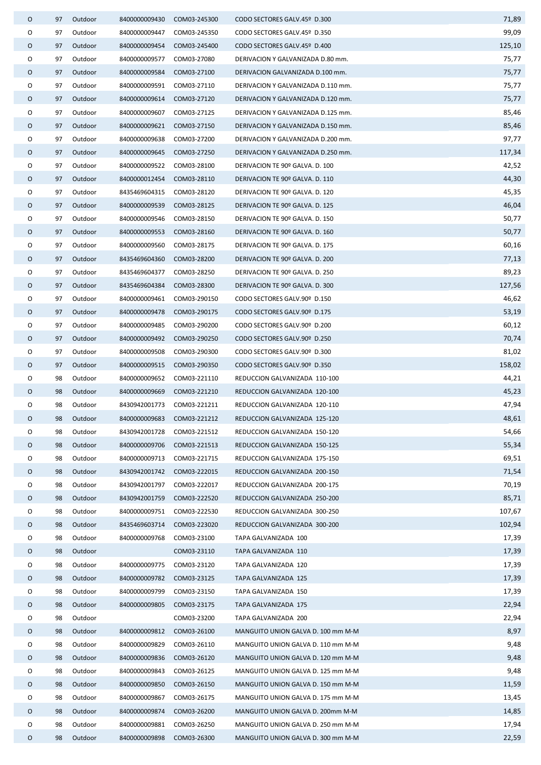| 0 | 97 | Outdoor | 8400000009430             | COM03-245300               | CODO SECTORES GALV.45º D.300       | 71,89  |
|---|----|---------|---------------------------|----------------------------|------------------------------------|--------|
| O | 97 | Outdoor | 8400000009447             | COM03-245350               | CODO SECTORES GALV.45º D.350       | 99,09  |
| O | 97 | Outdoor | 8400000009454             | COM03-245400               | CODO SECTORES GALV.45º D.400       | 125,10 |
| O | 97 | Outdoor | 8400000009577             | COM03-27080                | DERIVACION Y GALVANIZADA D.80 mm.  | 75,77  |
| 0 | 97 | Outdoor | 8400000009584             | COM03-27100                | DERIVACION GALVANIZADA D.100 mm.   | 75,77  |
| O | 97 | Outdoor | 8400000009591             | COM03-27110                | DERIVACION Y GALVANIZADA D.110 mm. | 75,77  |
| 0 | 97 | Outdoor | 8400000009614             | COM03-27120                | DERIVACION Y GALVANIZADA D.120 mm. | 75,77  |
| O | 97 | Outdoor | 8400000009607             | COM03-27125                | DERIVACION Y GALVANIZADA D.125 mm. | 85,46  |
| 0 | 97 | Outdoor | 8400000009621 COM03-27150 |                            | DERIVACION Y GALVANIZADA D.150 mm. | 85,46  |
| 0 | 97 | Outdoor | 8400000009638             | COM03-27200                | DERIVACION Y GALVANIZADA D.200 mm. | 97,77  |
| O | 97 | Outdoor | 8400000009645             | COM03-27250                | DERIVACION Y GALVANIZADA D.250 mm. | 117,34 |
| 0 | 97 | Outdoor | 8400000009522             | COM03-28100                | DERIVACION TE 90º GALVA. D. 100    | 42,52  |
| O | 97 | Outdoor | 8400000012454             | COM03-28110                | DERIVACION TE 90º GALVA. D. 110    | 44,30  |
| 0 | 97 | Outdoor | 8435469604315             | COM03-28120                | DERIVACION TE 90º GALVA. D. 120    | 45,35  |
| 0 | 97 | Outdoor | 8400000009539             | COM03-28125                | DERIVACION TE 90º GALVA. D. 125    | 46,04  |
| 0 | 97 | Outdoor | 8400000009546             | COM03-28150                | DERIVACION TE 90º GALVA. D. 150    | 50,77  |
| 0 | 97 | Outdoor | 8400000009553             | COM03-28160                | DERIVACION TE 90º GALVA. D. 160    | 50,77  |
| 0 | 97 | Outdoor | 8400000009560             | COM03-28175                | DERIVACION TE 90º GALVA. D. 175    | 60,16  |
| 0 | 97 | Outdoor | 8435469604360             | COM03-28200                | DERIVACION TE 90º GALVA. D. 200    | 77,13  |
| O | 97 | Outdoor | 8435469604377             | COM03-28250                | DERIVACION TE 90º GALVA. D. 250    | 89,23  |
| 0 | 97 | Outdoor | 8435469604384             | COM03-28300                | DERIVACION TE 90º GALVA. D. 300    | 127,56 |
| 0 | 97 | Outdoor | 8400000009461             | COM03-290150               | CODO SECTORES GALV.90º D.150       | 46,62  |
| 0 | 97 | Outdoor | 8400000009478             | COM03-290175               | CODO SECTORES GALV.90º D.175       | 53,19  |
| O | 97 | Outdoor | 8400000009485             | COM03-290200               | CODO SECTORES GALV.90º D.200       | 60,12  |
| 0 | 97 | Outdoor | 8400000009492             | COM03-290250               | CODO SECTORES GALV.90º D.250       | 70,74  |
| O | 97 | Outdoor | 8400000009508             | COM03-290300               | CODO SECTORES GALV.90º D.300       | 81,02  |
| 0 | 97 | Outdoor | 8400000009515             | COM03-290350               | CODO SECTORES GALV.90º D.350       | 158,02 |
| 0 | 98 | Outdoor | 8400000009652             | COM03-221110               | REDUCCION GALVANIZADA 110-100      | 44,21  |
| O | 98 | Outdoor | 8400000009669             | COM03-221210               | REDUCCION GALVANIZADA 120-100      | 45,23  |
| 0 | 98 | Outdoor | 8430942001773             | COM03-221211               | REDUCCION GALVANIZADA 120-110      | 47,94  |
| ∩ | 98 | Outdoor |                           | 8400000009683 COM03-221212 | REDUCCION GALVANIZADA 125-120      | 48,61  |
| 0 | 98 | Outdoor | 8430942001728             | COM03-221512               | REDUCCION GALVANIZADA 150-120      | 54,66  |
| O | 98 | Outdoor | 8400000009706             | COM03-221513               | REDUCCION GALVANIZADA 150-125      | 55,34  |
| 0 | 98 | Outdoor | 8400000009713             | COM03-221715               | REDUCCION GALVANIZADA 175-150      | 69,51  |
| O | 98 | Outdoor | 8430942001742             | COM03-222015               | REDUCCION GALVANIZADA 200-150      | 71,54  |
| O | 98 | Outdoor | 8430942001797             | COM03-222017               | REDUCCION GALVANIZADA 200-175      | 70,19  |
| O | 98 | Outdoor | 8430942001759             | COM03-222520               | REDUCCION GALVANIZADA 250-200      | 85,71  |
| O | 98 | Outdoor | 8400000009751             | COM03-222530               | REDUCCION GALVANIZADA 300-250      | 107,67 |
| 0 | 98 | Outdoor | 8435469603714             | COM03-223020               | REDUCCION GALVANIZADA 300-200      | 102,94 |
| 0 | 98 | Outdoor | 8400000009768             | COM03-23100                | TAPA GALVANIZADA 100               | 17,39  |
| 0 | 98 | Outdoor |                           | COM03-23110                | TAPA GALVANIZADA 110               | 17,39  |
| 0 | 98 | Outdoor | 8400000009775             | COM03-23120                | TAPA GALVANIZADA 120               | 17,39  |
| 0 | 98 | Outdoor | 8400000009782             | COM03-23125                | TAPA GALVANIZADA 125               | 17,39  |
| 0 | 98 | Outdoor | 8400000009799             | COM03-23150                | TAPA GALVANIZADA 150               | 17,39  |
| O | 98 | Outdoor | 8400000009805             | COM03-23175                | TAPA GALVANIZADA 175               | 22,94  |
| 0 | 98 | Outdoor |                           | COM03-23200                | TAPA GALVANIZADA 200               | 22,94  |
| 0 | 98 | Outdoor | 8400000009812             | COM03-26100                | MANGUITO UNION GALVA D. 100 mm M-M | 8,97   |
| 0 | 98 | Outdoor | 8400000009829             | COM03-26110                | MANGUITO UNION GALVA D. 110 mm M-M | 9,48   |
| O | 98 | Outdoor | 8400000009836             | COM03-26120                | MANGUITO UNION GALVA D. 120 mm M-M | 9,48   |
| 0 | 98 | Outdoor | 8400000009843             | COM03-26125                | MANGUITO UNION GALVA D. 125 mm M-M | 9,48   |
| O | 98 | Outdoor | 8400000009850             | COM03-26150                | MANGUITO UNION GALVA D. 150 mm M-M | 11,59  |
| 0 | 98 | Outdoor | 8400000009867             | COM03-26175                | MANGUITO UNION GALVA D. 175 mm M-M | 13,45  |
| 0 | 98 | Outdoor | 8400000009874             | COM03-26200                | MANGUITO UNION GALVA D. 200mm M-M  | 14,85  |
| O | 98 | Outdoor | 8400000009881             | COM03-26250                | MANGUITO UNION GALVA D. 250 mm M-M | 17,94  |
| 0 | 98 | Outdoor | 8400000009898             | COM03-26300                | MANGUITO UNION GALVA D. 300 mm M-M | 22,59  |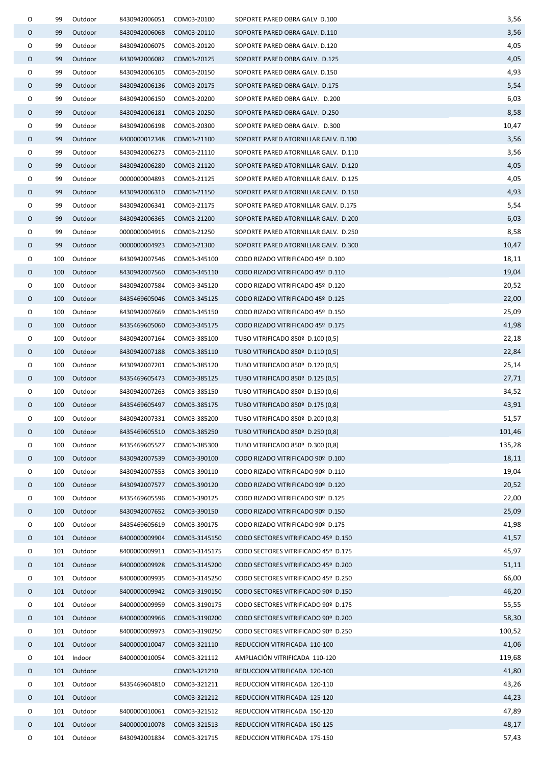| 0       | 99         | Outdoor            | 8430942006051             | COM03-20100                 | SOPORTE PARED OBRA GALV D.100        | 3,56            |
|---------|------------|--------------------|---------------------------|-----------------------------|--------------------------------------|-----------------|
| 0       | 99         | Outdoor            | 8430942006068             | COM03-20110                 | SOPORTE PARED OBRA GALV. D.110       | 3,56            |
| O       | 99         | Outdoor            | 8430942006075             | COM03-20120                 | SOPORTE PARED OBRA GALV. D.120       | 4,05            |
| 0       | 99         | Outdoor            | 8430942006082             | COM03-20125                 | SOPORTE PARED OBRA GALV. D.125       | 4,05            |
| O       | 99         | Outdoor            | 8430942006105             | COM03-20150                 | SOPORTE PARED OBRA GALV. D.150       | 4,93            |
| 0       | 99         | Outdoor            | 8430942006136             | COM03-20175                 | SOPORTE PARED OBRA GALV. D.175       | 5,54            |
| O       | 99         | Outdoor            | 8430942006150             | COM03-20200                 | SOPORTE PARED OBRA GALV. D.200       | 6,03            |
| 0       | 99         | Outdoor            | 8430942006181             | COM03-20250                 | SOPORTE PARED OBRA GALV. D.250       | 8,58            |
| 0       | 99         | Outdoor            | 8430942006198             | COM03-20300                 | SOPORTE PARED OBRA GALV. D.300       | 10,47           |
| 0       | 99         | Outdoor            | 8400000012348 COM03-21100 |                             | SOPORTE PARED ATORNILLAR GALV. D.100 | 3,56            |
| O       | 99         | Outdoor            | 8430942006273             | COM03-21110                 | SOPORTE PARED ATORNILLAR GALV. D.110 | 3,56            |
| 0       | 99         | Outdoor            | 8430942006280 COM03-21120 |                             | SOPORTE PARED ATORNILLAR GALV. D.120 | 4,05            |
| O       | 99         | Outdoor            | 0000000004893             | COM03-21125                 | SOPORTE PARED ATORNILLAR GALV. D.125 | 4,05            |
| 0       | 99         | Outdoor            | 8430942006310             | COM03-21150                 | SOPORTE PARED ATORNILLAR GALV. D.150 | 4,93            |
| 0       | 99         | Outdoor            | 8430942006341             | COM03-21175                 | SOPORTE PARED ATORNILLAR GALV. D.175 | 5,54            |
| 0       | 99         | Outdoor            | 8430942006365             | COM03-21200                 | SOPORTE PARED ATORNILLAR GALV. D.200 | 6,03            |
| 0       | 99         | Outdoor            | 0000000004916             | COM03-21250                 | SOPORTE PARED ATORNILLAR GALV. D.250 | 8,58            |
| $\circ$ | 99         | Outdoor            | 0000000004923             | COM03-21300                 | SOPORTE PARED ATORNILLAR GALV. D.300 | 10,47           |
| 0       | 100        | Outdoor            | 8430942007546             | COM03-345100                | CODO RIZADO VITRIFICADO 45º D.100    | 18,11           |
| 0       | 100        | Outdoor            | 8430942007560             | COM03-345110                | CODO RIZADO VITRIFICADO 45º D.110    | 19,04           |
| 0       | 100        | Outdoor            | 8430942007584             | COM03-345120                | CODO RIZADO VITRIFICADO 45º D.120    | 20,52           |
| 0       | 100        | Outdoor            | 8435469605046             | COM03-345125                | CODO RIZADO VITRIFICADO 45º D.125    | 22,00           |
| 0       | 100        | Outdoor            | 8430942007669             | COM03-345150                | CODO RIZADO VITRIFICADO 45º D.150    | 25,09           |
| 0       | 100        | Outdoor            | 8435469605060             | COM03-345175                | CODO RIZADO VITRIFICADO 45º D.175    | 41,98           |
| O       | 100        | Outdoor            | 8430942007164             | COM03-385100                | TUBO VITRIFICADO 850º D.100 (0,5)    | 22,18           |
| 0       | 100        | Outdoor            | 8430942007188             | COM03-385110                | TUBO VITRIFICADO 850º D.110 (0,5)    | 22,84           |
| 0       | 100        | Outdoor            | 8430942007201             | COM03-385120                | TUBO VITRIFICADO 850º D.120 (0,5)    | 25,14           |
| 0       | 100        | Outdoor            |                           | 8435469605473 COM03-385125  | TUBO VITRIFICADO 850º D.125 (0,5)    | 27,71           |
| O       | 100        | Outdoor            | 8430942007263             | COM03-385150                | TUBO VITRIFICADO 850º D.150 (0,6)    | 34,52           |
| O       | 100        | Outdoor            | 8435469605497             | COM03-385175                | TUBO VITRIFICADO 850º D.175 (0,8)    | 43,91           |
| O       |            | 100 Outdoor        |                           | 8430942007331 COM03-385200  | TUBO VITRIFICADO 850º D.200 (0,8)    | 51,57           |
| 0       | 100        | Outdoor            | 8435469605510             | COM03-385250                | TUBO VITRIFICADO 850º D.250 (0,8)    | 101,46          |
| O       | 100        | Outdoor            | 8435469605527             | COM03-385300                | TUBO VITRIFICADO 850º D.300 (0,8)    | 135,28          |
| $\circ$ | 100        | Outdoor            | 8430942007539             | COM03-390100                | CODO RIZADO VITRIFICADO 90º D.100    | 18,11           |
| 0       | 100        | Outdoor            | 8430942007553             | COM03-390110                | CODO RIZADO VITRIFICADO 90º D.110    | 19,04           |
| 0       | 100        | Outdoor            | 8430942007577             | COM03-390120                | CODO RIZADO VITRIFICADO 90º D.120    | 20,52           |
| 0       | 100        | Outdoor            | 8435469605596             | COM03-390125                | CODO RIZADO VITRIFICADO 90º D.125    | 22,00           |
| 0       | 100        | Outdoor            | 8430942007652             | COM03-390150                | CODO RIZADO VITRIFICADO 90º D.150    | 25,09           |
| 0       | 100        | Outdoor            | 8435469605619             | COM03-390175                | CODO RIZADO VITRIFICADO 90º D.175    | 41,98           |
| 0       | 101        | Outdoor            | 8400000009904             | COM03-3145150               | CODO SECTORES VITRIFICADO 45º D.150  | 41,57           |
| O       | 101        | Outdoor            | 8400000009911             | COM03-3145175               | CODO SECTORES VITRIFICADO 45º D.175  | 45,97           |
| 0       | 101        | Outdoor            | 8400000009928             | COM03-3145200               | CODO SECTORES VITRIFICADO 45º D.200  | 51,11           |
| 0       | 101        | Outdoor            | 8400000009935             | COM03-3145250               | CODO SECTORES VITRIFICADO 45º D.250  | 66,00           |
| O       |            | 101 Outdoor        |                           | 8400000009942 COM03-3190150 | CODO SECTORES VITRIFICADO 90º D.150  | 46,20           |
| 0       | 101        | Outdoor            | 8400000009959             | COM03-3190175               | CODO SECTORES VITRIFICADO 90º D.175  | 55,55           |
| 0       |            | 101 Outdoor        | 8400000009966             | COM03-3190200               | CODO SECTORES VITRIFICADO 90º D.200  | 58,30           |
| 0       | 101        | Outdoor            | 8400000009973             | COM03-3190250               | CODO SECTORES VITRIFICADO 90º D.250  | 100,52          |
|         |            |                    |                           |                             |                                      |                 |
| 0<br>0  | 101        | Outdoor            | 8400000010047             | COM03-321110                | REDUCCION VITRIFICADA 110-100        | 41,06<br>119,68 |
|         | 101        | Indoor             | 8400000010054             | COM03-321112                | AMPLIACIÓN VITRIFICADA 110-120       | 41,80           |
| 0       | 101        | Outdoor            |                           | COM03-321210                | REDUCCION VITRIFICADA 120-100        |                 |
| 0       | 101<br>101 | Outdoor<br>Outdoor | 8435469604810             | COM03-321211                | REDUCCION VITRIFICADA 120-110        | 43,26<br>44,23  |
| 0<br>0  |            |                    |                           | COM03-321212                | REDUCCION VITRIFICADA 125-120        |                 |
|         | 101        | Outdoor            | 8400000010061             | COM03-321512                | REDUCCION VITRIFICADA 150-120        | 47,89           |
| 0       | 101        | Outdoor            | 8400000010078             | COM03-321513                | REDUCCION VITRIFICADA 150-125        | 48,17           |
| 0       | 101        | Outdoor            | 8430942001834             | COM03-321715                | REDUCCION VITRIFICADA 175-150        | 57,43           |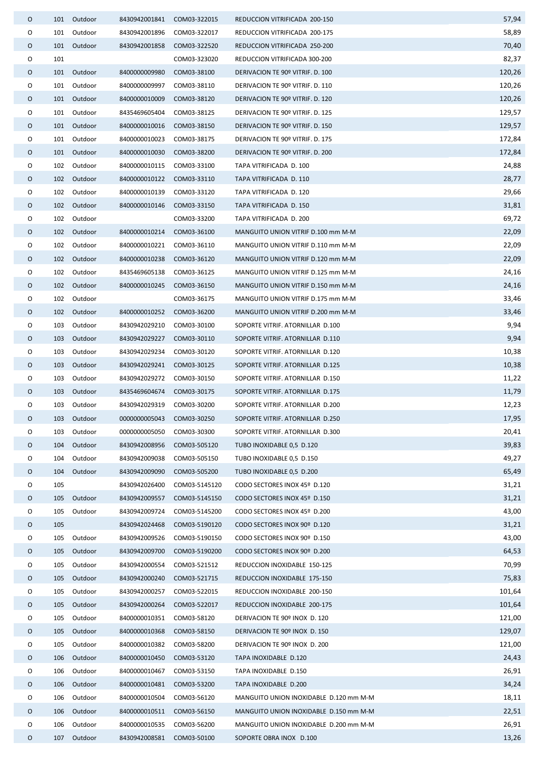| 0 |     | 101 Outdoor | 8430942001841             | COM03-322015  | REDUCCION VITRIFICADA 200-150          | 57,94  |
|---|-----|-------------|---------------------------|---------------|----------------------------------------|--------|
| 0 | 101 | Outdoor     | 8430942001896             | COM03-322017  | REDUCCION VITRIFICADA 200-175          | 58,89  |
| 0 |     | 101 Outdoor | 8430942001858             | COM03-322520  | REDUCCION VITRIFICADA 250-200          | 70,40  |
| 0 | 101 |             |                           | COM03-323020  | REDUCCION VITRIFICADA 300-200          | 82,37  |
| 0 |     | 101 Outdoor | 8400000009980             | COM03-38100   | DERIVACION TE 90º VITRIF. D. 100       | 120,26 |
| 0 |     | 101 Outdoor | 8400000009997             | COM03-38110   | DERIVACION TE 90º VITRIF. D. 110       | 120,26 |
| 0 |     | 101 Outdoor | 8400000010009             | COM03-38120   | DERIVACION TE 90º VITRIF. D. 120       | 120,26 |
| 0 |     | 101 Outdoor | 8435469605404             | COM03-38125   | DERIVACION TE 90º VITRIF. D. 125       | 129,57 |
| 0 |     | 101 Outdoor | 8400000010016             | COM03-38150   | DERIVACION TE 90º VITRIF. D. 150       | 129,57 |
| 0 |     | 101 Outdoor | 8400000010023             | COM03-38175   | DERIVACION TE 90º VITRIF. D. 175       | 172,84 |
| 0 |     | 101 Outdoor | 8400000010030             | COM03-38200   | DERIVACION TE 90º VITRIF. D. 200       | 172,84 |
| O |     | 102 Outdoor | 8400000010115             | COM03-33100   | TAPA VITRIFICADA D. 100                | 24,88  |
| 0 | 102 | Outdoor     | 8400000010122             | COM03-33110   | TAPA VITRIFICADA D. 110                | 28,77  |
| 0 |     | 102 Outdoor | 8400000010139             | COM03-33120   | TAPA VITRIFICADA D. 120                | 29,66  |
| 0 |     | 102 Outdoor | 8400000010146             | COM03-33150   | TAPA VITRIFICADA D. 150                | 31,81  |
| 0 |     | 102 Outdoor |                           | COM03-33200   | TAPA VITRIFICADA D. 200                | 69,72  |
| 0 |     | 102 Outdoor | 8400000010214             | COM03-36100   | MANGUITO UNION VITRIF D.100 mm M-M     | 22,09  |
| O | 102 | Outdoor     | 8400000010221             | COM03-36110   | MANGUITO UNION VITRIF D.110 mm M-M     | 22,09  |
| 0 |     | 102 Outdoor | 8400000010238             | COM03-36120   | MANGUITO UNION VITRIF D.120 mm M-M     | 22,09  |
| O | 102 | Outdoor     | 8435469605138             | COM03-36125   | MANGUITO UNION VITRIF D.125 mm M-M     | 24,16  |
| 0 |     | 102 Outdoor | 8400000010245             | COM03-36150   | MANGUITO UNION VITRIF D.150 mm M-M     | 24,16  |
| O | 102 | Outdoor     |                           | COM03-36175   | MANGUITO UNION VITRIF D.175 mm M-M     | 33,46  |
| O |     | 102 Outdoor | 8400000010252 COM03-36200 |               | MANGUITO UNION VITRIF D.200 mm M-M     | 33,46  |
| 0 | 103 | Outdoor     | 8430942029210             | COM03-30100   | SOPORTE VITRIF. ATORNILLAR D.100       | 9,94   |
| 0 | 103 | Outdoor     | 8430942029227 COM03-30110 |               | SOPORTE VITRIF. ATORNILLAR D.110       | 9,94   |
| 0 | 103 | Outdoor     | 8430942029234             | COM03-30120   | SOPORTE VITRIF. ATORNILLAR D.120       | 10,38  |
| O | 103 | Outdoor     | 8430942029241             | COM03-30125   | SOPORTE VITRIF. ATORNILLAR D.125       | 10,38  |
| O | 103 | Outdoor     | 8430942029272             | COM03-30150   | SOPORTE VITRIF. ATORNILLAR D.150       | 11,22  |
| 0 | 103 | Outdoor     | 8435469604674             | COM03-30175   | SOPORTE VITRIF. ATORNILLAR D.175       | 11,79  |
| 0 |     | 103 Outdoor | 8430942029319             | COM03-30200   | SOPORTE VITRIF, ATORNILLAR D.200       | 12,23  |
| 0 |     | 103 Outdoor | 0000000005043 COM03-30250 |               | SOPORTE VITRIF, ATORNILLAR D.250       | 17,95  |
| 0 | 103 | Outdoor     | 0000000005050             | COM03-30300   | SOPORTE VITRIF. ATORNILLAR D.300       | 20,41  |
| O | 104 | Outdoor     | 8430942008956             | COM03-505120  | TUBO INOXIDABLE 0,5 D.120              | 39,83  |
| O | 104 | Outdoor     | 8430942009038             | COM03-505150  | TUBO INOXIDABLE 0,5 D.150              | 49,27  |
| O | 104 | Outdoor     | 8430942009090             | COM03-505200  | TUBO INOXIDABLE 0,5 D.200              | 65,49  |
| O | 105 |             | 8430942026400             | COM03-5145120 | CODO SECTORES INOX 45º D.120           | 31,21  |
| O | 105 | Outdoor     | 8430942009557             | COM03-5145150 | CODO SECTORES INOX 45º D.150           | 31,21  |
| 0 | 105 | Outdoor     | 8430942009724             | COM03-5145200 | CODO SECTORES INOX 45º D.200           | 43,00  |
| O | 105 |             | 8430942024468             | COM03-5190120 | CODO SECTORES INOX 90º D.120           | 31,21  |
| O | 105 | Outdoor     | 8430942009526             | COM03-5190150 | CODO SECTORES INOX 90º D.150           | 43,00  |
| 0 | 105 | Outdoor     | 8430942009700             | COM03-5190200 | CODO SECTORES INOX 90º D.200           | 64,53  |
| 0 | 105 | Outdoor     | 8430942000554             | COM03-521512  | REDUCCION INOXIDABLE 150-125           | 70,99  |
| O | 105 | Outdoor     | 8430942000240             | COM03-521715  | REDUCCION INOXIDABLE 175-150           | 75,83  |
| 0 | 105 | Outdoor     | 8430942000257             | COM03-522015  | REDUCCION INOXIDABLE 200-150           | 101,64 |
| O | 105 | Outdoor     | 8430942000264             | COM03-522017  | REDUCCION INOXIDABLE 200-175           | 101,64 |
| 0 | 105 | Outdoor     | 8400000010351             | COM03-58120   | DERIVACION TE 90º INOX D. 120          | 121,00 |
| O | 105 | Outdoor     | 8400000010368             | COM03-58150   | DERIVACION TE 90º INOX D. 150          | 129,07 |
| O | 105 | Outdoor     | 8400000010382             | COM03-58200   | DERIVACION TE 90º INOX D. 200          | 121,00 |
| O | 106 | Outdoor     | 8400000010450             | COM03-53120   | TAPA INOXIDABLE D.120                  | 24,43  |
| O | 106 | Outdoor     | 8400000010467             | COM03-53150   | TAPA INOXIDABLE D.150                  | 26,91  |
| O | 106 | Outdoor     | 8400000010481             | COM03-53200   | TAPA INOXIDABLE D.200                  | 34,24  |
| 0 | 106 | Outdoor     | 8400000010504             | COM03-56120   | MANGUITO UNION INOXIDABLE D.120 mm M-M | 18,11  |
| O | 106 | Outdoor     | 8400000010511             | COM03-56150   | MANGUITO UNION INOXIDABLE D.150 mm M-M | 22,51  |
| O | 106 | Outdoor     | 8400000010535             | COM03-56200   | MANGUITO UNION INOXIDABLE D.200 mm M-M | 26,91  |
| O | 107 | Outdoor     | 8430942008581             | COM03-50100   | SOPORTE OBRA INOX D.100                | 13,26  |
|   |     |             |                           |               |                                        |        |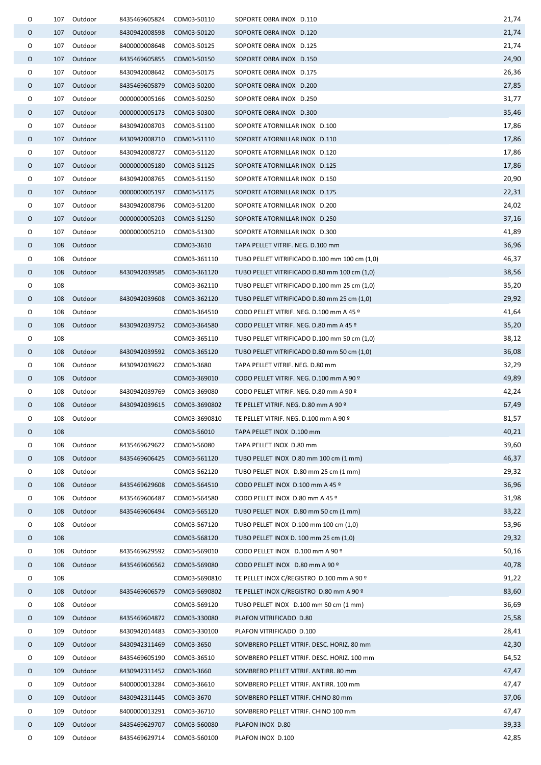| 0 |     | 107 Outdoor | 8435469605824             | COM03-50110   | SOPORTE OBRA INOX D.110                       | 21,74 |
|---|-----|-------------|---------------------------|---------------|-----------------------------------------------|-------|
| 0 |     | 107 Outdoor | 8430942008598             | COM03-50120   | SOPORTE OBRA INOX D.120                       | 21,74 |
| 0 | 107 | Outdoor     | 8400000008648             | COM03-50125   | SOPORTE OBRA INOX D.125                       | 21,74 |
| 0 |     | 107 Outdoor | 8435469605855             | COM03-50150   | SOPORTE OBRA INOX D.150                       | 24,90 |
| 0 | 107 | Outdoor     | 8430942008642             | COM03-50175   | SOPORTE OBRA INOX D.175                       | 26,36 |
| 0 |     | 107 Outdoor | 8435469605879             | COM03-50200   | SOPORTE OBRA INOX D.200                       | 27,85 |
| O | 107 | Outdoor     | 0000000005166             | COM03-50250   | SOPORTE OBRA INOX D.250                       | 31,77 |
| 0 |     | 107 Outdoor | 0000000005173             | COM03-50300   | SOPORTE OBRA INOX D.300                       | 35,46 |
| O | 107 | Outdoor     | 8430942008703             | COM03-51100   | SOPORTE ATORNILLAR INOX D.100                 | 17,86 |
| 0 |     | 107 Outdoor | 8430942008710 COM03-51110 |               | SOPORTE ATORNILLAR INOX D.110                 | 17,86 |
| O | 107 | Outdoor     | 8430942008727             | COM03-51120   | SOPORTE ATORNILLAR INOX D.120                 | 17,86 |
| 0 |     | 107 Outdoor |                           |               | SOPORTE ATORNILLAR INOX D.125                 | 17,86 |
| 0 | 107 | Outdoor     | 8430942008765             | COM03-51150   | SOPORTE ATORNILLAR INOX D.150                 | 20,90 |
| O | 107 | Outdoor     | 0000000005197             | COM03-51175   | SOPORTE ATORNILLAR INOX D.175                 | 22,31 |
| 0 | 107 | Outdoor     | 8430942008796             | COM03-51200   | SOPORTE ATORNILLAR INOX D.200                 | 24,02 |
| 0 | 107 | Outdoor     | 0000000005203             | COM03-51250   | SOPORTE ATORNILLAR INOX D.250                 | 37,16 |
| O | 107 | Outdoor     | 0000000005210             | COM03-51300   | SOPORTE ATORNILLAR INOX D.300                 | 41,89 |
| O | 108 | Outdoor     |                           | COM03-3610    | TAPA PELLET VITRIF. NEG. D.100 mm             | 36,96 |
| 0 | 108 | Outdoor     |                           | COM03-361110  | TUBO PELLET VITRIFICADO D.100 mm 100 cm (1,0) | 46,37 |
| 0 |     | 108 Outdoor | 8430942039585             | COM03-361120  | TUBO PELLET VITRIFICADO D.80 mm 100 cm (1,0)  | 38,56 |
| 0 | 108 |             |                           | COM03-362110  | TUBO PELLET VITRIFICADO D.100 mm 25 cm (1,0)  | 35,20 |
| 0 | 108 | Outdoor     | 8430942039608             | COM03-362120  | TUBO PELLET VITRIFICADO D.80 mm 25 cm (1,0)   | 29,92 |
| 0 | 108 | Outdoor     |                           | COM03-364510  | CODO PELLET VITRIF. NEG. D.100 mm A 45 º      | 41,64 |
| 0 | 108 | Outdoor     | 8430942039752             | COM03-364580  | CODO PELLET VITRIF. NEG. D.80 mm A 45 º       | 35,20 |
| O | 108 |             |                           | COM03-365110  | TUBO PELLET VITRIFICADO D.100 mm 50 cm (1,0)  | 38,12 |
| 0 | 108 | Outdoor     | 8430942039592             | COM03-365120  | TUBO PELLET VITRIFICADO D.80 mm 50 cm (1,0)   | 36,08 |
| O | 108 | Outdoor     | 8430942039622             | COM03-3680    | TAPA PELLET VITRIF. NEG. D.80 mm              | 32,29 |
| 0 | 108 | Outdoor     |                           | COM03-369010  | CODO PELLET VITRIF. NEG. D.100 mm A 90 º      | 49,89 |
| O | 108 | Outdoor     | 8430942039769             | COM03-369080  | CODO PELLET VITRIF. NEG. D.80 mm A 90 º       | 42,24 |
| O | 108 | Outdoor     | 8430942039615             | COM03-3690802 | TE PELLET VITRIF. NEG. D.80 mm A 90 º         | 67,49 |
| O |     | 108 Outdoor |                           | COM03-3690810 | TE PELLET VITRIF. NEG. D.100 mm A 90 º        | 81,57 |
| O | 108 |             |                           | COM03-56010   | TAPA PELLET INOX D.100 mm                     | 40,21 |
| O | 108 | Outdoor     | 8435469629622             | COM03-56080   | TAPA PELLET INOX D.80 mm                      | 39,60 |
| O | 108 | Outdoor     | 8435469606425             | COM03-561120  | TUBO PELLET INOX D.80 mm 100 cm (1 mm)        | 46,37 |
| 0 | 108 | Outdoor     |                           | COM03-562120  | TUBO PELLET INOX D.80 mm 25 cm (1 mm)         | 29,32 |
| O | 108 | Outdoor     | 8435469629608             | COM03-564510  | CODO PELLET INOX D.100 mm A 45 º              | 36,96 |
| 0 | 108 | Outdoor     | 8435469606487             | COM03-564580  | CODO PELLET INOX D.80 mm A 45 º               | 31,98 |
| 0 | 108 | Outdoor     | 8435469606494             | COM03-565120  | TUBO PELLET INOX D.80 mm 50 cm (1 mm)         | 33,22 |
| 0 | 108 | Outdoor     |                           | COM03-567120  | TUBO PELLET INOX D.100 mm 100 cm (1,0)        | 53,96 |
| O | 108 |             |                           | COM03-568120  | TUBO PELLET INOX D. 100 mm 25 cm (1,0)        | 29,32 |
| 0 | 108 | Outdoor     | 8435469629592             | COM03-569010  | CODO PELLET INOX D.100 mm A 90 º              | 50,16 |
| 0 | 108 | Outdoor     | 8435469606562             | COM03-569080  | CODO PELLET INOX D.80 mm A 90 º               | 40,78 |
| O | 108 |             |                           | COM03-5690810 | TE PELLET INOX C/REGISTRO D.100 mm A 90 º     | 91,22 |
| 0 | 108 | Outdoor     | 8435469606579             | COM03-5690802 | TE PELLET INOX C/REGISTRO D.80 mm A 90 º      | 83,60 |
| O | 108 | Outdoor     |                           | COM03-569120  | TUBO PELLET INOX D.100 mm 50 cm (1 mm)        | 36,69 |
| 0 | 109 | Outdoor     | 8435469604872             | COM03-330080  | PLAFON VITRIFICADO D.80                       | 25,58 |
| 0 | 109 | Outdoor     | 8430942014483             | COM03-330100  | PLAFON VITRIFICADO D.100                      | 28,41 |
| O | 109 | Outdoor     | 8430942311469             | COM03-3650    | SOMBRERO PELLET VITRIF. DESC. HORIZ. 80 mm    | 42,30 |
| 0 | 109 | Outdoor     | 8435469605190             | COM03-36510   | SOMBRERO PELLET VITRIF. DESC. HORIZ. 100 mm   | 64,52 |
| 0 | 109 | Outdoor     | 8430942311452             | COM03-3660    | SOMBRERO PELLET VITRIF. ANTIRR. 80 mm         | 47,47 |
| 0 | 109 | Outdoor     | 8400000013284             | COM03-36610   | SOMBRERO PELLET VITRIF. ANTIRR. 100 mm        | 47,47 |
| O | 109 | Outdoor     | 8430942311445             | COM03-3670    | SOMBRERO PELLET VITRIF. CHINO 80 mm           | 37,06 |
| 0 | 109 | Outdoor     | 8400000013291             | COM03-36710   | SOMBRERO PELLET VITRIF. CHINO 100 mm          | 47,47 |
| O | 109 | Outdoor     | 8435469629707             | COM03-560080  | PLAFON INOX D.80                              | 39,33 |
| O | 109 | Outdoor     | 8435469629714             | COM03-560100  | PLAFON INOX D.100                             | 42,85 |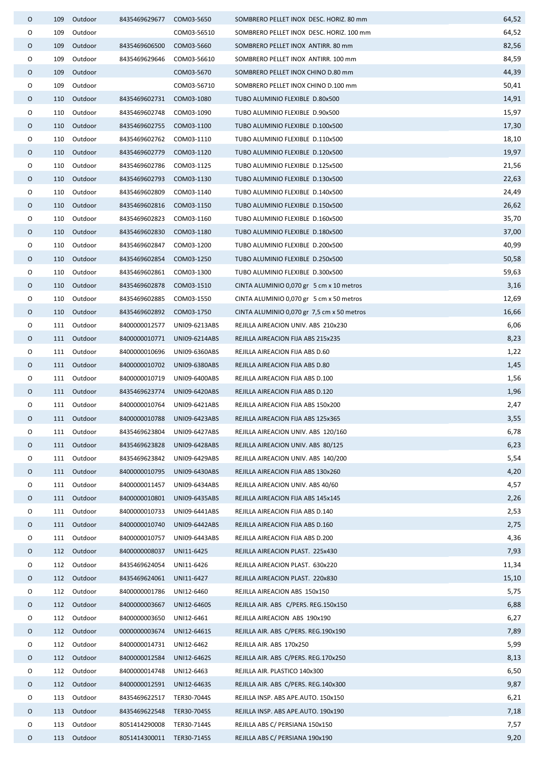| 0       | 109 | Outdoor     | 8435469629677             | COM03-5650                     | SOMBRERO PELLET INOX DESC. HORIZ. 80 mm    | 64,52 |
|---------|-----|-------------|---------------------------|--------------------------------|--------------------------------------------|-------|
| O       | 109 | Outdoor     |                           | COM03-56510                    | SOMBRERO PELLET INOX DESC. HORIZ. 100 mm   | 64,52 |
| 0       | 109 | Outdoor     | 8435469606500             | COM03-5660                     | SOMBRERO PELLET INOX ANTIRR. 80 mm         | 82,56 |
| O       | 109 | Outdoor     | 8435469629646             | COM03-56610                    | SOMBRERO PELLET INOX ANTIRR. 100 mm        | 84,59 |
| O       | 109 | Outdoor     |                           | COM03-5670                     | SOMBRERO PELLET INOX CHINO D.80 mm         | 44,39 |
| O       | 109 | Outdoor     |                           | COM03-56710                    | SOMBRERO PELLET INOX CHINO D.100 mm        | 50,41 |
| 0       | 110 | Outdoor     | 8435469602731             | COM03-1080                     | TUBO ALUMINIO FLEXIBLE D.80x500            | 14,91 |
| O       | 110 | Outdoor     | 8435469602748             | COM03-1090                     | TUBO ALUMINIO FLEXIBLE D.90x500            | 15,97 |
| O       | 110 | Outdoor     | 8435469602755             | COM03-1100                     | TUBO ALUMINIO FLEXIBLE D.100x500           | 17,30 |
| O       | 110 | Outdoor     | 8435469602762             | COM03-1110                     | TUBO ALUMINIO FLEXIBLE D.110x500           | 18,10 |
| 0       | 110 | Outdoor     | 8435469602779             | COM03-1120                     | TUBO ALUMINIO FLEXIBLE D.120x500           | 19,97 |
| 0       | 110 | Outdoor     | 8435469602786             | COM03-1125                     | TUBO ALUMINIO FLEXIBLE D.125x500           | 21,56 |
| O       | 110 | Outdoor     | 8435469602793             | COM03-1130                     | TUBO ALUMINIO FLEXIBLE D.130x500           | 22,63 |
| 0       | 110 | Outdoor     | 8435469602809             | COM03-1140                     | TUBO ALUMINIO FLEXIBLE D.140x500           | 24,49 |
| 0       |     | 110 Outdoor | 8435469602816             | COM03-1150                     | TUBO ALUMINIO FLEXIBLE D.150x500           | 26,62 |
| O       | 110 | Outdoor     | 8435469602823             | COM03-1160                     | TUBO ALUMINIO FLEXIBLE D.160x500           | 35,70 |
| O       | 110 | Outdoor     | 8435469602830             | COM03-1180                     | TUBO ALUMINIO FLEXIBLE D.180x500           | 37,00 |
| 0       | 110 | Outdoor     | 8435469602847             | COM03-1200                     | TUBO ALUMINIO FLEXIBLE D.200x500           | 40,99 |
| 0       | 110 | Outdoor     | 8435469602854             | COM03-1250                     | TUBO ALUMINIO FLEXIBLE D.250x500           | 50,58 |
| O       | 110 | Outdoor     | 8435469602861             | COM03-1300                     | TUBO ALUMINIO FLEXIBLE D.300x500           | 59,63 |
| 0       | 110 | Outdoor     | 8435469602878             | COM03-1510                     | CINTA ALUMINIO 0,070 gr 5 cm x 10 metros   | 3,16  |
| 0       | 110 | Outdoor     | 8435469602885             | COM03-1550                     | CINTA ALUMINIO 0,070 gr 5 cm x 50 metros   | 12,69 |
| 0       |     | 110 Outdoor | 8435469602892             | COM03-1750                     | CINTA ALUMINIO 0,070 gr 7,5 cm x 50 metros | 16,66 |
| O       |     | 111 Outdoor | 8400000012577             | UNI09-6213ABS                  | REJILLA AIREACION UNIV. ABS 210x230        | 6,06  |
| 0       |     | 111 Outdoor | 8400000010771             | UNI09-6214ABS                  | REJILLA AIREACION FIJA ABS 215x235         | 8,23  |
| O       |     | 111 Outdoor | 8400000010696             | UNI09-6360ABS                  | REJILLA AIREACION FIJA ABS D.60            | 1,22  |
| 0       | 111 | Outdoor     | 8400000010702             | UNI09-6380ABS                  | REJILLA AIREACION FIJA ABS D.80            | 1,45  |
| 0       |     | 111 Outdoor | 8400000010719             | UNI09-6400ABS                  | REJILLA AIREACION FIJA ABS D.100           | 1,56  |
| 0       | 111 | Outdoor     | 8435469623774             | UNI09-6420ABS                  | REJILLA AIREACION FIJA ABS D.120           | 1,96  |
| O       |     | 111 Outdoor | 8400000010764             | UNI09-6421ABS                  | REJILLA AIREACION FIJA ABS 150x200         | 2,47  |
| 0       |     | 111 Outdoor |                           | 8400000010788    UNI09-6423ABS | REJILLA AIREACION FIJA ABS 125x365         | 3,55  |
| 0       |     | 111 Outdoor | 8435469623804             | UNI09-6427ABS                  | REJILLA AIREACION UNIV. ABS 120/160        | 6,78  |
| O       | 111 | Outdoor     | 8435469623828             | UNI09-6428ABS                  | REJILLA AIREACION UNIV. ABS 80/125         | 6,23  |
| O       | 111 | Outdoor     | 8435469623842             | UNI09-6429ABS                  | REJILLA AIREACION UNIV. ABS 140/200        | 5,54  |
| O       |     | 111 Outdoor | 8400000010795             | UNI09-6430ABS                  | REJILLA AIREACION FIJA ABS 130x260         | 4,20  |
| 0       | 111 | Outdoor     | 8400000011457             | UNI09-6434ABS                  | REJILLA AIREACION UNIV. ABS 40/60          | 4,57  |
| 0       | 111 | Outdoor     | 8400000010801             | UNI09-6435ABS                  | REJILLA AIREACION FIJA ABS 145x145         | 2,26  |
| 0       | 111 | Outdoor     | 8400000010733             | UNI09-6441ABS                  | REJILLA AIREACION FIJA ABS D.140           | 2,53  |
| 0       |     | 111 Outdoor | 8400000010740             | UNI09-6442ABS                  | REJILLA AIREACION FIJA ABS D.160           | 2,75  |
| $\circ$ | 111 | Outdoor     | 8400000010757             | UNI09-6443ABS                  | REJILLA AIREACION FIJA ABS D.200           | 4,36  |
| 0       | 112 | Outdoor     | 8400000008037             | UNI11-6425                     | REJILLA AIREACION PLAST. 225x430           | 7,93  |
| 0       | 112 | Outdoor     | 8435469624054             | UNI11-6426                     | REJILLA AIREACION PLAST. 630x220           | 11,34 |
| O       | 112 | Outdoor     | 8435469624061             | UNI11-6427                     | REJILLA AIREACION PLAST. 220x830           | 15,10 |
| $\circ$ | 112 | Outdoor     | 8400000001786             | UNI12-6460                     | REJILLA AIREACION ABS 150x150              | 5,75  |
| 0       | 112 | Outdoor     | 8400000003667             | UNI12-6460S                    | REJILLA AIR. ABS C/PERS. REG.150x150       | 6,88  |
| 0       | 112 | Outdoor     | 8400000003650             | UNI12-6461                     | REJILLA AIREACION ABS 190x190              | 6,27  |
| 0       | 112 | Outdoor     | 0000000003674             | UNI12-6461S                    | REJILLA AIR. ABS C/PERS. REG.190x190       | 7,89  |
| 0       | 112 | Outdoor     | 8400000014731             | UNI12-6462                     | REJILLA AIR. ABS 170x250                   | 5,99  |
| $\circ$ | 112 | Outdoor     | 8400000012584             | UNI12-6462S                    | REJILLA AIR. ABS C/PERS. REG.170x250       | 8,13  |
| O       | 112 | Outdoor     | 8400000014748             | UNI12-6463                     | REJILLA AIR. PLASTICO 140x300              | 6,50  |
| O       | 112 | Outdoor     | 8400000012591             | UNI12-6463S                    | REJILLA AIR. ABS C/PERS. REG.140x300       | 9,87  |
| O       | 113 | Outdoor     | 8435469622517             | TER30-7044S                    | REJILLA INSP. ABS APE.AUTO. 150x150        | 6,21  |
| O       | 113 | Outdoor     | 8435469622548             | TER30-7045S                    | REJILLA INSP. ABS APE.AUTO. 190x190        | 7,18  |
| 0       | 113 | Outdoor     | 8051414290008             | TER30-7144S                    | REJILLA ABS C/ PERSIANA 150x150            | 7,57  |
| 0       | 113 | Outdoor     | 8051414300011 TER30-7145S |                                | REJILLA ABS C/ PERSIANA 190x190            | 9,20  |
|         |     |             |                           |                                |                                            |       |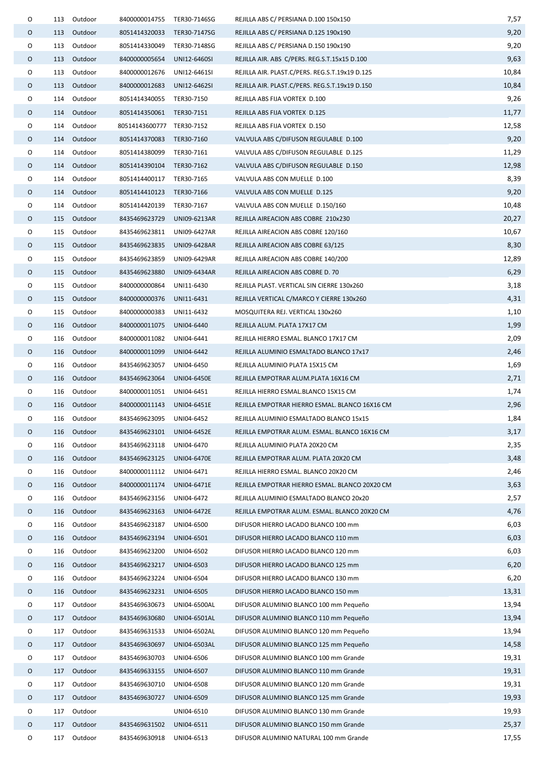| 0 |     | 113 Outdoor | 8400000014755              | TER30-7146SG | REJILLA ABS C/ PERSIANA D.100 150x150          | 7,57  |
|---|-----|-------------|----------------------------|--------------|------------------------------------------------|-------|
| 0 |     | 113 Outdoor | 8051414320033 TER30-7147SG |              | REJILLA ABS C/ PERSIANA D.125 190x190          | 9,20  |
| O | 113 | Outdoor     | 8051414330049 TER30-7148SG |              | REJILLA ABS C/ PERSIANA D.150 190x190          | 9,20  |
| 0 |     | 113 Outdoor | 8400000005654              | UNI12-6460SI | REJILLA AIR. ABS C/PERS. REG.S.T.15x15 D.100   | 9,63  |
| 0 | 113 | Outdoor     | 8400000012676              | UNI12-6461SI | REJILLA AIR. PLAST.C/PERS. REG.S.T.19x19 D.125 | 10,84 |
| 0 |     | 113 Outdoor | 8400000012683              | UNI12-6462SI | REJILLA AIR. PLAST.C/PERS. REG.S.T.19x19 D.150 | 10,84 |
| 0 | 114 | Outdoor     | 8051414340055              | TER30-7150   | REJILLA ABS FIJA VORTEX D.100                  | 9,26  |
| 0 |     | 114 Outdoor | 8051414350061 TER30-7151   |              | REJILLA ABS FIJA VORTEX D.125                  | 11,77 |
| 0 | 114 | Outdoor     | 80514143600777 TER30-7152  |              | REJILLA ABS FIJA VORTEX D.150                  | 12,58 |
| 0 |     | 114 Outdoor | 8051414370083 TER30-7160   |              | VALVULA ABS C/DIFUSON REGULABLE D.100          | 9,20  |
| 0 |     | 114 Outdoor | 8051414380099 TER30-7161   |              | VALVULA ABS C/DIFUSON REGULABLE D.125          | 11,29 |
| 0 |     | 114 Outdoor | 8051414390104 TER30-7162   |              | VALVULA ABS C/DIFUSON REGULABLE D.150          | 12,98 |
| 0 |     | 114 Outdoor | 8051414400117              | TER30-7165   | VALVULA ABS CON MUELLE D.100                   | 8,39  |
| O | 114 | Outdoor     | 8051414410123              | TER30-7166   | VALVULA ABS CON MUELLE D.125                   | 9,20  |
| 0 |     | 114 Outdoor | 8051414420139              | TER30-7167   | VALVULA ABS CON MUELLE D.150/160               | 10,48 |
| 0 |     | 115 Outdoor | 8435469623729              | UNI09-6213AR | REJILLA AIREACION ABS COBRE 210x230            | 20,27 |
| 0 | 115 | Outdoor     | 8435469623811              | UNI09-6427AR | REJILLA AIREACION ABS COBRE 120/160            | 10,67 |
| O |     | 115 Outdoor | 8435469623835              | UNI09-6428AR | REJILLA AIREACION ABS COBRE 63/125             | 8,30  |
| O |     | 115 Outdoor | 8435469623859              | UNI09-6429AR | REJILLA AIREACION ABS COBRE 140/200            | 12,89 |
| 0 |     | 115 Outdoor | 8435469623880              | UNI09-6434AR | REJILLA AIREACION ABS COBRE D. 70              | 6,29  |
| O |     | 115 Outdoor | 8400000000864              | UNI11-6430   | REJILLA PLAST. VERTICAL SIN CIERRE 130x260     | 3,18  |
| 0 | 115 | Outdoor     | 8400000000376              | UNI11-6431   | REJILLA VERTICAL C/MARCO Y CIERRE 130x260      | 4,31  |
| 0 | 115 | Outdoor     | 8400000000383              | UNI11-6432   | MOSQUITERA REJ. VERTICAL 130x260               | 1,10  |
| 0 |     | 116 Outdoor | 8400000011075              | UNI04-6440   | REJILLA ALUM. PLATA 17X17 CM                   | 1,99  |
| 0 | 116 | Outdoor     | 8400000011082              | UNI04-6441   | REJILLA HIERRO ESMAL. BLANCO 17X17 CM          | 2,09  |
| 0 |     | 116 Outdoor | 8400000011099              | UNI04-6442   | REJILLA ALUMINIO ESMALTADO BLANCO 17x17        | 2,46  |
| 0 | 116 | Outdoor     | 8435469623057              | UNI04-6450   | REJILLA ALUMINIO PLATA 15X15 CM                | 1,69  |
| 0 |     | 116 Outdoor | 8435469623064              | UNI04-6450E  | REJILLA EMPOTRAR ALUM.PLATA 16X16 CM           | 2,71  |
| 0 |     | 116 Outdoor | 8400000011051              | UNI04-6451   | REJILLA HIERRO ESMAL.BLANCO 15X15 CM           | 1,74  |
| O | 116 | Outdoor     | 8400000011143              | UNI04-6451E  | REJILLA EMPOTRAR HIERRO ESMAL. BLANCO 16X16 CM | 2,96  |
| O |     | 116 Outdoor | 8435469623095              | UNI04-6452   | REJILLA ALUMINIO ESMALTADO BLANCO 15x15        | 1,84  |
| 0 | 116 | Outdoor     | 8435469623101              | UNI04-6452E  | REJILLA EMPOTRAR ALUM. ESMAL. BLANCO 16X16 CM  | 3,17  |
| 0 | 116 | Outdoor     | 8435469623118              | UNI04-6470   | REJILLA ALUMINIO PLATA 20X20 CM                | 2,35  |
| O | 116 | Outdoor     | 8435469623125              | UNI04-6470E  | REJILLA EMPOTRAR ALUM. PLATA 20X20 CM          | 3,48  |
| O | 116 | Outdoor     | 8400000011112              | UNI04-6471   | REJILLA HIERRO ESMAL. BLANCO 20X20 CM          | 2,46  |
| O | 116 | Outdoor     | 8400000011174              | UNI04-6471E  | REJILLA EMPOTRAR HIERRO ESMAL. BLANCO 20X20 CM | 3,63  |
| O | 116 | Outdoor     | 8435469623156              | UNI04-6472   | REJILLA ALUMINIO ESMALTADO BLANCO 20x20        | 2,57  |
| O | 116 | Outdoor     | 8435469623163              | UNI04-6472E  | REJILLA EMPOTRAR ALUM. ESMAL. BLANCO 20X20 CM  | 4,76  |
| 0 | 116 | Outdoor     | 8435469623187              | UNI04-6500   | DIFUSOR HIERRO LACADO BLANCO 100 mm            | 6,03  |
| 0 | 116 | Outdoor     | 8435469623194              | UNI04-6501   | DIFUSOR HIERRO LACADO BLANCO 110 mm            | 6,03  |
| 0 | 116 | Outdoor     | 8435469623200              | UNI04-6502   | DIFUSOR HIERRO LACADO BLANCO 120 mm            | 6,03  |
| O | 116 | Outdoor     | 8435469623217              | UNI04-6503   | DIFUSOR HIERRO LACADO BLANCO 125 mm            | 6,20  |
| 0 | 116 | Outdoor     | 8435469623224              | UNI04-6504   | DIFUSOR HIERRO LACADO BLANCO 130 mm            | 6,20  |
| 0 | 116 | Outdoor     | 8435469623231              | UNI04-6505   | DIFUSOR HIERRO LACADO BLANCO 150 mm            | 13,31 |
| 0 | 117 | Outdoor     | 8435469630673              | UNI04-6500AL | DIFUSOR ALUMINIO BLANCO 100 mm Pequeño         | 13,94 |
| O | 117 | Outdoor     | 8435469630680              | UNI04-6501AL | DIFUSOR ALUMINIO BLANCO 110 mm Pequeño         | 13,94 |
| O | 117 | Outdoor     | 8435469631533              | UNI04-6502AL | DIFUSOR ALUMINIO BLANCO 120 mm Pequeño         | 13,94 |
| O | 117 | Outdoor     | 8435469630697              | UNI04-6503AL | DIFUSOR ALUMINIO BLANCO 125 mm Pequeño         | 14,58 |
| O | 117 | Outdoor     | 8435469630703              | UNI04-6506   | DIFUSOR ALUMINIO BLANCO 100 mm Grande          | 19,31 |
| O | 117 | Outdoor     | 8435469633155              | UNI04-6507   | DIFUSOR ALUMINIO BLANCO 110 mm Grande          | 19,31 |
| O | 117 | Outdoor     | 8435469630710              | UNI04-6508   | DIFUSOR ALUMINIO BLANCO 120 mm Grande          | 19,31 |
| O | 117 | Outdoor     | 8435469630727              | UNI04-6509   | DIFUSOR ALUMINIO BLANCO 125 mm Grande          | 19,93 |
| O | 117 | Outdoor     |                            | UNI04-6510   | DIFUSOR ALUMINIO BLANCO 130 mm Grande          | 19,93 |
| O | 117 | Outdoor     | 8435469631502              | UNI04-6511   | DIFUSOR ALUMINIO BLANCO 150 mm Grande          | 25,37 |
| O | 117 | Outdoor     | 8435469630918              | UNI04-6513   | DIFUSOR ALUMINIO NATURAL 100 mm Grande         | 17,55 |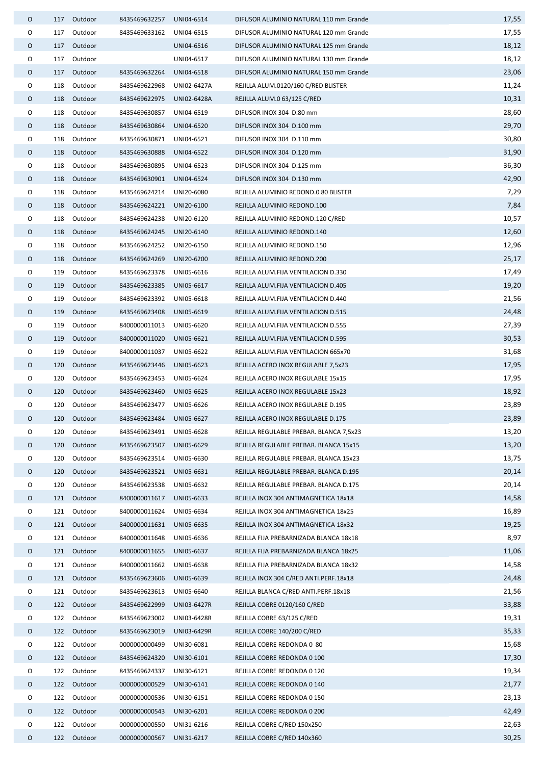| 0 | 117 | Outdoor     | 8435469632257            | UNI04-6514               | DIFUSOR ALUMINIO NATURAL 110 mm Grande  | 17,55          |
|---|-----|-------------|--------------------------|--------------------------|-----------------------------------------|----------------|
| O | 117 | Outdoor     | 8435469633162            | UNI04-6515               | DIFUSOR ALUMINIO NATURAL 120 mm Grande  | 17,55          |
| 0 | 117 | Outdoor     |                          | UNI04-6516               | DIFUSOR ALUMINIO NATURAL 125 mm Grande  | 18,12          |
| 0 | 117 | Outdoor     |                          | UNI04-6517               | DIFUSOR ALUMINIO NATURAL 130 mm Grande  | 18,12          |
| 0 |     | 117 Outdoor | 8435469632264            | UNI04-6518               | DIFUSOR ALUMINIO NATURAL 150 mm Grande  | 23,06          |
| O | 118 | Outdoor     | 8435469622968            | UNI02-6427A              | REJILLA ALUM.0120/160 C/RED BLISTER     | 11,24          |
| 0 | 118 | Outdoor     | 8435469622975            | UNI02-6428A              | REJILLA ALUM.0 63/125 C/RED             | 10,31          |
| 0 | 118 | Outdoor     | 8435469630857            | UNI04-6519               | DIFUSOR INOX 304 D.80 mm                | 28,60          |
| O | 118 | Outdoor     | 8435469630864            | UNI04-6520               | DIFUSOR INOX 304 D.100 mm               | 29,70          |
| 0 | 118 | Outdoor     | 8435469630871            | UNI04-6521               | DIFUSOR INOX 304 D.110 mm               | 30,80          |
| 0 | 118 | Outdoor     | 8435469630888            | UNI04-6522               | DIFUSOR INOX 304 D.120 mm               | 31,90          |
| 0 | 118 | Outdoor     | 8435469630895            | UNI04-6523               | DIFUSOR INOX 304 D.125 mm               | 36,30          |
| 0 | 118 | Outdoor     | 8435469630901            | UNI04-6524               | DIFUSOR INOX 304 D.130 mm               | 42,90          |
| 0 | 118 | Outdoor     | 8435469624214            | UNI20-6080               | REJILLA ALUMINIO REDOND.0 80 BLISTER    | 7,29           |
| 0 | 118 | Outdoor     | 8435469624221            | UNI20-6100               | REJILLA ALUMINIO REDOND.100             | 7,84           |
| 0 | 118 | Outdoor     | 8435469624238            | UNI20-6120               | REJILLA ALUMINIO REDOND.120 C/RED       | 10,57          |
| 0 | 118 | Outdoor     | 8435469624245            | UNI20-6140               | REJILLA ALUMINIO REDOND.140             | 12,60          |
| 0 | 118 | Outdoor     | 8435469624252            | UNI20-6150               | REJILLA ALUMINIO REDOND.150             | 12,96          |
| 0 | 118 | Outdoor     | 8435469624269            | UNI20-6200               | REJILLA ALUMINIO REDOND.200             | 25,17          |
| O | 119 | Outdoor     | 8435469623378            | UNI05-6616               | REJILLA ALUM.FIJA VENTILACION D.330     | 17,49          |
| 0 | 119 | Outdoor     | 8435469623385            | UNI05-6617               | REJILLA ALUM.FIJA VENTILACION D.405     | 19,20          |
| 0 | 119 | Outdoor     | 8435469623392            | UNI05-6618               | REJILLA ALUM.FIJA VENTILACION D.440     | 21,56          |
| 0 | 119 | Outdoor     | 8435469623408            | UNI05-6619               | REJILLA ALUM.FIJA VENTILACION D.515     | 24,48          |
| 0 | 119 | Outdoor     | 8400000011013            | UNI05-6620               | REJILLA ALUM.FIJA VENTILACION D.555     | 27,39          |
| 0 | 119 | Outdoor     | 8400000011020            | UNI05-6621               | REJILLA ALUM.FIJA VENTILACION D.595     | 30,53          |
| 0 | 119 | Outdoor     | 8400000011037            | UNI05-6622               | REJILLA ALUM.FIJA VENTILACION 665x70    | 31,68          |
| 0 | 120 | Outdoor     | 8435469623446            | UNI05-6623               | REJILLA ACERO INOX REGULABLE 7,5x23     | 17,95          |
| 0 | 120 | Outdoor     | 8435469623453            | UNI05-6624               | REJILLA ACERO INOX REGULABLE 15x15      | 17,95          |
| 0 | 120 | Outdoor     | 8435469623460            | UNI05-6625               | REJILLA ACERO INOX REGULABLE 15x23      | 18,92          |
| 0 | 120 | Outdoor     | 8435469623477            | UNI05-6626               | REJILLA ACERO INOX REGULABLE D.195      | 23,89          |
| 0 | 120 | Outdoor     | 8435469623484 UNI05-6627 |                          | REJILLA ACERO INOX REGULABLE D.175      | 23,89          |
| 0 | 120 | Outdoor     | 8435469623491            | UNI05-6628               | REJILLA REGULABLE PREBAR. BLANCA 7,5x23 | 13,20          |
| 0 | 120 | Outdoor     |                          |                          | REJILLA REGULABLE PREBAR. BLANCA 15x15  | 13,20          |
| 0 |     | Outdoor     | 8435469623507            | UNI05-6629<br>UNI05-6630 | REJILLA REGULABLE PREBAR. BLANCA 15x23  | 13,75          |
|   | 120 |             | 8435469623514            |                          | REJILLA REGULABLE PREBAR. BLANCA D.195  |                |
| 0 | 120 | Outdoor     | 8435469623521            | UNI05-6631               |                                         | 20,14<br>20,14 |
| 0 | 120 | Outdoor     | 8435469623538            | UNI05-6632               | REJILLA REGULABLE PREBAR. BLANCA D.175  |                |
| 0 | 121 | Outdoor     | 8400000011617            | UNI05-6633               | REJILLA INOX 304 ANTIMAGNETICA 18x18    | 14,58          |
| 0 | 121 | Outdoor     | 8400000011624            | UNI05-6634               | REJILLA INOX 304 ANTIMAGNETICA 18x25    | 16,89          |
| 0 | 121 | Outdoor     | 8400000011631            | UNI05-6635               | REJILLA INOX 304 ANTIMAGNETICA 18x32    | 19,25          |
| 0 | 121 | Outdoor     | 8400000011648            | UNI05-6636               | REJILLA FIJA PREBARNIZADA BLANCA 18x18  | 8,97           |
| 0 | 121 | Outdoor     | 8400000011655            | UNI05-6637               | REJILLA FIJA PREBARNIZADA BLANCA 18x25  | 11,06          |
| 0 | 121 | Outdoor     | 8400000011662            | UNI05-6638               | REJILLA FIJA PREBARNIZADA BLANCA 18x32  | 14,58          |
| O | 121 | Outdoor     | 8435469623606            | UNI05-6639               | REJILLA INOX 304 C/RED ANTI.PERF.18x18  | 24,48          |
| 0 | 121 | Outdoor     | 8435469623613            | UNI05-6640               | REJILLA BLANCA C/RED ANTI.PERF.18x18    | 21,56          |
| 0 | 122 | Outdoor     | 8435469622999            | UNI03-6427R              | REJILLA COBRE 0120/160 C/RED            | 33,88          |
| 0 | 122 | Outdoor     | 8435469623002            | UNI03-6428R              | REJILLA COBRE 63/125 C/RED              | 19,31          |
| 0 | 122 | Outdoor     | 8435469623019            | UNI03-6429R              | REJILLA COBRE 140/200 C/RED             | 35,33          |
| 0 | 122 | Outdoor     | 0000000000499            | UNI30-6081               | REJILLA COBRE REDONDA 0 80              | 15,68          |
| 0 | 122 | Outdoor     | 8435469624320            | UNI30-6101               | REJILLA COBRE REDONDA 0 100             | 17,30          |
| 0 | 122 | Outdoor     | 8435469624337            | UNI30-6121               | REJILLA COBRE REDONDA 0 120             | 19,34          |
| 0 | 122 | Outdoor     | 0000000000529            | UNI30-6141               | REJILLA COBRE REDONDA 0 140             | 21,77          |
| 0 | 122 | Outdoor     | 0000000000536            | UNI30-6151               | REJILLA COBRE REDONDA 0 150             | 23,13          |
| 0 | 122 | Outdoor     | 0000000000543            | UNI30-6201               | REJILLA COBRE REDONDA 0 200             | 42,49          |
| 0 | 122 | Outdoor     | 0000000000550            | UNI31-6216               | REJILLA COBRE C/RED 150x250             | 22,63          |
| O | 122 | Outdoor     | 0000000000567            | UNI31-6217               | REJILLA COBRE C/RED 140x360             | 30,25          |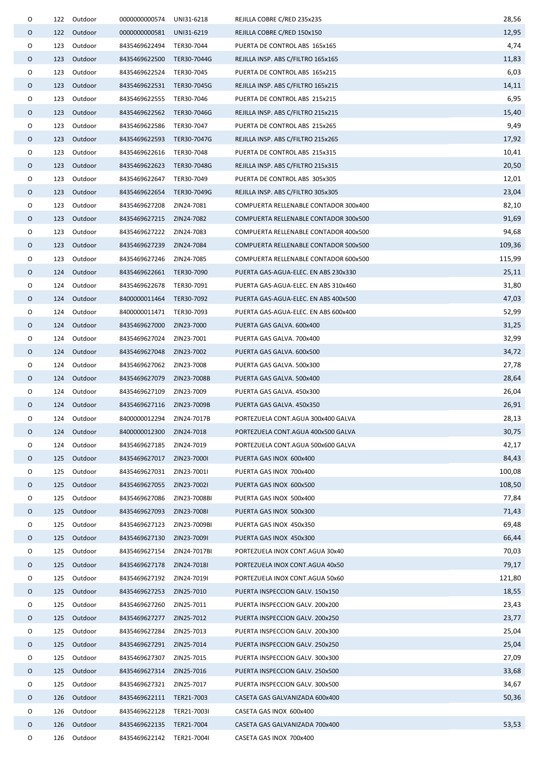| O |     | 122 Outdoor | 0000000000574             | UNI31-6218   | REJILLA COBRE C/RED 235x235           | 28,56  |
|---|-----|-------------|---------------------------|--------------|---------------------------------------|--------|
| 0 |     | 122 Outdoor | 0000000000581             | UNI31-6219   | REJILLA COBRE C/RED 150x150           | 12,95  |
| O | 123 | Outdoor     | 8435469622494 TER30-7044  |              | PUERTA DE CONTROL ABS 165x165         | 4,74   |
| O | 123 | Outdoor     | 8435469622500             | TER30-7044G  | REJILLA INSP. ABS C/FILTRO 165x165    | 11,83  |
| O | 123 | Outdoor     | 8435469622524             | TER30-7045   | PUERTA DE CONTROL ABS 165x215         | 6,03   |
| 0 |     | 123 Outdoor | 8435469622531 TER30-7045G |              | REJILLA INSP. ABS C/FILTRO 165x215    | 14,11  |
| O | 123 | Outdoor     | 8435469622555             | TER30-7046   | PUERTA DE CONTROL ABS 215x215         | 6,95   |
| 0 |     | 123 Outdoor | 8435469622562 TER30-7046G |              | REJILLA INSP. ABS C/FILTRO 215x215    | 15,40  |
| 0 | 123 | Outdoor     | 8435469622586             | TER30-7047   | PUERTA DE CONTROL ABS 215x265         | 9,49   |
| 0 |     | 123 Outdoor | 8435469622593 TER30-7047G |              | REJILLA INSP. ABS C/FILTRO 215x265    | 17,92  |
| O | 123 | Outdoor     | 8435469622616 TER30-7048  |              | PUERTA DE CONTROL ABS 215x315         | 10,41  |
| O | 123 | Outdoor     | 8435469622623 TER30-7048G |              | REJILLA INSP. ABS C/FILTRO 215x315    | 20,50  |
| O |     | 123 Outdoor | 8435469622647 TER30-7049  |              | PUERTA DE CONTROL ABS 305x305         | 12,01  |
| 0 | 123 | Outdoor     | 8435469622654             | TER30-7049G  | REJILLA INSP. ABS C/FILTRO 305x305    | 23,04  |
| O | 123 | Outdoor     | 8435469627208             | ZIN24-7081   | COMPUERTA RELLENABLE CONTADOR 300x400 | 82,10  |
| 0 | 123 | Outdoor     | 8435469627215 ZIN24-7082  |              | COMPUERTA RELLENABLE CONTADOR 300x500 | 91,69  |
| O | 123 | Outdoor     | 8435469627222 ZIN24-7083  |              | COMPUERTA RELLENABLE CONTADOR 400x500 | 94,68  |
| 0 |     | 123 Outdoor | 8435469627239             | ZIN24-7084   | COMPUERTA RELLENABLE CONTADOR 500x500 | 109,36 |
| 0 | 123 | Outdoor     | 8435469627246 ZIN24-7085  |              | COMPUERTA RELLENABLE CONTADOR 600x500 | 115,99 |
| 0 |     | 124 Outdoor | 8435469622661 TER30-7090  |              | PUERTA GAS-AGUA-ELEC. EN ABS 230x330  | 25,11  |
| O | 124 | Outdoor     | 8435469622678 TER30-7091  |              | PUERTA GAS-AGUA-ELEC. EN ABS 310x460  | 31,80  |
| 0 | 124 | Outdoor     | 8400000011464             | TER30-7092   | PUERTA GAS-AGUA-ELEC. EN ABS 400x500  | 47,03  |
| O | 124 | Outdoor     | 8400000011471 TER30-7093  |              | PUERTA GAS-AGUA-ELEC. EN ABS 600x400  | 52,99  |
| 0 |     | 124 Outdoor | 8435469627000 ZIN23-7000  |              | PUERTA GAS GALVA. 600x400             | 31,25  |
| O | 124 | Outdoor     | 8435469627024             | ZIN23-7001   | PUERTA GAS GALVA. 700x400             | 32,99  |
| 0 |     | 124 Outdoor | 8435469627048 ZIN23-7002  |              | PUERTA GAS GALVA. 600x500             | 34,72  |
| 0 | 124 | Outdoor     | 8435469627062             | ZIN23-7008   | PUERTA GAS GALVA. 500x300             | 27,78  |
| 0 |     | 124 Outdoor | 8435469627079             | ZIN23-7008B  | PUERTA GAS GALVA. 500x400             | 28,64  |
| O | 124 | Outdoor     | 8435469627109             | ZIN23-7009   | PUERTA GAS GALVA. 450x300             | 26,04  |
| O | 124 | Outdoor     | 8435469627116             | ZIN23-7009B  | PUERTA GAS GALVA. 450x350             | 26,91  |
| O |     | 124 Outdoor | 8400000012294 ZIN24-7017B |              | PORTEZUELA CONT.AGUA 300x400 GALVA    | 28,13  |
| 0 | 124 | Outdoor     | 8400000012300             | ZIN24-7018   | PORTEZUELA CONT.AGUA 400x500 GALVA    | 30,75  |
| 0 | 124 | Outdoor     | 8435469627185             | ZIN24-7019   | PORTEZUELA CONT.AGUA 500x600 GALVA    | 42,17  |
| O | 125 | Outdoor     | 8435469627017             | ZIN23-7000I  | PUERTA GAS INOX 600x400               | 84,43  |
| 0 | 125 | Outdoor     | 8435469627031             | ZIN23-7001I  | PUERTA GAS INOX 700x400               | 100,08 |
| 0 | 125 | Outdoor     | 8435469627055             | ZIN23-7002I  | PUERTA GAS INOX 600x500               | 108,50 |
| 0 | 125 | Outdoor     | 8435469627086             | ZIN23-7008BI | PUERTA GAS INOX 500x400               | 77,84  |
| O | 125 | Outdoor     | 8435469627093             | ZIN23-7008I  | PUERTA GAS INOX 500x300               | 71,43  |
| O | 125 | Outdoor     | 8435469627123             | ZIN23-7009BI | PUERTA GAS INOX 450x350               | 69,48  |
| 0 | 125 | Outdoor     | 8435469627130             | ZIN23-7009I  | PUERTA GAS INOX 450x300               | 66,44  |
| O | 125 | Outdoor     | 8435469627154             | ZIN24-7017BI | PORTEZUELA INOX CONT.AGUA 30x40       | 70,03  |
| O | 125 | Outdoor     | 8435469627178             | ZIN24-7018I  | PORTEZUELA INOX CONT.AGUA 40x50       | 79,17  |
| 0 | 125 | Outdoor     | 8435469627192             | ZIN24-7019I  | PORTEZUELA INOX CONT.AGUA 50x60       | 121,80 |
| 0 |     | 125 Outdoor | 8435469627253 ZIN25-7010  |              | PUERTA INSPECCION GALV. 150x150       | 18,55  |
| 0 | 125 | Outdoor     | 8435469627260             | ZIN25-7011   | PUERTA INSPECCION GALV. 200x200       | 23,43  |
| O | 125 | Outdoor     | 8435469627277 ZIN25-7012  |              | PUERTA INSPECCION GALV. 200x250       | 23,77  |
| O | 125 | Outdoor     | 8435469627284             | ZIN25-7013   | PUERTA INSPECCION GALV. 200x300       | 25,04  |
| O | 125 | Outdoor     | 8435469627291             | ZIN25-7014   | PUERTA INSPECCION GALV. 250x250       | 25,04  |
| O | 125 | Outdoor     | 8435469627307             | ZIN25-7015   | PUERTA INSPECCION GALV. 300x300       | 27,09  |
| 0 | 125 | Outdoor     | 8435469627314             | ZIN25-7016   | PUERTA INSPECCION GALV. 250x500       | 33,68  |
| 0 | 125 | Outdoor     | 8435469627321             | ZIN25-7017   | PUERTA INSPECCION GALV. 300x500       | 34,67  |
| 0 | 126 | Outdoor     | 8435469622111 TER21-7003  |              | CASETA GAS GALVANIZADA 600x400        | 50,36  |
| 0 | 126 | Outdoor     | 8435469622128             | TER21-7003I  | CASETA GAS INOX 600x400               |        |
| 0 | 126 | Outdoor     | 8435469622135 TER21-7004  |              | CASETA GAS GALVANIZADA 700x400        | 53,53  |
| O | 126 | Outdoor     | 8435469622142 TER21-7004I |              | CASETA GAS INOX 700x400               |        |
|   |     |             |                           |              |                                       |        |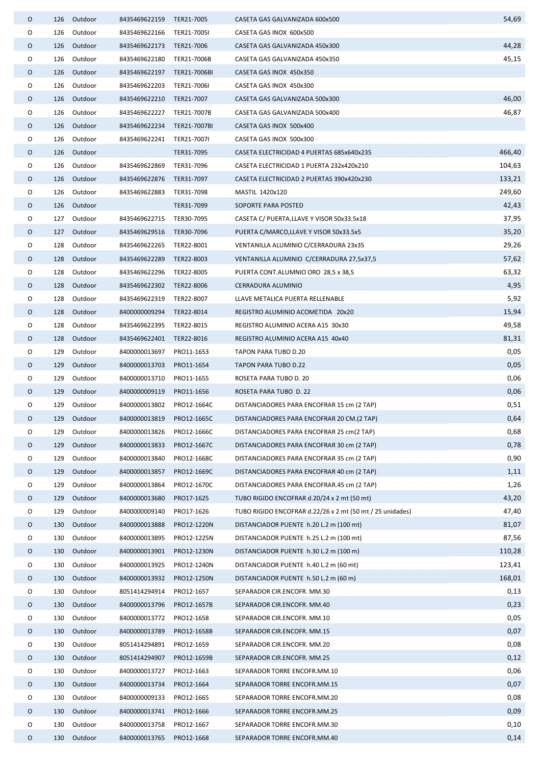| 0 | 126 | Outdoor     | 8435469622159              | TER21-7005   | CASETA GAS GALVANIZADA 600x500                            | 54,69  |
|---|-----|-------------|----------------------------|--------------|-----------------------------------------------------------|--------|
| O | 126 | Outdoor     | 8435469622166              | TER21-7005I  | CASETA GAS INOX 600x500                                   |        |
| 0 | 126 | Outdoor     | 8435469622173              | TER21-7006   | CASETA GAS GALVANIZADA 450x300                            | 44,28  |
| 0 | 126 | Outdoor     | 8435469622180              | TER21-7006B  | CASETA GAS GALVANIZADA 450x350                            | 45,15  |
| 0 | 126 | Outdoor     | 8435469622197 TER21-7006BI |              | CASETA GAS INOX 450x350                                   |        |
| 0 | 126 | Outdoor     | 8435469622203              | TER21-7006I  | CASETA GAS INOX 450x300                                   |        |
| 0 | 126 | Outdoor     | 8435469622210 TER21-7007   |              | CASETA GAS GALVANIZADA 500x300                            | 46,00  |
| 0 | 126 | Outdoor     | 8435469622227              | TER21-7007B  | CASETA GAS GALVANIZADA 500x400                            | 46,87  |
| 0 | 126 | Outdoor     | 8435469622234              | TER21-7007BI | CASETA GAS INOX 500x400                                   |        |
| 0 | 126 | Outdoor     | 8435469622241              | TER21-7007I  | CASETA GAS INOX 500x300                                   |        |
| 0 | 126 | Outdoor     |                            | TER31-7095   | CASETA ELECTRICIDAD 4 PUERTAS 685x640x235                 | 466,40 |
| 0 | 126 | Outdoor     | 8435469622869              | TER31-7096   | CASETA ELECTRICIDAD 1 PUERTA 232x420x210                  | 104,63 |
| 0 | 126 | Outdoor     | 8435469622876              | TER31-7097   | CASETA ELECTRICIDAD 2 PUERTAS 390x420x230                 | 133,21 |
| 0 | 126 | Outdoor     | 8435469622883              | TER31-7098   | MASTIL 1420x120                                           | 249,60 |
| 0 |     | 126 Outdoor |                            | TER31-7099   | SOPORTE PARA POSTED                                       | 42,43  |
| 0 |     | 127 Outdoor | 8435469622715 TER30-7095   |              | CASETA C/ PUERTA, LLAVE Y VISOR 50x33.5x18                | 37,95  |
| 0 |     | 127 Outdoor | 8435469629516              | TER30-7096   | PUERTA C/MARCO, LLAVE Y VISOR 50x33.5x5                   | 35,20  |
| 0 | 128 | Outdoor     | 8435469622265              | TER22-8001   | VENTANILLA ALUMINIO C/CERRADURA 23x35                     | 29,26  |
| 0 | 128 | Outdoor     | 8435469622289              | TER22-8003   | VENTANILLA ALUMINIO C/CERRADURA 27,5x37,5                 | 57,62  |
| 0 | 128 | Outdoor     | 8435469622296              | TER22-8005   | PUERTA CONT.ALUMNIO ORO 28,5 x 38,5                       | 63,32  |
| 0 | 128 | Outdoor     | 8435469622302 TER22-8006   |              | CERRADURA ALUMINIO                                        | 4,95   |
| 0 | 128 | Outdoor     | 8435469622319              | TER22-8007   | LLAVE METALICA PUERTA RELLENABLE                          | 5,92   |
| 0 | 128 | Outdoor     | 8400000009294 TER22-8014   |              | REGISTRO ALUMINIO ACOMETIDA 20x20                         | 15,94  |
| O | 128 | Outdoor     | 8435469622395 TER22-8015   |              | REGISTRO ALUMINIO ACERA A15 30x30                         | 49,58  |
| 0 | 128 | Outdoor     | 8435469622401 TER22-8016   |              | REGISTRO ALUMINIO ACERA A15 40x40                         | 81,31  |
| 0 | 129 | Outdoor     | 8400000013697              | PRO11-1653   | TAPON PARA TUBO D.20                                      | 0,05   |
| 0 | 129 | Outdoor     | 8400000013703              | PRO11-1654   | TAPON PARA TUBO D.22                                      | 0,05   |
| 0 | 129 | Outdoor     | 8400000013710              | PRO11-1655   | ROSETA PARA TUBO D. 20                                    | 0,06   |
| 0 | 129 | Outdoor     | 8400000009119              | PRO11-1656   | ROSETA PARA TUBO D. 22                                    | 0,06   |
| 0 | 129 | Outdoor     | 8400000013802              | PRO12-1664C  | DISTANCIADORES PARA ENCOFRAR 15 cm (2 TAP)                | 0,51   |
| 0 |     | 129 Outdoor | 8400000013819              | PRO12-1665C  | DISTANCIADORES PARA ENCOFRAR 20 CM.(2 TAP)                | 0,64   |
| 0 | 129 | Outdoor     | 8400000013826              | PRO12-1666C  | DISTANCIADORES PARA ENCOFRAR 25 cm(2 TAP)                 | 0,68   |
| 0 | 129 | Outdoor     | 8400000013833              | PRO12-1667C  | DISTANCIADORES PARA ENCOFRAR 30 cm (2 TAP)                | 0,78   |
| 0 | 129 | Outdoor     | 8400000013840              | PRO12-1668C  | DISTANCIADORES PARA ENCOFRAR 35 cm (2 TAP)                | 0,90   |
| 0 | 129 | Outdoor     | 8400000013857              | PRO12-1669C  | DISTANCIADORES PARA ENCOFRAR 40 cm (2 TAP)                | 1,11   |
| 0 | 129 | Outdoor     | 8400000013864              | PRO12-1670C  | DISTANCIADORES PARA ENCOFRAR.45 cm (2 TAP)                | 1,26   |
| O | 129 | Outdoor     | 8400000013680              | PRO17-1625   | TUBO RIGIDO ENCOFRAR d.20/24 x 2 mt (50 mt)               | 43,20  |
| 0 | 129 | Outdoor     | 8400000009140              | PRO17-1626   | TUBO RIGIDO ENCOFRAR d.22/26 x 2 mt (50 mt / 25 unidades) | 47,40  |
| 0 | 130 | Outdoor     | 8400000013888              | PRO12-1220N  | DISTANCIADOR PUENTE h.20 L.2 m (100 mt)                   | 81,07  |
| 0 | 130 | Outdoor     | 8400000013895              | PRO12-1225N  | DISTANCIADOR PUENTE h.25 L.2 m (100 mt)                   | 87,56  |
| 0 | 130 | Outdoor     | 8400000013901              | PRO12-1230N  | DISTANCIADOR PUENTE h.30 L.2 m (100 m)                    | 110,28 |
| 0 | 130 | Outdoor     | 8400000013925              | PRO12-1240N  | DISTANCIADOR PUENTE h.40 L.2 m (60 mt)                    | 123,41 |
| 0 | 130 | Outdoor     | 8400000013932              | PRO12-1250N  | DISTANCIADOR PUENTE h.50 L.2 m (60 m)                     | 168,01 |
| 0 | 130 | Outdoor     | 8051414294914              | PRO12-1657   | SEPARADOR CIR.ENCOFR. MM.30                               | 0,13   |
| O | 130 | Outdoor     | 8400000013796              | PRO12-1657B  | SEPARADOR CIR.ENCOFR. MM.40                               | 0,23   |
| 0 | 130 | Outdoor     | 8400000013772              | PRO12-1658   | SEPARADOR CIR.ENCOFR. MM.10                               | 0,05   |
| 0 | 130 | Outdoor     | 8400000013789              | PRO12-1658B  | SEPARADOR CIR.ENCOFR. MM.15                               | 0,07   |
| 0 | 130 | Outdoor     | 8051414294891              | PRO12-1659   | SEPARADOR CIR.ENCOFR. MM.20                               | 0,08   |
| 0 | 130 | Outdoor     | 8051414294907              | PRO12-1659B  | SEPARADOR CIR.ENCOFR. MM.25                               | 0,12   |
| 0 | 130 | Outdoor     | 8400000013727              | PRO12-1663   | SEPARADOR TORRE ENCOFR.MM.10                              | 0,06   |
| 0 | 130 | Outdoor     | 8400000013734              | PRO12-1664   | SEPARADOR TORRE ENCOFR.MM.15                              | 0,07   |
| 0 | 130 | Outdoor     | 8400000009133              | PRO12-1665   | SEPARADOR TORRE ENCOFR.MM.20                              | 0,08   |
| 0 | 130 | Outdoor     | 8400000013741              | PRO12-1666   | SEPARADOR TORRE ENCOFR.MM.25                              | 0,09   |
| 0 | 130 | Outdoor     | 8400000013758              | PRO12-1667   | SEPARADOR TORRE ENCOFR.MM.30                              | 0,10   |
| 0 | 130 | Outdoor     | 8400000013765              | PRO12-1668   | SEPARADOR TORRE ENCOFR.MM.40                              | 0,14   |
|   |     |             |                            |              |                                                           |        |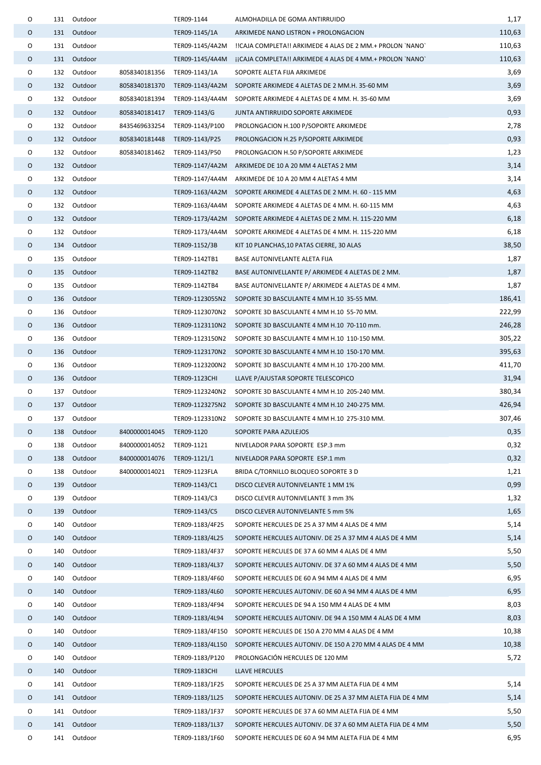| 0 |     | 131 Outdoor |               | TER09-1144                   | ALMOHADILLA DE GOMA ANTIRRUIDO                                            | 1,17   |
|---|-----|-------------|---------------|------------------------------|---------------------------------------------------------------------------|--------|
| 0 | 131 | Outdoor     |               | TER09-1145/1A                | ARKIMEDE NANO LISTRON + PROLONGACION                                      | 110,63 |
| 0 | 131 | Outdoor     |               | TER09-1145/4A2M              | !ICAJA COMPLETA!! ARKIMEDE 4 ALAS DE 2 MM.+ PROLON `NANO`                 | 110,63 |
| O | 131 | Outdoor     |               | TER09-1145/4A4M              | jiCAJA COMPLETA!! ARKIMEDE 4 ALAS DE 4 MM.+ PROLON `NANO`                 | 110,63 |
| 0 |     | 132 Outdoor | 8058340181356 | TER09-1143/1A                | SOPORTE ALETA FIJA ARKIMEDE                                               | 3,69   |
| 0 |     | 132 Outdoor | 8058340181370 | TER09-1143/4A2M              | SOPORTE ARKIMEDE 4 ALETAS DE 2 MM.H. 35-60 MM                             | 3,69   |
| O | 132 | Outdoor     | 8058340181394 | TER09-1143/4A4M              | SOPORTE ARKIMEDE 4 ALETAS DE 4 MM. H. 35-60 MM                            | 3,69   |
| O | 132 | Outdoor     | 8058340181417 | TER09-1143/G                 | JUNTA ANTIRRUIDO SOPORTE ARKIMEDE                                         | 0,93   |
| 0 | 132 | Outdoor     | 8435469633254 | TER09-1143/P100              | PROLONGACION H.100 P/SOPORTE ARKIMEDE                                     | 2,78   |
| 0 |     | 132 Outdoor | 8058340181448 | TER09-1143/P25               | PROLONGACION H.25 P/SOPORTE ARKIMEDE                                      | 0,93   |
| 0 | 132 | Outdoor     |               | 8058340181462 TER09-1143/P50 | PROLONGACION H.50 P/SOPORTE ARKIMEDE                                      | 1,23   |
| 0 |     | 132 Outdoor |               | TER09-1147/4A2M              | ARKIMEDE DE 10 A 20 MM 4 ALETAS 2 MM                                      | 3,14   |
| 0 |     | 132 Outdoor |               | TER09-1147/4A4M              | ARKIMEDE DE 10 A 20 MM 4 ALETAS 4 MM                                      | 3,14   |
| 0 |     | 132 Outdoor |               |                              | TER09-1163/4A2M SOPORTE ARKIMEDE 4 ALETAS DE 2 MM. H. 60 - 115 MM         | 4,63   |
| 0 |     | 132 Outdoor |               | TER09-1163/4A4M              | SOPORTE ARKIMEDE 4 ALETAS DE 4 MM. H. 60-115 MM                           | 4,63   |
| 0 | 132 | Outdoor     |               |                              | TER09-1173/4A2M SOPORTE ARKIMEDE 4 ALETAS DE 2 MM. H. 115-220 MM          | 6,18   |
| 0 | 132 | Outdoor     |               | TER09-1173/4A4M              | SOPORTE ARKIMEDE 4 ALETAS DE 4 MM. H. 115-220 MM                          | 6,18   |
| O | 134 | Outdoor     |               | TER09-1152/3B                | KIT 10 PLANCHAS, 10 PATAS CIERRE, 30 ALAS                                 | 38,50  |
| 0 | 135 | Outdoor     |               | TER09-1142TB1                | BASE AUTONIVELANTE ALETA FIJA                                             | 1,87   |
| 0 | 135 | Outdoor     |               | TER09-1142TB2                | BASE AUTONIVELLANTE P/ ARKIMEDE 4 ALETAS DE 2 MM.                         | 1,87   |
| 0 | 135 | Outdoor     |               | TER09-1142TB4                | BASE AUTONIVELLANTE P/ ARKIMEDE 4 ALETAS DE 4 MM.                         | 1,87   |
| O | 136 | Outdoor     |               | TER09-1123055N2              | SOPORTE 3D BASCULANTE 4 MM H.10 35-55 MM.                                 | 186,41 |
| O | 136 | Outdoor     |               | TER09-1123070N2              | SOPORTE 3D BASCULANTE 4 MM H.10 55-70 MM.                                 | 222,99 |
| 0 | 136 | Outdoor     |               | TER09-1123110N2              | SOPORTE 3D BASCULANTE 4 MM H.10 70-110 mm.                                | 246,28 |
| O | 136 | Outdoor     |               | TER09-1123150N2              | SOPORTE 3D BASCULANTE 4 MM H.10 110-150 MM.                               | 305,22 |
| O | 136 | Outdoor     |               | TER09-1123170N2              | SOPORTE 3D BASCULANTE 4 MM H.10 150-170 MM.                               | 395,63 |
| 0 | 136 | Outdoor     |               | TER09-1123200N2              | SOPORTE 3D BASCULANTE 4 MM H.10 170-200 MM.                               | 411,70 |
| 0 | 136 | Outdoor     |               | TER09-1123CHI                | LLAVE P/AJUSTAR SOPORTE TELESCOPICO                                       | 31,94  |
| O | 137 | Outdoor     |               | TER09-1123240N2              | SOPORTE 3D BASCULANTE 4 MM H.10 205-240 MM.                               | 380,34 |
| O |     | 137 Outdoor |               |                              | TER09-1123275N2 SOPORTE 3D BASCULANTE 4 MM H.10 240-275 MM.               | 426,94 |
| O |     | 137 Outdoor |               |                              | TER09-1123310N2 SOPORTE 3D BASCULANTE 4 MM H.10 275-310 MM.               | 307,46 |
| 0 | 138 | Outdoor     | 8400000014045 | TER09-1120                   | SOPORTE PARA AZULEJOS                                                     | 0,35   |
| 0 | 138 | Outdoor     | 8400000014052 | TER09-1121                   | NIVELADOR PARA SOPORTE ESP.3 mm                                           | 0,32   |
| O | 138 | Outdoor     | 8400000014076 | TER09-1121/1                 | NIVELADOR PARA SOPORTE ESP.1 mm                                           | 0,32   |
| O | 138 | Outdoor     | 8400000014021 | TER09-1123FLA                | BRIDA C/TORNILLO BLOQUEO SOPORTE 3 D                                      | 1,21   |
| 0 | 139 | Outdoor     |               | TER09-1143/C1                | DISCO CLEVER AUTONIVELANTE 1 MM 1%                                        | 0,99   |
| 0 | 139 | Outdoor     |               | TER09-1143/C3                | DISCO CLEVER AUTONIVELANTE 3 mm 3%                                        | 1,32   |
| O | 139 | Outdoor     |               | TER09-1143/C5                | DISCO CLEVER AUTONIVELANTE 5 mm 5%                                        | 1,65   |
| 0 | 140 | Outdoor     |               | TER09-1183/4F25              | SOPORTE HERCULES DE 25 A 37 MM 4 ALAS DE 4 MM                             | 5,14   |
| 0 | 140 | Outdoor     |               | TER09-1183/4L25              | SOPORTE HERCULES AUTONIV. DE 25 A 37 MM 4 ALAS DE 4 MM                    | 5,14   |
| 0 | 140 | Outdoor     |               | TER09-1183/4F37              | SOPORTE HERCULES DE 37 A 60 MM 4 ALAS DE 4 MM                             | 5,50   |
| 0 | 140 | Outdoor     |               | TER09-1183/4L37              | SOPORTE HERCULES AUTONIV. DE 37 A 60 MM 4 ALAS DE 4 MM                    | 5,50   |
| 0 | 140 | Outdoor     |               | TER09-1183/4F60              | SOPORTE HERCULES DE 60 A 94 MM 4 ALAS DE 4 MM                             | 6,95   |
| 0 | 140 | Outdoor     |               | TER09-1183/4L60              | SOPORTE HERCULES AUTONIV. DE 60 A 94 MM 4 ALAS DE 4 MM                    | 6,95   |
| O | 140 | Outdoor     |               | TER09-1183/4F94              | SOPORTE HERCULES DE 94 A 150 MM 4 ALAS DE 4 MM                            | 8,03   |
| 0 | 140 | Outdoor     |               | TER09-1183/4L94              | SOPORTE HERCULES AUTONIV. DE 94 A 150 MM 4 ALAS DE 4 MM                   | 8,03   |
| O | 140 | Outdoor     |               | TER09-1183/4F150             | SOPORTE HERCULES DE 150 A 270 MM 4 ALAS DE 4 MM                           | 10,38  |
| 0 | 140 | Outdoor     |               |                              | TER09-1183/4L150 SOPORTE HERCULES AUTONIV. DE 150 A 270 MM 4 ALAS DE 4 MM | 10,38  |
| O | 140 | Outdoor     |               | TER09-1183/P120              | PROLONGACIÓN HERCULES DE 120 MM                                           | 5,72   |
| 0 | 140 | Outdoor     |               | <b>TER09-1183CHI</b>         | LLAVE HERCULES                                                            |        |
| 0 | 141 | Outdoor     |               | TER09-1183/1F25              | SOPORTE HERCULES DE 25 A 37 MM ALETA FIJA DE 4 MM                         | 5,14   |
| O | 141 | Outdoor     |               | TER09-1183/1L25              | SOPORTE HERCULES AUTONIV. DE 25 A 37 MM ALETA FIJA DE 4 MM                | 5,14   |
| O | 141 | Outdoor     |               | TER09-1183/1F37              | SOPORTE HERCULES DE 37 A 60 MM ALETA FIJA DE 4 MM                         | 5,50   |
| 0 | 141 | Outdoor     |               | TER09-1183/1L37              | SOPORTE HERCULES AUTONIV. DE 37 A 60 MM ALETA FIJA DE 4 MM                | 5,50   |
| O | 141 | Outdoor     |               | TER09-1183/1F60              | SOPORTE HERCULES DE 60 A 94 MM ALETA FIJA DE 4 MM                         | 6,95   |
|   |     |             |               |                              |                                                                           |        |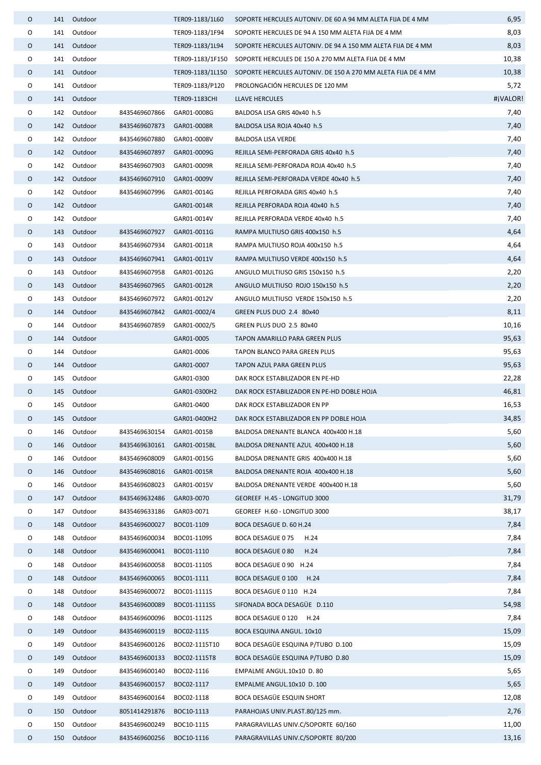| 0 |     | 141 Outdoor |                           | TER09-1183/1L60  | SOPORTE HERCULES AUTONIV. DE 60 A 94 MM ALETA FIJA DE 4 MM   | 6,95     |
|---|-----|-------------|---------------------------|------------------|--------------------------------------------------------------|----------|
| 0 | 141 | Outdoor     |                           | TER09-1183/1F94  | SOPORTE HERCULES DE 94 A 150 MM ALETA FIJA DE 4 MM           | 8,03     |
| 0 |     | 141 Outdoor |                           | TER09-1183/1L94  | SOPORTE HERCULES AUTONIV. DE 94 A 150 MM ALETA FIJA DE 4 MM  | 8,03     |
| 0 | 141 | Outdoor     |                           | TER09-1183/1F150 | SOPORTE HERCULES DE 150 A 270 MM ALETA FIJA DE 4 MM          | 10,38    |
| 0 |     | 141 Outdoor |                           | TER09-1183/1L150 | SOPORTE HERCULES AUTONIV. DE 150 A 270 MM ALETA FIJA DE 4 MM | 10,38    |
| O | 141 | Outdoor     |                           | TER09-1183/P120  | PROLONGACIÓN HERCULES DE 120 MM                              | 5,72     |
| 0 |     | 141 Outdoor |                           | TER09-1183CHI    | LLAVE HERCULES                                               | #jVALOR! |
| O |     | 142 Outdoor | 8435469607866             | GAR01-0008G      | BALDOSA LISA GRIS 40x40 h.5                                  | 7,40     |
| 0 |     | 142 Outdoor | 8435469607873 GAR01-0008R |                  | BALDOSA LISA ROJA 40x40 h.5                                  | 7,40     |
| O |     | 142 Outdoor | 8435469607880             | GAR01-0008V      | <b>BALDOSA LISA VERDE</b>                                    | 7,40     |
| 0 |     | 142 Outdoor | 8435469607897             | GAR01-0009G      | REJILLA SEMI-PERFORADA GRIS 40x40 h.5                        | 7,40     |
| 0 |     | 142 Outdoor | 8435469607903             | GAR01-0009R      | REJILLA SEMI-PERFORADA ROJA 40x40 h.5                        | 7,40     |
| 0 | 142 | Outdoor     | 8435469607910             | GAR01-0009V      | REJILLA SEMI-PERFORADA VERDE 40x40 h.5                       | 7,40     |
| O |     | 142 Outdoor | 8435469607996             | GAR01-0014G      | REJILLA PERFORADA GRIS 40x40 h.5                             | 7,40     |
| 0 |     | 142 Outdoor |                           | GAR01-0014R      | REJILLA PERFORADA ROJA 40x40 h.5                             | 7,40     |
| 0 |     | 142 Outdoor |                           | GAR01-0014V      | REJILLA PERFORADA VERDE 40x40 h.5                            | 7,40     |
| 0 |     | 143 Outdoor | 8435469607927             | GAR01-0011G      | RAMPA MULTIUSO GRIS 400x150 h.5                              | 4,64     |
| 0 | 143 | Outdoor     | 8435469607934             | GAR01-0011R      | RAMPA MULTIUSO ROJA 400x150 h.5                              | 4,64     |
| 0 |     | 143 Outdoor | 8435469607941             | GAR01-0011V      | RAMPA MULTIUSO VERDE 400x150 h.5                             | 4,64     |
| O | 143 | Outdoor     | 8435469607958             | GAR01-0012G      | ANGULO MULTIUSO GRIS 150x150 h.5                             | 2,20     |
| 0 |     | 143 Outdoor | 8435469607965             | GAR01-0012R      | ANGULO MULTIUSO ROJO 150x150 h.5                             | 2,20     |
| O | 143 | Outdoor     | 8435469607972             | GAR01-0012V      | ANGULO MULTIUSO VERDE 150x150 h.5                            | 2,20     |
| 0 |     | 144 Outdoor | 8435469607842             | GAR01-0002/4     | GREEN PLUS DUO 2.4 80x40                                     | 8,11     |
| O | 144 | Outdoor     | 8435469607859             | GAR01-0002/5     | GREEN PLUS DUO 2.5 80x40                                     | 10,16    |
| 0 |     | 144 Outdoor |                           | GAR01-0005       | TAPON AMARILLO PARA GREEN PLUS                               | 95,63    |
| O | 144 | Outdoor     |                           | GAR01-0006       | TAPON BLANCO PARA GREEN PLUS                                 | 95,63    |
| O |     | 144 Outdoor |                           | GAR01-0007       | TAPON AZUL PARA GREEN PLUS                                   | 95,63    |
| O | 145 | Outdoor     |                           | GAR01-0300       | DAK ROCK ESTABILIZADOR EN PE-HD                              | 22,28    |
| 0 | 145 | Outdoor     |                           | GAR01-0300H2     | DAK ROCK ESTABILIZADOR EN PE-HD DOBLE HOJA                   | 46,81    |
| 0 |     | 145 Outdoor |                           | GAR01-0400       | DAK ROCK ESTABILIZADOR EN PP                                 | 16,53    |
| Ο |     | 145 Outdoor |                           | GAR01-0400H2     | DAK ROCK ESTABILIZADOR EN PP DOBLE HOJA                      | 34,85    |
| 0 | 146 | Outdoor     | 8435469630154             | GAR01-0015B      | BALDOSA DRENANTE BLANCA 400x400 H.18                         | 5,60     |
| O | 146 | Outdoor     | 8435469630161             | GAR01-0015BL     | BALDOSA DRENANTE AZUL 400x400 H.18                           | 5,60     |
| 0 | 146 | Outdoor     | 8435469608009             | GAR01-0015G      | BALDOSA DRENANTE GRIS 400x400 H.18                           | 5,60     |
| O | 146 | Outdoor     | 8435469608016             | GAR01-0015R      | BALDOSA DRENANTE ROJA 400x400 H.18                           | 5,60     |
| O | 146 | Outdoor     | 8435469608023             | GAR01-0015V      | BALDOSA DRENANTE VERDE 400x400 H.18                          | 5,60     |
| 0 | 147 | Outdoor     | 8435469632486             | GAR03-0070       | GEOREEF H.45 - LONGITUD 3000                                 | 31,79    |
| 0 | 147 | Outdoor     | 8435469633186             | GAR03-0071       | GEOREEF H.60 - LONGITUD 3000                                 | 38,17    |
| 0 | 148 | Outdoor     | 8435469600027             | BOC01-1109       | BOCA DESAGUE D. 60 H.24                                      | 7,84     |
| 0 | 148 | Outdoor     | 8435469600034             | BOC01-1109S      | H.24<br>BOCA DESAGUE 0 75                                    | 7,84     |
| O | 148 | Outdoor     | 8435469600041             | BOC01-1110       | H.24<br>BOCA DESAGUE 0 80                                    | 7,84     |
| 0 | 148 | Outdoor     | 8435469600058             | BOC01-1110S      | BOCA DESAGUE 0 90 H.24                                       | 7,84     |
| 0 | 148 | Outdoor     | 8435469600065             | BOC01-1111       | BOCA DESAGUE 0 100<br>H.24                                   | 7,84     |
| 0 | 148 | Outdoor     | 8435469600072             | BOC01-1111S      | BOCA DESAGUE 0 110 H.24                                      | 7,84     |
| 0 | 148 | Outdoor     | 8435469600089             | BOC01-1111SS     | SIFONADA BOCA DESAGÜE D.110                                  | 54,98    |
| 0 | 148 | Outdoor     | 8435469600096             | BOC01-1112S      | BOCA DESAGUE 0 120 H.24                                      | 7,84     |
| O | 149 | Outdoor     | 8435469600119             | BOC02-1115       | BOCA ESQUINA ANGUL. 10x10                                    | 15,09    |
| 0 | 149 | Outdoor     | 8435469600126             | BOC02-1115T10    | BOCA DESAGÜE ESQUINA P/TUBO D.100                            | 15,09    |
| O | 149 | Outdoor     | 8435469600133             | BOC02-1115T8     | BOCA DESAGÜE ESQUINA P/TUBO D.80                             | 15,09    |
| 0 | 149 | Outdoor     | 8435469600140             | BOC02-1116       | EMPALME ANGUL.10x10 D.80                                     | 5,65     |
| O | 149 | Outdoor     | 8435469600157             | BOC02-1117       | EMPALME ANGUL.10x10 D. 100                                   | 5,65     |
| 0 | 149 | Outdoor     | 8435469600164             | BOC02-1118       | BOCA DESAGÜE ESQUIN SHORT                                    | 12,08    |
| 0 | 150 | Outdoor     | 8051414291876             | BOC10-1113       | PARAHOJAS UNIV.PLAST.80/125 mm.                              | 2,76     |
| 0 | 150 | Outdoor     | 8435469600249             | BOC10-1115       | PARAGRAVILLAS UNIV.C/SOPORTE 60/160                          | 11,00    |
| O | 150 | Outdoor     | 8435469600256             | BOC10-1116       | PARAGRAVILLAS UNIV.C/SOPORTE 80/200                          | 13,16    |
|   |     |             |                           |                  |                                                              |          |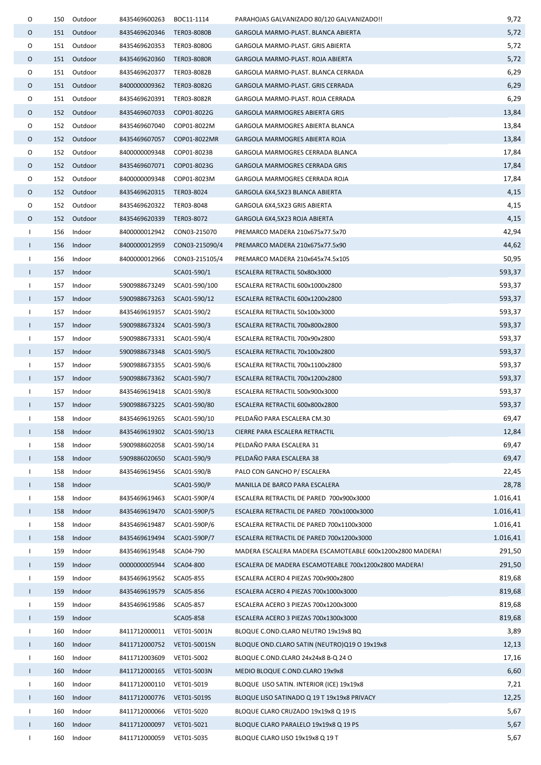| 0            | 150 | Outdoor     | 8435469600263              | BOC11-1114     | PARAHOJAS GALVANIZADO 80/120 GALVANIZADO!!                | 9,72     |
|--------------|-----|-------------|----------------------------|----------------|-----------------------------------------------------------|----------|
| 0            |     | 151 Outdoor | 8435469620346              | TER03-8080B    | GARGOLA MARMO-PLAST. BLANCA ABIERTA                       | 5,72     |
| 0            |     | 151 Outdoor | 8435469620353              | TER03-8080G    | GARGOLA MARMO-PLAST. GRIS ABIERTA                         | 5,72     |
| 0            |     | 151 Outdoor | 8435469620360              | TER03-8080R    | GARGOLA MARMO-PLAST. ROJA ABIERTA                         | 5,72     |
| 0            | 151 | Outdoor     | 8435469620377              | TER03-8082B    | GARGOLA MARMO-PLAST. BLANCA CERRADA                       | 6,29     |
| 0            |     | 151 Outdoor | 8400000009362              | TER03-8082G    | GARGOLA MARMO-PLAST. GRIS CERRADA                         | 6,29     |
| 0            | 151 | Outdoor     | 8435469620391              | TER03-8082R    | GARGOLA MARMO-PLAST. ROJA CERRADA                         | 6,29     |
| 0            |     | 152 Outdoor | 8435469607033              | COP01-8022G    | <b>GARGOLA MARMOGRES ABIERTA GRIS</b>                     | 13,84    |
| 0            |     | 152 Outdoor | 8435469607040              | COP01-8022M    | GARGOLA MARMOGRES ABIERTA BLANCA                          | 13,84    |
| 0            |     | 152 Outdoor | 8435469607057              | COP01-8022MR   | GARGOLA MARMOGRES ABIERTA ROJA                            | 13,84    |
| 0            |     | 152 Outdoor | 8400000009348              | COP01-8023B    | GARGOLA MARMOGRES CERRADA BLANCA                          | 17,84    |
| 0            |     | 152 Outdoor | 8435469607071              | COP01-8023G    | <b>GARGOLA MARMOGRES CERRADA GRIS</b>                     | 17,84    |
| O            |     | 152 Outdoor | 8400000009348              | COP01-8023M    | GARGOLA MARMOGRES CERRADA ROJA                            | 17,84    |
| 0            | 152 | Outdoor     | 8435469620315              | TER03-8024     | GARGOLA 6X4,5X23 BLANCA ABIERTA                           | 4,15     |
| 0            |     | 152 Outdoor | 8435469620322 TER03-8048   |                | GARGOLA 6X4,5X23 GRIS ABIERTA                             | 4,15     |
| 0            |     | 152 Outdoor | 8435469620339              | TER03-8072     | GARGOLA 6X4,5X23 ROJA ABIERTA                             | 4,15     |
| Τ.           | 156 | Indoor      | 8400000012942              | CON03-215070   | PREMARCO MADERA 210x675x77.5x70                           | 42,94    |
| $\mathbf{I}$ |     | 156 Indoor  | 8400000012959              | CON03-215090/4 | PREMARCO MADERA 210x675x77.5x90                           | 44,62    |
| Τ.           |     | 156 Indoor  | 8400000012966              | CON03-215105/4 | PREMARCO MADERA 210x645x74.5x105                          | 50,95    |
| Т.           |     | 157 Indoor  |                            | SCA01-590/1    | ESCALERA RETRACTIL 50x80x3000                             | 593,37   |
| $\mathbf{I}$ |     | 157 Indoor  | 5900988673249              | SCA01-590/100  | ESCALERA RETRACTIL 600x1000x2800                          | 593,37   |
| $\mathbf{I}$ |     | 157 Indoor  | 5900988673263              | SCA01-590/12   | ESCALERA RETRACTIL 600x1200x2800                          | 593,37   |
| Τ.           | 157 | Indoor      | 8435469619357              | SCA01-590/2    | ESCALERA RETRACTIL 50x100x3000                            | 593,37   |
| Т.           |     | 157 Indoor  | 5900988673324              | SCA01-590/3    | ESCALERA RETRACTIL 700x800x2800                           | 593,37   |
| Τ.           | 157 | Indoor      | 5900988673331              | SCA01-590/4    | ESCALERA RETRACTIL 700x90x2800                            | 593,37   |
| $\mathbf{I}$ |     | 157 Indoor  | 5900988673348 SCA01-590/5  |                | ESCALERA RETRACTIL 70x100x2800                            | 593,37   |
| $\mathbf{I}$ |     | 157 Indoor  | 5900988673355              | SCA01-590/6    | ESCALERA RETRACTIL 700x1100x2800                          | 593,37   |
| $\mathbf{I}$ |     | 157 Indoor  | 5900988673362 SCA01-590/7  |                | ESCALERA RETRACTIL 700x1200x2800                          | 593,37   |
| $\mathbf{I}$ |     | 157 Indoor  | 8435469619418              | SCA01-590/8    | ESCALERA RETRACTIL 500x900x3000                           | 593,37   |
| $\mathsf{I}$ |     | 157 Indoor  | 5900988673225 SCA01-590/80 |                | ESCALERA RETRACTIL 600x800x2800                           | 593,37   |
| $\mathbf{I}$ |     | 158 Indoor  | 8435469619265 SCA01-590/10 |                | PELDAÑO PARA ESCALERA CM.30                               | 69,47    |
| $\perp$      | 158 | Indoor      | 8435469619302              | SCA01-590/13   | CIERRE PARA ESCALERA RETRACTIL                            | 12,84    |
| Τ.           | 158 | Indoor      | 5900988602058              | SCA01-590/14   | PELDAÑO PARA ESCALERA 31                                  | 69,47    |
| $\mathbf{I}$ | 158 | Indoor      | 5909886020650              | SCA01-590/9    | PELDAÑO PARA ESCALERA 38                                  | 69,47    |
| $\mathbf{I}$ | 158 | Indoor      | 8435469619456              | SCA01-590/B    | PALO CON GANCHO P/ ESCALERA                               | 22,45    |
| $\mathbf{I}$ | 158 | Indoor      |                            | SCA01-590/P    | MANILLA DE BARCO PARA ESCALERA                            | 28,78    |
| T            | 158 | Indoor      | 8435469619463              | SCA01-590P/4   | ESCALERA RETRACTIL DE PARED 700x900x3000                  | 1.016,41 |
| $\mathbf{I}$ | 158 | Indoor      | 8435469619470              | SCA01-590P/5   | ESCALERA RETRACTIL DE PARED 700x1000x3000                 | 1.016,41 |
| $\mathbf{I}$ | 158 | Indoor      | 8435469619487              | SCA01-590P/6   | ESCALERA RETRACTIL DE PARED 700x1100x3000                 | 1.016,41 |
| $\mathbf{I}$ | 158 | Indoor      | 8435469619494              | SCA01-590P/7   | ESCALERA RETRACTIL DE PARED 700x1200x3000                 | 1.016,41 |
| $\mathbf{I}$ | 159 | Indoor      | 8435469619548              | SCA04-790      | MADERA ESCALERA MADERA ESCAMOTEABLE 600x1200x2800 MADERA! | 291,50   |
| $\mathbf{I}$ | 159 | Indoor      | 0000000005944              | SCA04-800      | ESCALERA DE MADERA ESCAMOTEABLE 700x1200x2800 MADERA!     | 291,50   |
| $\mathbf{I}$ | 159 | Indoor      | 8435469619562              | SCA05-855      | ESCALERA ACERO 4 PIEZAS 700x900x2800                      | 819,68   |
| $\mathbf{L}$ | 159 | Indoor      | 8435469619579 SCA05-856    |                | ESCALERA ACERO 4 PIEZAS 700x1000x3000                     | 819,68   |
| Τ.           | 159 | Indoor      | 8435469619586              | SCA05-857      | ESCALERA ACERO 3 PIEZAS 700x1200x3000                     | 819,68   |
| $\mathbf{I}$ | 159 | Indoor      |                            | SCA05-858      | ESCALERA ACERO 3 PIEZAS 700x1300x3000                     | 819,68   |
| $\mathbf{I}$ | 160 | Indoor      | 8411712000011              | VET01-5001N    | BLOQUE C.OND.CLARO NEUTRO 19x19x8 BQ                      | 3,89     |
| $\mathbf{I}$ | 160 | Indoor      | 8411712000752              | VET01-5001SN   | BLOQUE OND.CLARO SATIN (NEUTRO)Q19 O 19x19x8              | 12,13    |
| $\mathbf{I}$ | 160 | Indoor      | 8411712003609              | VET01-5002     | BLOQUE C.OND.CLARO 24x24x8 B-Q 24 O                       | 17,16    |
| Τ.           | 160 | Indoor      | 8411712000165              | VET01-5003N    | MEDIO BLOQUE C.OND.CLARO 19x9x8                           | 6,60     |
| Τ.           | 160 | Indoor      | 8411712000110              | VET01-5019     | BLOQUE LISO SATIN. INTERIOR (ICE) 19x19x8                 | 7,21     |
| $\mathbf{L}$ | 160 | Indoor      | 8411712000776              | VET01-5019S    | BLOQUE LISO SATINADO Q 19 T 19x19x8 PRIVACY               | 12,25    |
| Τ.           | 160 | Indoor      | 8411712000066              | VET01-5020     | BLOQUE CLARO CRUZADO 19x19x8 Q 19 IS                      | 5,67     |
| T            | 160 | Indoor      | 8411712000097              | VET01-5021     | BLOQUE CLARO PARALELO 19x19x8 Q 19 PS                     | 5,67     |
| T            | 160 | Indoor      | 8411712000059              | VET01-5035     | BLOQUE CLARO LISO 19x19x8 Q 19 T                          | 5,67     |
|              |     |             |                            |                |                                                           |          |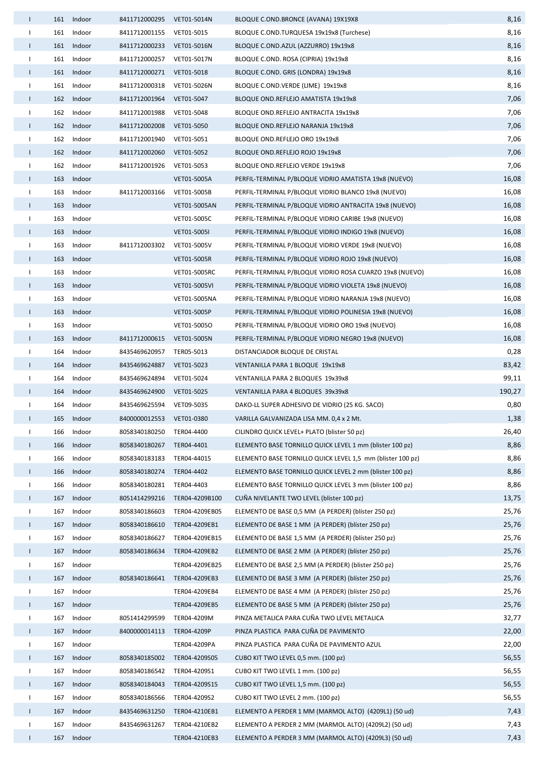| $\mathbf{L}$ |                     | 161 Indoor | 8411712000295             | VET01-5014N    | BLOQUE C.OND.BRONCE (AVANA) 19X19X8                        | 8,16   |
|--------------|---------------------|------------|---------------------------|----------------|------------------------------------------------------------|--------|
| $\mathbf{L}$ | 161                 | Indoor     | 8411712001155 VET01-5015  |                | BLOQUE C.OND.TURQUESA 19x19x8 (Turchese)                   | 8,16   |
| $\mathbf{L}$ |                     | 161 Indoor | 8411712000233 VET01-5016N |                | BLOQUE C.OND.AZUL (AZZURRO) 19x19x8                        | 8,16   |
| $\mathbf{L}$ | 161                 | Indoor     | 8411712000257             | VET01-5017N    | BLOQUE C.OND. ROSA (CIPRIA) 19x19x8                        | 8,16   |
| T.           |                     | 161 Indoor | 8411712000271 VET01-5018  |                | BLOQUE C.OND. GRIS (LONDRA) 19x19x8                        | 8,16   |
| $\mathbf{L}$ |                     | 161 Indoor | 8411712000318 VET01-5026N |                | BLOQUE C.OND.VERDE (LIME) 19x19x8                          | 8,16   |
|              | $\mathbf{L}$        | 162 Indoor | 8411712001964 VET01-5047  |                | BLOQUE OND.REFLEJO AMATISTA 19x19x8                        | 7,06   |
| $\mathbf{L}$ | 162                 | Indoor     | 8411712001988             | VET01-5048     | BLOQUE OND.REFLEJO ANTRACITA 19x19x8                       | 7,06   |
| $\mathbf{L}$ | 162                 | Indoor     | 8411712002008             | VET01-5050     | BLOQUE OND.REFLEJO NARANJA 19x19x8                         | 7,06   |
| $\mathbf{L}$ |                     | 162 Indoor | 8411712001940 VET01-5051  |                | BLOQUE OND.REFLEJO ORO 19x19x8                             | 7,06   |
| T.           | 162                 | Indoor     | 8411712002060             | VET01-5052     | BLOQUE OND.REFLEJO ROJO 19x19x8                            | 7,06   |
| $\mathbf{L}$ | 162                 | Indoor     | 8411712001926             | VET01-5053     | BLOQUE OND.REFLEJO VERDE 19x19x8                           | 7,06   |
| $\mathbf{L}$ | 163                 | Indoor     |                           | VET01-5005A    | PERFIL-TERMINAL P/BLOQUE VIDRIO AMATISTA 19x8 (NUEVO)      | 16,08  |
| $\mathbf{L}$ | 163                 | Indoor     | 8411712003166             | VET01-5005B    | PERFIL-TERMINAL P/BLOQUE VIDRIO BLANCO 19x8 (NUEVO)        | 16,08  |
|              | $\mathbf{L}$        | 163 Indoor |                           | VET01-5005AN   | PERFIL-TERMINAL P/BLOQUE VIDRIO ANTRACITA 19x8 (NUEVO)     | 16,08  |
| $\mathbf{L}$ | 163                 | Indoor     |                           | VET01-5005C    | PERFIL-TERMINAL P/BLOQUE VIDRIO CARIBE 19x8 (NUEVO)        | 16,08  |
| $\mathbf{L}$ | 163                 | Indoor     |                           | VET01-5005I    | PERFIL-TERMINAL P/BLOQUE VIDRIO INDIGO 19x8 (NUEVO)        | 16,08  |
| $\mathbf{L}$ | 163                 | Indoor     | 8411712003302             | VET01-5005V    | PERFIL-TERMINAL P/BLOQUE VIDRIO VERDE 19x8 (NUEVO)         | 16,08  |
| $\mathbf{L}$ | 163                 | Indoor     |                           | VET01-5005R    | PERFIL-TERMINAL P/BLOQUE VIDRIO ROJO 19x8 (NUEVO)          | 16,08  |
| $\mathbf{L}$ | 163                 | Indoor     |                           | VET01-5005RC   | PERFIL-TERMINAL P/BLOQUE VIDRIO ROSA CUARZO 19x8 (NUEVO)   | 16,08  |
| $\mathbf{L}$ |                     | 163 Indoor |                           | VET01-5005VI   | PERFIL-TERMINAL P/BLOQUE VIDRIO VIOLETA 19x8 (NUEVO)       | 16,08  |
| $\mathbf{L}$ | 163                 | Indoor     |                           | VET01-5005NA   | PERFIL-TERMINAL P/BLOQUE VIDRIO NARANJA 19x8 (NUEVO)       | 16,08  |
| T.           |                     | 163 Indoor |                           | VET01-5005P    | PERFIL-TERMINAL P/BLOQUE VIDRIO POLINESIA 19x8 (NUEVO)     | 16,08  |
| $\mathbf{L}$ |                     | 163 Indoor |                           | VET01-5005O    | PERFIL-TERMINAL P/BLOQUE VIDRIO ORO 19x8 (NUEVO)           | 16,08  |
| T.           | 163                 | Indoor     | 8411712000615 VET01-5005N |                | PERFIL-TERMINAL P/BLOQUE VIDRIO NEGRO 19x8 (NUEVO)         | 16,08  |
| $\mathbf{L}$ | 164                 | Indoor     | 8435469620957             | TER05-5013     | DISTANCIADOR BLOQUE DE CRISTAL                             | 0,28   |
| $\mathbf{L}$ | 164                 | Indoor     | 8435469624887             | VET01-5023     | VENTANILLA PARA 1 BLOQUE 19x19x8                           | 83,42  |
| $\mathbf{L}$ |                     | 164 Indoor | 8435469624894             | VET01-5024     | VENTANILLA PARA 2 BLOQUES 19x39x8                          | 99,11  |
| $\mathbf{L}$ | 164                 | Indoor     | 8435469624900             | VET01-5025     | VENTANILLA PARA 4 BLOQUES 39x39x8                          | 190,27 |
| $\mathbf{L}$ |                     | 164 Indoor | 8435469625594 VET09-5035  |                | DAKO-LL SUPER ADHESIVO DE VIDRIO (25 KG. SACO)             | 0,80   |
|              |                     | 165 Indoor | 8400000012553 VET01-0380  |                | VARILLA GALVANIZADA LISA MM. 0,4 x 2 Mt.                   | 1,38   |
| $\mathbf{L}$ | 166                 | Indoor     | 8058340180250             | TER04-4400     | CILINDRO QUICK LEVEL+ PLATO (blister 50 pz)                | 26,40  |
|              | $\mathbf{L}$<br>166 | Indoor     | 8058340180267             | TER04-4401     | ELEMENTO BASE TORNILLO QUICK LEVEL 1 mm (blister 100 pz)   | 8,86   |
| T.           | 166                 | Indoor     | 8058340183183             | TER04-44015    | ELEMENTO BASE TORNILLO QUICK LEVEL 1,5 mm (blister 100 pz) | 8,86   |
| Τ.           | 166                 | Indoor     | 8058340180274             | TER04-4402     | ELEMENTO BASE TORNILLO QUICK LEVEL 2 mm (blister 100 pz)   | 8,86   |
| $\mathbf{L}$ | 166                 | Indoor     | 8058340180281             | TER04-4403     | ELEMENTO BASE TORNILLO QUICK LEVEL 3 mm (blister 100 pz)   | 8,86   |
| $\mathbf{I}$ | 167                 | Indoor     | 8051414299216             | TER04-4209B100 | CUÑA NIVELANTE TWO LEVEL (blíster 100 pz)                  | 13,75  |
| $\mathbf{L}$ | 167                 | Indoor     | 8058340186603             | TER04-4209EB05 | ELEMENTO DE BASE 0,5 MM (A PERDER) (blíster 250 pz)        | 25,76  |
| $\mathbf{L}$ | 167                 | Indoor     | 8058340186610             | TER04-4209EB1  | ELEMENTO DE BASE 1 MM (A PERDER) (blíster 250 pz)          | 25,76  |
| $\mathbf{L}$ | 167                 | Indoor     | 8058340186627             | TER04-4209EB15 | ELEMENTO DE BASE 1,5 MM (A PERDER) (blíster 250 pz)        | 25,76  |
| T.           | 167                 | Indoor     | 8058340186634             | TER04-4209EB2  | ELEMENTO DE BASE 2 MM (A PERDER) (blíster 250 pz)          | 25,76  |
| $\mathbf{L}$ | 167                 | Indoor     |                           | TER04-4209EB25 | ELEMENTO DE BASE 2,5 MM (A PERDER) (blister 250 pz)        | 25,76  |
| $\mathbf{L}$ | 167                 | Indoor     | 8058340186641             | TER04-4209EB3  | ELEMENTO DE BASE 3 MM (A PERDER) (blíster 250 pz)          | 25,76  |
| $\mathbf{L}$ | 167                 | Indoor     |                           | TER04-4209EB4  | ELEMENTO DE BASE 4 MM (A PERDER) (blíster 250 pz)          | 25,76  |
| T.           | 167                 | Indoor     |                           | TER04-4209EB5  | ELEMENTO DE BASE 5 MM (A PERDER) (blíster 250 pz)          | 25,76  |
| $\mathbf{L}$ | 167                 | Indoor     | 8051414299599             | TER04-4209M    | PINZA METALICA PARA CUÑA TWO LEVEL METALICA                | 32,77  |
| $\mathbf{L}$ | 167                 | Indoor     | 8400000014113             | TER04-4209P    | PINZA PLASTICA PARA CUÑA DE PAVIMENTO                      | 22,00  |
| $\mathbf{L}$ | 167                 | Indoor     |                           | TER04-4209PA   | PINZA PLASTICA PARA CUÑA DE PAVIMENTO AZUL                 | 22,00  |
| T.           | 167                 | Indoor     | 8058340185002             | TER04-4209S05  | CUBO KIT TWO LEVEL 0,5 mm. (100 pz)                        | 56,55  |
| $\mathbf{L}$ | 167                 | Indoor     | 8058340186542             | TER04-4209S1   | CUBO KIT TWO LEVEL 1 mm. (100 pz)                          | 56,55  |
| $\mathbf{L}$ | 167                 | Indoor     | 8058340184043             | TER04-4209S15  | CUBO KIT TWO LEVEL 1,5 mm. (100 pz)                        | 56,55  |
| $\mathbf{L}$ | 167                 | Indoor     | 8058340186566             | TER04-4209S2   | CUBO KIT TWO LEVEL 2 mm. (100 pz)                          | 56,55  |
| $\mathbf{L}$ | 167                 | Indoor     | 8435469631250             | TER04-4210EB1  | ELEMENTO A PERDER 1 MM (MARMOL ALTO) (4209L1) (50 ud)      | 7,43   |
| $\mathbf{I}$ | 167                 | Indoor     | 8435469631267             | TER04-4210EB2  | ELEMENTO A PERDER 2 MM (MARMOL ALTO) (4209L2) (50 ud)      | 7,43   |
| $\mathbf{L}$ | 167                 | Indoor     |                           | TER04-4210EB3  | ELEMENTO A PERDER 3 MM (MARMOL ALTO) (4209L3) (50 ud)      | 7,43   |
|              |                     |            |                           |                |                                                            |        |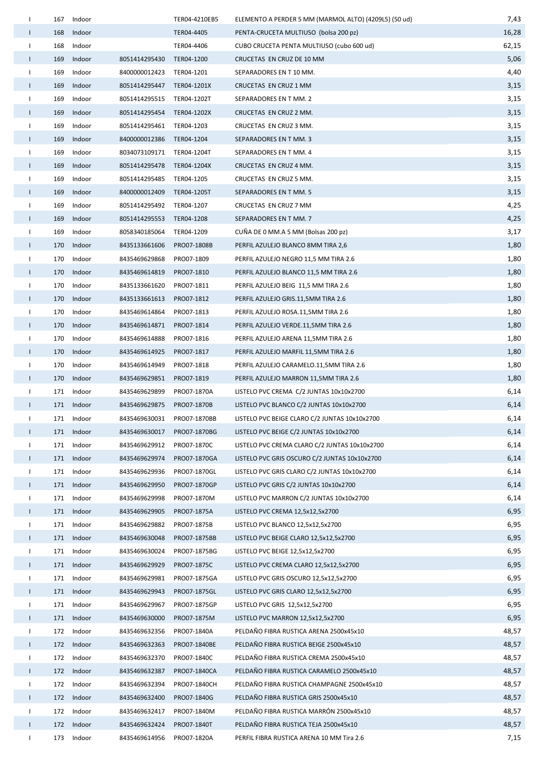| Τ.           | 167 | Indoor     |                           | TER04-4210EB5 | ELEMENTO A PERDER 5 MM (MARMOL ALTO) (4209L5) (50 ud) | 7,43  |
|--------------|-----|------------|---------------------------|---------------|-------------------------------------------------------|-------|
| $\mathbf{I}$ | 168 | Indoor     |                           | TER04-4405    | PENTA-CRUCETA MULTIUSO (bolsa 200 pz)                 | 16,28 |
| Τ.           | 168 | Indoor     |                           | TER04-4406    | CUBO CRUCETA PENTA MULTIUSO (cubo 600 ud)             | 62,15 |
| L            | 169 | Indoor     | 8051414295430             | TER04-1200    | CRUCETAS EN CRUZ DE 10 MM                             | 5,06  |
| Τ.           | 169 | Indoor     | 8400000012423 TER04-1201  |               | SEPARADORES EN T 10 MM.                               | 4,40  |
| $\mathbf{I}$ | 169 | Indoor     | 8051414295447 TER04-1201X |               | CRUCETAS EN CRUZ 1 MM                                 | 3,15  |
| $\mathbf{I}$ | 169 | Indoor     | 8051414295515 TER04-1202T |               | SEPARADORES EN T MM. 2                                | 3,15  |
| $\mathbf{I}$ | 169 | Indoor     | 8051414295454             | TER04-1202X   | CRUCETAS EN CRUZ 2 MM.                                | 3,15  |
| $\mathbf{I}$ | 169 | Indoor     | 8051414295461 TER04-1203  |               | CRUCETAS EN CRUZ 3 MM.                                | 3,15  |
| $\mathbf{I}$ | 169 | Indoor     | 8400000012386             | TER04-1204    | SEPARADORES EN T MM. 3                                | 3,15  |
| Τ.           | 169 | Indoor     | 8034073109171 TER04-1204T |               | SEPARADORES EN T MM. 4                                | 3,15  |
| $\mathbf{I}$ | 169 | Indoor     | 8051414295478 TER04-1204X |               | CRUCETAS EN CRUZ 4 MM.                                | 3,15  |
| Т.           | 169 | Indoor     | 8051414295485             | TER04-1205    | CRUCETAS EN CRUZ 5 MM.                                | 3,15  |
| $\mathbf{I}$ | 169 | Indoor     | 8400000012409 TER04-1205T |               | SEPARADORES EN T MM. 5                                | 3,15  |
| $\mathbf{I}$ | 169 | Indoor     | 8051414295492 TER04-1207  |               | CRUCETAS EN CRUZ 7 MM                                 | 4,25  |
| $\mathbf{I}$ | 169 | Indoor     | 8051414295553 TER04-1208  |               | SEPARADORES EN T MM. 7                                | 4,25  |
| $\mathbf{I}$ | 169 | Indoor     | 8058340185064             | TER04-1209    | CUÑA DE 0 MM.A 5 MM (Bolsas 200 pz)                   | 3,17  |
| $\mathsf{I}$ | 170 | Indoor     | 8435133661606             | PRO07-1808B   | PERFIL AZULEJO BLANCO 8MM TIRA 2,6                    | 1,80  |
| $\mathbf{I}$ | 170 | Indoor     | 8435469629868             | PRO07-1809    | PERFIL AZULEJO NEGRO 11,5 MM TIRA 2.6                 | 1,80  |
| $\mathbf{I}$ | 170 | Indoor     | 8435469614819             | PRO07-1810    | PERFIL AZULEJO BLANCO 11,5 MM TIRA 2.6                | 1,80  |
| Τ.           | 170 | Indoor     | 8435133661620             | PRO07-1811    | PERFIL AZULEJO BEIG 11,5 MM TIRA 2.6                  | 1,80  |
| L            | 170 | Indoor     | 8435133661613             | PRO07-1812    | PERFIL AZULEJO GRIS.11,5MM TIRA 2.6                   | 1,80  |
| $\mathbf{I}$ | 170 | Indoor     | 8435469614864             | PRO07-1813    | PERFIL AZULEJO ROSA.11,5MM TIRA 2.6                   | 1,80  |
| $\mathbf{I}$ |     | 170 Indoor | 8435469614871             | PRO07-1814    | PERFIL AZULEJO VERDE.11,5MM TIRA 2.6                  | 1,80  |
| $\mathbf{I}$ | 170 | Indoor     | 8435469614888             | PRO07-1816    | PERFIL AZULEJO ARENA 11,5MM TIRA 2.6                  | 1,80  |
| $\mathbf{I}$ | 170 | Indoor     | 8435469614925             | PRO07-1817    | PERFIL AZULEJO MARFIL 11,5MM TIRA 2.6                 | 1,80  |
| Τ.           | 170 | Indoor     | 8435469614949             | PRO07-1818    | PERFIL AZULEJO CARAMELO.11,5MM TIRA 2.6               | 1,80  |
| $\mathbf{I}$ | 170 | Indoor     | 8435469629851             | PRO07-1819    | PERFIL AZULEJO MARRON 11,5MM TIRA 2.6                 | 1,80  |
| Τ.           | 171 | Indoor     | 8435469629899             | PRO07-1870A   | LISTELO PVC CREMA C/2 JUNTAS 10x10x2700               | 6,14  |
| $\mathbf{I}$ |     | 171 Indoor | 8435469629875             | PRO07-1870B   | LISTELO PVC BLANCO C/2 JUNTAS 10x10x2700              | 6,14  |
|              |     | 171 Indoor | 8435469630031             | PRO07-1870BB  | LISTELO PVC BEIGE CLARO C/2 JUNTAS 10x10x2700         | 6,14  |
| $\mathbf{L}$ |     | 171 Indoor | 8435469630017             | PRO07-1870BG  | LISTELO PVC BEIGE C/2 JUNTAS 10x10x2700               | 6,14  |
| $\mathbf{L}$ | 171 | Indoor     | 8435469629912             | PRO07-1870C   | LISTELO PVC CREMA CLARO C/2 JUNTAS 10x10x2700         | 6,14  |
| $\mathbf{I}$ | 171 | Indoor     | 8435469629974             | PRO07-1870GA  | LISTELO PVC GRIS OSCURO C/2 JUNTAS 10x10x2700         | 6,14  |
| $\mathbf{I}$ |     | 171 Indoor | 8435469629936             | PRO07-1870GL  | LISTELO PVC GRIS CLARO C/2 JUNTAS 10x10x2700          | 6,14  |
| $\mathbf{I}$ | 171 | Indoor     | 8435469629950             | PRO07-1870GP  | LISTELO PVC GRIS C/2 JUNTAS 10x10x2700                | 6,14  |
| $\mathbf{I}$ | 171 | Indoor     | 8435469629998             | PRO07-1870M   | LISTELO PVC MARRON C/2 JUNTAS 10x10x2700              | 6,14  |
| Τ.           | 171 | Indoor     | 8435469629905             | PRO07-1875A   | LISTELO PVC CREMA 12,5x12,5x2700                      | 6,95  |
| $\mathbf{I}$ | 171 | Indoor     | 8435469629882             | PRO07-1875B   | LISTELO PVC BLANCO 12,5x12,5x2700                     | 6,95  |
| $\mathbf{L}$ |     | 171 Indoor | 8435469630048             | PRO07-1875BB  | LISTELO PVC BEIGE CLARO 12,5x12,5x2700                | 6,95  |
| $\mathbf{I}$ | 171 | Indoor     | 8435469630024             | PRO07-1875BG  | LISTELO PVC BEIGE 12,5x12,5x2700                      | 6,95  |
| $\mathbf{I}$ |     | 171 Indoor | 8435469629929             | PRO07-1875C   | LISTELO PVC CREMA CLARO 12,5x12,5x2700                | 6,95  |
| $\mathbf{I}$ | 171 | Indoor     | 8435469629981             | PRO07-1875GA  | LISTELO PVC GRIS OSCURO 12,5x12,5x2700                | 6,95  |
| $\mathbf{I}$ |     | 171 Indoor | 8435469629943             | PRO07-1875GL  | LISTELO PVC GRIS CLARO 12,5x12,5x2700                 | 6,95  |
| $\mathbf{I}$ | 171 | Indoor     | 8435469629967             | PRO07-1875GP  | LISTELO PVC GRIS 12,5x12,5x2700                       | 6,95  |
| $\mathbf{L}$ |     | 171 Indoor | 8435469630000             | PRO07-1875M   | LISTELO PVC MARRON 12,5x12,5x2700                     | 6,95  |
| $\mathbf{I}$ | 172 | Indoor     | 8435469632356             | PRO07-1840A   | PELDAÑO FIBRA RUSTICA ARENA 2500x45x10                | 48,57 |
| $\mathbf{L}$ | 172 | Indoor     | 8435469632363             | PRO07-1840BE  | PELDAÑO FIBRA RUSTICA BEIGE 2500x45x10                | 48,57 |
| $\mathbf{I}$ |     | 172 Indoor | 8435469632370             | PRO07-1840C   | PELDAÑO FIBRA RUSTICA CREMA 2500x45x10                | 48,57 |
| $\mathbf{L}$ | 172 | Indoor     | 8435469632387             | PRO07-1840CA  | PELDAÑO FIBRA RUSTICA CARAMELO 2500x45x10             | 48,57 |
| $\mathbf{I}$ | 172 | Indoor     | 8435469632394             | PRO07-1840CH  | PELDAÑO FIBRA RUSTICA CHAMPAGNE 2500x45x10            | 48,57 |
| $\mathbf{I}$ | 172 | Indoor     | 8435469632400             | PRO07-1840G   | PELDAÑO FIBRA RUSTICA GRIS 2500x45x10                 | 48,57 |
| $\mathbf{I}$ | 172 | Indoor     | 8435469632417             | PRO07-1840M   | PELDAÑO FIBRA RUSTICA MARRÓN 2500x45x10               | 48,57 |
| $\mathbf{I}$ | 172 | Indoor     | 8435469632424             | PRO07-1840T   | PELDAÑO FIBRA RUSTICA TEJA 2500x45x10                 | 48,57 |
| J.           | 173 | Indoor     | 8435469614956             | PRO07-1820A   | PERFIL FIBRA RUSTICA ARENA 10 MM Tira 2.6             | 7,15  |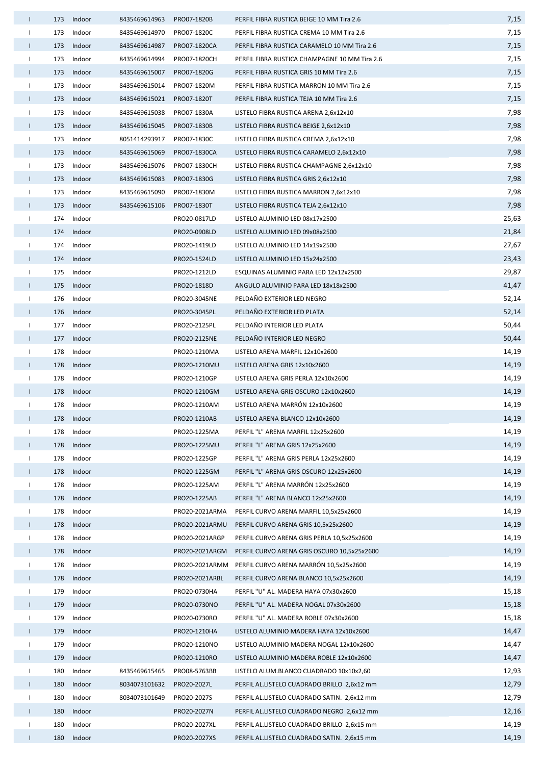| $\mathbf{L}$ |     | 173 Indoor | 8435469614963 | PRO07-1820B    | PERFIL FIBRA RUSTICA BEIGE 10 MM Tira 2.6     | 7,15  |
|--------------|-----|------------|---------------|----------------|-----------------------------------------------|-------|
| $\mathbf{L}$ | 173 | Indoor     | 8435469614970 | PRO07-1820C    | PERFIL FIBRA RUSTICA CREMA 10 MM Tira 2.6     | 7,15  |
| $\mathbf{L}$ |     | 173 Indoor | 8435469614987 | PRO07-1820CA   | PERFIL FIBRA RUSTICA CARAMELO 10 MM Tira 2.6  | 7,15  |
| $\mathbf{L}$ | 173 | Indoor     | 8435469614994 | PRO07-1820CH   | PERFIL FIBRA RUSTICA CHAMPAGNE 10 MM Tira 2.6 | 7,15  |
| $\mathbf{L}$ |     | 173 Indoor | 8435469615007 | PRO07-1820G    | PERFIL FIBRA RUSTICA GRIS 10 MM Tira 2.6      | 7,15  |
| $\mathbf{L}$ | 173 | Indoor     | 8435469615014 | PRO07-1820M    | PERFIL FIBRA RUSTICA MARRON 10 MM Tira 2.6    | 7,15  |
| $\mathbf{L}$ |     | 173 Indoor | 8435469615021 | PRO07-1820T    | PERFIL FIBRA RUSTICA TEJA 10 MM Tira 2.6      | 7,15  |
| $\mathbf{L}$ | 173 | Indoor     | 8435469615038 | PRO07-1830A    | LISTELO FIBRA RUSTICA ARENA 2,6x12x10         | 7,98  |
| $\mathbf{L}$ |     | 173 Indoor | 8435469615045 | PRO07-1830B    | LISTELO FIBRA RUSTICA BEIGE 2,6x12x10         | 7,98  |
| $\mathbf{L}$ |     | 173 Indoor | 8051414293917 | PRO07-1830C    | LISTELO FIBRA RUSTICA CREMA 2,6x12x10         | 7,98  |
| T.           |     | 173 Indoor | 8435469615069 | PRO07-1830CA   | LISTELO FIBRA RUSTICA CARAMELO 2,6x12x10      | 7,98  |
| $\mathbf{L}$ |     | 173 Indoor | 8435469615076 | PRO07-1830CH   | LISTELO FIBRA RUSTICA CHAMPAGNE 2,6x12x10     | 7,98  |
| $\mathbf{L}$ | 173 | Indoor     | 8435469615083 | PRO07-1830G    | LISTELO FIBRA RUSTICA GRIS 2,6x12x10          | 7,98  |
| $\mathbf{L}$ |     | 173 Indoor | 8435469615090 | PRO07-1830M    | LISTELO FIBRA RUSTICA MARRON 2,6x12x10        | 7,98  |
| $\mathbf{L}$ | 173 | Indoor     | 8435469615106 | PRO07-1830T    | LISTELO FIBRA RUSTICA TEJA 2,6x12x10          | 7,98  |
| $\mathbf{L}$ |     | 174 Indoor |               | PRO20-0817LD   | LISTELO ALUMINIO LED 08x17x2500               | 25,63 |
| T.           |     | 174 Indoor |               | PRO20-0908LD   | LISTELO ALUMINIO LED 09x08x2500               | 21,84 |
| $\mathbf{L}$ |     | 174 Indoor |               | PRO20-1419LD   | LISTELO ALUMINIO LED 14x19x2500               | 27,67 |
| $\mathbf{L}$ |     | 174 Indoor |               | PRO20-1524LD   | LISTELO ALUMINIO LED 15x24x2500               | 23,43 |
| $\mathbf{L}$ | 175 | Indoor     |               | PRO20-1212LD   | ESQUINAS ALUMINIO PARA LED 12x12x2500         | 29,87 |
| $\mathbf{L}$ |     | 175 Indoor |               | PRO20-1818D    | ANGULO ALUMINIO PARA LED 18x18x2500           | 41,47 |
| $\mathbf{L}$ | 176 | Indoor     |               | PRO20-3045NE   | PELDAÑO EXTERIOR LED NEGRO                    | 52,14 |
| $\mathbf{L}$ |     | 176 Indoor |               | PRO20-3045PL   | PELDAÑO EXTERIOR LED PLATA                    | 52,14 |
| $\mathbf{L}$ | 177 | Indoor     |               | PRO20-2125PL   | PELDAÑO INTERIOR LED PLATA                    | 50,44 |
| $\mathbf{L}$ |     | 177 Indoor |               | PRO20-2125NE   | PELDAÑO INTERIOR LED NEGRO                    | 50,44 |
| $\mathbf{L}$ |     | 178 Indoor |               | PRO20-1210MA   | LISTELO ARENA MARFIL 12x10x2600               | 14,19 |
| $\mathbf{L}$ |     | 178 Indoor |               | PRO20-1210MU   | LISTELO ARENA GRIS 12x10x2600                 | 14,19 |
| $\mathbf{L}$ |     | 178 Indoor |               | PRO20-1210GP   | LISTELO ARENA GRIS PERLA 12x10x2600           | 14,19 |
| $\mathbf{L}$ | 178 | Indoor     |               | PRO20-1210GM   | LISTELO ARENA GRIS OSCURO 12x10x2600          | 14,19 |
| $\mathbf{L}$ |     | 178 Indoor |               | PRO20-1210AM   | LISTELO ARENA MARRÓN 12x10x2600               | 14,19 |
|              |     | 178 Indoor |               | PRO20-1210AB   | LISTELO ARENA BLANCO 12x10x2600               | 14,19 |
| $\mathbf{L}$ | 178 | Indoor     |               | PRO20-1225MA   | PERFIL "L" ARENA MARFIL 12x25x2600            | 14,19 |
| $\mathbf{L}$ | 178 | Indoor     |               | PRO20-1225MU   | PERFIL "L" ARENA GRIS 12x25x2600              | 14,19 |
| $\mathbf{L}$ | 178 | Indoor     |               | PRO20-1225GP   | PERFIL "L" ARENA GRIS PERLA 12x25x2600        | 14,19 |
| $\mathbf{L}$ | 178 | Indoor     |               | PRO20-1225GM   | PERFIL "L" ARENA GRIS OSCURO 12x25x2600       | 14,19 |
| $\mathbf{L}$ | 178 | Indoor     |               | PRO20-1225AM   | PERFIL "L" ARENA MARRÓN 12x25x2600            | 14,19 |
| $\mathbf{L}$ | 178 | Indoor     |               | PRO20-1225AB   | PERFIL "L" ARENA BLANCO 12x25x2600            | 14,19 |
| $\mathbf{L}$ | 178 | Indoor     |               | PRO20-2021ARMA | PERFIL CURVO ARENA MARFIL 10,5x25x2600        | 14,19 |
| $\mathbf{L}$ | 178 | Indoor     |               | PRO20-2021ARMU | PERFIL CURVO ARENA GRIS 10,5x25x2600          | 14,19 |
| $\mathbf{L}$ | 178 | Indoor     |               | PRO20-2021ARGP | PERFIL CURVO ARENA GRIS PERLA 10,5x25x2600    | 14,19 |
| $\mathbf{L}$ | 178 | Indoor     |               | PRO20-2021ARGM | PERFIL CURVO ARENA GRIS OSCURO 10,5x25x2600   | 14,19 |
| $\mathbf{L}$ | 178 | Indoor     |               | PRO20-2021ARMM | PERFIL CURVO ARENA MARRÓN 10,5x25x2600        | 14,19 |
| $\mathbf{L}$ | 178 | Indoor     |               | PRO20-2021ARBL | PERFIL CURVO ARENA BLANCO 10,5x25x2600        | 14,19 |
| $\mathbf{I}$ | 179 | Indoor     |               | PRO20-0730HA   | PERFIL "U" AL. MADERA HAYA 07x30x2600         | 15,18 |
| $\mathbf{L}$ | 179 | Indoor     |               | PRO20-0730NO   | PERFIL "U" AL. MADERA NOGAL 07x30x2600        | 15,18 |
| $\mathbf{L}$ | 179 | Indoor     |               | PRO20-0730RO   | PERFIL "U" AL. MADERA ROBLE 07x30x2600        | 15,18 |
| T.           | 179 | Indoor     |               | PRO20-1210HA   | LISTELO ALUMINIO MADERA HAYA 12x10x2600       | 14,47 |
| $\mathbf{L}$ | 179 | Indoor     |               | PRO20-1210NO   | LISTELO ALUMINIO MADERA NOGAL 12x10x2600      | 14,47 |
| $\mathbf{L}$ | 179 | Indoor     |               | PRO20-1210RO   | LISTELO ALUMINIO MADERA ROBLE 12x10x2600      | 14,47 |
| $\mathbf{L}$ | 180 | Indoor     | 8435469615465 | PRO08-5763BB   | LISTELO ALUM.BLANCO CUADRADO 10x10x2,60       | 12,93 |
| $\mathbf{L}$ | 180 | Indoor     | 8034073101632 | PRO20-2027L    | PERFIL AL.LISTELO CUADRADO BRILLO 2,6x12 mm   | 12,79 |
| $\mathbf{I}$ | 180 | Indoor     | 8034073101649 | PRO20-2027S    | PERFIL AL.LISTELO CUADRADO SATIN. 2,6x12 mm   | 12,79 |
| $\mathbf{L}$ | 180 | Indoor     |               | PRO20-2027N    | PERFIL AL.LISTELO CUADRADO NEGRO 2,6x12 mm    | 12,16 |
| $\mathbf{L}$ | 180 | Indoor     |               | PRO20-2027XL   | PERFIL AL.LISTELO CUADRADO BRILLO 2,6x15 mm   | 14,19 |
|              | 180 | Indoor     |               | PRO20-2027XS   | PERFIL AL.LISTELO CUADRADO SATIN. 2,6x15 mm   | 14,19 |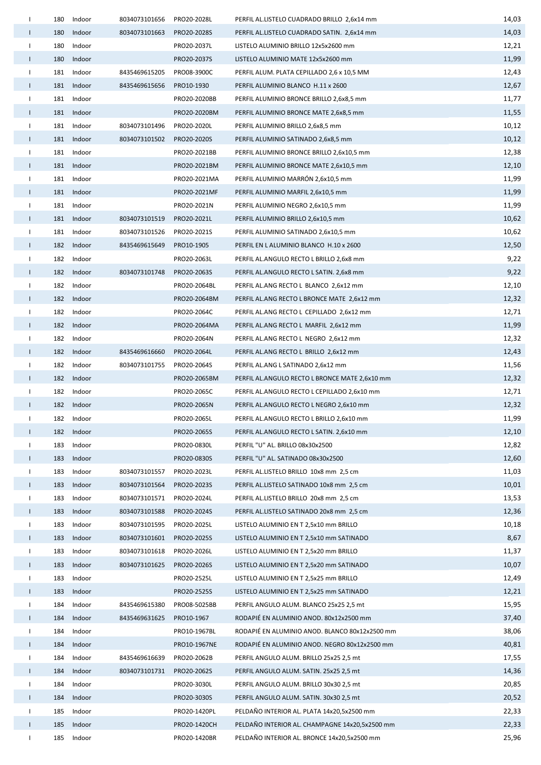| $\mathbf{I}$             | 180 | Indoor     | 8034073101656 | PRO20-2028L  | PERFIL AL.LISTELO CUADRADO BRILLO 2,6x14 mm    | 14,03 |
|--------------------------|-----|------------|---------------|--------------|------------------------------------------------|-------|
| $\mathbf{L}$             | 180 | Indoor     | 8034073101663 | PRO20-2028S  | PERFIL AL.LISTELO CUADRADO SATIN. 2,6x14 mm    | 14,03 |
| $\mathbf{I}$             | 180 | Indoor     |               | PRO20-2037L  | LISTELO ALUMINIO BRILLO 12x5x2600 mm           | 12,21 |
| $\mathbf{I}$             | 180 | Indoor     |               | PRO20-2037S  | LISTELO ALUMINIO MATE 12x5x2600 mm             | 11,99 |
| Τ.                       | 181 | Indoor     | 8435469615205 | PRO08-3900C  | PERFIL ALUM. PLATA CEPILLADO 2,6 x 10,5 MM     | 12,43 |
| $\mathbf{I}$             |     | 181 Indoor | 8435469615656 | PRO10-1930   | PERFIL ALUMINIO BLANCO H.11 x 2600             | 12,67 |
| $\mathbf{I}$             | 181 | Indoor     |               | PRO20-2020BB | PERFIL ALUMINIO BRONCE BRILLO 2,6x8,5 mm       | 11,77 |
| $\mathbf{L}$             |     | 181 Indoor |               | PRO20-2020BM | PERFIL ALUMINIO BRONCE MATE 2,6x8,5 mm         | 11,55 |
| $\mathbf{I}$             | 181 | Indoor     | 8034073101496 | PRO20-2020L  | PERFIL ALUMINIO BRILLO 2,6x8,5 mm              | 10,12 |
| $\mathbf{L}$             |     | 181 Indoor | 8034073101502 | PRO20-2020S  | PERFIL ALUMINIO SATINADO 2,6x8,5 mm            | 10,12 |
| $\mathbf{L}$             |     | 181 Indoor |               | PRO20-2021BB | PERFIL ALUMINIO BRONCE BRILLO 2,6x10,5 mm      | 12,38 |
| $\mathbf{I}$             | 181 | Indoor     |               | PRO20-2021BM | PERFIL ALUMINIO BRONCE MATE 2,6x10,5 mm        | 12,10 |
| $\mathbf{I}$             |     | 181 Indoor |               | PRO20-2021MA | PERFIL ALUMINIO MARRÓN 2,6x10,5 mm             | 11,99 |
| $\mathbf{I}$             | 181 | Indoor     |               | PRO20-2021MF | PERFIL ALUMINIO MARFIL 2,6x10,5 mm             | 11,99 |
| Ι.                       |     | 181 Indoor |               | PRO20-2021N  | PERFIL ALUMINIO NEGRO 2,6x10,5 mm              | 11,99 |
| $\mathbf{L}$             | 181 | Indoor     | 8034073101519 | PRO20-2021L  | PERFIL ALUMINIO BRILLO 2,6x10,5 mm             | 10,62 |
| $\mathbf{I}$             |     | 181 Indoor | 8034073101526 | PRO20-2021S  | PERFIL ALUMINIO SATINADO 2,6x10,5 mm           | 10,62 |
| $\mathbf{L}$             |     | 182 Indoor | 8435469615649 | PRO10-1905   | PERFIL EN L ALUMINIO BLANCO H.10 x 2600        | 12,50 |
| L                        | 182 | Indoor     |               | PRO20-2063L  | PERFIL AL.ANGULO RECTO L BRILLO 2,6x8 mm       | 9,22  |
| L                        |     | 182 Indoor | 8034073101748 | PRO20-2063S  | PERFIL AL.ANGULO RECTO L SATIN. 2,6x8 mm       | 9,22  |
| $\mathbf{L}$             | 182 | Indoor     |               | PRO20-2064BL | PERFIL AL.ANG RECTO L BLANCO 2,6x12 mm         | 12,10 |
| $\mathbf{I}$             |     | 182 Indoor |               | PRO20-2064BM | PERFIL AL.ANG RECTO L BRONCE MATE 2,6x12 mm    | 12,32 |
| $\mathbf{I}$             | 182 | Indoor     |               | PRO20-2064C  | PERFIL AL.ANG RECTO L CEPILLADO 2,6x12 mm      | 12,71 |
| $\mathbf{I}$             |     | 182 Indoor |               | PRO20-2064MA | PERFIL AL.ANG RECTO L MARFIL 2,6x12 mm         | 11,99 |
| $\mathbf{I}$             | 182 | Indoor     |               | PRO20-2064N  | PERFIL AL.ANG RECTO L NEGRO 2,6x12 mm          | 12,32 |
| $\mathbf{L}$             |     | 182 Indoor | 8435469616660 | PRO20-2064L  | PERFIL AL.ANG RECTO L BRILLO 2,6x12 mm         | 12,43 |
| $\mathbf{L}$             | 182 | Indoor     | 8034073101755 | PRO20-2064S  | PERFIL AL.ANG L SATINADO 2,6x12 mm             | 11,56 |
| $\mathbf{L}$             | 182 | Indoor     |               | PRO20-2065BM | PERFIL AL.ANGULO RECTO L BRONCE MATE 2,6x10 mm | 12,32 |
| $\mathbf{L}$             | 182 | Indoor     |               | PRO20-2065C  | PERFIL AL.ANGULO RECTO L CEPILLADO 2,6x10 mm   | 12,71 |
| L                        | 182 | Indoor     |               | PRO20-2065N  | PERFIL AL.ANGULO RECTO L NEGRO 2,6x10 mm       | 12,32 |
| $\overline{\phantom{a}}$ | 182 | Indoor     |               | PRO20-2065L  | PERFIL AL.ANGULO RECTO L BRILLO 2,6x10 mm      | 11,99 |
| $\mathbf{I}$             | 182 | Indoor     |               | PRO20-2065S  | PERFIL AL.ANGULO RECTO L SATIN. 2,6x10 mm      | 12,10 |
| Ι.                       | 183 | Indoor     |               | PRO20-0830L  | PERFIL "U" AL. BRILLO 08x30x2500               | 12,82 |
| L                        | 183 | Indoor     |               | PRO20-0830S  | PERFIL "U" AL. SATINADO 08x30x2500             | 12,60 |
| $\mathbf{I}$             | 183 | Indoor     | 8034073101557 | PRO20-2023L  | PERFIL AL.LISTELO BRILLO 10x8 mm 2,5 cm        | 11,03 |
| $\mathbf{L}$             | 183 | Indoor     | 8034073101564 | PRO20-2023S  | PERFIL AL.LISTELO SATINADO 10x8 mm 2,5 cm      | 10,01 |
| $\mathbf{I}$             | 183 | Indoor     | 8034073101571 | PRO20-2024L  | PERFIL AL.LISTELO BRILLO 20x8 mm 2,5 cm        | 13,53 |
| $\mathbf{I}$             | 183 | Indoor     | 8034073101588 | PRO20-2024S  | PERFIL AL.LISTELO SATINADO 20x8 mm 2,5 cm      | 12,36 |
| $\mathbf{I}$             | 183 | Indoor     | 8034073101595 | PRO20-2025L  | LISTELO ALUMINIO EN T 2,5x10 mm BRILLO         | 10,18 |
| $\mathbf{I}$             | 183 | Indoor     | 8034073101601 | PRO20-2025S  | LISTELO ALUMINIO EN T 2,5x10 mm SATINADO       | 8,67  |
| Т                        | 183 | Indoor     | 8034073101618 | PRO20-2026L  | LISTELO ALUMINIO EN T 2,5x20 mm BRILLO         | 11,37 |
| Τ.                       | 183 | Indoor     | 8034073101625 | PRO20-2026S  | LISTELO ALUMINIO EN T 2,5x20 mm SATINADO       | 10,07 |
| $\mathbf{I}$             | 183 | Indoor     |               | PRO20-2525L  | LISTELO ALUMINIO EN T 2,5x25 mm BRILLO         | 12,49 |
| $\mathbf{L}$             | 183 | Indoor     |               | PRO20-2525S  | LISTELO ALUMINIO EN T 2,5x25 mm SATINADO       | 12,21 |
| $\mathbf{I}$             | 184 | Indoor     | 8435469615380 | PRO08-5025BB | PERFIL ANGULO ALUM. BLANCO 25x25 2,5 mt        | 15,95 |
| $\mathbf{I}$             | 184 | Indoor     | 8435469631625 | PRO10-1967   | RODAPIÉ EN ALUMINIO ANOD. 80x12x2500 mm        | 37,40 |
| $\mathbf{I}$             | 184 | Indoor     |               | PRO10-1967BL | RODAPIÉ EN ALUMINIO ANOD. BLANCO 80x12x2500 mm | 38,06 |
| $\mathbf{I}$             | 184 | Indoor     |               | PRO10-1967NE | RODAPIÉ EN ALUMINIO ANOD. NEGRO 80x12x2500 mm  | 40,81 |
| L                        | 184 | Indoor     | 8435469616639 | PRO20-2062B  | PERFIL ANGULO ALUM. BRILLO 25x25 2,5 mt        | 17,55 |
| $\mathbf{L}$             | 184 | Indoor     | 8034073101731 | PRO20-2062S  | PERFIL ANGULO ALUM. SATIN. 25x25 2,5 mt        | 14,36 |
| $\mathbf{I}$             | 184 | Indoor     |               | PRO20-3030L  | PERFIL ANGULO ALUM. BRILLO 30x30 2,5 mt        | 20,85 |
| T.                       | 184 | Indoor     |               | PRO20-3030S  | PERFIL ANGULO ALUM. SATIN. 30x30 2,5 mt        | 20,52 |
| $\mathbf{I}$             | 185 | Indoor     |               | PRO20-1420PL | PELDAÑO INTERIOR AL. PLATA 14x20,5x2500 mm     | 22,33 |
| $\mathsf{I}$             | 185 | Indoor     |               | PRO20-1420CH | PELDAÑO INTERIOR AL. CHAMPAGNE 14x20,5x2500 mm | 22,33 |
| $\mathbf{I}$             | 185 | Indoor     |               | PRO20-1420BR | PELDAÑO INTERIOR AL. BRONCE 14x20,5x2500 mm    | 25,96 |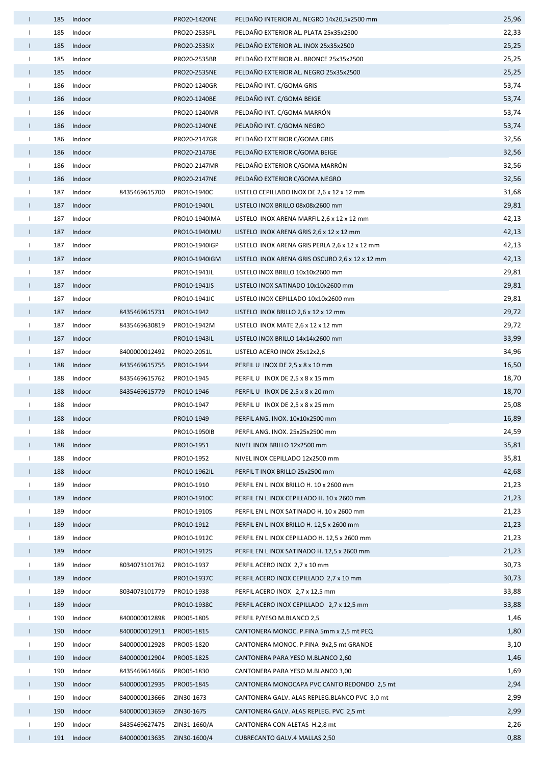| $\mathbf{I}$ | 185 | Indoor |               | PRO20-1420NE  | PELDAÑO INTERIOR AL. NEGRO 14x20,5x2500 mm      | 25,96 |
|--------------|-----|--------|---------------|---------------|-------------------------------------------------|-------|
| $\mathbf{I}$ | 185 | Indoor |               | PRO20-2535PL  | PELDAÑO EXTERIOR AL. PLATA 25x35x2500           | 22,33 |
| Т.           | 185 | Indoor |               | PRO20-2535IX  | PELDAÑO EXTERIOR AL. INOX 25x35x2500            | 25,25 |
| Τ.           | 185 | Indoor |               | PRO20-2535BR  | PELDAÑO EXTERIOR AL. BRONCE 25x35x2500          | 25,25 |
| $\mathbf{I}$ | 185 | Indoor |               | PRO20-2535NE  | PELDAÑO EXTERIOR AL. NEGRO 25x35x2500           | 25,25 |
| $\mathbf{I}$ | 186 | Indoor |               | PRO20-1240GR  | PELDAÑO INT. C/GOMA GRIS                        | 53,74 |
| $\mathbf{I}$ | 186 | Indoor |               | PRO20-1240BE  | PELDAÑO INT. C/GOMA BEIGE                       | 53,74 |
| $\mathbf{I}$ | 186 | Indoor |               | PRO20-1240MR  | PELDAÑO INT. C/GOMA MARRÓN                      | 53,74 |
| $\mathbf{I}$ | 186 | Indoor |               | PRO20-1240NE  | PELADÑO INT. C/GOMA NEGRO                       | 53,74 |
| Τ.           | 186 | Indoor |               | PRO20-2147GR  | PELDAÑO EXTERIOR C/GOMA GRIS                    | 32,56 |
| $\mathbf{I}$ | 186 | Indoor |               | PRO20-2147BE  | PELDAÑO EXTERIOR C/GOMA BEIGE                   | 32,56 |
| Τ.           | 186 | Indoor |               | PRO20-2147MR  | PELDAÑO EXTERIOR C/GOMA MARRÓN                  | 32,56 |
| $\mathbf{I}$ | 186 | Indoor |               | PRO20-2147NE  | PELDAÑO EXTERIOR C/GOMA NEGRO                   | 32,56 |
| $\mathbf{I}$ | 187 | Indoor | 8435469615700 | PRO10-1940C   | LISTELO CEPILLADO INOX DE 2,6 x 12 x 12 mm      | 31,68 |
| T            | 187 | Indoor |               | PRO10-1940IL  | LISTELO INOX BRILLO 08x08x2600 mm               | 29,81 |
| $\mathbf{I}$ | 187 | Indoor |               | PRO10-1940IMA | LISTELO INOX ARENA MARFIL 2,6 x 12 x 12 mm      | 42,13 |
| T            | 187 | Indoor |               | PRO10-1940IMU | LISTELO INOX ARENA GRIS 2,6 x 12 x 12 mm        | 42,13 |
| $\mathbf{I}$ | 187 | Indoor |               | PRO10-1940IGP | LISTELO INOX ARENA GRIS PERLA 2,6 x 12 x 12 mm  | 42,13 |
| $\mathbf{I}$ | 187 | Indoor |               | PRO10-1940IGM | LISTELO INOX ARENA GRIS OSCURO 2,6 x 12 x 12 mm | 42,13 |
| $\mathbf{I}$ | 187 | Indoor |               | PRO10-1941IL  | LISTELO INOX BRILLO 10x10x2600 mm               | 29,81 |
| $\mathbf{I}$ | 187 | Indoor |               | PRO10-1941IS  | LISTELO INOX SATINADO 10x10x2600 mm             | 29,81 |
| Τ.           | 187 | Indoor |               | PRO10-1941IC  | LISTELO INOX CEPILLADO 10x10x2600 mm            | 29,81 |
| $\mathbf{I}$ | 187 | Indoor | 8435469615731 | PRO10-1942    | LISTELO INOX BRILLO 2,6 x 12 x 12 mm            | 29,72 |
| Τ.           | 187 | Indoor | 8435469630819 | PRO10-1942M   | LISTELO INOX MATE 2,6 x 12 x 12 mm              | 29,72 |
| $\mathbf{I}$ | 187 | Indoor |               | PRO10-1943IL  | LISTELO INOX BRILLO 14x14x2600 mm               | 33,99 |
| Τ.           | 187 | Indoor | 8400000012492 | PRO20-2051L   | LISTELO ACERO INOX 25x12x2,6                    | 34,96 |
| $\mathbf{I}$ | 188 | Indoor | 8435469615755 | PRO10-1944    | PERFIL U INOX DE 2,5 x 8 x 10 mm                | 16,50 |
| Τ.           | 188 | Indoor | 8435469615762 | PRO10-1945    | PERFIL U INOX DE 2,5 x 8 x 15 mm                | 18,70 |
| T            | 188 | Indoor | 8435469615779 | PRO10-1946    | PERFIL U INOX DE 2,5 x 8 x 20 mm                | 18,70 |
| $\mathbf{I}$ | 188 | Indoor |               | PRO10-1947    | PERFIL U INOX DE 2,5 x 8 x 25 mm                | 25,08 |
|              | 188 | Indoor |               | PRO10-1949    | PERFIL ANG. INOX. 10x10x2500 mm                 | 16,89 |
| Τ.           | 188 | Indoor |               | PRO10-1950IB  | PERFIL ANG. INOX. 25x25x2500 mm                 | 24,59 |
| $\mathbf{I}$ | 188 | Indoor |               | PRO10-1951    | NIVEL INOX BRILLO 12x2500 mm                    | 35,81 |
| $\mathbf{I}$ | 188 | Indoor |               | PRO10-1952    | NIVEL INOX CEPILLADO 12x2500 mm                 | 35,81 |
| $\mathbf{I}$ | 188 | Indoor |               | PRO10-1962IL  | PERFIL T INOX BRILLO 25x2500 mm                 | 42,68 |
| $\mathbf{I}$ | 189 | Indoor |               | PRO10-1910    | PERFIL EN L INOX BRILLO H. 10 x 2600 mm         | 21,23 |
| $\mathbf{I}$ | 189 | Indoor |               | PRO10-1910C   | PERFIL EN L INOX CEPILLADO H. 10 x 2600 mm      | 21,23 |
| $\mathbf{I}$ | 189 | Indoor |               | PRO10-1910S   | PERFIL EN L INOX SATINADO H. 10 x 2600 mm       | 21,23 |
| $\mathbf{L}$ | 189 | Indoor |               | PRO10-1912    | PERFIL EN L INOX BRILLO H. 12,5 x 2600 mm       | 21,23 |
| $\mathbf{I}$ | 189 | Indoor |               | PRO10-1912C   | PERFIL EN L INOX CEPILLADO H. 12,5 x 2600 mm    | 21,23 |
| $\mathbf{L}$ | 189 | Indoor |               | PRO10-1912S   | PERFIL EN L INOX SATINADO H. 12,5 x 2600 mm     | 21,23 |
| Τ.           | 189 | Indoor | 8034073101762 | PRO10-1937    | PERFIL ACERO INOX 2,7 x 10 mm                   | 30,73 |
| $\mathbf{I}$ | 189 | Indoor |               | PRO10-1937C   | PERFIL ACERO INOX CEPILLADO 2,7 x 10 mm         | 30,73 |
| Ι.           | 189 | Indoor | 8034073101779 | PRO10-1938    | PERFIL ACERO INOX 2,7 x 12,5 mm                 | 33,88 |
| $\mathbf{I}$ | 189 | Indoor |               | PRO10-1938C   | PERFIL ACERO INOX CEPILLADO 2,7 x 12,5 mm       | 33,88 |
| Τ.           | 190 | Indoor | 8400000012898 | PRO05-1805    | PERFIL P/YESO M.BLANCO 2,5                      | 1,46  |
| $\mathbf{L}$ | 190 | Indoor | 8400000012911 | PRO05-1815    | CANTONERA MONOC. P.FINA 5mm x 2,5 mt PEQ        | 1,80  |
| $\mathbf{I}$ | 190 | Indoor | 8400000012928 | PRO05-1820    | CANTONERA MONOC. P.FINA 9x2,5 mt GRANDE         | 3,10  |
| $\mathbf{I}$ | 190 | Indoor | 8400000012904 | PRO05-1825    | CANTONERA PARA YESO M.BLANCO 2,60               | 1,46  |
| -1           | 190 | Indoor | 8435469614666 | PRO05-1830    | CANTONERA PARA YESO M.BLANCO 3,00               | 1,69  |
| T            | 190 | Indoor | 8400000012935 | PRO05-1845    | CANTONERA MONOCAPA PVC CANTO REDONDO 2,5 mt     | 2,94  |
| $\mathbf{I}$ | 190 | Indoor | 8400000013666 | ZIN30-1673    | CANTONERA GALV. ALAS REPLEG.BLANCO PVC 3,0 mt   | 2,99  |
| $\mathbf{I}$ | 190 | Indoor | 8400000013659 | ZIN30-1675    | CANTONERA GALV. ALAS REPLEG. PVC 2,5 mt         | 2,99  |
| $\mathbf{I}$ | 190 | Indoor | 8435469627475 | ZIN31-1660/A  | CANTONERA CON ALETAS H.2,8 mt                   | 2,26  |
| Τ.           | 191 | Indoor | 8400000013635 | ZIN30-1600/4  | <b>CUBRECANTO GALV.4 MALLAS 2,50</b>            | 0,88  |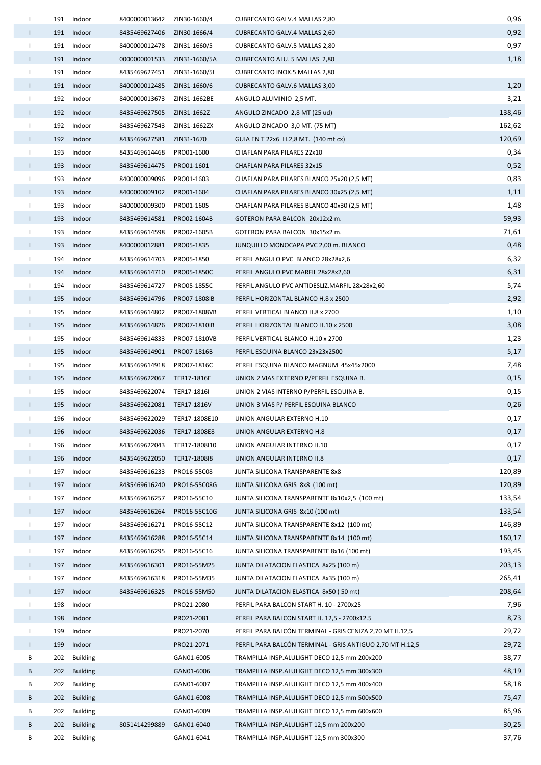| $\mathbf{I}$ |     | 191 Indoor      | 8400000013642               | ZIN30-1660/4  | <b>CUBRECANTO GALV.4 MALLAS 2,80</b>                      | 0,96   |
|--------------|-----|-----------------|-----------------------------|---------------|-----------------------------------------------------------|--------|
| L            |     | 191 Indoor      | 8435469627406               | ZIN30-1666/4  | <b>CUBRECANTO GALV.4 MALLAS 2,60</b>                      | 0,92   |
| $\mathbf{L}$ | 191 | Indoor          | 8400000012478               | ZIN31-1660/5  | <b>CUBRECANTO GALV.5 MALLAS 2,80</b>                      | 0,97   |
| $\mathbf{I}$ |     | 191 Indoor      | 0000000001533               | ZIN31-1660/5A | <b>CUBRECANTO ALU. 5 MALLAS 2,80</b>                      | 1,18   |
| Τ.           | 191 | Indoor          | 8435469627451               | ZIN31-1660/5I | <b>CUBRECANTO INOX.5 MALLAS 2,80</b>                      |        |
| $\mathbf{L}$ |     | 191 Indoor      | 8400000012485 ZIN31-1660/6  |               | <b>CUBRECANTO GALV.6 MALLAS 3,00</b>                      | 1,20   |
| Τ.           | 192 | Indoor          | 8400000013673               | ZIN31-1662BE  | ANGULO ALUMINIO 2,5 MT.                                   | 3,21   |
| Τ.           |     | 192 Indoor      | 8435469627505 ZIN31-1662Z   |               | ANGULO ZINCADO 2,8 MT (25 ud)                             | 138,46 |
| $\mathbf{L}$ | 192 | Indoor          | 8435469627543               | ZIN31-1662ZX  | ANGULO ZINCADO 3,0 MT. (75 MT)                            | 162,62 |
| $\mathbf{L}$ | 192 | Indoor          | 8435469627581 ZIN31-1670    |               | GUIA EN T 22x6 H.2,8 MT. (140 mt cx)                      | 120,69 |
| $\mathbf{L}$ |     | 193 Indoor      | 8435469614468               | PRO01-1600    | CHAFLAN PARA PILARES 22x10                                | 0,34   |
| $\mathbf{I}$ | 193 | Indoor          | 8435469614475               | PRO01-1601    | CHAFLAN PARA PILARES 32x15                                | 0,52   |
| $\mathbf{L}$ |     | 193 Indoor      | 8400000009096               | PRO01-1603    | CHAFLAN PARA PILARES BLANCO 25x20 (2,5 MT)                | 0,83   |
| $\mathbf{L}$ | 193 | Indoor          | 8400000009102               | PRO01-1604    | CHAFLAN PARA PILARES BLANCO 30x25 (2,5 MT)                | 1,11   |
| Ι.           | 193 | Indoor          | 8400000009300               | PRO01-1605    | CHAFLAN PARA PILARES BLANCO 40x30 (2,5 MT)                | 1,48   |
| $\mathbf{L}$ |     | 193 Indoor      | 8435469614581               | PRO02-1604B   | GOTERON PARA BALCON 20x12x2 m.                            | 59,93  |
| $\mathbf{I}$ |     | 193 Indoor      | 8435469614598               | PRO02-1605B   | GOTERON PARA BALCON 30x15x2 m.                            | 71,61  |
| L            | 193 | Indoor          | 8400000012881               | PRO05-1835    | JUNQUILLO MONOCAPA PVC 2,00 m. BLANCO                     | 0,48   |
| $\mathbf{I}$ | 194 | Indoor          | 8435469614703               | PRO05-1850    | PERFIL ANGULO PVC BLANCO 28x28x2,6                        | 6,32   |
| $\mathbf{I}$ | 194 | Indoor          | 8435469614710               | PRO05-1850C   | PERFIL ANGULO PVC MARFIL 28x28x2,60                       | 6,31   |
| $\mathbf{I}$ | 194 | Indoor          | 8435469614727               | PRO05-1855C   | PERFIL ANGULO PVC ANTIDESLIZ.MARFIL 28x28x2,60            | 5,74   |
| $\mathbf{I}$ |     | 195 Indoor      | 8435469614796               | PRO07-1808IB  | PERFIL HORIZONTAL BLANCO H.8 x 2500                       | 2,92   |
| $\mathbf{I}$ | 195 | Indoor          | 8435469614802               | PRO07-1808VB  | PERFIL VERTICAL BLANCO H.8 x 2700                         | 1,10   |
| $\mathbf{L}$ |     | 195 Indoor      | 8435469614826               | PRO07-1810IB  | PERFIL HORIZONTAL BLANCO H.10 x 2500                      | 3,08   |
| $\mathbf{I}$ | 195 | Indoor          | 8435469614833               | PRO07-1810VB  | PERFIL VERTICAL BLANCO H.10 x 2700                        | 1,23   |
| Τ.           |     | 195 Indoor      | 8435469614901 PRO07-1816B   |               | PERFIL ESQUINA BLANCO 23x23x2500                          | 5,17   |
| $\mathbf{L}$ | 195 | Indoor          | 8435469614918               | PRO07-1816C   | PERFIL ESQUINA BLANCO MAGNUM 45x45x2000                   | 7,48   |
| $\mathbf{I}$ | 195 | Indoor          | 8435469622067 TER17-1816E   |               | UNION 2 VIAS EXTERNO P/PERFIL ESQUINA B.                  | 0,15   |
| $\mathbf{I}$ |     | 195 Indoor      | 8435469622074 TER17-1816I   |               | UNION 2 VIAS INTERNO P/PERFIL ESQUINA B.                  | 0,15   |
| L            | 195 | Indoor          | 8435469622081 TER17-1816V   |               | UNION 3 VIAS P/ PERFIL ESQUINA BLANCO                     | 0,26   |
| $\mathbf{I}$ |     | 196 Indoor      | 8435469622029 TER17-1808E10 |               | UNION ANGULAR EXTERNO H.10                                | 0,17   |
| $\mathbf{L}$ | 196 | Indoor          | 8435469622036               | TER17-1808E8  | UNION ANGULAR EXTERNO H.8                                 | 0,17   |
| Ι.           | 196 | Indoor          | 8435469622043               | TER17-1808I10 | UNION ANGULAR INTERNO H.10                                | 0,17   |
| L            | 196 | Indoor          | 8435469622050               | TER17-1808I8  | UNION ANGULAR INTERNO H.8                                 | 0,17   |
| L            | 197 | Indoor          | 8435469616233               | PRO16-55C08   | JUNTA SILICONA TRANSPARENTE 8x8                           | 120,89 |
| L            | 197 | Indoor          | 8435469616240               | PRO16-55C08G  | JUNTA SILICONA GRIS 8x8 (100 mt)                          | 120,89 |
| $\mathbf{I}$ | 197 | Indoor          | 8435469616257               | PRO16-55C10   | JUNTA SILICONA TRANSPARENTE 8x10x2,5 (100 mt)             | 133,54 |
| $\mathbf{I}$ | 197 | Indoor          | 8435469616264               | PRO16-55C10G  | JUNTA SILICONA GRIS 8x10 (100 mt)                         | 133,54 |
| $\mathbf{I}$ | 197 | Indoor          | 8435469616271               | PRO16-55C12   | JUNTA SILICONA TRANSPARENTE 8x12 (100 mt)                 | 146,89 |
| $\mathbf{L}$ | 197 | Indoor          | 8435469616288               | PRO16-55C14   | JUNTA SILICONA TRANSPARENTE 8x14 (100 mt)                 | 160,17 |
| $\mathbf{I}$ | 197 | Indoor          | 8435469616295               | PRO16-55C16   | JUNTA SILICONA TRANSPARENTE 8x16 (100 mt)                 | 193,45 |
| Τ.           | 197 | Indoor          | 8435469616301               | PRO16-55M25   | JUNTA DILATACION ELASTICA 8x25 (100 m)                    | 203,13 |
| $\mathbf{I}$ | 197 | Indoor          | 8435469616318               | PRO16-55M35   | JUNTA DILATACION ELASTICA 8x35 (100 m)                    | 265,41 |
| $\mathbf{L}$ | 197 | Indoor          | 8435469616325               | PRO16-55M50   | JUNTA DILATACION ELASTICA 8x50 (50 mt)                    | 208,64 |
| $\mathbf{L}$ | 198 | Indoor          |                             | PRO21-2080    | PERFIL PARA BALCON START H. 10 - 2700x25                  | 7,96   |
| $\mathbf{I}$ | 198 | Indoor          |                             | PRO21-2081    | PERFIL PARA BALCON START H. 12,5 - 2700x12.5              | 8,73   |
| $\mathbf{L}$ | 199 | Indoor          |                             | PRO21-2070    | PERFIL PARA BALCON TERMINAL - GRIS CENIZA 2,70 MT H.12,5  | 29,72  |
| $\mathbf{L}$ | 199 | Indoor          |                             | PRO21-2071    | PERFIL PARA BALCÓN TERMINAL - GRIS ANTIGUO 2,70 MT H.12,5 | 29,72  |
| В            | 202 | <b>Building</b> |                             | GAN01-6005    | TRAMPILLA INSP.ALULIGHT DECO 12,5 mm 200x200              | 38,77  |
| В            | 202 | <b>Building</b> |                             | GAN01-6006    | TRAMPILLA INSP.ALULIGHT DECO 12,5 mm 300x300              | 48,19  |
| В            | 202 | <b>Building</b> |                             | GAN01-6007    | TRAMPILLA INSP.ALULIGHT DECO 12,5 mm 400x400              | 58,18  |
| B            | 202 | <b>Building</b> |                             | GAN01-6008    | TRAMPILLA INSP.ALULIGHT DECO 12,5 mm 500x500              | 75,47  |
| В            | 202 | <b>Building</b> |                             | GAN01-6009    | TRAMPILLA INSP.ALULIGHT DECO 12,5 mm 600x600              | 85,96  |
| B            | 202 | <b>Building</b> | 8051414299889               | GAN01-6040    | TRAMPILLA INSP.ALULIGHT 12,5 mm 200x200                   | 30,25  |
| В            | 202 | <b>Building</b> |                             | GAN01-6041    | TRAMPILLA INSP.ALULIGHT 12,5 mm 300x300                   | 37,76  |
|              |     |                 |                             |               |                                                           |        |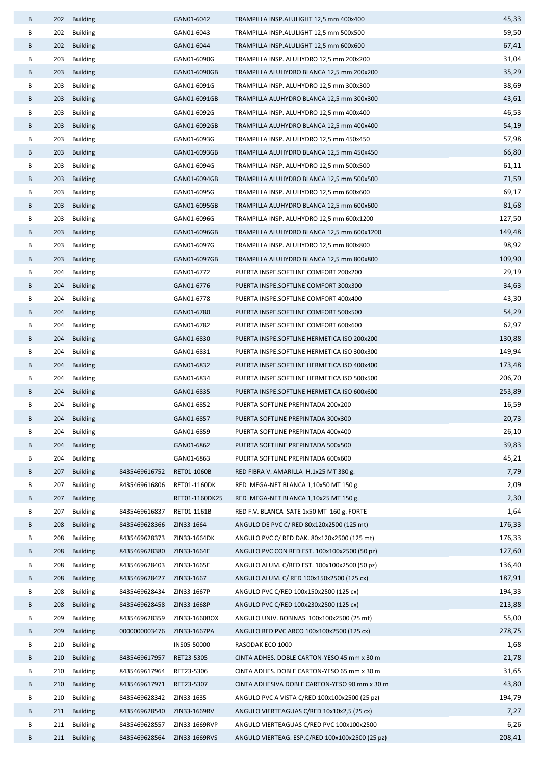| B | 202 | <b>Building</b> |               | GAN01-6042     | TRAMPILLA INSP.ALULIGHT 12,5 mm 400x400         | 45,33  |
|---|-----|-----------------|---------------|----------------|-------------------------------------------------|--------|
| В | 202 | <b>Building</b> |               | GAN01-6043     | TRAMPILLA INSP.ALULIGHT 12,5 mm 500x500         | 59,50  |
| В | 202 | <b>Building</b> |               | GAN01-6044     | TRAMPILLA INSP.ALULIGHT 12,5 mm 600x600         | 67,41  |
| В | 203 | <b>Building</b> |               | GAN01-6090G    | TRAMPILLA INSP. ALUHYDRO 12,5 mm 200x200        | 31,04  |
| B | 203 | <b>Building</b> |               | GAN01-6090GB   | TRAMPILLA ALUHYDRO BLANCA 12,5 mm 200x200       | 35,29  |
| В | 203 | <b>Building</b> |               | GAN01-6091G    | TRAMPILLA INSP. ALUHYDRO 12,5 mm 300x300        | 38,69  |
| В | 203 | <b>Building</b> |               | GAN01-6091GB   | TRAMPILLA ALUHYDRO BLANCA 12,5 mm 300x300       | 43,61  |
| В | 203 | <b>Building</b> |               | GAN01-6092G    | TRAMPILLA INSP. ALUHYDRO 12,5 mm 400x400        | 46,53  |
| В | 203 | <b>Building</b> |               | GAN01-6092GB   | TRAMPILLA ALUHYDRO BLANCA 12,5 mm 400x400       | 54,19  |
| В | 203 | <b>Building</b> |               | GAN01-6093G    | TRAMPILLA INSP. ALUHYDRO 12,5 mm 450x450        | 57,98  |
| В | 203 | <b>Building</b> |               | GAN01-6093GB   | TRAMPILLA ALUHYDRO BLANCA 12,5 mm 450x450       | 66,80  |
| В | 203 | <b>Building</b> |               | GAN01-6094G    | TRAMPILLA INSP. ALUHYDRO 12,5 mm 500x500        | 61,11  |
| B | 203 | <b>Building</b> |               | GAN01-6094GB   | TRAMPILLA ALUHYDRO BLANCA 12,5 mm 500x500       | 71,59  |
| В | 203 | <b>Building</b> |               | GAN01-6095G    | TRAMPILLA INSP. ALUHYDRO 12,5 mm 600x600        | 69,17  |
| B | 203 | <b>Building</b> |               | GAN01-6095GB   | TRAMPILLA ALUHYDRO BLANCA 12,5 mm 600x600       | 81,68  |
| В | 203 | <b>Building</b> |               | GAN01-6096G    | TRAMPILLA INSP. ALUHYDRO 12,5 mm 600x1200       | 127,50 |
| В | 203 | <b>Building</b> |               | GAN01-6096GB   | TRAMPILLA ALUHYDRO BLANCA 12,5 mm 600x1200      | 149,48 |
| В | 203 | <b>Building</b> |               | GAN01-6097G    | TRAMPILLA INSP. ALUHYDRO 12,5 mm 800x800        | 98,92  |
| В | 203 | <b>Building</b> |               | GAN01-6097GB   | TRAMPILLA ALUHYDRO BLANCA 12,5 mm 800x800       | 109,90 |
| В | 204 | <b>Building</b> |               | GAN01-6772     | PUERTA INSPE.SOFTLINE COMFORT 200x200           | 29,19  |
| В | 204 | <b>Building</b> |               | GAN01-6776     | PUERTA INSPE.SOFTLINE COMFORT 300x300           | 34,63  |
| В | 204 | Building        |               | GAN01-6778     | PUERTA INSPE.SOFTLINE COMFORT 400x400           | 43,30  |
| B | 204 | <b>Building</b> |               | GAN01-6780     | PUERTA INSPE.SOFTLINE COMFORT 500x500           | 54,29  |
| В | 204 | Building        |               | GAN01-6782     | PUERTA INSPE.SOFTLINE COMFORT 600x600           | 62,97  |
| В | 204 | <b>Building</b> |               | GAN01-6830     | PUERTA INSPE.SOFTLINE HERMETICA ISO 200x200     | 130,88 |
| В | 204 | <b>Building</b> |               | GAN01-6831     | PUERTA INSPE.SOFTLINE HERMETICA ISO 300x300     | 149,94 |
| В | 204 | <b>Building</b> |               | GAN01-6832     | PUERTA INSPE.SOFTLINE HERMETICA ISO 400x400     | 173,48 |
| В | 204 | <b>Building</b> |               | GAN01-6834     | PUERTA INSPE.SOFTLINE HERMETICA ISO 500x500     | 206,70 |
| В | 204 | <b>Building</b> |               | GAN01-6835     | PUERTA INSPE.SOFTLINE HERMETICA ISO 600x600     | 253,89 |
| В | 204 | <b>Building</b> |               | GAN01-6852     | PUERTA SOFTLINE PREPINTADA 200x200              | 16,59  |
| B | 204 | <b>Building</b> |               | GAN01-6857     | PUERTA SOFTLINE PREPINTADA 300x300              | 20,73  |
| В | 204 | <b>Building</b> |               | GAN01-6859     | PUERTA SOFTLINE PREPINTADA 400x400              | 26,10  |
| B | 204 | <b>Building</b> |               | GAN01-6862     | PUERTA SOFTLINE PREPINTADA 500x500              | 39,83  |
| В | 204 | <b>Building</b> |               | GAN01-6863     | PUERTA SOFTLINE PREPINTADA 600x600              | 45,21  |
| В | 207 | <b>Building</b> | 8435469616752 | RET01-1060B    | RED FIBRA V. AMARILLA H.1x25 MT 380 g.          | 7,79   |
| В | 207 | <b>Building</b> | 8435469616806 | RET01-1160DK   | RED MEGA-NET BLANCA 1,10x50 MT 150 g.           | 2,09   |
| В | 207 | <b>Building</b> |               | RET01-1160DK25 | RED MEGA-NET BLANCA 1,10x25 MT 150 g.           | 2,30   |
| В | 207 | <b>Building</b> | 8435469616837 | RET01-1161B    | RED F.V. BLANCA SATE 1x50 MT 160 g. FORTE       | 1,64   |
| В | 208 | <b>Building</b> | 8435469628366 | ZIN33-1664     | ANGULO DE PVC C/ RED 80x120x2500 (125 mt)       | 176,33 |
| В | 208 | <b>Building</b> | 8435469628373 | ZIN33-1664DK   | ANGULO PVC C/ RED DAK. 80x120x2500 (125 mt)     | 176,33 |
| В | 208 | <b>Building</b> | 8435469628380 | ZIN33-1664E    | ANGULO PVC CON RED EST. 100x100x2500 (50 pz)    | 127,60 |
| В | 208 | <b>Building</b> | 8435469628403 | ZIN33-1665E    | ANGULO ALUM. C/RED EST. 100x100x2500 (50 pz)    | 136,40 |
| В | 208 | <b>Building</b> | 8435469628427 | ZIN33-1667     | ANGULO ALUM. C/ RED 100x150x2500 (125 cx)       | 187,91 |
| В | 208 | <b>Building</b> | 8435469628434 | ZIN33-1667P    | ANGULO PVC C/RED 100x150x2500 (125 cx)          | 194,33 |
| В | 208 | <b>Building</b> | 8435469628458 | ZIN33-1668P    | ANGULO PVC C/RED 100x230x2500 (125 cx)          | 213,88 |
| В | 209 | <b>Building</b> | 8435469628359 | ZIN33-1660BOX  | ANGULO UNIV. BOBINAS 100x100x2500 (25 mt)       | 55,00  |
| B | 209 | <b>Building</b> | 0000000003476 | ZIN33-1667PA   | ANGULO RED PVC ARCO 100x100x2500 (125 cx)       | 278,75 |
| В | 210 | <b>Building</b> |               | INS05-50000    | RASODAK ECO 1000                                | 1,68   |
| В | 210 | <b>Building</b> | 8435469617957 | RET23-5305     | CINTA ADHES. DOBLE CARTON-YESO 45 mm x 30 m     | 21,78  |
| В | 210 | <b>Building</b> | 8435469617964 | RET23-5306     | CINTA ADHES. DOBLE CARTON-YESO 65 mm x 30 m     | 31,65  |
| B | 210 | <b>Building</b> | 8435469617971 | RET23-5307     | CINTA ADHESIVA DOBLE CARTON-YESO 90 mm x 30 m   | 43,80  |
| В | 210 | <b>Building</b> | 8435469628342 | ZIN33-1635     | ANGULO PVC A VISTA C/RED 100x100x2500 (25 pz)   | 194,79 |
| В | 211 | <b>Building</b> | 8435469628540 | ZIN33-1669RV   | ANGULO VIERTEAGUAS C/RED 10x10x2,5 (25 cx)      | 7,27   |
| В | 211 | <b>Building</b> | 8435469628557 | ZIN33-1669RVP  | ANGULO VIERTEAGUAS C/RED PVC 100x100x2500       | 6,26   |
| В | 211 | <b>Building</b> | 8435469628564 | ZIN33-1669RVS  | ANGULO VIERTEAG. ESP.C/RED 100x100x2500 (25 pz) | 208,41 |
|   |     |                 |               |                |                                                 |        |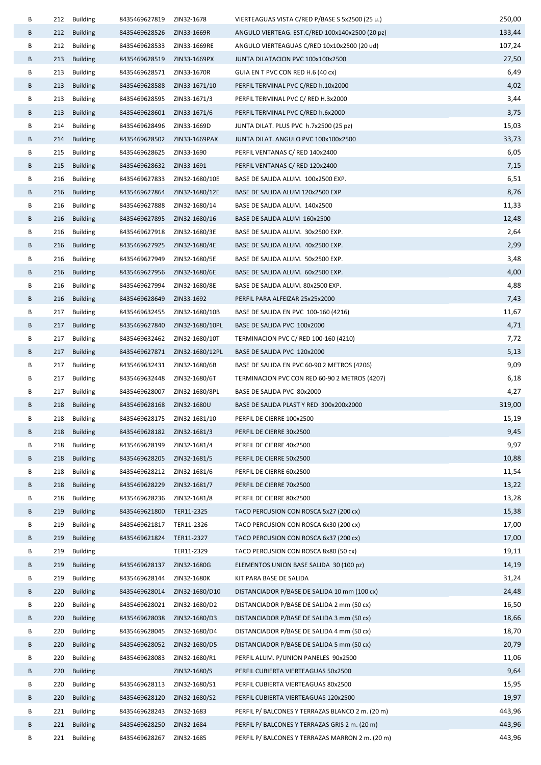| В |     | 212 Building                       | 8435469627819                  | ZIN32-1678                    | VIERTEAGUAS VISTA C/RED P/BASE S 5x2500 (25 u.)                             | 250,00 |
|---|-----|------------------------------------|--------------------------------|-------------------------------|-----------------------------------------------------------------------------|--------|
| B | 212 | <b>Building</b>                    | 8435469628526                  | ZIN33-1669R                   | ANGULO VIERTEAG. EST.C/RED 100x140x2500 (20 pz)                             | 133,44 |
| В |     | 212 Building                       | 8435469628533                  | ZIN33-1669RE                  | ANGULO VIERTEAGUAS C/RED 10x10x2500 (20 ud)                                 | 107,24 |
| B | 213 | <b>Building</b>                    | 8435469628519                  | ZIN33-1669PX                  | JUNTA DILATACION PVC 100x100x2500                                           | 27,50  |
| В | 213 | <b>Building</b>                    | 8435469628571                  | ZIN33-1670R                   | GUIA EN T PVC CON RED H.6 (40 cx)                                           | 6,49   |
| B | 213 | <b>Building</b>                    | 8435469628588                  | ZIN33-1671/10                 | PERFIL TERMINAL PVC C/RED h.10x2000                                         | 4,02   |
| В | 213 | <b>Building</b>                    | 8435469628595                  | ZIN33-1671/3                  | PERFIL TERMINAL PVC C/ RED H.3x2000                                         | 3,44   |
| B | 213 | <b>Building</b>                    | 8435469628601 ZIN33-1671/6     |                               | PERFIL TERMINAL PVC C/RED h.6x2000                                          | 3,75   |
| В | 214 | <b>Building</b>                    | 8435469628496                  | ZIN33-1669D                   | JUNTA DILAT. PLUS PVC h.7x2500 (25 pz)                                      | 15,03  |
| B |     | 214 Building                       | 8435469628502 ZIN33-1669PAX    |                               | JUNTA DILAT. ANGULO PVC 100x100x2500                                        | 33,73  |
| В | 215 | <b>Building</b>                    | 8435469628625                  | ZIN33-1690                    | PERFIL VENTANAS C/ RED 140x2400                                             | 6,05   |
| В | 215 | <b>Building</b>                    | 8435469628632 ZIN33-1691       |                               | PERFIL VENTANAS C/ RED 120x2400                                             | 7,15   |
| В | 216 | <b>Building</b>                    | 8435469627833                  | ZIN32-1680/10E                | BASE DE SALIDA ALUM. 100x2500 EXP.                                          | 6,51   |
| B | 216 | <b>Building</b>                    | 8435469627864                  | ZIN32-1680/12E                | BASE DE SALIDA ALUM 120x2500 EXP                                            | 8,76   |
| В | 216 | Building                           | 8435469627888                  | ZIN32-1680/14                 | BASE DE SALIDA ALUM. 140x2500                                               | 11,33  |
| B | 216 | <b>Building</b>                    | 8435469627895                  | ZIN32-1680/16                 | BASE DE SALIDA ALUM 160x2500                                                | 12,48  |
| В | 216 | Building                           | 8435469627918                  | ZIN32-1680/3E                 | BASE DE SALIDA ALUM. 30x2500 EXP.                                           | 2,64   |
| B | 216 | <b>Building</b>                    | 8435469627925                  | ZIN32-1680/4E                 | BASE DE SALIDA ALUM. 40x2500 EXP.                                           | 2,99   |
| В | 216 | Building                           | 8435469627949                  | ZIN32-1680/5E                 | BASE DE SALIDA ALUM. 50x2500 EXP.                                           | 3,48   |
| B |     | 216 Building                       | 8435469627956                  | ZIN32-1680/6E                 | BASE DE SALIDA ALUM. 60x2500 EXP.                                           | 4,00   |
| В | 216 | <b>Building</b>                    | 8435469627994                  | ZIN32-1680/8E                 | BASE DE SALIDA ALUM. 80x2500 EXP.                                           | 4,88   |
| B | 216 | <b>Building</b>                    | 8435469628649                  | ZIN33-1692                    | PERFIL PARA ALFEIZAR 25x25x2000                                             | 7,43   |
| В | 217 | <b>Building</b>                    | 8435469632455                  | ZIN32-1680/10B                | BASE DE SALIDA EN PVC 100-160 (4216)                                        | 11,67  |
| B | 217 | Building                           | 8435469627840                  | ZIN32-1680/10PL               | BASE DE SALIDA PVC 100x2000                                                 | 4,71   |
| В | 217 | <b>Building</b>                    | 8435469632462                  | ZIN32-1680/10T                | TERMINACION PVC C/ RED 100-160 (4210)                                       | 7,72   |
| B | 217 | <b>Building</b>                    |                                | 8435469627871 ZIN32-1680/12PL | BASE DE SALIDA PVC 120x2000                                                 | 5,13   |
| В | 217 | <b>Building</b>                    | 8435469632431                  | ZIN32-1680/6B                 | BASE DE SALIDA EN PVC 60-90 2 METROS (4206)                                 | 9,09   |
| В | 217 |                                    |                                | ZIN32-1680/6T                 |                                                                             | 6,18   |
| В | 217 | Building                           | 8435469632448<br>8435469628007 | ZIN32-1680/8PL                | TERMINACION PVC CON RED 60-90 2 METROS (4207)<br>BASE DE SALIDA PVC 80x2000 | 4,27   |
| B | 218 | <b>Building</b><br><b>Building</b> | 8435469628168                  | ZIN32-1680U                   | BASE DE SALIDA PLAST Y RED 300x200x2000                                     | 319,00 |
| В |     |                                    | 8435469628175                  |                               |                                                                             |        |
|   | 218 | <b>Building</b>                    |                                | ZIN32-1681/10                 | PERFIL DE CIERRE 100x2500                                                   | 15,19  |
| B | 218 | <b>Building</b>                    | 8435469628182 ZIN32-1681/3     |                               | PERFIL DE CIERRE 30x2500                                                    | 9,45   |
| В | 218 | <b>Building</b>                    | 8435469628199                  | ZIN32-1681/4                  | PERFIL DE CIERRE 40x2500                                                    | 9,97   |
| В | 218 | <b>Building</b>                    | 8435469628205                  | ZIN32-1681/5                  | PERFIL DE CIERRE 50x2500                                                    | 10,88  |
| В | 218 | <b>Building</b>                    | 8435469628212                  | ZIN32-1681/6                  | PERFIL DE CIERRE 60x2500                                                    | 11,54  |
| В | 218 | <b>Building</b>                    | 8435469628229                  | ZIN32-1681/7                  | PERFIL DE CIERRE 70x2500                                                    | 13,22  |
| В | 218 | <b>Building</b>                    | 8435469628236                  | ZIN32-1681/8                  | PERFIL DE CIERRE 80x2500                                                    | 13,28  |
| B | 219 | <b>Building</b>                    | 8435469621800                  | TER11-2325                    | TACO PERCUSION CON ROSCA 5x27 (200 cx)                                      | 15,38  |
| В | 219 | <b>Building</b>                    | 8435469621817                  | TER11-2326                    | TACO PERCUSION CON ROSCA 6x30 (200 cx)                                      | 17,00  |
| B | 219 | <b>Building</b>                    | 8435469621824                  | TER11-2327                    | TACO PERCUSION CON ROSCA 6x37 (200 cx)                                      | 17,00  |
| В | 219 | <b>Building</b>                    |                                | TER11-2329                    | TACO PERCUSION CON ROSCA 8x80 (50 cx)                                       | 19,11  |
| B | 219 | <b>Building</b>                    | 8435469628137                  | ZIN32-1680G                   | ELEMENTOS UNION BASE SALIDA 30 (100 pz)                                     | 14,19  |
| В | 219 | <b>Building</b>                    | 8435469628144                  | ZIN32-1680K                   | KIT PARA BASE DE SALIDA                                                     | 31,24  |
| B | 220 | <b>Building</b>                    | 8435469628014                  | ZIN32-1680/D10                | DISTANCIADOR P/BASE DE SALIDA 10 mm (100 cx)                                | 24,48  |
| В | 220 | <b>Building</b>                    | 8435469628021                  | ZIN32-1680/D2                 | DISTANCIADOR P/BASE DE SALIDA 2 mm (50 cx)                                  | 16,50  |
| В | 220 | <b>Building</b>                    | 8435469628038                  | ZIN32-1680/D3                 | DISTANCIADOR P/BASE DE SALIDA 3 mm (50 cx)                                  | 18,66  |
| В | 220 | <b>Building</b>                    | 8435469628045                  | ZIN32-1680/D4                 | DISTANCIADOR P/BASE DE SALIDA 4 mm (50 cx)                                  | 18,70  |
| B | 220 | <b>Building</b>                    | 8435469628052                  | ZIN32-1680/D5                 | DISTANCIADOR P/BASE DE SALIDA 5 mm (50 cx)                                  | 20,79  |
| В | 220 | <b>Building</b>                    | 8435469628083                  | ZIN32-1680/R1                 | PERFIL ALUM. P/UNION PANELES 90x2500                                        | 11,06  |
| B | 220 | <b>Building</b>                    |                                | ZIN32-1680/S                  | PERFIL CUBIERTA VIERTEAGUAS 50x2500                                         | 9,64   |
| В | 220 | <b>Building</b>                    | 8435469628113                  | ZIN32-1680/S1                 | PERFIL CUBIERTA VIERTEAGUAS 80x2500                                         | 15,95  |
| B | 220 | <b>Building</b>                    | 8435469628120                  | ZIN32-1680/S2                 | PERFIL CUBIERTA VIERTEAGUAS 120x2500                                        | 19,97  |
| В | 221 | <b>Building</b>                    | 8435469628243                  | ZIN32-1683                    | PERFIL P/ BALCONES Y TERRAZAS BLANCO 2 m. (20 m)                            | 443,96 |
| B | 221 | <b>Building</b>                    | 8435469628250                  | ZIN32-1684                    | PERFIL P/ BALCONES Y TERRAZAS GRIS 2 m. (20 m)                              | 443,96 |
| В | 221 | <b>Building</b>                    | 8435469628267                  | ZIN32-1685                    | PERFIL P/ BALCONES Y TERRAZAS MARRON 2 m. (20 m)                            | 443,96 |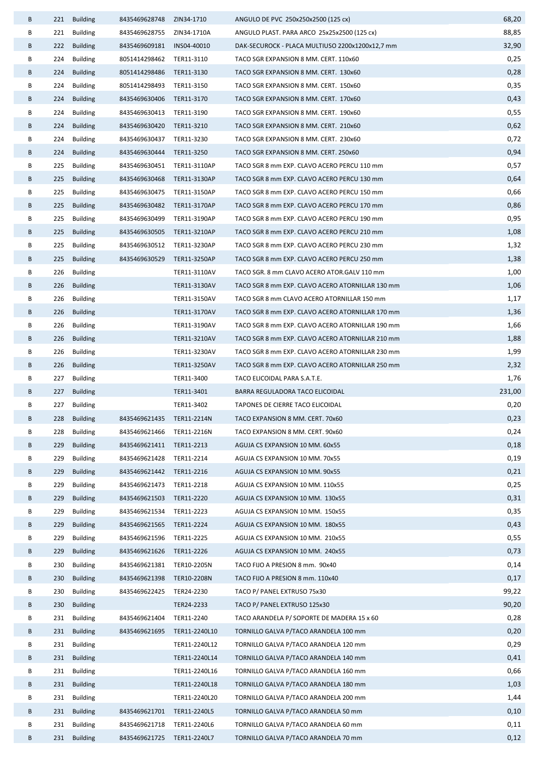| B      |     | 221 Building             | 8435469628748 ZIN34-1710   |                          | ANGULO DE PVC 250x250x2500 (125 cx)                             | 68,20          |
|--------|-----|--------------------------|----------------------------|--------------------------|-----------------------------------------------------------------|----------------|
| В      |     | 221 Building             | 8435469628755              | ZIN34-1710A              | ANGULO PLAST. PARA ARCO 25x25x2500 (125 cx)                     | 88,85          |
| B      |     | 222 Building             | 8435469609181              | INS04-40010              | DAK-SECUROCK - PLACA MULTIUSO 2200x1200x12,7 mm                 | 32,90          |
| В      | 224 | Building                 | 8051414298462 TER11-3110   |                          | TACO SGR EXPANSION 8 MM. CERT. 110x60                           | 0,25           |
| B      |     | 224 Building             | 8051414298486 TER11-3130   |                          | TACO SGR EXPANSION 8 MM. CERT. 130x60                           | 0,28           |
| В      | 224 | <b>Building</b>          | 8051414298493 TER11-3150   |                          | TACO SGR EXPANSION 8 MM. CERT. 150x60                           | 0,35           |
| B      | 224 | <b>Building</b>          | 8435469630406 TER11-3170   |                          | TACO SGR EXPANSION 8 MM. CERT. 170x60                           | 0,43           |
| В      | 224 | <b>Building</b>          | 8435469630413 TER11-3190   |                          | TACO SGR EXPANSION 8 MM. CERT. 190x60                           | 0,55           |
| B      |     | 224 Building             | 8435469630420 TER11-3210   |                          | TACO SGR EXPANSION 8 MM. CERT. 210x60                           | 0,62           |
| В      | 224 | <b>Building</b>          | 8435469630437 TER11-3230   |                          | TACO SGR EXPANSION 8 MM. CERT. 230x60                           | 0,72           |
| B      |     | 224 Building             | 8435469630444 TER11-3250   |                          | TACO SGR EXPANSION 8 MM. CERT. 250x60                           | 0,94           |
| В      | 225 | <b>Building</b>          | 8435469630451 TER11-3110AP |                          | TACO SGR 8 mm EXP. CLAVO ACERO PERCU 110 mm                     | 0,57           |
| B      | 225 | <b>Building</b>          | 8435469630468 TER11-3130AP |                          | TACO SGR 8 mm EXP. CLAVO ACERO PERCU 130 mm                     | 0,64           |
| В      | 225 | <b>Building</b>          | 8435469630475 TER11-3150AP |                          | TACO SGR 8 mm EXP. CLAVO ACERO PERCU 150 mm                     | 0,66           |
| B      | 225 | <b>Building</b>          | 8435469630482 TER11-3170AP |                          | TACO SGR 8 mm EXP. CLAVO ACERO PERCU 170 mm                     | 0,86           |
| В      | 225 | <b>Building</b>          | 8435469630499 TER11-3190AP |                          | TACO SGR 8 mm EXP. CLAVO ACERO PERCU 190 mm                     | 0,95           |
| B      | 225 | <b>Building</b>          | 8435469630505              | TER11-3210AP             | TACO SGR 8 mm EXP. CLAVO ACERO PERCU 210 mm                     | 1,08           |
| В      | 225 | <b>Building</b>          | 8435469630512 TER11-3230AP |                          | TACO SGR 8 mm EXP. CLAVO ACERO PERCU 230 mm                     | 1,32           |
| B      | 225 | <b>Building</b>          | 8435469630529 TER11-3250AP |                          | TACO SGR 8 mm EXP. CLAVO ACERO PERCU 250 mm                     | 1,38           |
| В      | 226 | Building                 |                            | TER11-3110AV             | TACO SGR. 8 mm CLAVO ACERO ATOR.GALV 110 mm                     | 1,00           |
| B      | 226 | <b>Building</b>          |                            | TER11-3130AV             | TACO SGR 8 mm EXP. CLAVO ACERO ATORNILLAR 130 mm                | 1,06           |
| В      | 226 | Building                 |                            | TER11-3150AV             | TACO SGR 8 mm CLAVO ACERO ATORNILLAR 150 mm                     | 1,17           |
| B      | 226 | <b>Building</b>          |                            | TER11-3170AV             | TACO SGR 8 mm EXP. CLAVO ACERO ATORNILLAR 170 mm                | 1,36           |
| В      | 226 | <b>Building</b>          |                            | TER11-3190AV             | TACO SGR 8 mm EXP. CLAVO ACERO ATORNILLAR 190 mm                | 1,66           |
| B      | 226 | <b>Building</b>          |                            | TER11-3210AV             | TACO SGR 8 mm EXP. CLAVO ACERO ATORNILLAR 210 mm                | 1,88           |
| В      | 226 | Building                 |                            | TER11-3230AV             | TACO SGR 8 mm EXP. CLAVO ACERO ATORNILLAR 230 mm                | 1,99           |
| B      |     | 226 Building             |                            | TER11-3250AV             | TACO SGR 8 mm EXP. CLAVO ACERO ATORNILLAR 250 mm                | 2,32           |
| В<br>B | 227 | Building<br>227 Building |                            | TER11-3400<br>TER11-3401 | TACO ELICOIDAL PARA S.A.T.E.<br>BARRA REGULADORA TACO ELICOIDAL | 1,76<br>231,00 |
| В      |     | 227 Building             |                            | TER11-3402               | TAPONES DE CIERRE TACO ELICOIDAL                                | 0,20           |
|        |     | 228 Building             | 8435469621435 TER11-2214N  |                          | TACO EXPANSION 8 MM. CERT. 70x60                                | 0,23           |
| В      | 228 | <b>Building</b>          | 8435469621466 TER11-2216N  |                          | TACO EXPANSION 8 MM. CERT. 90x60                                | 0,24           |
| B      | 229 | <b>Building</b>          | 8435469621411              | TER11-2213               | AGUJA CS EXPANSION 10 MM. 60x55                                 | 0,18           |
| В      | 229 | <b>Building</b>          | 8435469621428 TER11-2214   |                          | AGUJA CS EXPANSION 10 MM. 70x55                                 | 0,19           |
| B      | 229 | <b>Building</b>          | 8435469621442 TER11-2216   |                          | AGUJA CS EXPANSION 10 MM. 90x55                                 | 0,21           |
| В      | 229 | <b>Building</b>          | 8435469621473 TER11-2218   |                          | AGUJA CS EXPANSION 10 MM. 110x55                                | 0,25           |
| B      | 229 | <b>Building</b>          | 8435469621503 TER11-2220   |                          | AGUJA CS EXPANSION 10 MM. 130x55                                | 0,31           |
| В      | 229 | <b>Building</b>          | 8435469621534 TER11-2223   |                          | AGUJA CS EXPANSION 10 MM. 150x55                                | 0,35           |
| B      | 229 | <b>Building</b>          | 8435469621565              | TER11-2224               | AGUJA CS EXPANSION 10 MM. 180x55                                | 0,43           |
| В      | 229 | <b>Building</b>          | 8435469621596 TER11-2225   |                          | AGUJA CS EXPANSION 10 MM. 210x55                                | 0,55           |
| B      | 229 | <b>Building</b>          | 8435469621626              | TER11-2226               | AGUJA CS EXPANSION 10 MM. 240x55                                | 0,73           |
| В      | 230 | <b>Building</b>          | 8435469621381              | TER10-2205N              | TACO FIJO A PRESION 8 mm. 90x40                                 | 0,14           |
| B      | 230 | <b>Building</b>          | 8435469621398 TER10-2208N  |                          | TACO FIJO A PRESION 8 mm. 110x40                                | 0,17           |
| В      | 230 | <b>Building</b>          | 8435469622425              | TER24-2230               | TACO P/ PANEL EXTRUSO 75x30                                     | 99,22          |
| B      | 230 | <b>Building</b>          |                            | TER24-2233               | TACO P/ PANEL EXTRUSO 125x30                                    | 90,20          |
| В      | 231 | <b>Building</b>          | 8435469621404              | TER11-2240               | TACO ARANDELA P/ SOPORTE DE MADERA 15 x 60                      | 0,28           |
| B      | 231 | <b>Building</b>          | 8435469621695              | TER11-2240L10            | TORNILLO GALVA P/TACO ARANDELA 100 mm                           | 0,20           |
| В      | 231 | <b>Building</b>          |                            | TER11-2240L12            | TORNILLO GALVA P/TACO ARANDELA 120 mm                           | 0,29           |
| B      | 231 | <b>Building</b>          |                            | TER11-2240L14            | TORNILLO GALVA P/TACO ARANDELA 140 mm                           | 0,41           |
| В      | 231 | <b>Building</b>          |                            | TER11-2240L16            | TORNILLO GALVA P/TACO ARANDELA 160 mm                           | 0,66           |
| В      | 231 | <b>Building</b>          |                            | TER11-2240L18            | TORNILLO GALVA P/TACO ARANDELA 180 mm                           | 1,03           |
| В      | 231 | <b>Building</b>          |                            | TER11-2240L20            | TORNILLO GALVA P/TACO ARANDELA 200 mm                           | 1,44           |
| В      | 231 | <b>Building</b>          | 8435469621701              | TER11-2240L5             | TORNILLO GALVA P/TACO ARANDELA 50 mm                            | 0,10           |
| В      | 231 | <b>Building</b>          | 8435469621718 TER11-2240L6 |                          | TORNILLO GALVA P/TACO ARANDELA 60 mm                            | 0,11           |
| В      | 231 | <b>Building</b>          | 8435469621725              | TER11-2240L7             | TORNILLO GALVA P/TACO ARANDELA 70 mm                            | 0,12           |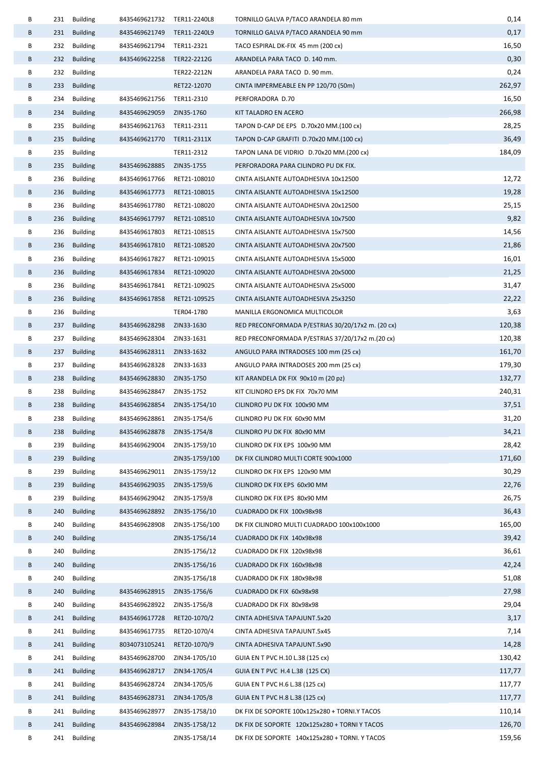| В |     | 231 Building    | 8435469621732               | TER11-2240L8   | TORNILLO GALVA P/TACO ARANDELA 80 mm              | 0,14   |
|---|-----|-----------------|-----------------------------|----------------|---------------------------------------------------|--------|
| B |     | 231 Building    | 8435469621749 TER11-2240L9  |                | TORNILLO GALVA P/TACO ARANDELA 90 mm              | 0,17   |
| В |     | 232 Building    | 8435469621794 TER11-2321    |                | TACO ESPIRAL DK-FIX 45 mm (200 cx)                | 16,50  |
| В | 232 | <b>Building</b> | 8435469622258               | TER22-2212G    | ARANDELA PARA TACO D. 140 mm.                     | 0,30   |
| В | 232 | Building        |                             | TER22-2212N    | ARANDELA PARA TACO D. 90 mm.                      | 0,24   |
| В |     | 233 Building    |                             | RET22-12070    | CINTA IMPERMEABLE EN PP 120/70 (50m)              | 262,97 |
| В | 234 | <b>Building</b> | 8435469621756               | TER11-2310     | PERFORADORA D.70                                  | 16,50  |
| В | 234 | <b>Building</b> | 8435469629059 ZIN35-1760    |                | KIT TALADRO EN ACERO                              | 266,98 |
| В | 235 | <b>Building</b> | 8435469621763 TER11-2311    |                | TAPON D-CAP DE EPS D.70x20 MM.(100 cx)            | 28,25  |
| B |     | 235 Building    | 8435469621770 TER11-2311X   |                | TAPON D-CAP GRAFITI D.70x20 MM.(100 cx)           | 36,49  |
| В |     | 235 Building    |                             | TER11-2312     | TAPON LANA DE VIDRIO D.70x20 MM.(200 cx)          | 184,09 |
| В | 235 | Building        | 8435469628885 ZIN35-1755    |                | PERFORADORA PARA CILINDRO PU DK FIX.              |        |
| В | 236 | <b>Building</b> | 8435469617766               | RET21-108010   | CINTA AISLANTE AUTOADHESIVA 10x12500              | 12,72  |
| В | 236 | <b>Building</b> | 8435469617773               | RET21-108015   | CINTA AISLANTE AUTOADHESIVA 15x12500              | 19,28  |
| В | 236 | Building        | 8435469617780               | RET21-108020   | CINTA AISLANTE AUTOADHESIVA 20x12500              | 25,15  |
| В | 236 | <b>Building</b> | 8435469617797               | RET21-108510   | CINTA AISLANTE AUTOADHESIVA 10x7500               | 9,82   |
| В | 236 | Building        | 8435469617803               | RET21-108515   | CINTA AISLANTE AUTOADHESIVA 15x7500               | 14,56  |
| В | 236 | <b>Building</b> | 8435469617810               | RET21-108520   | CINTA AISLANTE AUTOADHESIVA 20x7500               | 21,86  |
| В | 236 | <b>Building</b> | 8435469617827               | RET21-109015   | CINTA AISLANTE AUTOADHESIVA 15x5000               | 16,01  |
| B | 236 | Building        | 8435469617834               | RET21-109020   | CINTA AISLANTE AUTOADHESIVA 20x5000               | 21,25  |
| В | 236 | Building        | 8435469617841               | RET21-109025   | CINTA AISLANTE AUTOADHESIVA 25x5000               | 31,47  |
| В | 236 | <b>Building</b> | 8435469617858               | RET21-109525   | CINTA AISLANTE AUTOADHESIVA 25x3250               | 22,22  |
| В | 236 | <b>Building</b> |                             | TER04-1780     | MANILLA ERGONOMICA MULTICOLOR                     | 3,63   |
| В |     | 237 Building    | 8435469628298               | ZIN33-1630     | RED PRECONFORMADA P/ESTRIAS 30/20/17x2 m. (20 cx) | 120,38 |
| В | 237 | <b>Building</b> | 8435469628304               | ZIN33-1631     | RED PRECONFORMADA P/ESTRIAS 37/20/17x2 m.(20 cx)  | 120,38 |
| В |     | 237 Building    | 8435469628311 ZIN33-1632    |                | ANGULO PARA INTRADOSES 100 mm (25 cx)             | 161,70 |
| В | 237 | <b>Building</b> | 8435469628328 ZIN33-1633    |                | ANGULO PARA INTRADOSES 200 mm (25 cx)             | 179,30 |
| B | 238 | Building        | 8435469628830 ZIN35-1750    |                | KIT ARANDELA DK FIX 90x10 m (20 pz)               | 132,77 |
| В | 238 | Building        | 8435469628847               | ZIN35-1752     | KIT CILINDRO EPS DK FIX 70x70 MM                  | 240,31 |
| В | 238 | <b>Building</b> | 8435469628854 ZIN35-1754/10 |                | CILINDRO PU DK FIX 100x90 MM                      | 37,51  |
| В |     | 238 Building    | 8435469628861 ZIN35-1754/6  |                | CILINDRO PU DK FIX 60x90 MM                       | 31,20  |
| B | 238 | <b>Building</b> | 8435469628878               | ZIN35-1754/8   | CILINDRO PU DK FIX 80x90 MM                       | 34,21  |
| В | 239 | <b>Building</b> | 8435469629004               | ZIN35-1759/10  | CILINDRO DK FIX EPS 100x90 MM                     | 28,42  |
| В | 239 | <b>Building</b> |                             | ZIN35-1759/100 | DK FIX CILINDRO MULTI CORTE 900x1000              | 171,60 |
| В | 239 | <b>Building</b> | 8435469629011               | ZIN35-1759/12  | CILINDRO DK FIX EPS 120x90 MM                     | 30,29  |
| B | 239 | <b>Building</b> | 8435469629035               | ZIN35-1759/6   | CILINDRO DK FIX EPS 60x90 MM                      | 22,76  |
| В | 239 | <b>Building</b> | 8435469629042               | ZIN35-1759/8   | CILINDRO DK FIX EPS 80x90 MM                      | 26,75  |
| В | 240 | <b>Building</b> | 8435469628892               | ZIN35-1756/10  | CUADRADO DK FIX 100x98x98                         | 36,43  |
| В | 240 | <b>Building</b> | 8435469628908               | ZIN35-1756/100 | DK FIX CILINDRO MULTI CUADRADO 100x100x1000       | 165,00 |
| B | 240 | <b>Building</b> |                             | ZIN35-1756/14  | CUADRADO DK FIX 140x98x98                         | 39,42  |
| В | 240 | <b>Building</b> |                             | ZIN35-1756/12  | CUADRADO DK FIX 120x98x98                         | 36,61  |
| В | 240 | <b>Building</b> |                             | ZIN35-1756/16  | CUADRADO DK FIX 160x98x98                         | 42,24  |
| В | 240 | <b>Building</b> |                             | ZIN35-1756/18  | CUADRADO DK FIX 180x98x98                         | 51,08  |
| B | 240 | <b>Building</b> | 8435469628915               | ZIN35-1756/6   | CUADRADO DK FIX 60x98x98                          | 27,98  |
| В | 240 | <b>Building</b> | 8435469628922               | ZIN35-1756/8   | CUADRADO DK FIX 80x98x98                          | 29,04  |
| В | 241 | <b>Building</b> | 8435469617728               | RET20-1070/2   | CINTA ADHESIVA TAPAJUNT.5x20                      | 3,17   |
| В | 241 | <b>Building</b> | 8435469617735               | RET20-1070/4   | CINTA ADHESIVA TAPAJUNT.5x45                      | 7,14   |
| В | 241 | <b>Building</b> | 8034073105241               | RET20-1070/9   | CINTA ADHESIVA TAPAJUNT.5x90                      | 14,28  |
| В | 241 | <b>Building</b> | 8435469628700               | ZIN34-1705/10  | GUIA EN T PVC H.10 L.38 (125 cx)                  | 130,42 |
| В | 241 | <b>Building</b> | 8435469628717               | ZIN34-1705/4   | GUIA EN T PVC H.4 L.38 (125 CX)                   | 117,77 |
| В | 241 | <b>Building</b> | 8435469628724               | ZIN34-1705/6   | GUIA EN T PVC H.6 L.38 (125 cx)                   | 117,77 |
| В | 241 | <b>Building</b> | 8435469628731               | ZIN34-1705/8   | GUIA EN T PVC H.8 L.38 (125 cx)                   | 117,77 |
| В | 241 | <b>Building</b> | 8435469628977               | ZIN35-1758/10  | DK FIX DE SOPORTE 100x125x280 + TORNI.Y TACOS     | 110,14 |
| B | 241 | <b>Building</b> | 8435469628984               | ZIN35-1758/12  | DK FIX DE SOPORTE 120x125x280 + TORNI Y TACOS     | 126,70 |
| В | 241 | <b>Building</b> |                             | ZIN35-1758/14  | DK FIX DE SOPORTE 140x125x280 + TORNI. Y TACOS    | 159,56 |
|   |     |                 |                             |                |                                                   |        |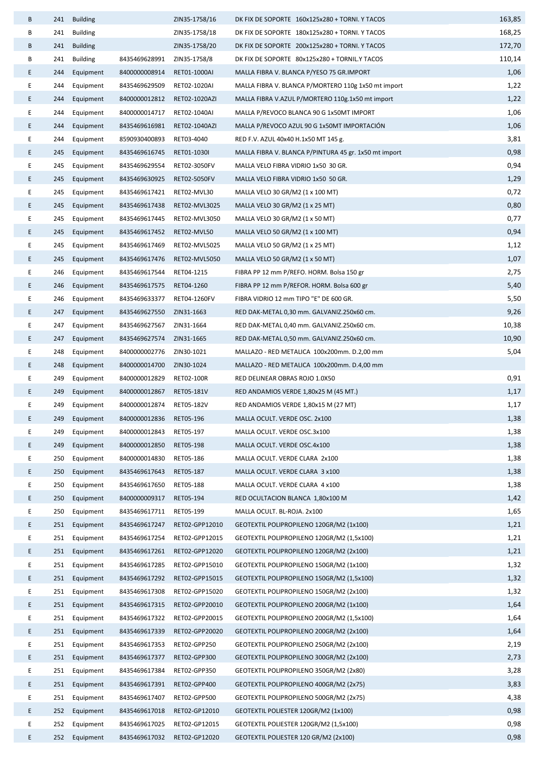| B  | 241 | <b>Building</b> |               | ZIN35-1758/16  | DK FIX DE SOPORTE 160x125x280 + TORNI. Y TACOS        | 163,85 |
|----|-----|-----------------|---------------|----------------|-------------------------------------------------------|--------|
| В  | 241 | <b>Building</b> |               | ZIN35-1758/18  | DK FIX DE SOPORTE 180x125x280 + TORNI. Y TACOS        | 168,25 |
| В  | 241 | <b>Building</b> |               | ZIN35-1758/20  | DK FIX DE SOPORTE 200x125x280 + TORNI. Y TACOS        | 172,70 |
| В  | 241 | <b>Building</b> | 8435469628991 | ZIN35-1758/8   | DK FIX DE SOPORTE 80x125x280 + TORNIL.Y TACOS         | 110,14 |
| E. | 244 | Equipment       | 8400000008914 | RET01-1000AI   | MALLA FIBRA V. BLANCA P/YESO 75 GR.IMPORT             | 1,06   |
| E  | 244 | Equipment       | 8435469629509 | RET02-1020AI   | MALLA FIBRA V. BLANCA P/MORTERO 110g 1x50 mt import   | 1,22   |
| E. | 244 | Equipment       | 8400000012812 | RET02-1020AZI  | MALLA FIBRA V.AZUL P/MORTERO 110g.1x50 mt import      | 1,22   |
| E  | 244 | Equipment       | 8400000014717 | RET02-1040AI   | MALLA P/REVOCO BLANCA 90 G 1x50MT IMPORT              | 1,06   |
| E  | 244 | Equipment       | 8435469616981 | RET02-1040AZI  | MALLA P/REVOCO AZUL 90 G 1x50MT IMPORTACIÓN           | 1,06   |
| E  | 244 | Equipment       | 8590930400893 | RET03-4040     | RED F.V. AZUL 40x40 H.1x50 MT 145 g.                  | 3,81   |
| E  | 245 | Equipment       | 8435469616745 | RET01-1030I    | MALLA FIBRA V. BLANCA P/PINTURA 45 gr. 1x50 mt import | 0,98   |
| E  | 245 | Equipment       | 8435469629554 | RET02-3050FV   | MALLA VELO FIBRA VIDRIO 1x50 30 GR.                   | 0,94   |
| E. | 245 | Equipment       | 8435469630925 | RET02-5050FV   | MALLA VELO FIBRA VIDRIO 1x50 50 GR.                   | 1,29   |
| E  | 245 | Equipment       | 8435469617421 | RET02-MVL30    | MALLA VELO 30 GR/M2 (1 x 100 MT)                      | 0,72   |
| E. | 245 | Equipment       | 8435469617438 | RET02-MVL3025  | MALLA VELO 30 GR/M2 (1 x 25 MT)                       | 0,80   |
| E  | 245 | Equipment       | 8435469617445 | RET02-MVL3050  | MALLA VELO 30 GR/M2 (1 x 50 MT)                       | 0,77   |
| E  | 245 | Equipment       | 8435469617452 | RET02-MVL50    | MALLA VELO 50 GR/M2 (1 x 100 MT)                      | 0,94   |
| E  | 245 | Equipment       | 8435469617469 | RET02-MVL5025  | MALLA VELO 50 GR/M2 (1 x 25 MT)                       | 1,12   |
| E. | 245 | Equipment       | 8435469617476 | RET02-MVL5050  | MALLA VELO 50 GR/M2 (1 x 50 MT)                       | 1,07   |
| E  | 246 | Equipment       | 8435469617544 | RET04-1215     | FIBRA PP 12 mm P/REFO. HORM. Bolsa 150 gr             | 2,75   |
| E  | 246 | Equipment       | 8435469617575 | RET04-1260     | FIBRA PP 12 mm P/REFOR. HORM. Bolsa 600 gr            | 5,40   |
| E  | 246 | Equipment       | 8435469633377 | RET04-1260FV   | FIBRA VIDRIO 12 mm TIPO "E" DE 600 GR.                | 5,50   |
| E. | 247 | Equipment       | 8435469627550 | ZIN31-1663     | RED DAK-METAL 0,30 mm. GALVANIZ.250x60 cm.            | 9,26   |
| E  | 247 | Equipment       | 8435469627567 | ZIN31-1664     | RED DAK-METAL 0,40 mm. GALVANIZ.250x60 cm.            | 10,38  |
| E  | 247 | Equipment       | 8435469627574 | ZIN31-1665     | RED DAK-METAL 0,50 mm. GALVANIZ.250x60 cm.            | 10,90  |
| Ε  | 248 | Equipment       | 8400000002776 | ZIN30-1021     | MALLAZO - RED METALICA 100x200mm. D.2,00 mm           | 5,04   |
| E  | 248 | Equipment       | 8400000014700 | ZIN30-1024     | MALLAZO - RED METALICA 100x200mm. D.4,00 mm           |        |
| E  | 249 | Equipment       | 8400000012829 | RET02-100R     | RED DELINEAR OBRAS ROJO 1.0X50                        | 0,91   |
| E  | 249 | Equipment       | 8400000012867 | RET05-181V     | RED ANDAMIOS VERDE 1,80x25 M (45 MT.)                 | 1,17   |
| Ε  | 249 | Equipment       | 8400000012874 | RET05-182V     | RED ANDAMIOS VERDE 1,80x15 M (27 MT)                  | 1,17   |
| Ε  | 249 | Equipment       | 8400000012836 | RET05-196      | MALLA OCULT. VERDE OSC. 2x100                         | 1,38   |
| E  | 249 | Equipment       | 8400000012843 | RET05-197      | MALLA OCULT. VERDE OSC.3x100                          | 1,38   |
| E  | 249 | Equipment       | 8400000012850 | RET05-198      | MALLA OCULT. VERDE OSC.4x100                          | 1,38   |
| E  | 250 | Equipment       | 8400000014830 | RET05-186      | MALLA OCULT. VERDE CLARA 2x100                        | 1,38   |
| E  | 250 | Equipment       | 8435469617643 | RET05-187      | MALLA OCULT. VERDE CLARA 3 x100                       | 1,38   |
| E  | 250 | Equipment       | 8435469617650 | RET05-188      | MALLA OCULT. VERDE CLARA 4 x100                       | 1,38   |
| E. | 250 | Equipment       | 8400000009317 | RET05-194      | RED OCULTACION BLANCA 1,80x100 M                      | 1,42   |
| E  | 250 | Equipment       | 8435469617711 | RET05-199      | MALLA OCULT. BL-ROJA. 2x100                           | 1,65   |
| E. | 251 | Equipment       | 8435469617247 | RET02-GPP12010 | GEOTEXTIL POLIPROPILENO 120GR/M2 (1x100)              | 1,21   |
| E  | 251 | Equipment       | 8435469617254 | RET02-GPP12015 | GEOTEXTIL POLIPROPILENO 120GR/M2 (1,5x100)            | 1,21   |
| E. | 251 | Equipment       | 8435469617261 | RET02-GPP12020 | GEOTEXTIL POLIPROPILENO 120GR/M2 (2x100)              | 1,21   |
| E  | 251 | Equipment       | 8435469617285 | RET02-GPP15010 | GEOTEXTIL POLIPROPILENO 150GR/M2 (1x100)              | 1,32   |
| E  | 251 | Equipment       | 8435469617292 | RET02-GPP15015 | GEOTEXTIL POLIPROPILENO 150GR/M2 (1,5x100)            | 1,32   |
| Е  | 251 | Equipment       | 8435469617308 | RET02-GPP15020 | GEOTEXTIL POLIPROPILENO 150GR/M2 (2x100)              | 1,32   |
| E  | 251 | Equipment       | 8435469617315 | RET02-GPP20010 | GEOTEXTIL POLIPROPILENO 200GR/M2 (1x100)              | 1,64   |
| Ε  | 251 | Equipment       | 8435469617322 | RET02-GPP20015 | GEOTEXTIL POLIPROPILENO 200GR/M2 (1,5x100)            | 1,64   |
| E. | 251 | Equipment       | 8435469617339 | RET02-GPP20020 | GEOTEXTIL POLIPROPILENO 200GR/M2 (2x100)              | 1,64   |
| E  | 251 | Equipment       | 8435469617353 | RET02-GPP250   | GEOTEXTIL POLIPROPILENO 250GR/M2 (2x100)              | 2,19   |
| E  | 251 | Equipment       | 8435469617377 | RET02-GPP300   | GEOTEXTIL POLIPROPILENO 300GR/M2 (2x100)              | 2,73   |
| E  | 251 | Equipment       | 8435469617384 | RET02-GPP350   | GEOTEXTIL POLIPROPILENO 350GR/M2 (2x80)               | 3,28   |
| E  | 251 | Equipment       | 8435469617391 | RET02-GPP400   | GEOTEXTIL POLIPROPILENO 400GR/M2 (2x75)               | 3,83   |
| E  | 251 | Equipment       | 8435469617407 | RET02-GPP500   | GEOTEXTIL POLIPROPILENO 500GR/M2 (2x75)               | 4,38   |
| E. | 252 | Equipment       | 8435469617018 | RET02-GP12010  | GEOTEXTIL POLIESTER 120GR/M2 (1x100)                  | 0,98   |
| E  | 252 | Equipment       | 8435469617025 | RET02-GP12015  | GEOTEXTIL POLIESTER 120GR/M2 (1,5x100)                | 0,98   |
| E  | 252 | Equipment       | 8435469617032 | RET02-GP12020  | GEOTEXTIL POLIESTER 120 GR/M2 (2x100)                 | 0,98   |
|    |     |                 |               |                |                                                       |        |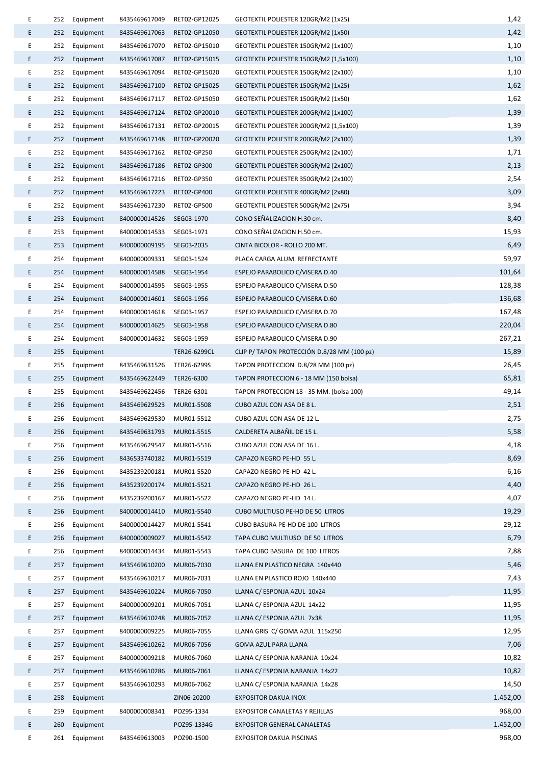| Е  | 252 | Equipment | 8435469617049 | RET02-GP12025 | GEOTEXTIL POLIESTER 120GR/M2 (1x25)         | 1,42     |
|----|-----|-----------|---------------|---------------|---------------------------------------------|----------|
| E. | 252 | Equipment | 8435469617063 | RET02-GP12050 | GEOTEXTIL POLIESTER 120GR/M2 (1x50)         | 1,42     |
| E  | 252 | Equipment | 8435469617070 | RET02-GP15010 | GEOTEXTIL POLIESTER 150GR/M2 (1x100)        | 1,10     |
| E  | 252 | Equipment | 8435469617087 | RET02-GP15015 | GEOTEXTIL POLIESTER 150GR/M2 (1,5x100)      | 1,10     |
| E  | 252 | Equipment | 8435469617094 | RET02-GP15020 | GEOTEXTIL POLIESTER 150GR/M2 (2x100)        | 1,10     |
| E. | 252 | Equipment | 8435469617100 | RET02-GP15025 | GEOTEXTIL POLIESTER 150GR/M2 (1x25)         | 1,62     |
| E  | 252 | Equipment | 8435469617117 | RET02-GP15050 | GEOTEXTIL POLIESTER 150GR/M2 (1x50)         | 1,62     |
| E. | 252 | Equipment | 8435469617124 | RET02-GP20010 | GEOTEXTIL POLIESTER 200GR/M2 (1x100)        | 1,39     |
| E  | 252 | Equipment | 8435469617131 | RET02-GP20015 | GEOTEXTIL POLIESTER 200GR/M2 (1,5x100)      | 1,39     |
| E. | 252 | Equipment | 8435469617148 | RET02-GP20020 | GEOTEXTIL POLIESTER 200GR/M2 (2x100)        | 1,39     |
| E  | 252 | Equipment | 8435469617162 | RET02-GP250   | GEOTEXTIL POLIESTER 250GR/M2 (2x100)        | 1,71     |
| E  | 252 | Equipment | 8435469617186 | RET02-GP300   | GEOTEXTIL POLIESTER 300GR/M2 (2x100)        | 2,13     |
| E  | 252 | Equipment | 8435469617216 | RET02-GP350   | GEOTEXTIL POLIESTER 350GR/M2 (2x100)        | 2,54     |
| E. | 252 | Equipment | 8435469617223 | RET02-GP400   | GEOTEXTIL POLIESTER 400GR/M2 (2x80)         | 3,09     |
| E  | 252 | Equipment | 8435469617230 | RET02-GP500   | GEOTEXTIL POLIESTER 500GR/M2 (2x75)         | 3,94     |
| E  | 253 | Equipment | 8400000014526 | SEG03-1970    | CONO SEÑALIZACION H.30 cm.                  | 8,40     |
| E  | 253 | Equipment | 8400000014533 | SEG03-1971    | CONO SEÑALIZACION H.50 cm.                  | 15,93    |
| E. | 253 | Equipment | 8400000009195 | SEG03-2035    | CINTA BICOLOR - ROLLO 200 MT.               | 6,49     |
| E  | 254 | Equipment | 8400000009331 | SEG03-1524    | PLACA CARGA ALUM. REFRECTANTE               | 59,97    |
| E. | 254 | Equipment | 8400000014588 | SEG03-1954    | ESPEJO PARABOLICO C/VISERA D.40             | 101,64   |
| E  | 254 | Equipment | 8400000014595 | SEG03-1955    | ESPEJO PARABOLICO C/VISERA D.50             | 128,38   |
| E. | 254 | Equipment | 8400000014601 | SEG03-1956    | ESPEJO PARABOLICO C/VISERA D.60             | 136,68   |
| E  | 254 | Equipment | 8400000014618 | SEG03-1957    | ESPEJO PARABOLICO C/VISERA D.70             | 167,48   |
| E. | 254 | Equipment | 8400000014625 | SEG03-1958    | ESPEJO PARABOLICO C/VISERA D.80             | 220,04   |
| E  | 254 | Equipment | 8400000014632 | SEG03-1959    | ESPEJO PARABOLICO C/VISERA D.90             | 267,21   |
| E. | 255 | Equipment |               | TER26-6299CL  | CLIP P/ TAPON PROTECCIÓN D.8/28 MM (100 pz) | 15,89    |
| E  | 255 | Equipment | 8435469631526 | TER26-6299S   | TAPON PROTECCION D.8/28 MM (100 pz)         | 26,45    |
| E. | 255 | Equipment | 8435469622449 | TER26-6300    | TAPON PROTECCION 6 - 18 MM (150 bolsa)      | 65,81    |
| E  | 255 | Equipment | 8435469622456 | TER26-6301    | TAPON PROTECCION 18 - 35 MM. (bolsa 100)    | 49,14    |
| E  | 256 | Equipment | 8435469629523 | MUR01-5508    | CUBO AZUL CON ASA DE 8 L.                   | 2,51     |
| Ε  | 256 | Equipment | 8435469629530 | MUR01-5512    | CUBO AZUL CON ASA DE 12 L.                  | 2,75     |
| E. | 256 | Equipment | 8435469631793 | MUR01-5515    | CALDERETA ALBAÑIL DE 15 L.                  | 5,58     |
| E  | 256 | Equipment | 8435469629547 | MUR01-5516    | CUBO AZUL CON ASA DE 16 L.                  | 4,18     |
| E  | 256 | Equipment | 8436533740182 | MUR01-5519    | CAPAZO NEGRO PE-HD 55 L.                    | 8,69     |
| E  | 256 | Equipment | 8435239200181 | MUR01-5520    | CAPAZO NEGRO PE-HD 42 L.                    | 6,16     |
| E. | 256 | Equipment | 8435239200174 | MUR01-5521    | CAPAZO NEGRO PE-HD 26 L.                    | 4,40     |
| E  | 256 | Equipment | 8435239200167 | MUR01-5522    | CAPAZO NEGRO PE-HD 14 L.                    | 4,07     |
| E  | 256 | Equipment | 8400000014410 | MUR01-5540    | CUBO MULTIUSO PE-HD DE 50 LITROS            | 19,29    |
| E  | 256 | Equipment | 8400000014427 | MUR01-5541    | CUBO BASURA PE-HD DE 100 LITROS             | 29,12    |
| E. | 256 | Equipment | 8400000009027 | MUR01-5542    | TAPA CUBO MULTIUSO DE 50 LITROS             | 6,79     |
| E  | 256 | Equipment | 8400000014434 | MUR01-5543    | TAPA CUBO BASURA DE 100 LITROS              | 7,88     |
| E. | 257 | Equipment | 8435469610200 | MUR06-7030    | LLANA EN PLASTICO NEGRA 140x440             | 5,46     |
| E  | 257 | Equipment | 8435469610217 | MUR06-7031    | LLANA EN PLASTICO ROJO 140x440              | 7,43     |
| E. | 257 | Equipment | 8435469610224 | MUR06-7050    | LLANA C/ ESPONJA AZUL 10x24                 | 11,95    |
| E  | 257 | Equipment | 8400000009201 | MUR06-7051    | LLANA C/ ESPONJA AZUL 14x22                 | 11,95    |
| E  | 257 | Equipment | 8435469610248 | MUR06-7052    | LLANA C/ ESPONJA AZUL 7x38                  | 11,95    |
| E  | 257 | Equipment | 8400000009225 | MUR06-7055    | LLANA GRIS C/ GOMA AZUL 115x250             | 12,95    |
| E. | 257 | Equipment | 8435469610262 | MUR06-7056    | GOMA AZUL PARA LLANA                        | 7,06     |
| E  | 257 | Equipment | 8400000009218 | MUR06-7060    | LLANA C/ ESPONJA NARANJA 10x24              | 10,82    |
| E. | 257 | Equipment | 8435469610286 | MUR06-7061    | LLANA C/ ESPONJA NARANJA 14x22              | 10,82    |
| E  | 257 | Equipment | 8435469610293 | MUR06-7062    | LLANA C/ ESPONJA NARANJA 14x28              | 14,50    |
| E. | 258 | Equipment |               | ZIN06-20200   | <b>EXPOSITOR DAKUA INOX</b>                 | 1.452,00 |
| E  | 259 | Equipment | 8400000008341 | POZ95-1334    | EXPOSITOR CANALETAS Y REJILLAS              | 968,00   |
| E  | 260 | Equipment |               | POZ95-1334G   | <b>EXPOSITOR GENERAL CANALETAS</b>          | 1.452,00 |
| E  | 261 | Equipment | 8435469613003 | POZ90-1500    | <b>EXPOSITOR DAKUA PISCINAS</b>             | 968,00   |
|    |     |           |               |               |                                             |          |